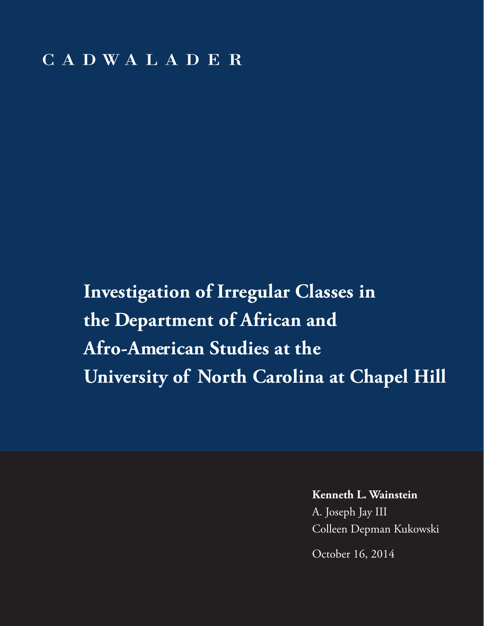**Investigation of Irregular Classes in the Department of African and Afro-American Studies at the University of North Carolina at Chapel Hill**

**Kenneth L. Wainstein**

A. Joseph Jay III Colleen Depman Kukowski

October 16, 2014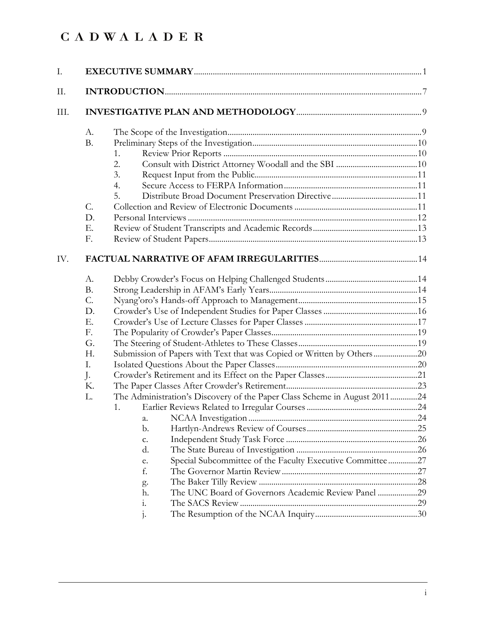| I.   |                                                                                                                                                                                                                                                                                                                                                                                                                           |  |  |  |  |  |  |
|------|---------------------------------------------------------------------------------------------------------------------------------------------------------------------------------------------------------------------------------------------------------------------------------------------------------------------------------------------------------------------------------------------------------------------------|--|--|--|--|--|--|
| II.  |                                                                                                                                                                                                                                                                                                                                                                                                                           |  |  |  |  |  |  |
| III. |                                                                                                                                                                                                                                                                                                                                                                                                                           |  |  |  |  |  |  |
|      | А.<br><b>B.</b><br>1.<br>2.<br>3.<br>4.<br>5.<br>$C$ .<br>D.<br>Ε.<br>F.                                                                                                                                                                                                                                                                                                                                                  |  |  |  |  |  |  |
| IV.  |                                                                                                                                                                                                                                                                                                                                                                                                                           |  |  |  |  |  |  |
|      | А.<br><b>B.</b><br>C.<br>D.<br>Ε.<br>F.<br>G.<br>Submission of Papers with Text that was Copied or Written by Others20<br>H.<br>Ι.<br>$\cdot$<br>Κ.<br>The Administration's Discovery of the Paper Class Scheme in August 201124<br>L.<br>1.<br>b.<br>c.<br>d.<br>Special Subcommittee of the Faculty Executive Committee27<br>e.<br>f.<br>g.<br>The UNC Board of Governors Academic Review Panel 29<br>h.<br>i.<br>$1 -$ |  |  |  |  |  |  |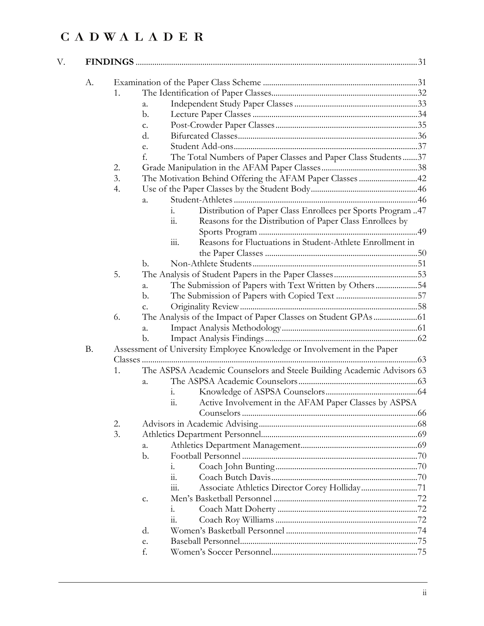| А.        |    |                |                |                                                                         |  |
|-----------|----|----------------|----------------|-------------------------------------------------------------------------|--|
|           | 1. |                |                |                                                                         |  |
|           |    | a.             |                |                                                                         |  |
|           |    | b.             |                |                                                                         |  |
|           |    | c.             |                |                                                                         |  |
|           |    | d.             |                |                                                                         |  |
|           |    | e.             |                |                                                                         |  |
|           |    | f.             |                | The Total Numbers of Paper Classes and Paper Class Students37           |  |
|           | 2. |                |                |                                                                         |  |
|           | 3. |                |                | The Motivation Behind Offering the AFAM Paper Classes 42                |  |
|           | 4. |                |                |                                                                         |  |
|           |    | a.             |                |                                                                         |  |
|           |    |                | 1.             | Distribution of Paper Class Enrollees per Sports Program 47             |  |
|           |    |                | 11.            | Reasons for the Distribution of Paper Class Enrollees by                |  |
|           |    |                |                |                                                                         |  |
|           |    |                | 111.           | Reasons for Fluctuations in Student-Athlete Enrollment in               |  |
|           |    |                |                |                                                                         |  |
|           |    | b.             |                |                                                                         |  |
|           | 5. |                |                |                                                                         |  |
|           |    | a.             |                | The Submission of Papers with Text Written by Others54                  |  |
|           |    | $\mathbf{b}$ . |                |                                                                         |  |
|           |    | C.             |                |                                                                         |  |
|           | 6. |                |                |                                                                         |  |
|           |    | a.             |                |                                                                         |  |
|           |    | $\mathbf b$ .  |                |                                                                         |  |
| <b>B.</b> |    |                |                | Assessment of University Employee Knowledge or Involvement in the Paper |  |
|           |    |                |                |                                                                         |  |
|           | 1. |                |                | The ASPSA Academic Counselors and Steele Building Academic Advisors 63  |  |
|           |    | a.             |                |                                                                         |  |
|           |    |                | $\mathbf{i}$ . |                                                                         |  |
|           |    |                |                |                                                                         |  |
|           |    |                | 11.            | Active Involvement in the AFAM Paper Classes by ASPSA                   |  |
|           |    |                |                |                                                                         |  |
|           | 2. |                |                |                                                                         |  |
|           | 3. |                |                |                                                                         |  |
|           |    | a.             |                |                                                                         |  |
|           |    | $b$ .          |                |                                                                         |  |
|           |    |                | 1.             |                                                                         |  |
|           |    |                | 11.            |                                                                         |  |
|           |    |                | 111.           |                                                                         |  |
|           |    | c.             |                |                                                                         |  |
|           |    |                | 1.             |                                                                         |  |
|           |    |                | 11.            |                                                                         |  |
|           |    | d.             |                |                                                                         |  |
|           |    | e.             |                |                                                                         |  |
|           |    | f.             |                |                                                                         |  |
|           |    |                |                |                                                                         |  |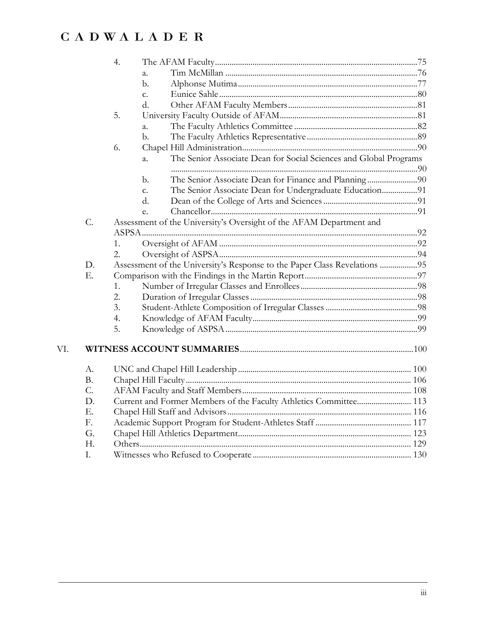|     |           | 4.               |               |                                                                           |  |
|-----|-----------|------------------|---------------|---------------------------------------------------------------------------|--|
|     |           |                  | a.            |                                                                           |  |
|     |           |                  | b.            |                                                                           |  |
|     |           |                  | $C_{\bullet}$ |                                                                           |  |
|     |           |                  | d.            |                                                                           |  |
|     |           | 5.               |               |                                                                           |  |
|     |           |                  | a.            |                                                                           |  |
|     |           |                  | $b$ .         |                                                                           |  |
|     |           | 6.               |               |                                                                           |  |
|     |           |                  | a.            | The Senior Associate Dean for Social Sciences and Global Programs         |  |
|     |           |                  | b.            |                                                                           |  |
|     |           |                  | $C_{\bullet}$ | The Senior Associate Dean for Undergraduate Education91                   |  |
|     |           |                  | d.            |                                                                           |  |
|     |           |                  | e.            |                                                                           |  |
|     | C.        |                  |               | Assessment of the University's Oversight of the AFAM Department and       |  |
|     |           |                  |               |                                                                           |  |
|     |           | 1.               |               |                                                                           |  |
|     |           | $\overline{2}$ . |               |                                                                           |  |
|     | D.        |                  |               | Assessment of the University's Response to the Paper Class Revelations 95 |  |
|     | Ε.        |                  |               |                                                                           |  |
|     |           | 1.               |               |                                                                           |  |
|     |           | $\overline{2}$ . |               |                                                                           |  |
|     |           | 3.               |               |                                                                           |  |
|     |           | 4.               |               |                                                                           |  |
|     |           | 5.               |               |                                                                           |  |
| VI. |           |                  |               |                                                                           |  |
|     | А.        |                  |               |                                                                           |  |
|     | <b>B.</b> |                  |               |                                                                           |  |
|     | C.        |                  |               |                                                                           |  |
|     | D.        |                  |               | Current and Former Members of the Faculty Athletics Committee 113         |  |
|     | Ε.        |                  |               |                                                                           |  |
|     | F.        |                  |               |                                                                           |  |
|     | G.        |                  |               |                                                                           |  |
|     | H.        |                  |               |                                                                           |  |
|     | I.        |                  |               |                                                                           |  |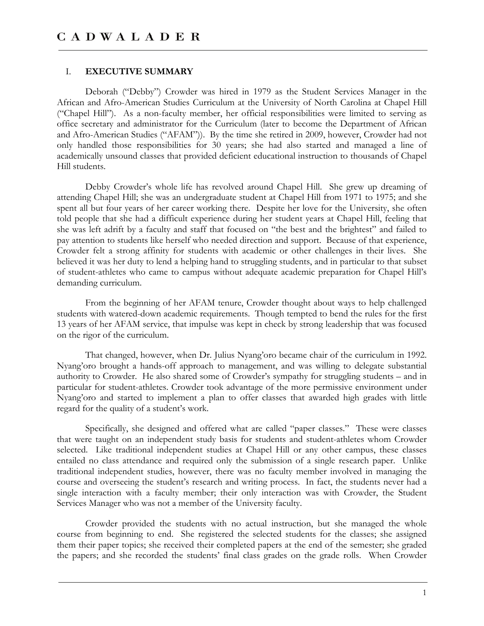#### I. **EXECUTIVE SUMMARY**

 Deborah ("Debby") Crowder was hired in 1979 as the Student Services Manager in the African and Afro-American Studies Curriculum at the University of North Carolina at Chapel Hill ("Chapel Hill"). As a non-faculty member, her official responsibilities were limited to serving as office secretary and administrator for the Curriculum (later to become the Department of African and Afro-American Studies ("AFAM")). By the time she retired in 2009, however, Crowder had not only handled those responsibilities for 30 years; she had also started and managed a line of academically unsound classes that provided deficient educational instruction to thousands of Chapel Hill students.

 Debby Crowder's whole life has revolved around Chapel Hill. She grew up dreaming of attending Chapel Hill; she was an undergraduate student at Chapel Hill from 1971 to 1975; and she spent all but four years of her career working there. Despite her love for the University, she often told people that she had a difficult experience during her student years at Chapel Hill, feeling that she was left adrift by a faculty and staff that focused on "the best and the brightest" and failed to pay attention to students like herself who needed direction and support. Because of that experience, Crowder felt a strong affinity for students with academic or other challenges in their lives. She believed it was her duty to lend a helping hand to struggling students, and in particular to that subset of student-athletes who came to campus without adequate academic preparation for Chapel Hill's demanding curriculum.

 From the beginning of her AFAM tenure, Crowder thought about ways to help challenged students with watered-down academic requirements. Though tempted to bend the rules for the first 13 years of her AFAM service, that impulse was kept in check by strong leadership that was focused on the rigor of the curriculum.

 That changed, however, when Dr. Julius Nyang'oro became chair of the curriculum in 1992. Nyang'oro brought a hands-off approach to management, and was willing to delegate substantial authority to Crowder. He also shared some of Crowder's sympathy for struggling students – and in particular for student-athletes. Crowder took advantage of the more permissive environment under Nyang'oro and started to implement a plan to offer classes that awarded high grades with little regard for the quality of a student's work.

 Specifically, she designed and offered what are called "paper classes." These were classes that were taught on an independent study basis for students and student-athletes whom Crowder selected. Like traditional independent studies at Chapel Hill or any other campus, these classes entailed no class attendance and required only the submission of a single research paper. Unlike traditional independent studies, however, there was no faculty member involved in managing the course and overseeing the student's research and writing process. In fact, the students never had a single interaction with a faculty member; their only interaction was with Crowder, the Student Services Manager who was not a member of the University faculty.

 Crowder provided the students with no actual instruction, but she managed the whole course from beginning to end. She registered the selected students for the classes; she assigned them their paper topics; she received their completed papers at the end of the semester; she graded the papers; and she recorded the students' final class grades on the grade rolls. When Crowder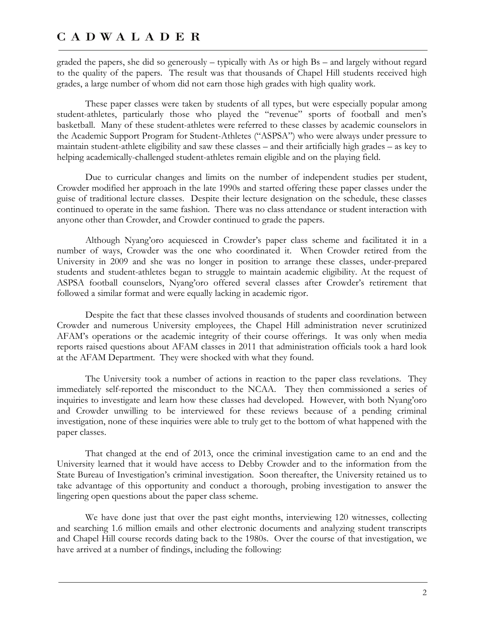graded the papers, she did so generously – typically with As or high Bs – and largely without regard to the quality of the papers. The result was that thousands of Chapel Hill students received high grades, a large number of whom did not earn those high grades with high quality work.

 These paper classes were taken by students of all types, but were especially popular among student-athletes, particularly those who played the "revenue" sports of football and men's basketball. Many of these student-athletes were referred to these classes by academic counselors in the Academic Support Program for Student-Athletes ("ASPSA") who were always under pressure to maintain student-athlete eligibility and saw these classes – and their artificially high grades – as key to helping academically-challenged student-athletes remain eligible and on the playing field.

 Due to curricular changes and limits on the number of independent studies per student, Crowder modified her approach in the late 1990s and started offering these paper classes under the guise of traditional lecture classes. Despite their lecture designation on the schedule, these classes continued to operate in the same fashion. There was no class attendance or student interaction with anyone other than Crowder, and Crowder continued to grade the papers.

 Although Nyang'oro acquiesced in Crowder's paper class scheme and facilitated it in a number of ways, Crowder was the one who coordinated it. When Crowder retired from the University in 2009 and she was no longer in position to arrange these classes, under-prepared students and student-athletes began to struggle to maintain academic eligibility. At the request of ASPSA football counselors, Nyang'oro offered several classes after Crowder's retirement that followed a similar format and were equally lacking in academic rigor.

 Despite the fact that these classes involved thousands of students and coordination between Crowder and numerous University employees, the Chapel Hill administration never scrutinized AFAM's operations or the academic integrity of their course offerings. It was only when media reports raised questions about AFAM classes in 2011 that administration officials took a hard look at the AFAM Department. They were shocked with what they found.

 The University took a number of actions in reaction to the paper class revelations. They immediately self-reported the misconduct to the NCAA. They then commissioned a series of inquiries to investigate and learn how these classes had developed. However, with both Nyang'oro and Crowder unwilling to be interviewed for these reviews because of a pending criminal investigation, none of these inquiries were able to truly get to the bottom of what happened with the paper classes.

 That changed at the end of 2013, once the criminal investigation came to an end and the University learned that it would have access to Debby Crowder and to the information from the State Bureau of Investigation's criminal investigation. Soon thereafter, the University retained us to take advantage of this opportunity and conduct a thorough, probing investigation to answer the lingering open questions about the paper class scheme.

 We have done just that over the past eight months, interviewing 120 witnesses, collecting and searching 1.6 million emails and other electronic documents and analyzing student transcripts and Chapel Hill course records dating back to the 1980s. Over the course of that investigation, we have arrived at a number of findings, including the following: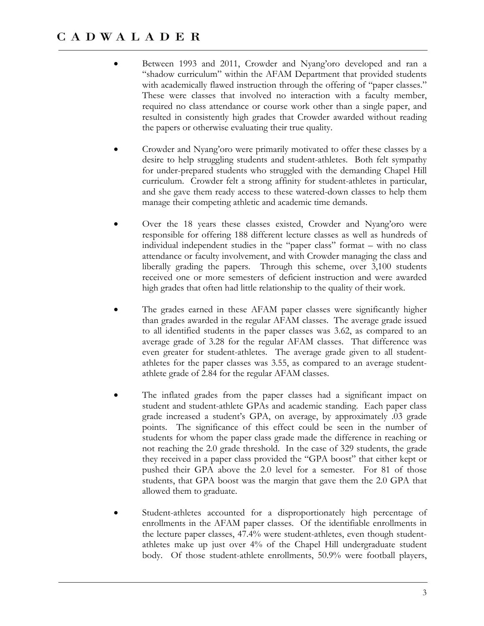- Between 1993 and 2011, Crowder and Nyang'oro developed and ran a "shadow curriculum" within the AFAM Department that provided students with academically flawed instruction through the offering of "paper classes." These were classes that involved no interaction with a faculty member, required no class attendance or course work other than a single paper, and resulted in consistently high grades that Crowder awarded without reading the papers or otherwise evaluating their true quality.
- Crowder and Nyang'oro were primarily motivated to offer these classes by a desire to help struggling students and student-athletes. Both felt sympathy for under-prepared students who struggled with the demanding Chapel Hill curriculum. Crowder felt a strong affinity for student-athletes in particular, and she gave them ready access to these watered-down classes to help them manage their competing athletic and academic time demands.
- Over the 18 years these classes existed, Crowder and Nyang'oro were responsible for offering 188 different lecture classes as well as hundreds of individual independent studies in the "paper class" format – with no class attendance or faculty involvement, and with Crowder managing the class and liberally grading the papers. Through this scheme, over 3,100 students received one or more semesters of deficient instruction and were awarded high grades that often had little relationship to the quality of their work.
- The grades earned in these AFAM paper classes were significantly higher than grades awarded in the regular AFAM classes. The average grade issued to all identified students in the paper classes was 3.62, as compared to an average grade of 3.28 for the regular AFAM classes. That difference was even greater for student-athletes. The average grade given to all studentathletes for the paper classes was 3.55, as compared to an average studentathlete grade of 2.84 for the regular AFAM classes.
- The inflated grades from the paper classes had a significant impact on student and student-athlete GPAs and academic standing. Each paper class grade increased a student's GPA, on average, by approximately .03 grade points. The significance of this effect could be seen in the number of students for whom the paper class grade made the difference in reaching or not reaching the 2.0 grade threshold. In the case of 329 students, the grade they received in a paper class provided the "GPA boost" that either kept or pushed their GPA above the 2.0 level for a semester. For 81 of those students, that GPA boost was the margin that gave them the 2.0 GPA that allowed them to graduate.
- Student-athletes accounted for a disproportionately high percentage of enrollments in the AFAM paper classes. Of the identifiable enrollments in the lecture paper classes, 47.4% were student-athletes, even though studentathletes make up just over 4% of the Chapel Hill undergraduate student body. Of those student-athlete enrollments, 50.9% were football players,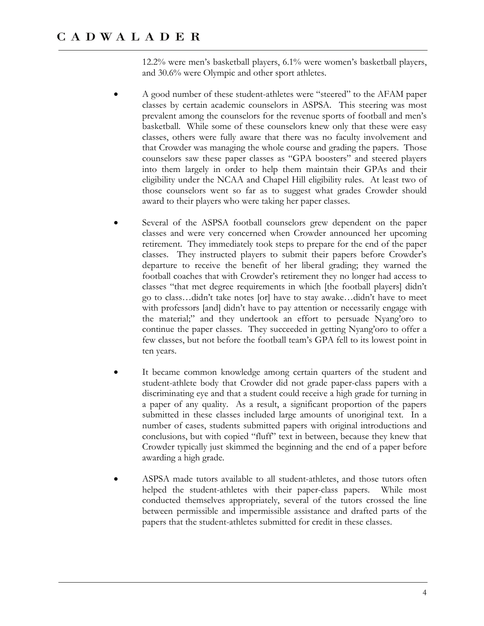12.2% were men's basketball players, 6.1% were women's basketball players, and 30.6% were Olympic and other sport athletes.

- A good number of these student-athletes were "steered" to the AFAM paper classes by certain academic counselors in ASPSA. This steering was most prevalent among the counselors for the revenue sports of football and men's basketball. While some of these counselors knew only that these were easy classes, others were fully aware that there was no faculty involvement and that Crowder was managing the whole course and grading the papers. Those counselors saw these paper classes as "GPA boosters" and steered players into them largely in order to help them maintain their GPAs and their eligibility under the NCAA and Chapel Hill eligibility rules. At least two of those counselors went so far as to suggest what grades Crowder should award to their players who were taking her paper classes.
- Several of the ASPSA football counselors grew dependent on the paper classes and were very concerned when Crowder announced her upcoming retirement. They immediately took steps to prepare for the end of the paper classes. They instructed players to submit their papers before Crowder's departure to receive the benefit of her liberal grading; they warned the football coaches that with Crowder's retirement they no longer had access to classes "that met degree requirements in which [the football players] didn't go to class…didn't take notes [or] have to stay awake…didn't have to meet with professors [and] didn't have to pay attention or necessarily engage with the material;" and they undertook an effort to persuade Nyang'oro to continue the paper classes. They succeeded in getting Nyang'oro to offer a few classes, but not before the football team's GPA fell to its lowest point in ten years.
- It became common knowledge among certain quarters of the student and student-athlete body that Crowder did not grade paper-class papers with a discriminating eye and that a student could receive a high grade for turning in a paper of any quality. As a result, a significant proportion of the papers submitted in these classes included large amounts of unoriginal text. In a number of cases, students submitted papers with original introductions and conclusions, but with copied "fluff" text in between, because they knew that Crowder typically just skimmed the beginning and the end of a paper before awarding a high grade.
- ASPSA made tutors available to all student-athletes, and those tutors often helped the student-athletes with their paper-class papers. While most conducted themselves appropriately, several of the tutors crossed the line between permissible and impermissible assistance and drafted parts of the papers that the student-athletes submitted for credit in these classes.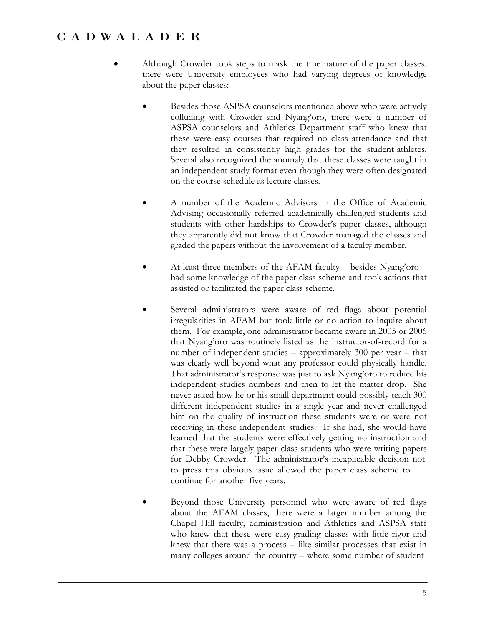- Although Crowder took steps to mask the true nature of the paper classes, there were University employees who had varying degrees of knowledge about the paper classes:
	- Besides those ASPSA counselors mentioned above who were actively colluding with Crowder and Nyang'oro, there were a number of ASPSA counselors and Athletics Department staff who knew that these were easy courses that required no class attendance and that they resulted in consistently high grades for the student-athletes. Several also recognized the anomaly that these classes were taught in an independent study format even though they were often designated on the course schedule as lecture classes.
	- A number of the Academic Advisors in the Office of Academic Advising occasionally referred academically-challenged students and students with other hardships to Crowder's paper classes, although they apparently did not know that Crowder managed the classes and graded the papers without the involvement of a faculty member.
	- At least three members of the AFAM faculty besides Nyang'oro had some knowledge of the paper class scheme and took actions that assisted or facilitated the paper class scheme.
	- Several administrators were aware of red flags about potential irregularities in AFAM but took little or no action to inquire about them. For example, one administrator became aware in 2005 or 2006 that Nyang'oro was routinely listed as the instructor-of-record for a number of independent studies – approximately 300 per year – that was clearly well beyond what any professor could physically handle. That administrator's response was just to ask Nyang'oro to reduce his independent studies numbers and then to let the matter drop. She never asked how he or his small department could possibly teach 300 different independent studies in a single year and never challenged him on the quality of instruction these students were or were not receiving in these independent studies. If she had, she would have learned that the students were effectively getting no instruction and that these were largely paper class students who were writing papers for Debby Crowder. The administrator's inexplicable decision not to press this obvious issue allowed the paper class scheme to continue for another five years.
	- Beyond those University personnel who were aware of red flags about the AFAM classes, there were a larger number among the Chapel Hill faculty, administration and Athletics and ASPSA staff who knew that these were easy-grading classes with little rigor and knew that there was a process – like similar processes that exist in many colleges around the country – where some number of student-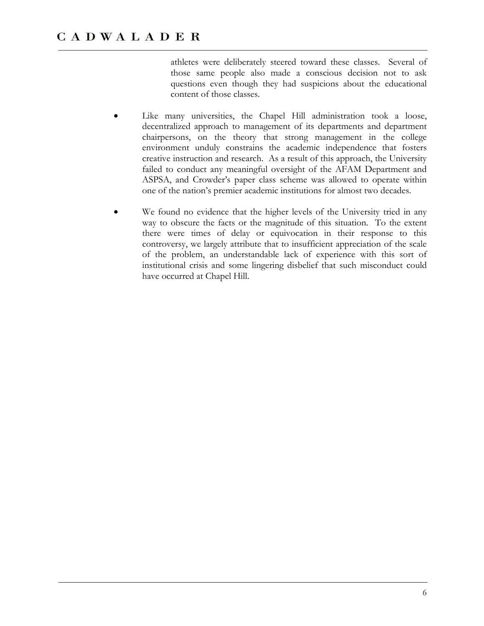athletes were deliberately steered toward these classes. Several of those same people also made a conscious decision not to ask questions even though they had suspicions about the educational content of those classes.

- Like many universities, the Chapel Hill administration took a loose, decentralized approach to management of its departments and department chairpersons, on the theory that strong management in the college environment unduly constrains the academic independence that fosters creative instruction and research. As a result of this approach, the University failed to conduct any meaningful oversight of the AFAM Department and ASPSA, and Crowder's paper class scheme was allowed to operate within one of the nation's premier academic institutions for almost two decades.
- We found no evidence that the higher levels of the University tried in any way to obscure the facts or the magnitude of this situation. To the extent there were times of delay or equivocation in their response to this controversy, we largely attribute that to insufficient appreciation of the scale of the problem, an understandable lack of experience with this sort of institutional crisis and some lingering disbelief that such misconduct could have occurred at Chapel Hill.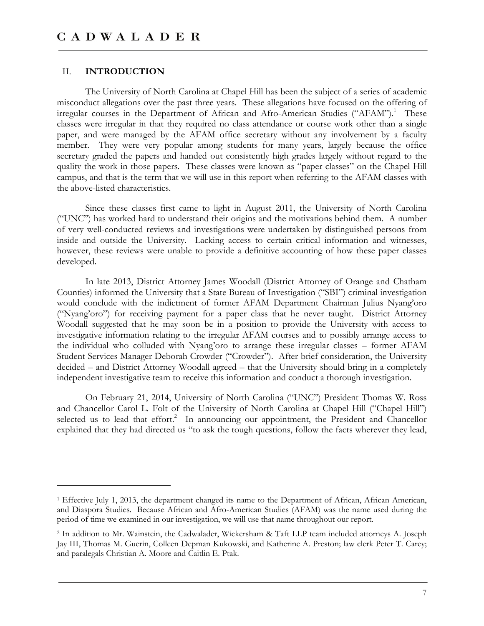#### II. **INTRODUCTION**

-

The University of North Carolina at Chapel Hill has been the subject of a series of academic misconduct allegations over the past three years. These allegations have focused on the offering of irregular courses in the Department of African and Afro-American Studies ("AFAM").<sup>1</sup> These classes were irregular in that they required no class attendance or course work other than a single paper, and were managed by the AFAM office secretary without any involvement by a faculty member. They were very popular among students for many years, largely because the office secretary graded the papers and handed out consistently high grades largely without regard to the quality the work in those papers. These classes were known as "paper classes" on the Chapel Hill campus, and that is the term that we will use in this report when referring to the AFAM classes with the above-listed characteristics.

Since these classes first came to light in August 2011, the University of North Carolina ("UNC") has worked hard to understand their origins and the motivations behind them. A number of very well-conducted reviews and investigations were undertaken by distinguished persons from inside and outside the University. Lacking access to certain critical information and witnesses, however, these reviews were unable to provide a definitive accounting of how these paper classes developed.

In late 2013, District Attorney James Woodall (District Attorney of Orange and Chatham Counties) informed the University that a State Bureau of Investigation ("SBI") criminal investigation would conclude with the indictment of former AFAM Department Chairman Julius Nyang'oro ("Nyang'oro") for receiving payment for a paper class that he never taught. District Attorney Woodall suggested that he may soon be in a position to provide the University with access to investigative information relating to the irregular AFAM courses and to possibly arrange access to the individual who colluded with Nyang'oro to arrange these irregular classes – former AFAM Student Services Manager Deborah Crowder ("Crowder"). After brief consideration, the University decided – and District Attorney Woodall agreed – that the University should bring in a completely independent investigative team to receive this information and conduct a thorough investigation.

On February 21, 2014, University of North Carolina ("UNC") President Thomas W. Ross and Chancellor Carol L. Folt of the University of North Carolina at Chapel Hill ("Chapel Hill") selected us to lead that effort.<sup>2</sup> In announcing our appointment, the President and Chancellor explained that they had directed us "to ask the tough questions, follow the facts wherever they lead,

<sup>1</sup> Effective July 1, 2013, the department changed its name to the Department of African, African American, and Diaspora Studies. Because African and Afro-American Studies (AFAM) was the name used during the period of time we examined in our investigation, we will use that name throughout our report.

<sup>2</sup> In addition to Mr. Wainstein, the Cadwalader, Wickersham & Taft LLP team included attorneys A. Joseph Jay III, Thomas M. Guerin, Colleen Depman Kukowski, and Katherine A. Preston; law clerk Peter T. Carey; and paralegals Christian A. Moore and Caitlin E. Ptak.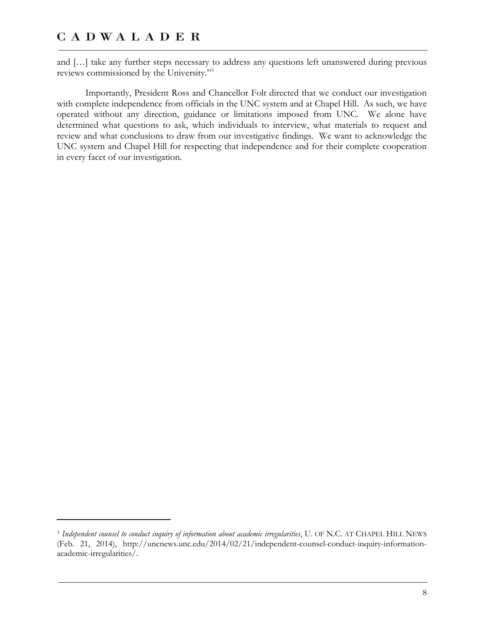$\overline{a}$ 

and […] take any further steps necessary to address any questions left unanswered during previous reviews commissioned by the University."3

Importantly, President Ross and Chancellor Folt directed that we conduct our investigation with complete independence from officials in the UNC system and at Chapel Hill. As such, we have operated without any direction, guidance or limitations imposed from UNC. We alone have determined what questions to ask, which individuals to interview, what materials to request and review and what conclusions to draw from our investigative findings. We want to acknowledge the UNC system and Chapel Hill for respecting that independence and for their complete cooperation in every facet of our investigation.

<sup>3</sup> *Independent counsel to conduct inquiry of information about academic irregularities*, U. OF N.C. AT CHAPEL HILL NEWS (Feb. 21, 2014), http://uncnews.unc.edu/2014/02/21/independent-counsel-conduct-inquiry-informationacademic-irregularities/.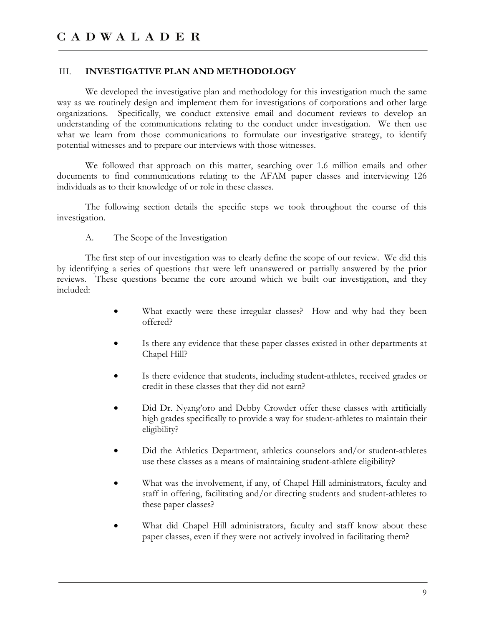#### III. **INVESTIGATIVE PLAN AND METHODOLOGY**

We developed the investigative plan and methodology for this investigation much the same way as we routinely design and implement them for investigations of corporations and other large organizations. Specifically, we conduct extensive email and document reviews to develop an understanding of the communications relating to the conduct under investigation. We then use what we learn from those communications to formulate our investigative strategy, to identify potential witnesses and to prepare our interviews with those witnesses.

We followed that approach on this matter, searching over 1.6 million emails and other documents to find communications relating to the AFAM paper classes and interviewing 126 individuals as to their knowledge of or role in these classes.

The following section details the specific steps we took throughout the course of this investigation.

A. The Scope of the Investigation

The first step of our investigation was to clearly define the scope of our review. We did this by identifying a series of questions that were left unanswered or partially answered by the prior reviews. These questions became the core around which we built our investigation, and they included:

- What exactly were these irregular classes? How and why had they been offered?
- Is there any evidence that these paper classes existed in other departments at Chapel Hill?
- Is there evidence that students, including student-athletes, received grades or credit in these classes that they did not earn?
- Did Dr. Nyang'oro and Debby Crowder offer these classes with artificially high grades specifically to provide a way for student-athletes to maintain their eligibility?
- Did the Athletics Department, athletics counselors and/or student-athletes use these classes as a means of maintaining student-athlete eligibility?
- What was the involvement, if any, of Chapel Hill administrators, faculty and staff in offering, facilitating and/or directing students and student-athletes to these paper classes?
- What did Chapel Hill administrators, faculty and staff know about these paper classes, even if they were not actively involved in facilitating them?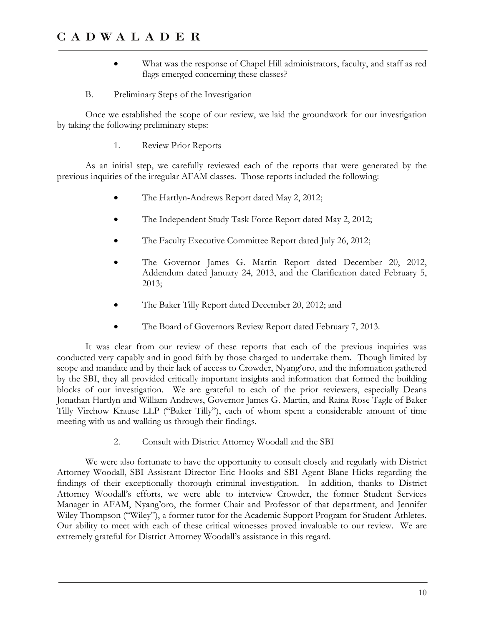- What was the response of Chapel Hill administrators, faculty, and staff as red flags emerged concerning these classes?
- B. Preliminary Steps of the Investigation

Once we established the scope of our review, we laid the groundwork for our investigation by taking the following preliminary steps:

1. Review Prior Reports

As an initial step, we carefully reviewed each of the reports that were generated by the previous inquiries of the irregular AFAM classes. Those reports included the following:

- The Hartlyn-Andrews Report dated May 2, 2012;
- The Independent Study Task Force Report dated May 2, 2012;
- The Faculty Executive Committee Report dated July 26, 2012;
- The Governor James G. Martin Report dated December 20, 2012, Addendum dated January 24, 2013, and the Clarification dated February 5, 2013;
- The Baker Tilly Report dated December 20, 2012; and
- The Board of Governors Review Report dated February 7, 2013.

It was clear from our review of these reports that each of the previous inquiries was conducted very capably and in good faith by those charged to undertake them. Though limited by scope and mandate and by their lack of access to Crowder, Nyang'oro, and the information gathered by the SBI, they all provided critically important insights and information that formed the building blocks of our investigation. We are grateful to each of the prior reviewers, especially Deans Jonathan Hartlyn and William Andrews, Governor James G. Martin, and Raina Rose Tagle of Baker Tilly Virchow Krause LLP ("Baker Tilly"), each of whom spent a considerable amount of time meeting with us and walking us through their findings.

2. Consult with District Attorney Woodall and the SBI

We were also fortunate to have the opportunity to consult closely and regularly with District Attorney Woodall, SBI Assistant Director Eric Hooks and SBI Agent Blane Hicks regarding the findings of their exceptionally thorough criminal investigation. In addition, thanks to District Attorney Woodall's efforts, we were able to interview Crowder, the former Student Services Manager in AFAM, Nyang'oro, the former Chair and Professor of that department, and Jennifer Wiley Thompson ("Wiley"), a former tutor for the Academic Support Program for Student-Athletes. Our ability to meet with each of these critical witnesses proved invaluable to our review. We are extremely grateful for District Attorney Woodall's assistance in this regard.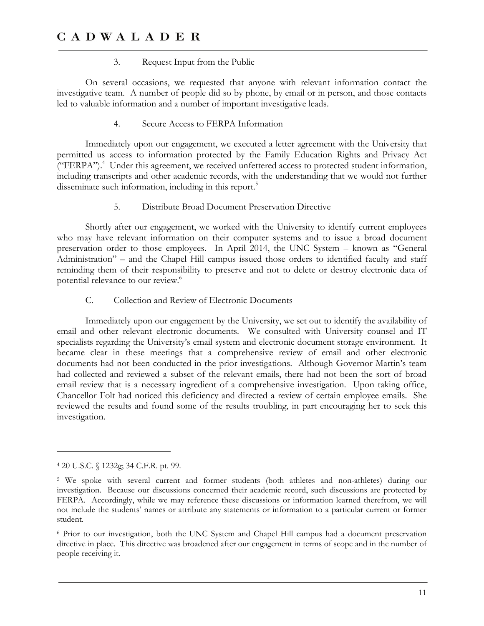#### 3. Request Input from the Public

On several occasions, we requested that anyone with relevant information contact the investigative team. A number of people did so by phone, by email or in person, and those contacts led to valuable information and a number of important investigative leads.

4. Secure Access to FERPA Information

Immediately upon our engagement, we executed a letter agreement with the University that permitted us access to information protected by the Family Education Rights and Privacy Act ("FERPA").4 Under this agreement, we received unfettered access to protected student information, including transcripts and other academic records, with the understanding that we would not further disseminate such information, including in this report.<sup>5</sup>

5. Distribute Broad Document Preservation Directive

Shortly after our engagement, we worked with the University to identify current employees who may have relevant information on their computer systems and to issue a broad document preservation order to those employees. In April 2014, the UNC System – known as "General Administration" – and the Chapel Hill campus issued those orders to identified faculty and staff reminding them of their responsibility to preserve and not to delete or destroy electronic data of potential relevance to our review.<sup>6</sup>

C. Collection and Review of Electronic Documents

Immediately upon our engagement by the University, we set out to identify the availability of email and other relevant electronic documents. We consulted with University counsel and IT specialists regarding the University's email system and electronic document storage environment. It became clear in these meetings that a comprehensive review of email and other electronic documents had not been conducted in the prior investigations. Although Governor Martin's team had collected and reviewed a subset of the relevant emails, there had not been the sort of broad email review that is a necessary ingredient of a comprehensive investigation. Upon taking office, Chancellor Folt had noticed this deficiency and directed a review of certain employee emails. She reviewed the results and found some of the results troubling, in part encouraging her to seek this investigation.

-

<sup>4 20</sup> U.S.C. § 1232g; 34 C.F.R. pt. 99.

<sup>5</sup> We spoke with several current and former students (both athletes and non-athletes) during our investigation. Because our discussions concerned their academic record, such discussions are protected by FERPA. Accordingly, while we may reference these discussions or information learned therefrom, we will not include the students' names or attribute any statements or information to a particular current or former student.

<sup>6</sup> Prior to our investigation, both the UNC System and Chapel Hill campus had a document preservation directive in place. This directive was broadened after our engagement in terms of scope and in the number of people receiving it.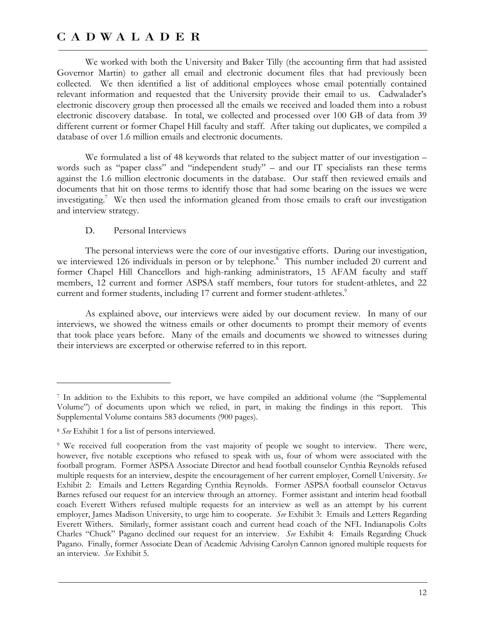We worked with both the University and Baker Tilly (the accounting firm that had assisted Governor Martin) to gather all email and electronic document files that had previously been collected. We then identified a list of additional employees whose email potentially contained relevant information and requested that the University provide their email to us. Cadwalader's electronic discovery group then processed all the emails we received and loaded them into a robust electronic discovery database. In total, we collected and processed over 100 GB of data from 39 different current or former Chapel Hill faculty and staff. After taking out duplicates, we compiled a database of over 1.6 million emails and electronic documents.

We formulated a list of 48 keywords that related to the subject matter of our investigation – words such as "paper class" and "independent study" – and our IT specialists ran these terms against the 1.6 million electronic documents in the database. Our staff then reviewed emails and documents that hit on those terms to identify those that had some bearing on the issues we were investigating.<sup>7</sup> We then used the information gleaned from those emails to craft our investigation and interview strategy.

#### D. Personal Interviews

The personal interviews were the core of our investigative efforts. During our investigation, we interviewed 126 individuals in person or by telephone.<sup>8</sup> This number included 20 current and former Chapel Hill Chancellors and high-ranking administrators, 15 AFAM faculty and staff members, 12 current and former ASPSA staff members, four tutors for student-athletes, and 22 current and former students, including 17 current and former student-athletes.<sup>9</sup>

As explained above, our interviews were aided by our document review. In many of our interviews, we showed the witness emails or other documents to prompt their memory of events that took place years before. Many of the emails and documents we showed to witnesses during their interviews are excerpted or otherwise referred to in this report.

 $\overline{a}$ 

<sup>7</sup> In addition to the Exhibits to this report, we have compiled an additional volume (the "Supplemental Volume") of documents upon which we relied, in part, in making the findings in this report. This Supplemental Volume contains 583 documents (900 pages).

<sup>8</sup> *See* Exhibit 1 for a list of persons interviewed.

<sup>9</sup> We received full cooperation from the vast majority of people we sought to interview. There were, however, five notable exceptions who refused to speak with us, four of whom were associated with the football program. Former ASPSA Associate Director and head football counselor Cynthia Reynolds refused multiple requests for an interview, despite the encouragement of her current employer, Cornell University. *See*  Exhibit 2: Emails and Letters Regarding Cynthia Reynolds. Former ASPSA football counselor Octavus Barnes refused our request for an interview through an attorney. Former assistant and interim head football coach Everett Withers refused multiple requests for an interview as well as an attempt by his current employer, James Madison University, to urge him to cooperate. *See* Exhibit 3: Emails and Letters Regarding Everett Withers. Similarly, former assistant coach and current head coach of the NFL Indianapolis Colts Charles "Chuck" Pagano declined our request for an interview. *See* Exhibit 4: Emails Regarding Chuck Pagano. Finally, former Associate Dean of Academic Advising Carolyn Cannon ignored multiple requests for an interview. *See* Exhibit 5.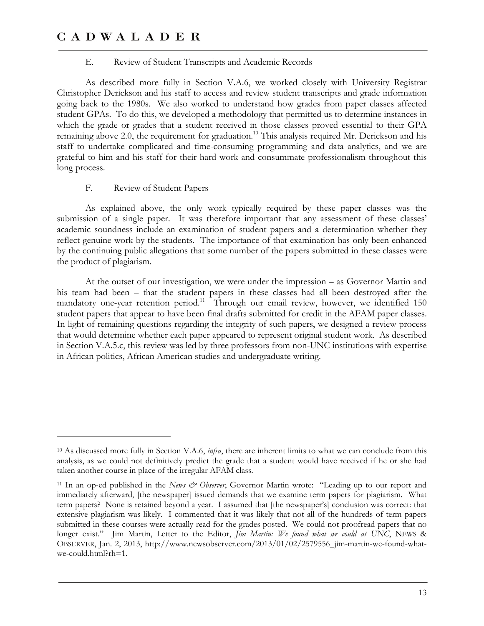#### E. Review of Student Transcripts and Academic Records

As described more fully in Section V.A.6, we worked closely with University Registrar Christopher Derickson and his staff to access and review student transcripts and grade information going back to the 1980s. We also worked to understand how grades from paper classes affected student GPAs. To do this, we developed a methodology that permitted us to determine instances in which the grade or grades that a student received in those classes proved essential to their GPA remaining above 2.0, the requirement for graduation.<sup>10</sup> This analysis required Mr. Derickson and his staff to undertake complicated and time-consuming programming and data analytics, and we are grateful to him and his staff for their hard work and consummate professionalism throughout this long process.

#### F. Review of Student Papers

<u>.</u>

As explained above, the only work typically required by these paper classes was the submission of a single paper. It was therefore important that any assessment of these classes' academic soundness include an examination of student papers and a determination whether they reflect genuine work by the students. The importance of that examination has only been enhanced by the continuing public allegations that some number of the papers submitted in these classes were the product of plagiarism.

At the outset of our investigation, we were under the impression – as Governor Martin and his team had been – that the student papers in these classes had all been destroyed after the mandatory one-year retention period.<sup>11</sup> Through our email review, however, we identified  $150$ student papers that appear to have been final drafts submitted for credit in the AFAM paper classes. In light of remaining questions regarding the integrity of such papers, we designed a review process that would determine whether each paper appeared to represent original student work. As described in Section V.A.5.c, this review was led by three professors from non-UNC institutions with expertise in African politics, African American studies and undergraduate writing.

<sup>10</sup> As discussed more fully in Section V.A.6, *infra*, there are inherent limits to what we can conclude from this analysis, as we could not definitively predict the grade that a student would have received if he or she had taken another course in place of the irregular AFAM class.

<sup>11</sup> In an op-ed published in the *News & Observer*, Governor Martin wrote: "Leading up to our report and immediately afterward, [the newspaper] issued demands that we examine term papers for plagiarism. What term papers? None is retained beyond a year. I assumed that [the newspaper's] conclusion was correct: that extensive plagiarism was likely. I commented that it was likely that not all of the hundreds of term papers submitted in these courses were actually read for the grades posted. We could not proofread papers that no longer exist." Jim Martin, Letter to the Editor, *Jim Martin: We found what we could at UNC*, NEWS & OBSERVER, Jan. 2, 2013, http://www.newsobserver.com/2013/01/02/2579556\_jim-martin-we-found-whatwe-could.html?rh=1.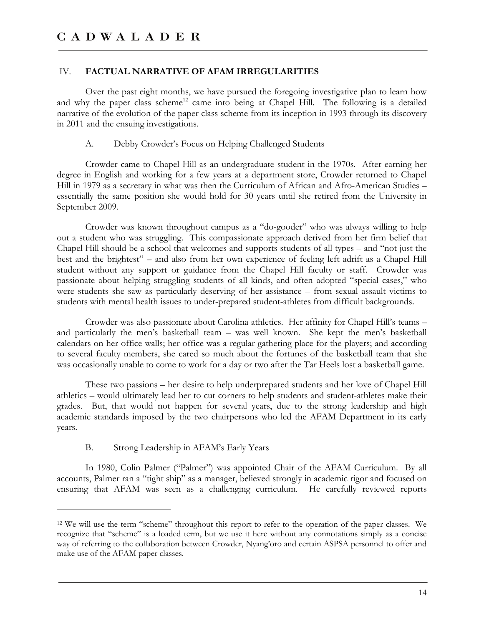#### IV. **FACTUAL NARRATIVE OF AFAM IRREGULARITIES**

Over the past eight months, we have pursued the foregoing investigative plan to learn how and why the paper class scheme<sup>12</sup> came into being at Chapel Hill. The following is a detailed narrative of the evolution of the paper class scheme from its inception in 1993 through its discovery in 2011 and the ensuing investigations.

A. Debby Crowder's Focus on Helping Challenged Students

Crowder came to Chapel Hill as an undergraduate student in the 1970s. After earning her degree in English and working for a few years at a department store, Crowder returned to Chapel Hill in 1979 as a secretary in what was then the Curriculum of African and Afro-American Studies – essentially the same position she would hold for 30 years until she retired from the University in September 2009.

Crowder was known throughout campus as a "do-gooder" who was always willing to help out a student who was struggling. This compassionate approach derived from her firm belief that Chapel Hill should be a school that welcomes and supports students of all types – and "not just the best and the brightest" – and also from her own experience of feeling left adrift as a Chapel Hill student without any support or guidance from the Chapel Hill faculty or staff. Crowder was passionate about helping struggling students of all kinds, and often adopted "special cases," who were students she saw as particularly deserving of her assistance – from sexual assault victims to students with mental health issues to under-prepared student-athletes from difficult backgrounds.

Crowder was also passionate about Carolina athletics. Her affinity for Chapel Hill's teams – and particularly the men's basketball team – was well known. She kept the men's basketball calendars on her office walls; her office was a regular gathering place for the players; and according to several faculty members, she cared so much about the fortunes of the basketball team that she was occasionally unable to come to work for a day or two after the Tar Heels lost a basketball game.

These two passions – her desire to help underprepared students and her love of Chapel Hill athletics – would ultimately lead her to cut corners to help students and student-athletes make their grades. But, that would not happen for several years, due to the strong leadership and high academic standards imposed by the two chairpersons who led the AFAM Department in its early years.

B. Strong Leadership in AFAM's Early Years

-

In 1980, Colin Palmer ("Palmer") was appointed Chair of the AFAM Curriculum. By all accounts, Palmer ran a "tight ship" as a manager, believed strongly in academic rigor and focused on ensuring that AFAM was seen as a challenging curriculum. He carefully reviewed reports

<sup>12</sup> We will use the term "scheme" throughout this report to refer to the operation of the paper classes. We recognize that "scheme" is a loaded term, but we use it here without any connotations simply as a concise way of referring to the collaboration between Crowder, Nyang'oro and certain ASPSA personnel to offer and make use of the AFAM paper classes.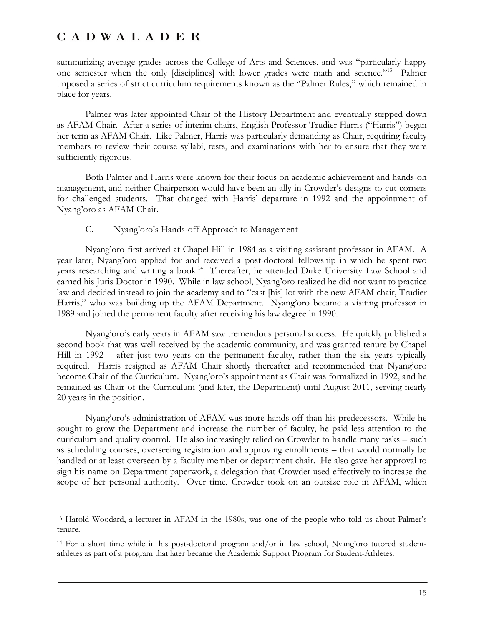$\overline{a}$ 

summarizing average grades across the College of Arts and Sciences, and was "particularly happy one semester when the only [disciplines] with lower grades were math and science."13 Palmer imposed a series of strict curriculum requirements known as the "Palmer Rules," which remained in place for years.

Palmer was later appointed Chair of the History Department and eventually stepped down as AFAM Chair. After a series of interim chairs, English Professor Trudier Harris ("Harris") began her term as AFAM Chair. Like Palmer, Harris was particularly demanding as Chair, requiring faculty members to review their course syllabi, tests, and examinations with her to ensure that they were sufficiently rigorous.

Both Palmer and Harris were known for their focus on academic achievement and hands-on management, and neither Chairperson would have been an ally in Crowder's designs to cut corners for challenged students. That changed with Harris' departure in 1992 and the appointment of Nyang'oro as AFAM Chair.

#### C. Nyang'oro's Hands-off Approach to Management

Nyang'oro first arrived at Chapel Hill in 1984 as a visiting assistant professor in AFAM. A year later, Nyang'oro applied for and received a post-doctoral fellowship in which he spent two years researching and writing a book.<sup>14</sup> Thereafter, he attended Duke University Law School and earned his Juris Doctor in 1990. While in law school, Nyang'oro realized he did not want to practice law and decided instead to join the academy and to "cast [his] lot with the new AFAM chair, Trudier Harris," who was building up the AFAM Department. Nyang'oro became a visiting professor in 1989 and joined the permanent faculty after receiving his law degree in 1990.

Nyang'oro's early years in AFAM saw tremendous personal success. He quickly published a second book that was well received by the academic community, and was granted tenure by Chapel Hill in 1992 – after just two years on the permanent faculty, rather than the six years typically required. Harris resigned as AFAM Chair shortly thereafter and recommended that Nyang'oro become Chair of the Curriculum. Nyang'oro's appointment as Chair was formalized in 1992, and he remained as Chair of the Curriculum (and later, the Department) until August 2011, serving nearly 20 years in the position.

Nyang'oro's administration of AFAM was more hands-off than his predecessors. While he sought to grow the Department and increase the number of faculty, he paid less attention to the curriculum and quality control. He also increasingly relied on Crowder to handle many tasks – such as scheduling courses, overseeing registration and approving enrollments – that would normally be handled or at least overseen by a faculty member or department chair. He also gave her approval to sign his name on Department paperwork, a delegation that Crowder used effectively to increase the scope of her personal authority. Over time, Crowder took on an outsize role in AFAM, which

<sup>13</sup> Harold Woodard, a lecturer in AFAM in the 1980s, was one of the people who told us about Palmer's tenure.

<sup>14</sup> For a short time while in his post-doctoral program and/or in law school, Nyang'oro tutored studentathletes as part of a program that later became the Academic Support Program for Student-Athletes.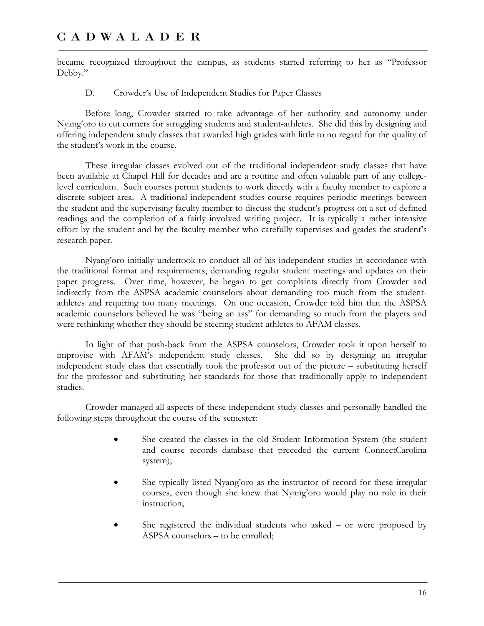became recognized throughout the campus, as students started referring to her as "Professor Debby."

D. Crowder's Use of Independent Studies for Paper Classes

Before long, Crowder started to take advantage of her authority and autonomy under Nyang'oro to cut corners for struggling students and student-athletes. She did this by designing and offering independent study classes that awarded high grades with little to no regard for the quality of the student's work in the course.

These irregular classes evolved out of the traditional independent study classes that have been available at Chapel Hill for decades and are a routine and often valuable part of any collegelevel curriculum. Such courses permit students to work directly with a faculty member to explore a discrete subject area. A traditional independent studies course requires periodic meetings between the student and the supervising faculty member to discuss the student's progress on a set of defined readings and the completion of a fairly involved writing project. It is typically a rather intensive effort by the student and by the faculty member who carefully supervises and grades the student's research paper.

Nyang'oro initially undertook to conduct all of his independent studies in accordance with the traditional format and requirements, demanding regular student meetings and updates on their paper progress. Over time, however, he began to get complaints directly from Crowder and indirectly from the ASPSA academic counselors about demanding too much from the studentathletes and requiring too many meetings. On one occasion, Crowder told him that the ASPSA academic counselors believed he was "being an ass" for demanding so much from the players and were rethinking whether they should be steering student-athletes to AFAM classes.

In light of that push-back from the ASPSA counselors, Crowder took it upon herself to improvise with AFAM's independent study classes. She did so by designing an irregular independent study class that essentially took the professor out of the picture – substituting herself for the professor and substituting her standards for those that traditionally apply to independent studies.

Crowder managed all aspects of these independent study classes and personally handled the following steps throughout the course of the semester:

- She created the classes in the old Student Information System (the student and course records database that preceded the current ConnectCarolina system);
- She typically listed Nyang'oro as the instructor of record for these irregular courses, even though she knew that Nyang'oro would play no role in their instruction;
- She registered the individual students who asked or were proposed by ASPSA counselors – to be enrolled;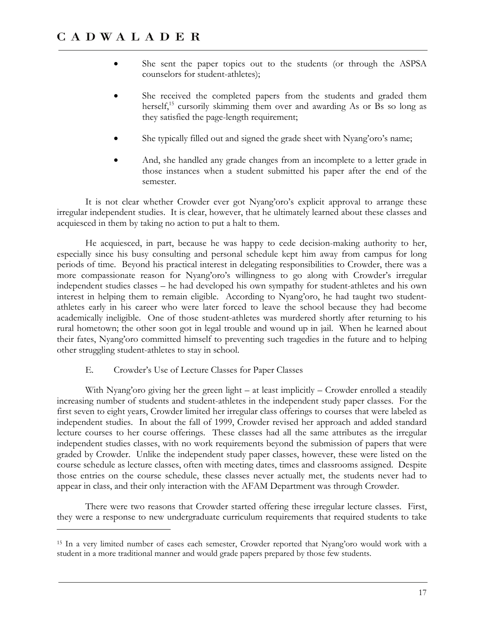- She sent the paper topics out to the students (or through the ASPSA counselors for student-athletes);
- She received the completed papers from the students and graded them herself,<sup>15</sup> cursorily skimming them over and awarding As or Bs so long as they satisfied the page-length requirement;
- She typically filled out and signed the grade sheet with Nyang'oro's name;
- And, she handled any grade changes from an incomplete to a letter grade in those instances when a student submitted his paper after the end of the semester.

It is not clear whether Crowder ever got Nyang'oro's explicit approval to arrange these irregular independent studies. It is clear, however, that he ultimately learned about these classes and acquiesced in them by taking no action to put a halt to them.

He acquiesced, in part, because he was happy to cede decision-making authority to her, especially since his busy consulting and personal schedule kept him away from campus for long periods of time. Beyond his practical interest in delegating responsibilities to Crowder, there was a more compassionate reason for Nyang'oro's willingness to go along with Crowder's irregular independent studies classes – he had developed his own sympathy for student-athletes and his own interest in helping them to remain eligible. According to Nyang'oro, he had taught two studentathletes early in his career who were later forced to leave the school because they had become academically ineligible. One of those student-athletes was murdered shortly after returning to his rural hometown; the other soon got in legal trouble and wound up in jail. When he learned about their fates, Nyang'oro committed himself to preventing such tragedies in the future and to helping other struggling student-athletes to stay in school.

#### E. Crowder's Use of Lecture Classes for Paper Classes

 $\overline{a}$ 

With Nyang'oro giving her the green light – at least implicitly – Crowder enrolled a steadily increasing number of students and student-athletes in the independent study paper classes. For the first seven to eight years, Crowder limited her irregular class offerings to courses that were labeled as independent studies. In about the fall of 1999, Crowder revised her approach and added standard lecture courses to her course offerings. These classes had all the same attributes as the irregular independent studies classes, with no work requirements beyond the submission of papers that were graded by Crowder. Unlike the independent study paper classes, however, these were listed on the course schedule as lecture classes, often with meeting dates, times and classrooms assigned. Despite those entries on the course schedule, these classes never actually met, the students never had to appear in class, and their only interaction with the AFAM Department was through Crowder.

There were two reasons that Crowder started offering these irregular lecture classes. First, they were a response to new undergraduate curriculum requirements that required students to take

<sup>15</sup> In a very limited number of cases each semester, Crowder reported that Nyang'oro would work with a student in a more traditional manner and would grade papers prepared by those few students.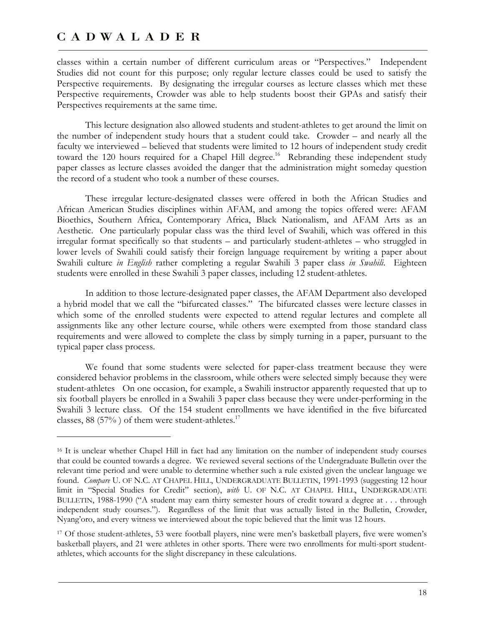<u>.</u>

classes within a certain number of different curriculum areas or "Perspectives." Independent Studies did not count for this purpose; only regular lecture classes could be used to satisfy the Perspective requirements. By designating the irregular courses as lecture classes which met these Perspective requirements, Crowder was able to help students boost their GPAs and satisfy their Perspectives requirements at the same time.

This lecture designation also allowed students and student-athletes to get around the limit on the number of independent study hours that a student could take. Crowder – and nearly all the faculty we interviewed – believed that students were limited to 12 hours of independent study credit toward the 120 hours required for a Chapel Hill degree.<sup>16</sup> Rebranding these independent study paper classes as lecture classes avoided the danger that the administration might someday question the record of a student who took a number of these courses.

These irregular lecture-designated classes were offered in both the African Studies and African American Studies disciplines within AFAM, and among the topics offered were: AFAM Bioethics, Southern Africa, Contemporary Africa, Black Nationalism, and AFAM Arts as an Aesthetic. One particularly popular class was the third level of Swahili, which was offered in this irregular format specifically so that students – and particularly student-athletes – who struggled in lower levels of Swahili could satisfy their foreign language requirement by writing a paper about Swahili culture *in English* rather completing a regular Swahili 3 paper class *in Swahili*. Eighteen students were enrolled in these Swahili 3 paper classes, including 12 student-athletes.

In addition to those lecture-designated paper classes, the AFAM Department also developed a hybrid model that we call the "bifurcated classes." The bifurcated classes were lecture classes in which some of the enrolled students were expected to attend regular lectures and complete all assignments like any other lecture course, while others were exempted from those standard class requirements and were allowed to complete the class by simply turning in a paper, pursuant to the typical paper class process.

We found that some students were selected for paper-class treatment because they were considered behavior problems in the classroom, while others were selected simply because they were student-athletes On one occasion, for example, a Swahili instructor apparently requested that up to six football players be enrolled in a Swahili 3 paper class because they were under-performing in the Swahili 3 lecture class. Of the 154 student enrollments we have identified in the five bifurcated classes, 88 (57%) of them were student-athletes.<sup>17</sup>

<sup>16</sup> It is unclear whether Chapel Hill in fact had any limitation on the number of independent study courses that could be counted towards a degree. We reviewed several sections of the Undergraduate Bulletin over the relevant time period and were unable to determine whether such a rule existed given the unclear language we found. *Compare* U. OF N.C. AT CHAPEL HILL, UNDERGRADUATE BULLETIN, 1991-1993 (suggesting 12 hour limit in "Special Studies for Credit" section), *with* U. OF N.C. AT CHAPEL HILL, UNDERGRADUATE BULLETIN, 1988-1990 ("A student may earn thirty semester hours of credit toward a degree at . . . through independent study courses."). Regardless of the limit that was actually listed in the Bulletin, Crowder, Nyang'oro, and every witness we interviewed about the topic believed that the limit was 12 hours.

<sup>17</sup> Of those student-athletes, 53 were football players, nine were men's basketball players, five were women's basketball players, and 21 were athletes in other sports. There were two enrollments for multi-sport studentathletes, which accounts for the slight discrepancy in these calculations.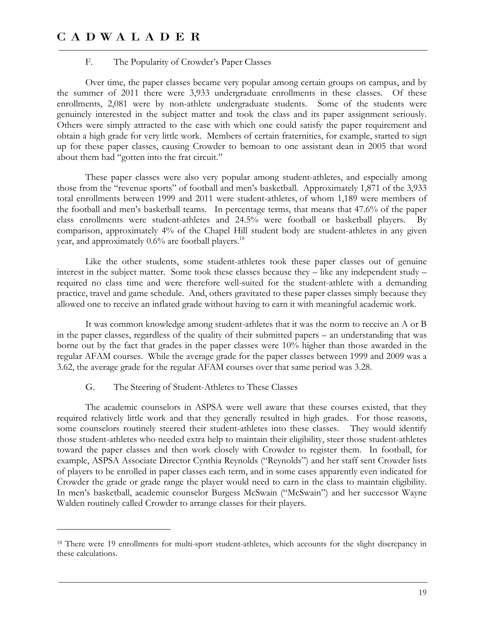#### F. The Popularity of Crowder's Paper Classes

Over time, the paper classes became very popular among certain groups on campus, and by the summer of 2011 there were 3,933 undergraduate enrollments in these classes. Of these enrollments, 2,081 were by non-athlete undergraduate students. Some of the students were genuinely interested in the subject matter and took the class and its paper assignment seriously. Others were simply attracted to the ease with which one could satisfy the paper requirement and obtain a high grade for very little work. Members of certain fraternities, for example, started to sign up for these paper classes, causing Crowder to bemoan to one assistant dean in 2005 that word about them had "gotten into the frat circuit."

These paper classes were also very popular among student-athletes, and especially among those from the "revenue sports" of football and men's basketball. Approximately 1,871 of the 3,933 total enrollments between 1999 and 2011 were student-athletes, of whom 1,189 were members of the football and men's basketball teams. In percentage terms, that means that 47.6% of the paper class enrollments were student-athletes and 24.5% were football or basketball players. By comparison, approximately 4% of the Chapel Hill student body are student-athletes in any given year, and approximately  $0.6\%$  are football players.<sup>18</sup>

Like the other students, some student-athletes took these paper classes out of genuine interest in the subject matter. Some took these classes because they – like any independent study – required no class time and were therefore well-suited for the student-athlete with a demanding practice, travel and game schedule. And, others gravitated to these paper classes simply because they allowed one to receive an inflated grade without having to earn it with meaningful academic work.

It was common knowledge among student-athletes that it was the norm to receive an A or B in the paper classes, regardless of the quality of their submitted papers – an understanding that was borne out by the fact that grades in the paper classes were 10% higher than those awarded in the regular AFAM courses. While the average grade for the paper classes between 1999 and 2009 was a 3.62, the average grade for the regular AFAM courses over that same period was 3.28.

#### G. The Steering of Student-Athletes to These Classes

-

The academic counselors in ASPSA were well aware that these courses existed, that they required relatively little work and that they generally resulted in high grades. For those reasons, some counselors routinely steered their student-athletes into these classes. They would identify those student-athletes who needed extra help to maintain their eligibility, steer those student-athletes toward the paper classes and then work closely with Crowder to register them. In football, for example, ASPSA Associate Director Cynthia Reynolds ("Reynolds") and her staff sent Crowder lists of players to be enrolled in paper classes each term, and in some cases apparently even indicated for Crowder the grade or grade range the player would need to earn in the class to maintain eligibility. In men's basketball, academic counselor Burgess McSwain ("McSwain") and her successor Wayne Walden routinely called Crowder to arrange classes for their players.

<sup>&</sup>lt;sup>18</sup> There were 19 enrollments for multi-sport student-athletes, which accounts for the slight discrepancy in these calculations.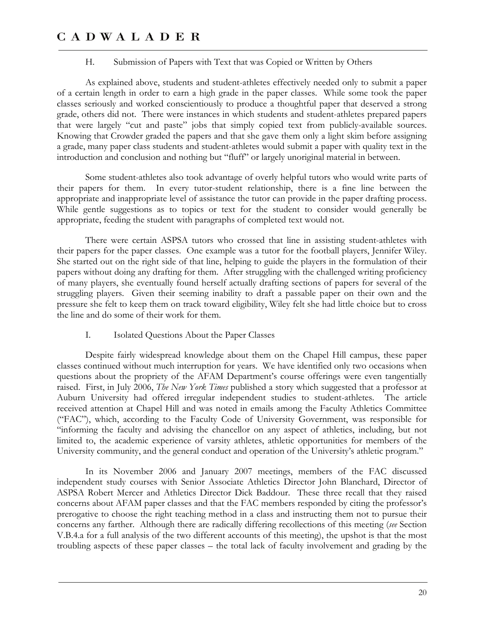#### H. Submission of Papers with Text that was Copied or Written by Others

As explained above, students and student-athletes effectively needed only to submit a paper of a certain length in order to earn a high grade in the paper classes. While some took the paper classes seriously and worked conscientiously to produce a thoughtful paper that deserved a strong grade, others did not. There were instances in which students and student-athletes prepared papers that were largely "cut and paste" jobs that simply copied text from publicly-available sources. Knowing that Crowder graded the papers and that she gave them only a light skim before assigning a grade, many paper class students and student-athletes would submit a paper with quality text in the introduction and conclusion and nothing but "fluff" or largely unoriginal material in between.

Some student-athletes also took advantage of overly helpful tutors who would write parts of their papers for them. In every tutor-student relationship, there is a fine line between the appropriate and inappropriate level of assistance the tutor can provide in the paper drafting process. While gentle suggestions as to topics or text for the student to consider would generally be appropriate, feeding the student with paragraphs of completed text would not.

There were certain ASPSA tutors who crossed that line in assisting student-athletes with their papers for the paper classes. One example was a tutor for the football players, Jennifer Wiley. She started out on the right side of that line, helping to guide the players in the formulation of their papers without doing any drafting for them. After struggling with the challenged writing proficiency of many players, she eventually found herself actually drafting sections of papers for several of the struggling players. Given their seeming inability to draft a passable paper on their own and the pressure she felt to keep them on track toward eligibility, Wiley felt she had little choice but to cross the line and do some of their work for them.

#### I. Isolated Questions About the Paper Classes

Despite fairly widespread knowledge about them on the Chapel Hill campus, these paper classes continued without much interruption for years. We have identified only two occasions when questions about the propriety of the AFAM Department's course offerings were even tangentially raised. First, in July 2006, *The New York Times* published a story which suggested that a professor at Auburn University had offered irregular independent studies to student-athletes. The article received attention at Chapel Hill and was noted in emails among the Faculty Athletics Committee ("FAC"), which, according to the Faculty Code of University Government, was responsible for "informing the faculty and advising the chancellor on any aspect of athletics, including, but not limited to, the academic experience of varsity athletes, athletic opportunities for members of the University community, and the general conduct and operation of the University's athletic program."

In its November 2006 and January 2007 meetings, members of the FAC discussed independent study courses with Senior Associate Athletics Director John Blanchard, Director of ASPSA Robert Mercer and Athletics Director Dick Baddour. These three recall that they raised concerns about AFAM paper classes and that the FAC members responded by citing the professor's prerogative to choose the right teaching method in a class and instructing them not to pursue their concerns any farther. Although there are radically differing recollections of this meeting (*see* Section V.B.4.a for a full analysis of the two different accounts of this meeting), the upshot is that the most troubling aspects of these paper classes – the total lack of faculty involvement and grading by the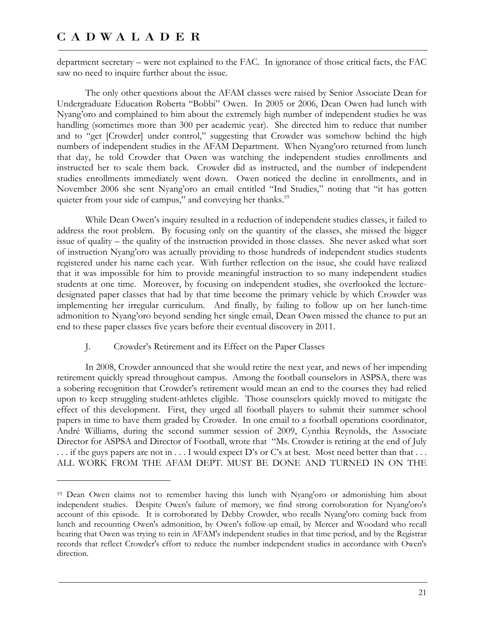$\overline{a}$ 

department secretary – were not explained to the FAC. In ignorance of those critical facts, the FAC saw no need to inquire further about the issue.

The only other questions about the AFAM classes were raised by Senior Associate Dean for Undergraduate Education Roberta "Bobbi" Owen. In 2005 or 2006, Dean Owen had lunch with Nyang'oro and complained to him about the extremely high number of independent studies he was handling (sometimes more than 300 per academic year). She directed him to reduce that number and to "get [Crowder] under control," suggesting that Crowder was somehow behind the high numbers of independent studies in the AFAM Department. When Nyang'oro returned from lunch that day, he told Crowder that Owen was watching the independent studies enrollments and instructed her to scale them back. Crowder did as instructed, and the number of independent studies enrollments immediately went down. Owen noticed the decline in enrollments, and in November 2006 she sent Nyang'oro an email entitled "Ind Studies," noting that "it has gotten quieter from your side of campus," and conveying her thanks.<sup>19</sup>

While Dean Owen's inquiry resulted in a reduction of independent studies classes, it failed to address the root problem. By focusing only on the quantity of the classes, she missed the bigger issue of quality – the quality of the instruction provided in those classes. She never asked what sort of instruction Nyang'oro was actually providing to those hundreds of independent studies students registered under his name each year. With further reflection on the issue, she could have realized that it was impossible for him to provide meaningful instruction to so many independent studies students at one time. Moreover, by focusing on independent studies, she overlooked the lecturedesignated paper classes that had by that time become the primary vehicle by which Crowder was implementing her irregular curriculum. And finally, by failing to follow up on her lunch-time admonition to Nyang'oro beyond sending her single email, Dean Owen missed the chance to put an end to these paper classes five years before their eventual discovery in 2011.

#### J. Crowder's Retirement and its Effect on the Paper Classes

In 2008, Crowder announced that she would retire the next year, and news of her impending retirement quickly spread throughout campus. Among the football counselors in ASPSA, there was a sobering recognition that Crowder's retirement would mean an end to the courses they had relied upon to keep struggling student-athletes eligible. Those counselors quickly moved to mitigate the effect of this development. First, they urged all football players to submit their summer school papers in time to have them graded by Crowder. In one email to a football operations coordinator, André Williams, during the second summer session of 2009, Cynthia Reynolds, the Associate Director for ASPSA and Director of Football, wrote that "Ms. Crowder is retiring at the end of July  $\dots$  if the guys papers are not in  $\dots$  I would expect D's or C's at best. Most need better than that  $\dots$ ALL WORK FROM THE AFAM DEPT. MUST BE DONE AND TURNED IN ON THE

<sup>19</sup> Dean Owen claims not to remember having this lunch with Nyang'oro or admonishing him about independent studies. Despite Owen's failure of memory, we find strong corroboration for Nyang'oro's account of this episode. It is corroborated by Debby Crowder, who recalls Nyang'oro coming back from lunch and recounting Owen's admonition, by Owen's follow-up email, by Mercer and Woodard who recall hearing that Owen was trying to rein in AFAM's independent studies in that time period, and by the Registrar records that reflect Crowder's effort to reduce the number independent studies in accordance with Owen's direction.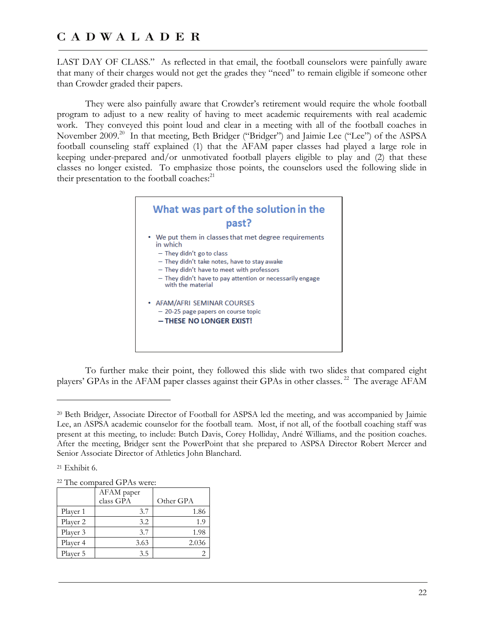LAST DAY OF CLASS." As reflected in that email, the football counselors were painfully aware that many of their charges would not get the grades they "need" to remain eligible if someone other than Crowder graded their papers.

They were also painfully aware that Crowder's retirement would require the whole football program to adjust to a new reality of having to meet academic requirements with real academic work. They conveyed this point loud and clear in a meeting with all of the football coaches in November 2009.<sup>20</sup> In that meeting, Beth Bridger ("Bridger") and Jaimie Lee ("Lee") of the ASPSA football counseling staff explained (1) that the AFAM paper classes had played a large role in keeping under-prepared and/or unmotivated football players eligible to play and (2) that these classes no longer existed. To emphasize those points, the counselors used the following slide in their presentation to the football coaches: $^{21}$ 



To further make their point, they followed this slide with two slides that compared eight players' GPAs in the AFAM paper classes against their GPAs in other classes.<sup>22</sup> The average AFAM

21 Exhibit 6.

 $\overline{a}$ 

| <sup>22</sup> The compared GPAs were: |  |
|---------------------------------------|--|
|---------------------------------------|--|

|          | AFAM paper<br>class GPA | Other GPA |
|----------|-------------------------|-----------|
| Player 1 | 3.7                     | 1.86      |
| Player 2 | 3.2                     | 1.9       |
| Player 3 | 3.7                     | 1.98      |
| Player 4 | 3.63                    | 2.036     |
| Player 5 | 3.5                     |           |

<sup>20</sup> Beth Bridger, Associate Director of Football for ASPSA led the meeting, and was accompanied by Jaimie Lee, an ASPSA academic counselor for the football team. Most, if not all, of the football coaching staff was present at this meeting, to include: Butch Davis, Corey Holliday, André Williams, and the position coaches. After the meeting, Bridger sent the PowerPoint that she prepared to ASPSA Director Robert Mercer and Senior Associate Director of Athletics John Blanchard.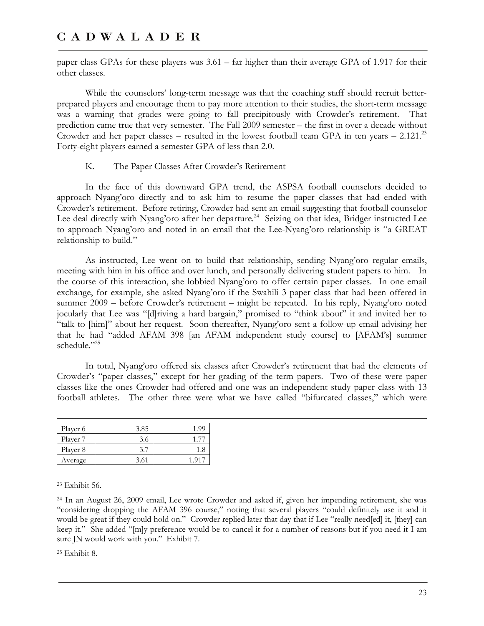paper class GPAs for these players was 3.61 – far higher than their average GPA of 1.917 for their other classes.

While the counselors' long-term message was that the coaching staff should recruit betterprepared players and encourage them to pay more attention to their studies, the short-term message was a warning that grades were going to fall precipitously with Crowder's retirement. That prediction came true that very semester. The Fall 2009 semester – the first in over a decade without Crowder and her paper classes – resulted in the lowest football team GPA in ten years – 2.121.<sup>23</sup> Forty-eight players earned a semester GPA of less than 2.0.

#### K. The Paper Classes After Crowder's Retirement

In the face of this downward GPA trend, the ASPSA football counselors decided to approach Nyang'oro directly and to ask him to resume the paper classes that had ended with Crowder's retirement. Before retiring, Crowder had sent an email suggesting that football counselor Lee deal directly with Nyang'oro after her departure.<sup>24</sup> Seizing on that idea, Bridger instructed Lee to approach Nyang'oro and noted in an email that the Lee-Nyang'oro relationship is "a GREAT relationship to build."

As instructed, Lee went on to build that relationship, sending Nyang'oro regular emails, meeting with him in his office and over lunch, and personally delivering student papers to him. In the course of this interaction, she lobbied Nyang'oro to offer certain paper classes. In one email exchange, for example, she asked Nyang'oro if the Swahili 3 paper class that had been offered in summer 2009 – before Crowder's retirement – might be repeated. In his reply, Nyang'oro noted jocularly that Lee was "[d]riving a hard bargain," promised to "think about" it and invited her to "talk to [him]" about her request. Soon thereafter, Nyang'oro sent a follow-up email advising her that he had "added AFAM 398 [an AFAM independent study course] to [AFAM's] summer schedule."25

In total, Nyang'oro offered six classes after Crowder's retirement that had the elements of Crowder's "paper classes," except for her grading of the term papers. Two of these were paper classes like the ones Crowder had offered and one was an independent study paper class with 13 football athletes. The other three were what we have called "bifurcated classes," which were

| Player 6 | 3.85 | 1.99 |
|----------|------|------|
| Player 7 | 3.6  |      |
| Player 8 | 3.7  | 1.8  |
| Average  | 3.61 |      |

23 Exhibit 56.

24 In an August 26, 2009 email, Lee wrote Crowder and asked if, given her impending retirement, she was "considering dropping the AFAM 396 course," noting that several players "could definitely use it and it would be great if they could hold on." Crowder replied later that day that if Lee "really need[ed] it, [they] can keep it." She added "[m]y preference would be to cancel it for a number of reasons but if you need it I am sure JN would work with you." Exhibit 7.

25 Exhibit 8.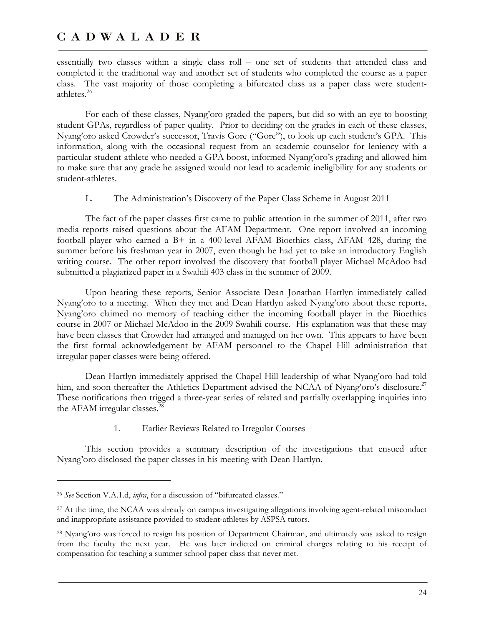essentially two classes within a single class roll – one set of students that attended class and completed it the traditional way and another set of students who completed the course as a paper class. The vast majority of those completing a bifurcated class as a paper class were studentathletes.<sup>26</sup>

For each of these classes, Nyang'oro graded the papers, but did so with an eye to boosting student GPAs, regardless of paper quality. Prior to deciding on the grades in each of these classes, Nyang'oro asked Crowder's successor, Travis Gore ("Gore"), to look up each student's GPA. This information, along with the occasional request from an academic counselor for leniency with a particular student-athlete who needed a GPA boost, informed Nyang'oro's grading and allowed him to make sure that any grade he assigned would not lead to academic ineligibility for any students or student-athletes.

L. The Administration's Discovery of the Paper Class Scheme in August 2011

The fact of the paper classes first came to public attention in the summer of 2011, after two media reports raised questions about the AFAM Department. One report involved an incoming football player who earned a B+ in a 400-level AFAM Bioethics class, AFAM 428, during the summer before his freshman year in 2007, even though he had yet to take an introductory English writing course. The other report involved the discovery that football player Michael McAdoo had submitted a plagiarized paper in a Swahili 403 class in the summer of 2009.

Upon hearing these reports, Senior Associate Dean Jonathan Hartlyn immediately called Nyang'oro to a meeting. When they met and Dean Hartlyn asked Nyang'oro about these reports, Nyang'oro claimed no memory of teaching either the incoming football player in the Bioethics course in 2007 or Michael McAdoo in the 2009 Swahili course. His explanation was that these may have been classes that Crowder had arranged and managed on her own. This appears to have been the first formal acknowledgement by AFAM personnel to the Chapel Hill administration that irregular paper classes were being offered.

Dean Hartlyn immediately apprised the Chapel Hill leadership of what Nyang'oro had told him, and soon thereafter the Athletics Department advised the NCAA of Nyang'oro's disclosure.<sup>27</sup> These notifications then trigged a three-year series of related and partially overlapping inquiries into the AFAM irregular classes. $^{28}$ 

1. Earlier Reviews Related to Irregular Courses

This section provides a summary description of the investigations that ensued after Nyang'oro disclosed the paper classes in his meeting with Dean Hartlyn.

-

<sup>26</sup> *See* Section V.A.1.d, *infra*, for a discussion of "bifurcated classes."

<sup>&</sup>lt;sup>27</sup> At the time, the NCAA was already on campus investigating allegations involving agent-related misconduct and inappropriate assistance provided to student-athletes by ASPSA tutors.

<sup>28</sup> Nyang'oro was forced to resign his position of Department Chairman, and ultimately was asked to resign from the faculty the next year. He was later indicted on criminal charges relating to his receipt of compensation for teaching a summer school paper class that never met.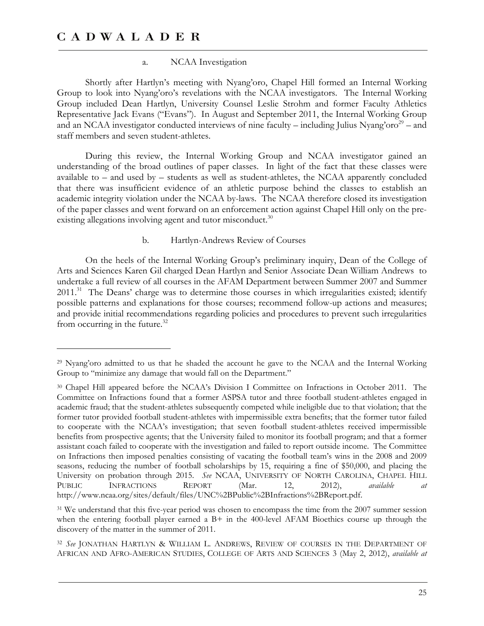<u>.</u>

#### a. NCAA Investigation

Shortly after Hartlyn's meeting with Nyang'oro, Chapel Hill formed an Internal Working Group to look into Nyang'oro's revelations with the NCAA investigators. The Internal Working Group included Dean Hartlyn, University Counsel Leslie Strohm and former Faculty Athletics Representative Jack Evans ("Evans"). In August and September 2011, the Internal Working Group and an NCAA investigator conducted interviews of nine faculty – including Julius Nyang'oro<sup>29</sup> – and staff members and seven student-athletes.

During this review, the Internal Working Group and NCAA investigator gained an understanding of the broad outlines of paper classes. In light of the fact that these classes were available to – and used by – students as well as student-athletes, the NCAA apparently concluded that there was insufficient evidence of an athletic purpose behind the classes to establish an academic integrity violation under the NCAA by-laws. The NCAA therefore closed its investigation of the paper classes and went forward on an enforcement action against Chapel Hill only on the preexisting allegations involving agent and tutor misconduct. $30$ 

#### b. Hartlyn-Andrews Review of Courses

On the heels of the Internal Working Group's preliminary inquiry, Dean of the College of Arts and Sciences Karen Gil charged Dean Hartlyn and Senior Associate Dean William Andrews to undertake a full review of all courses in the AFAM Department between Summer 2007 and Summer 2011.<sup>31</sup> The Deans' charge was to determine those courses in which irregularities existed; identify possible patterns and explanations for those courses; recommend follow-up actions and measures; and provide initial recommendations regarding policies and procedures to prevent such irregularities from occurring in the future. $32$ 

<sup>29</sup> Nyang'oro admitted to us that he shaded the account he gave to the NCAA and the Internal Working Group to "minimize any damage that would fall on the Department."

<sup>30</sup> Chapel Hill appeared before the NCAA's Division I Committee on Infractions in October 2011. The Committee on Infractions found that a former ASPSA tutor and three football student-athletes engaged in academic fraud; that the student-athletes subsequently competed while ineligible due to that violation; that the former tutor provided football student-athletes with impermissible extra benefits; that the former tutor failed to cooperate with the NCAA's investigation; that seven football student-athletes received impermissible benefits from prospective agents; that the University failed to monitor its football program; and that a former assistant coach failed to cooperate with the investigation and failed to report outside income. The Committee on Infractions then imposed penalties consisting of vacating the football team's wins in the 2008 and 2009 seasons, reducing the number of football scholarships by 15, requiring a fine of \$50,000, and placing the University on probation through 2015. *See* NCAA, UNIVERSITY OF NORTH CAROLINA, CHAPEL HILL PUBLIC INFRACTIONS REPORT (Mar. 12, 2012), *available at* http://www.ncaa.org/sites/default/files/UNC%2BPublic%2BInfractions%2BReport.pdf.

<sup>&</sup>lt;sup>31</sup> We understand that this five-year period was chosen to encompass the time from the 2007 summer session when the entering football player earned a  $B+$  in the 400-level AFAM Bioethics course up through the discovery of the matter in the summer of 2011.

<sup>32</sup> *See* JONATHAN HARTLYN & WILLIAM L. ANDREWS, REVIEW OF COURSES IN THE DEPARTMENT OF AFRICAN AND AFRO-AMERICAN STUDIES, COLLEGE OF ARTS AND SCIENCES 3 (May 2, 2012), *available at*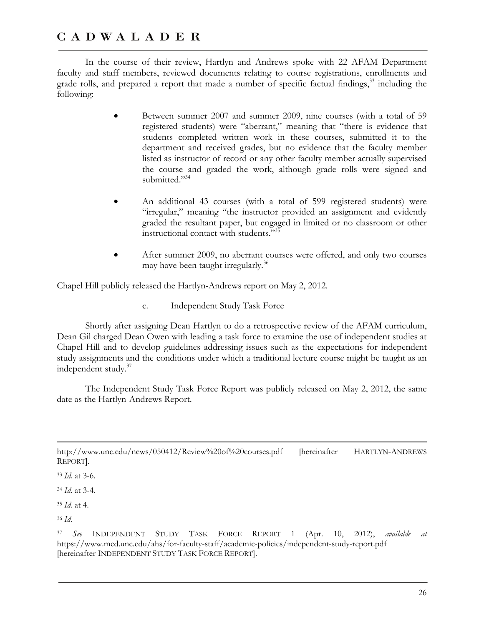In the course of their review, Hartlyn and Andrews spoke with 22 AFAM Department faculty and staff members, reviewed documents relating to course registrations, enrollments and grade rolls, and prepared a report that made a number of specific factual findings,<sup>33</sup> including the following:

- Between summer 2007 and summer 2009, nine courses (with a total of 59 registered students) were "aberrant," meaning that "there is evidence that students completed written work in these courses, submitted it to the department and received grades, but no evidence that the faculty member listed as instructor of record or any other faculty member actually supervised the course and graded the work, although grade rolls were signed and submitted."<sup>34</sup>
- An additional 43 courses (with a total of 599 registered students) were "irregular," meaning "the instructor provided an assignment and evidently graded the resultant paper, but engaged in limited or no classroom or other instructional contact with students."35
- After summer 2009, no aberrant courses were offered, and only two courses may have been taught irregularly.<sup>36</sup>

Chapel Hill publicly released the Hartlyn-Andrews report on May 2, 2012.

c. Independent Study Task Force

Shortly after assigning Dean Hartlyn to do a retrospective review of the AFAM curriculum, Dean Gil charged Dean Owen with leading a task force to examine the use of independent studies at Chapel Hill and to develop guidelines addressing issues such as the expectations for independent study assignments and the conditions under which a traditional lecture course might be taught as an independent study.37

The Independent Study Task Force Report was publicly released on May 2, 2012, the same date as the Hartlyn-Andrews Report.

 $\overline{a}$ http://www.unc.edu/news/050412/Review%20of%20courses.pdf [hereinafter HARTLYN-ANDREWS REPORT].

<sup>33</sup> *Id.* at 3-6.

<sup>34</sup> *Id.* at 3-4.

<sup>35</sup> *Id.* at 4.

<sup>36</sup> *Id.*

<sup>37</sup> *See* INDEPENDENT STUDY TASK FORCE REPORT 1 (Apr. 10, 2012), *available at*  https://www.med.unc.edu/ahs/for-faculty-staff/academic-policies/independent-study-report.pdf [hereinafter INDEPENDENT STUDY TASK FORCE REPORT].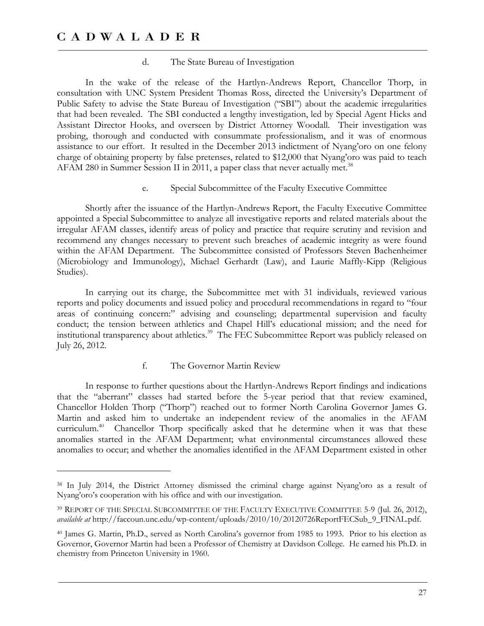$\overline{a}$ 

#### d. The State Bureau of Investigation

In the wake of the release of the Hartlyn-Andrews Report, Chancellor Thorp, in consultation with UNC System President Thomas Ross, directed the University's Department of Public Safety to advise the State Bureau of Investigation ("SBI") about the academic irregularities that had been revealed. The SBI conducted a lengthy investigation, led by Special Agent Hicks and Assistant Director Hooks, and overseen by District Attorney Woodall. Their investigation was probing, thorough and conducted with consummate professionalism, and it was of enormous assistance to our effort. It resulted in the December 2013 indictment of Nyang'oro on one felony charge of obtaining property by false pretenses, related to \$12,000 that Nyang'oro was paid to teach AFAM 280 in Summer Session II in 2011, a paper class that never actually met.<sup>38</sup>

e. Special Subcommittee of the Faculty Executive Committee

Shortly after the issuance of the Hartlyn-Andrews Report, the Faculty Executive Committee appointed a Special Subcommittee to analyze all investigative reports and related materials about the irregular AFAM classes, identify areas of policy and practice that require scrutiny and revision and recommend any changes necessary to prevent such breaches of academic integrity as were found within the AFAM Department. The Subcommittee consisted of Professors Steven Bachenheimer (Microbiology and Immunology), Michael Gerhardt (Law), and Laurie Maffly-Kipp (Religious Studies).

In carrying out its charge, the Subcommittee met with 31 individuals, reviewed various reports and policy documents and issued policy and procedural recommendations in regard to "four areas of continuing concern:" advising and counseling; departmental supervision and faculty conduct; the tension between athletics and Chapel Hill's educational mission; and the need for institutional transparency about athletics.<sup>39</sup> The FEC Subcommittee Report was publicly released on July 26, 2012.

#### f. The Governor Martin Review

In response to further questions about the Hartlyn-Andrews Report findings and indications that the "aberrant" classes had started before the 5-year period that that review examined, Chancellor Holden Thorp ("Thorp") reached out to former North Carolina Governor James G. Martin and asked him to undertake an independent review of the anomalies in the AFAM curriculum.<sup>40</sup> Chancellor Thorp specifically asked that he determine when it was that these anomalies started in the AFAM Department; what environmental circumstances allowed these anomalies to occur; and whether the anomalies identified in the AFAM Department existed in other

<sup>38</sup> In July 2014, the District Attorney dismissed the criminal charge against Nyang'oro as a result of Nyang'oro's cooperation with his office and with our investigation.

<sup>39</sup> REPORT OF THE SPECIAL SUBCOMMITTEE OF THE FACULTY EXECUTIVE COMMITTEE 5-9 (Jul. 26, 2012), *available at* http://faccoun.unc.edu/wp-content/uploads/2010/10/20120726ReportFECSub\_9\_FINAL.pdf.

<sup>40</sup> James G. Martin, Ph.D., served as North Carolina's governor from 1985 to 1993. Prior to his election as Governor, Governor Martin had been a Professor of Chemistry at Davidson College. He earned his Ph.D. in chemistry from Princeton University in 1960.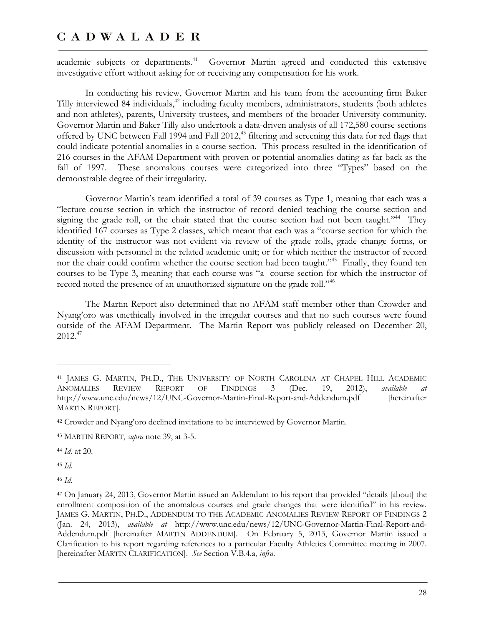academic subjects or departments.<sup>41</sup> Governor Martin agreed and conducted this extensive investigative effort without asking for or receiving any compensation for his work.

In conducting his review, Governor Martin and his team from the accounting firm Baker Tilly interviewed 84 individuals,<sup>42</sup> including faculty members, administrators, students (both athletes and non-athletes), parents, University trustees, and members of the broader University community. Governor Martin and Baker Tilly also undertook a data-driven analysis of all 172,580 course sections offered by UNC between Fall 1994 and Fall 2012,<sup>43</sup> filtering and screening this data for red flags that could indicate potential anomalies in a course section. This process resulted in the identification of 216 courses in the AFAM Department with proven or potential anomalies dating as far back as the fall of 1997. These anomalous courses were categorized into three "Types" based on the demonstrable degree of their irregularity.

Governor Martin's team identified a total of 39 courses as Type 1, meaning that each was a "lecture course section in which the instructor of record denied teaching the course section and signing the grade roll, or the chair stated that the course section had not been taught."<sup>44</sup> They identified 167 courses as Type 2 classes, which meant that each was a "course section for which the identity of the instructor was not evident via review of the grade rolls, grade change forms, or discussion with personnel in the related academic unit; or for which neither the instructor of record nor the chair could confirm whether the course section had been taught."<sup>45</sup> Finally, they found ten courses to be Type 3, meaning that each course was "a course section for which the instructor of record noted the presence of an unauthorized signature on the grade roll."<sup>46</sup>

The Martin Report also determined that no AFAM staff member other than Crowder and Nyang'oro was unethically involved in the irregular courses and that no such courses were found outside of the AFAM Department. The Martin Report was publicly released on December 20,  $2012.<sup>47</sup>$ 

<sup>44</sup> *Id.* at 20.

<sup>45</sup> *Id.*

 $\overline{a}$ 

<sup>46</sup> *Id.*

<sup>41</sup> JAMES G. MARTIN, PH.D., THE UNIVERSITY OF NORTH CAROLINA AT CHAPEL HILL ACADEMIC ANOMALIES REVIEW REPORT OF FINDINGS 3 (Dec. 19, 2012), *available at* http://www.unc.edu/news/12/UNC-Governor-Martin-Final-Report-and-Addendum.pdf [hereinafter MARTIN REPORT].

<sup>42</sup> Crowder and Nyang'oro declined invitations to be interviewed by Governor Martin.

<sup>43</sup> MARTIN REPORT, *supra* note 39, at 3-5.

<sup>47</sup> On January 24, 2013, Governor Martin issued an Addendum to his report that provided "details [about] the enrollment composition of the anomalous courses and grade changes that were identified" in his review. JAMES G. MARTIN, PH.D., ADDENDUM TO THE ACADEMIC ANOMALIES REVIEW REPORT OF FINDINGS 2 (Jan. 24, 2013), *available at* http://www.unc.edu/news/12/UNC-Governor-Martin-Final-Report-and-Addendum.pdf [hereinafter MARTIN ADDENDUM]. On February 5, 2013, Governor Martin issued a Clarification to his report regarding references to a particular Faculty Athletics Committee meeting in 2007. [hereinafter MARTIN CLARIFICATION]. *See* Section V.B.4.a, *infra*.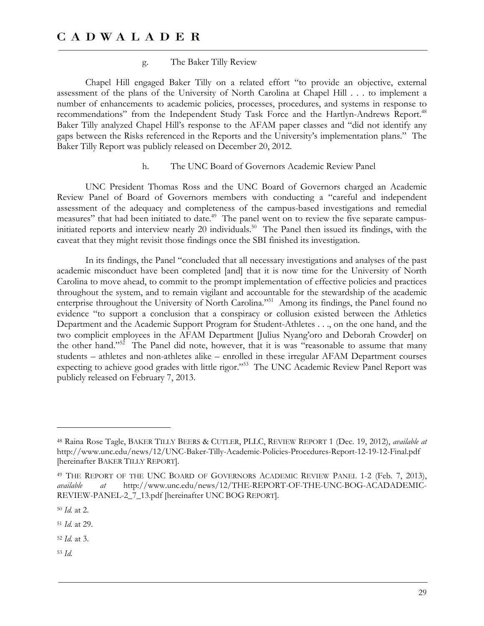#### g. The Baker Tilly Review

Chapel Hill engaged Baker Tilly on a related effort "to provide an objective, external assessment of the plans of the University of North Carolina at Chapel Hill . . . to implement a number of enhancements to academic policies, processes, procedures, and systems in response to recommendations" from the Independent Study Task Force and the Hartlyn-Andrews Report.<sup>48</sup> Baker Tilly analyzed Chapel Hill's response to the AFAM paper classes and "did not identify any gaps between the Risks referenced in the Reports and the University's implementation plans." The Baker Tilly Report was publicly released on December 20, 2012.

#### h. The UNC Board of Governors Academic Review Panel

UNC President Thomas Ross and the UNC Board of Governors charged an Academic Review Panel of Board of Governors members with conducting a "careful and independent assessment of the adequacy and completeness of the campus-based investigations and remedial measures" that had been initiated to date.<sup>49</sup> The panel went on to review the five separate campusinitiated reports and interview nearly 20 individuals.<sup>50</sup> The Panel then issued its findings, with the caveat that they might revisit those findings once the SBI finished its investigation.

In its findings, the Panel "concluded that all necessary investigations and analyses of the past academic misconduct have been completed [and] that it is now time for the University of North Carolina to move ahead, to commit to the prompt implementation of effective policies and practices throughout the system, and to remain vigilant and accountable for the stewardship of the academic enterprise throughout the University of North Carolina."<sup>51</sup> Among its findings, the Panel found no evidence "to support a conclusion that a conspiracy or collusion existed between the Athletics Department and the Academic Support Program for Student-Athletes . . ., on the one hand, and the two complicit employees in the AFAM Department [Julius Nyang'oro and Deborah Crowder] on the other hand."<sup>52</sup> The Panel did note, however, that it is was "reasonable to assume that many students – athletes and non-athletes alike – enrolled in these irregular AFAM Department courses expecting to achieve good grades with little rigor."<sup>53</sup> The UNC Academic Review Panel Report was publicly released on February 7, 2013.

 $\overline{a}$ 

<sup>53</sup> *Id.*

<sup>48</sup> Raina Rose Tagle, BAKER TILLY BEERS & CUTLER, PLLC, REVIEW REPORT 1 (Dec. 19, 2012), *available at* http://www.unc.edu/news/12/UNC-Baker-Tilly-Academic-Policies-Procedures-Report-12-19-12-Final.pdf [hereinafter BAKER TILLY REPORT].

<sup>49</sup> THE REPORT OF THE UNC BOARD OF GOVERNORS ACADEMIC REVIEW PANEL 1-2 (Feb. 7, 2013), *available at* http://www.unc.edu/news/12/THE-REPORT-OF-THE-UNC-BOG-ACADADEMIC-REVIEW-PANEL-2\_7\_13.pdf [hereinafter UNC BOG REPORT].

<sup>50</sup> *Id.* at 2.

<sup>51</sup> *Id.* at 29.

<sup>52</sup> *Id.* at 3.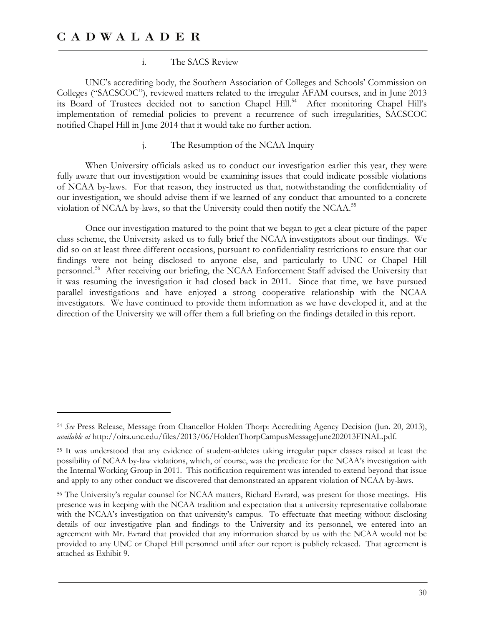-

#### i. The SACS Review

UNC's accrediting body, the Southern Association of Colleges and Schools' Commission on Colleges ("SACSCOC"), reviewed matters related to the irregular AFAM courses, and in June 2013 its Board of Trustees decided not to sanction Chapel Hill.<sup>54</sup> After monitoring Chapel Hill's implementation of remedial policies to prevent a recurrence of such irregularities, SACSCOC notified Chapel Hill in June 2014 that it would take no further action.

#### The Resumption of the NCAA Inquiry

When University officials asked us to conduct our investigation earlier this year, they were fully aware that our investigation would be examining issues that could indicate possible violations of NCAA by-laws. For that reason, they instructed us that, notwithstanding the confidentiality of our investigation, we should advise them if we learned of any conduct that amounted to a concrete violation of NCAA by-laws, so that the University could then notify the NCAA.<sup>55</sup>

Once our investigation matured to the point that we began to get a clear picture of the paper class scheme, the University asked us to fully brief the NCAA investigators about our findings. We did so on at least three different occasions, pursuant to confidentiality restrictions to ensure that our findings were not being disclosed to anyone else, and particularly to UNC or Chapel Hill personnel.<sup>56</sup> After receiving our briefing, the NCAA Enforcement Staff advised the University that it was resuming the investigation it had closed back in 2011. Since that time, we have pursued parallel investigations and have enjoyed a strong cooperative relationship with the NCAA investigators. We have continued to provide them information as we have developed it, and at the direction of the University we will offer them a full briefing on the findings detailed in this report.

<sup>54</sup> *See* Press Release, Message from Chancellor Holden Thorp: Accrediting Agency Decision (Jun. 20, 2013), *available at* http://oira.unc.edu/files/2013/06/HoldenThorpCampusMessageJune202013FINAL.pdf.

<sup>55</sup> It was understood that any evidence of student-athletes taking irregular paper classes raised at least the possibility of NCAA by-law violations, which, of course, was the predicate for the NCAA's investigation with the Internal Working Group in 2011. This notification requirement was intended to extend beyond that issue and apply to any other conduct we discovered that demonstrated an apparent violation of NCAA by-laws.

<sup>56</sup> The University's regular counsel for NCAA matters, Richard Evrard, was present for those meetings. His presence was in keeping with the NCAA tradition and expectation that a university representative collaborate with the NCAA's investigation on that university's campus. To effectuate that meeting without disclosing details of our investigative plan and findings to the University and its personnel, we entered into an agreement with Mr. Evrard that provided that any information shared by us with the NCAA would not be provided to any UNC or Chapel Hill personnel until after our report is publicly released. That agreement is attached as Exhibit 9.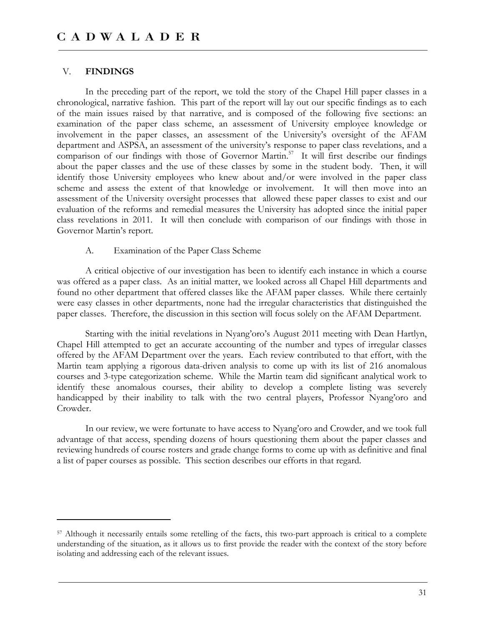#### V. **FINDINGS**

 $\overline{a}$ 

In the preceding part of the report, we told the story of the Chapel Hill paper classes in a chronological, narrative fashion. This part of the report will lay out our specific findings as to each of the main issues raised by that narrative, and is composed of the following five sections: an examination of the paper class scheme, an assessment of University employee knowledge or involvement in the paper classes, an assessment of the University's oversight of the AFAM department and ASPSA, an assessment of the university's response to paper class revelations, and a comparison of our findings with those of Governor Martin.<sup>57</sup> It will first describe our findings about the paper classes and the use of these classes by some in the student body. Then, it will identify those University employees who knew about and/or were involved in the paper class scheme and assess the extent of that knowledge or involvement. It will then move into an assessment of the University oversight processes that allowed these paper classes to exist and our evaluation of the reforms and remedial measures the University has adopted since the initial paper class revelations in 2011. It will then conclude with comparison of our findings with those in Governor Martin's report.

#### A. Examination of the Paper Class Scheme

A critical objective of our investigation has been to identify each instance in which a course was offered as a paper class. As an initial matter, we looked across all Chapel Hill departments and found no other department that offered classes like the AFAM paper classes. While there certainly were easy classes in other departments, none had the irregular characteristics that distinguished the paper classes. Therefore, the discussion in this section will focus solely on the AFAM Department.

Starting with the initial revelations in Nyang'oro's August 2011 meeting with Dean Hartlyn, Chapel Hill attempted to get an accurate accounting of the number and types of irregular classes offered by the AFAM Department over the years. Each review contributed to that effort, with the Martin team applying a rigorous data-driven analysis to come up with its list of 216 anomalous courses and 3-type categorization scheme. While the Martin team did significant analytical work to identify these anomalous courses, their ability to develop a complete listing was severely handicapped by their inability to talk with the two central players, Professor Nyang'oro and Crowder.

In our review, we were fortunate to have access to Nyang'oro and Crowder, and we took full advantage of that access, spending dozens of hours questioning them about the paper classes and reviewing hundreds of course rosters and grade change forms to come up with as definitive and final a list of paper courses as possible. This section describes our efforts in that regard.

<sup>57</sup> Although it necessarily entails some retelling of the facts, this two-part approach is critical to a complete understanding of the situation, as it allows us to first provide the reader with the context of the story before isolating and addressing each of the relevant issues.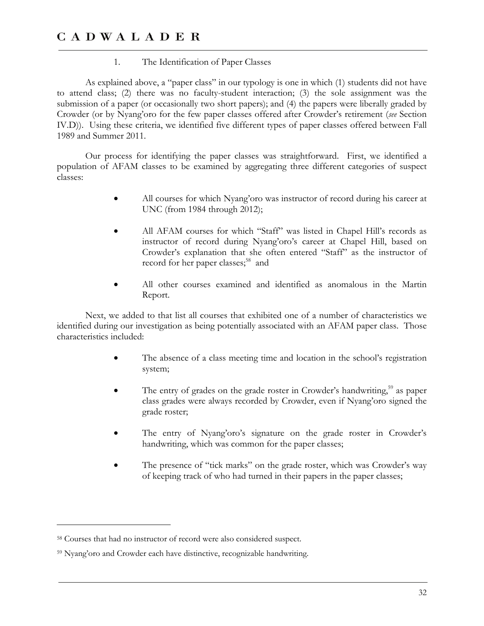#### 1. The Identification of Paper Classes

As explained above, a "paper class" in our typology is one in which (1) students did not have to attend class; (2) there was no faculty-student interaction; (3) the sole assignment was the submission of a paper (or occasionally two short papers); and (4) the papers were liberally graded by Crowder (or by Nyang'oro for the few paper classes offered after Crowder's retirement (*see* Section IV.D)). Using these criteria, we identified five different types of paper classes offered between Fall 1989 and Summer 2011.

Our process for identifying the paper classes was straightforward. First, we identified a population of AFAM classes to be examined by aggregating three different categories of suspect classes:

- All courses for which Nyang'oro was instructor of record during his career at UNC (from 1984 through 2012);
- All AFAM courses for which "Staff" was listed in Chapel Hill's records as instructor of record during Nyang'oro's career at Chapel Hill, based on Crowder's explanation that she often entered "Staff" as the instructor of record for her paper classes;<sup>58</sup> and
- All other courses examined and identified as anomalous in the Martin Report.

Next, we added to that list all courses that exhibited one of a number of characteristics we identified during our investigation as being potentially associated with an AFAM paper class. Those characteristics included:

- The absence of a class meeting time and location in the school's registration system;
- The entry of grades on the grade roster in Crowder's handwriting,<sup>59</sup> as paper class grades were always recorded by Crowder, even if Nyang'oro signed the grade roster;
- The entry of Nyang'oro's signature on the grade roster in Crowder's handwriting, which was common for the paper classes;
- The presence of "tick marks" on the grade roster, which was Crowder's way of keeping track of who had turned in their papers in the paper classes;

 $\overline{a}$ 

<sup>58</sup> Courses that had no instructor of record were also considered suspect.

<sup>59</sup> Nyang'oro and Crowder each have distinctive, recognizable handwriting.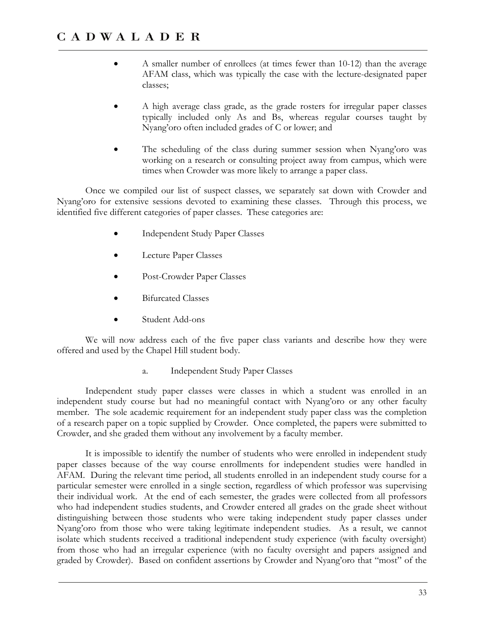- A smaller number of enrollees (at times fewer than 10-12) than the average AFAM class, which was typically the case with the lecture-designated paper classes;
- A high average class grade, as the grade rosters for irregular paper classes typically included only As and Bs, whereas regular courses taught by Nyang'oro often included grades of C or lower; and
- The scheduling of the class during summer session when Nyang'oro was working on a research or consulting project away from campus, which were times when Crowder was more likely to arrange a paper class.

Once we compiled our list of suspect classes, we separately sat down with Crowder and Nyang'oro for extensive sessions devoted to examining these classes. Through this process, we identified five different categories of paper classes. These categories are:

- Independent Study Paper Classes
- Lecture Paper Classes
- Post-Crowder Paper Classes
- Bifurcated Classes
- Student Add-ons

We will now address each of the five paper class variants and describe how they were offered and used by the Chapel Hill student body.

a. Independent Study Paper Classes

Independent study paper classes were classes in which a student was enrolled in an independent study course but had no meaningful contact with Nyang'oro or any other faculty member. The sole academic requirement for an independent study paper class was the completion of a research paper on a topic supplied by Crowder. Once completed, the papers were submitted to Crowder, and she graded them without any involvement by a faculty member.

It is impossible to identify the number of students who were enrolled in independent study paper classes because of the way course enrollments for independent studies were handled in AFAM. During the relevant time period, all students enrolled in an independent study course for a particular semester were enrolled in a single section, regardless of which professor was supervising their individual work. At the end of each semester, the grades were collected from all professors who had independent studies students, and Crowder entered all grades on the grade sheet without distinguishing between those students who were taking independent study paper classes under Nyang'oro from those who were taking legitimate independent studies. As a result, we cannot isolate which students received a traditional independent study experience (with faculty oversight) from those who had an irregular experience (with no faculty oversight and papers assigned and graded by Crowder). Based on confident assertions by Crowder and Nyang'oro that "most" of the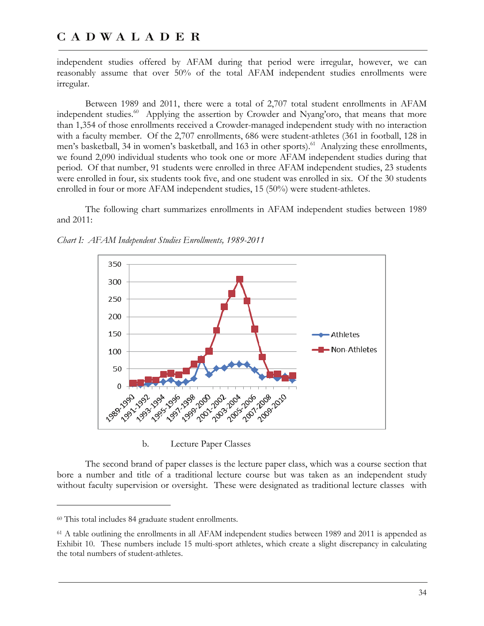independent studies offered by AFAM during that period were irregular, however, we can reasonably assume that over 50% of the total AFAM independent studies enrollments were irregular.

Between 1989 and 2011, there were a total of 2,707 total student enrollments in AFAM independent studies.<sup>60</sup> Applying the assertion by Crowder and Nyang'oro, that means that more than 1,354 of those enrollments received a Crowder-managed independent study with no interaction with a faculty member. Of the 2,707 enrollments, 686 were student-athletes (361 in football, 128 in men's basketball, 34 in women's basketball, and 163 in other sports).<sup>61</sup> Analyzing these enrollments, we found 2,090 individual students who took one or more AFAM independent studies during that period. Of that number, 91 students were enrolled in three AFAM independent studies, 23 students were enrolled in four, six students took five, and one student was enrolled in six. Of the 30 students enrolled in four or more AFAM independent studies, 15 (50%) were student-athletes.

The following chart summarizes enrollments in AFAM independent studies between 1989 and 2011:



*Chart I: AFAM Independent Studies Enrollments, 1989-2011* 

b. Lecture Paper Classes

The second brand of paper classes is the lecture paper class, which was a course section that bore a number and title of a traditional lecture course but was taken as an independent study without faculty supervision or oversight. These were designated as traditional lecture classes with

-

<sup>60</sup> This total includes 84 graduate student enrollments.

<sup>61</sup> A table outlining the enrollments in all AFAM independent studies between 1989 and 2011 is appended as Exhibit 10. These numbers include 15 multi-sport athletes, which create a slight discrepancy in calculating the total numbers of student-athletes.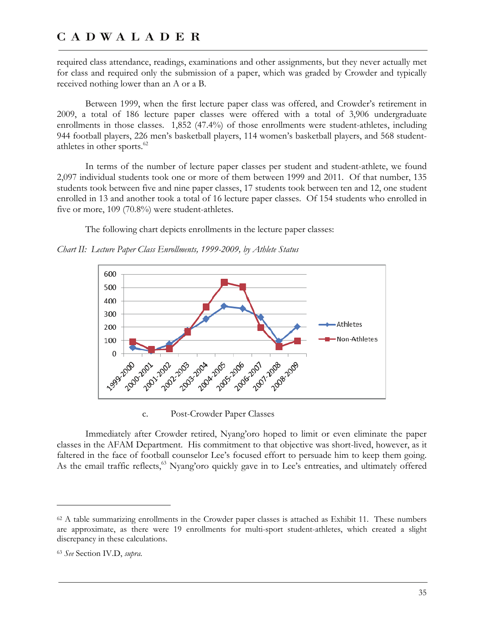required class attendance, readings, examinations and other assignments, but they never actually met for class and required only the submission of a paper, which was graded by Crowder and typically received nothing lower than an A or a B.

Between 1999, when the first lecture paper class was offered, and Crowder's retirement in 2009, a total of 186 lecture paper classes were offered with a total of 3,906 undergraduate enrollments in those classes. 1,852 (47.4%) of those enrollments were student-athletes, including 944 football players, 226 men's basketball players, 114 women's basketball players, and 568 studentathletes in other sports.<sup>62</sup>

In terms of the number of lecture paper classes per student and student-athlete, we found 2,097 individual students took one or more of them between 1999 and 2011. Of that number, 135 students took between five and nine paper classes, 17 students took between ten and 12, one student enrolled in 13 and another took a total of 16 lecture paper classes. Of 154 students who enrolled in five or more, 109 (70.8%) were student-athletes.

The following chart depicts enrollments in the lecture paper classes:

*Chart II: Lecture Paper Class Enrollments, 1999-2009, by Athlete Status* 



c. Post-Crowder Paper Classes

Immediately after Crowder retired, Nyang'oro hoped to limit or even eliminate the paper classes in the AFAM Department. His commitment to that objective was short-lived, however, as it faltered in the face of football counselor Lee's focused effort to persuade him to keep them going. As the email traffic reflects,<sup>63</sup> Nyang'oro quickly gave in to Lee's entreaties, and ultimately offered

<sup>62</sup> A table summarizing enrollments in the Crowder paper classes is attached as Exhibit 11. These numbers are approximate, as there were 19 enrollments for multi-sport student-athletes, which created a slight discrepancy in these calculations.

<sup>63</sup> *See* Section IV.D, *supra*.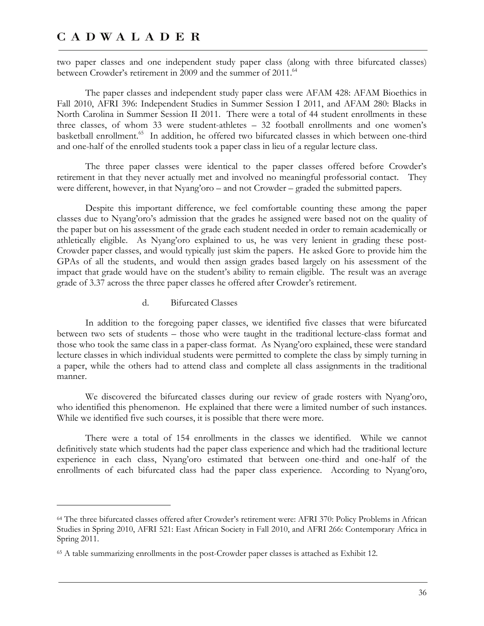$\overline{a}$ 

two paper classes and one independent study paper class (along with three bifurcated classes) between Crowder's retirement in 2009 and the summer of 2011.<sup>64</sup>

The paper classes and independent study paper class were AFAM 428: AFAM Bioethics in Fall 2010, AFRI 396: Independent Studies in Summer Session I 2011, and AFAM 280: Blacks in North Carolina in Summer Session II 2011. There were a total of 44 student enrollments in these three classes, of whom 33 were student-athletes – 32 football enrollments and one women's basketball enrollment.<sup>65</sup> In addition, he offered two bifurcated classes in which between one-third and one-half of the enrolled students took a paper class in lieu of a regular lecture class.

The three paper classes were identical to the paper classes offered before Crowder's retirement in that they never actually met and involved no meaningful professorial contact. They were different, however, in that Nyang'oro – and not Crowder – graded the submitted papers.

Despite this important difference, we feel comfortable counting these among the paper classes due to Nyang'oro's admission that the grades he assigned were based not on the quality of the paper but on his assessment of the grade each student needed in order to remain academically or athletically eligible. As Nyang'oro explained to us, he was very lenient in grading these post-Crowder paper classes, and would typically just skim the papers. He asked Gore to provide him the GPAs of all the students, and would then assign grades based largely on his assessment of the impact that grade would have on the student's ability to remain eligible. The result was an average grade of 3.37 across the three paper classes he offered after Crowder's retirement.

d. Bifurcated Classes

In addition to the foregoing paper classes, we identified five classes that were bifurcated between two sets of students – those who were taught in the traditional lecture-class format and those who took the same class in a paper-class format. As Nyang'oro explained, these were standard lecture classes in which individual students were permitted to complete the class by simply turning in a paper, while the others had to attend class and complete all class assignments in the traditional manner.

We discovered the bifurcated classes during our review of grade rosters with Nyang'oro, who identified this phenomenon. He explained that there were a limited number of such instances. While we identified five such courses, it is possible that there were more.

There were a total of 154 enrollments in the classes we identified. While we cannot definitively state which students had the paper class experience and which had the traditional lecture experience in each class, Nyang'oro estimated that between one-third and one-half of the enrollments of each bifurcated class had the paper class experience. According to Nyang'oro,

<sup>64</sup> The three bifurcated classes offered after Crowder's retirement were: AFRI 370: Policy Problems in African Studies in Spring 2010, AFRI 521: East African Society in Fall 2010, and AFRI 266: Contemporary Africa in Spring 2011.

<sup>65</sup> A table summarizing enrollments in the post-Crowder paper classes is attached as Exhibit 12.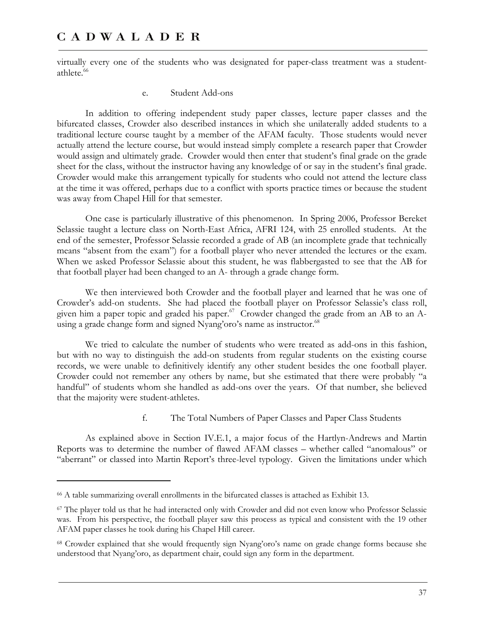virtually every one of the students who was designated for paper-class treatment was a studentathlete.<sup>66</sup>

#### e. Student Add-ons

In addition to offering independent study paper classes, lecture paper classes and the bifurcated classes, Crowder also described instances in which she unilaterally added students to a traditional lecture course taught by a member of the AFAM faculty. Those students would never actually attend the lecture course, but would instead simply complete a research paper that Crowder would assign and ultimately grade. Crowder would then enter that student's final grade on the grade sheet for the class, without the instructor having any knowledge of or say in the student's final grade. Crowder would make this arrangement typically for students who could not attend the lecture class at the time it was offered, perhaps due to a conflict with sports practice times or because the student was away from Chapel Hill for that semester.

One case is particularly illustrative of this phenomenon. In Spring 2006, Professor Bereket Selassie taught a lecture class on North-East Africa, AFRI 124, with 25 enrolled students. At the end of the semester, Professor Selassie recorded a grade of AB (an incomplete grade that technically means "absent from the exam") for a football player who never attended the lectures or the exam. When we asked Professor Selassie about this student, he was flabbergasted to see that the AB for that football player had been changed to an A- through a grade change form.

We then interviewed both Crowder and the football player and learned that he was one of Crowder's add-on students. She had placed the football player on Professor Selassie's class roll, given him a paper topic and graded his paper.<sup>67</sup> Crowder changed the grade from an AB to an Ausing a grade change form and signed Nyang'oro's name as instructor.<sup>68</sup>

We tried to calculate the number of students who were treated as add-ons in this fashion, but with no way to distinguish the add-on students from regular students on the existing course records, we were unable to definitively identify any other student besides the one football player. Crowder could not remember any others by name, but she estimated that there were probably "a handful" of students whom she handled as add-ons over the years. Of that number, she believed that the majority were student-athletes.

f. The Total Numbers of Paper Classes and Paper Class Students

As explained above in Section IV.E.1, a major focus of the Hartlyn-Andrews and Martin Reports was to determine the number of flawed AFAM classes – whether called "anomalous" or "aberrant" or classed into Martin Report's three-level typology. Given the limitations under which

<sup>66</sup> A table summarizing overall enrollments in the bifurcated classes is attached as Exhibit 13.

<sup>67</sup> The player told us that he had interacted only with Crowder and did not even know who Professor Selassie was. From his perspective, the football player saw this process as typical and consistent with the 19 other AFAM paper classes he took during his Chapel Hill career.

<sup>68</sup> Crowder explained that she would frequently sign Nyang'oro's name on grade change forms because she understood that Nyang'oro, as department chair, could sign any form in the department.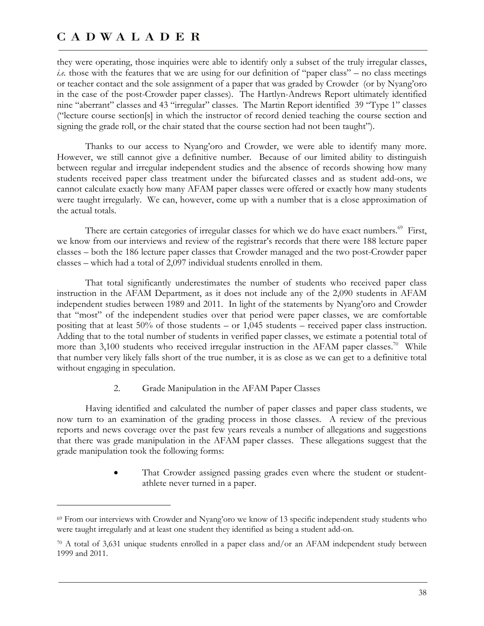-

they were operating, those inquiries were able to identify only a subset of the truly irregular classes, *i.e.* those with the features that we are using for our definition of "paper class" – no class meetings or teacher contact and the sole assignment of a paper that was graded by Crowder (or by Nyang'oro in the case of the post-Crowder paper classes). The Hartlyn-Andrews Report ultimately identified nine "aberrant" classes and 43 "irregular" classes. The Martin Report identified 39 "Type 1" classes ("lecture course section[s] in which the instructor of record denied teaching the course section and signing the grade roll, or the chair stated that the course section had not been taught").

Thanks to our access to Nyang'oro and Crowder, we were able to identify many more. However, we still cannot give a definitive number. Because of our limited ability to distinguish between regular and irregular independent studies and the absence of records showing how many students received paper class treatment under the bifurcated classes and as student add-ons, we cannot calculate exactly how many AFAM paper classes were offered or exactly how many students were taught irregularly. We can, however, come up with a number that is a close approximation of the actual totals.

There are certain categories of irregular classes for which we do have exact numbers.<sup>69</sup> First, we know from our interviews and review of the registrar's records that there were 188 lecture paper classes – both the 186 lecture paper classes that Crowder managed and the two post-Crowder paper classes – which had a total of 2,097 individual students enrolled in them.

That total significantly underestimates the number of students who received paper class instruction in the AFAM Department, as it does not include any of the 2,090 students in AFAM independent studies between 1989 and 2011. In light of the statements by Nyang'oro and Crowder that "most" of the independent studies over that period were paper classes, we are comfortable positing that at least 50% of those students – or 1,045 students – received paper class instruction. Adding that to the total number of students in verified paper classes, we estimate a potential total of more than  $3,100$  students who received irregular instruction in the AFAM paper classes.<sup>70</sup> While that number very likely falls short of the true number, it is as close as we can get to a definitive total without engaging in speculation.

#### 2. Grade Manipulation in the AFAM Paper Classes

Having identified and calculated the number of paper classes and paper class students, we now turn to an examination of the grading process in those classes. A review of the previous reports and news coverage over the past few years reveals a number of allegations and suggestions that there was grade manipulation in the AFAM paper classes. These allegations suggest that the grade manipulation took the following forms:

> That Crowder assigned passing grades even where the student or studentathlete never turned in a paper.

<sup>69</sup> From our interviews with Crowder and Nyang'oro we know of 13 specific independent study students who were taught irregularly and at least one student they identified as being a student add-on.

<sup>70</sup> A total of 3,631 unique students enrolled in a paper class and/or an AFAM independent study between 1999 and 2011.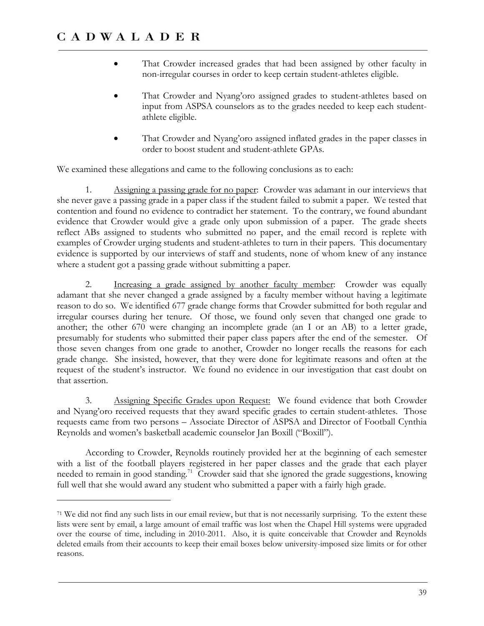-

- That Crowder increased grades that had been assigned by other faculty in non-irregular courses in order to keep certain student-athletes eligible.
- That Crowder and Nyang'oro assigned grades to student-athletes based on input from ASPSA counselors as to the grades needed to keep each studentathlete eligible.
- That Crowder and Nyang'oro assigned inflated grades in the paper classes in order to boost student and student-athlete GPAs.

We examined these allegations and came to the following conclusions as to each:

1. Assigning a passing grade for no paper: Crowder was adamant in our interviews that she never gave a passing grade in a paper class if the student failed to submit a paper. We tested that contention and found no evidence to contradict her statement. To the contrary, we found abundant evidence that Crowder would give a grade only upon submission of a paper. The grade sheets reflect ABs assigned to students who submitted no paper, and the email record is replete with examples of Crowder urging students and student-athletes to turn in their papers. This documentary evidence is supported by our interviews of staff and students, none of whom knew of any instance where a student got a passing grade without submitting a paper.

2. Increasing a grade assigned by another faculty member: Crowder was equally adamant that she never changed a grade assigned by a faculty member without having a legitimate reason to do so. We identified 677 grade change forms that Crowder submitted for both regular and irregular courses during her tenure. Of those, we found only seven that changed one grade to another; the other 670 were changing an incomplete grade (an I or an AB) to a letter grade, presumably for students who submitted their paper class papers after the end of the semester. Of those seven changes from one grade to another, Crowder no longer recalls the reasons for each grade change. She insisted, however, that they were done for legitimate reasons and often at the request of the student's instructor. We found no evidence in our investigation that cast doubt on that assertion.

3. Assigning Specific Grades upon Request: We found evidence that both Crowder and Nyang'oro received requests that they award specific grades to certain student-athletes. Those requests came from two persons – Associate Director of ASPSA and Director of Football Cynthia Reynolds and women's basketball academic counselor Jan Boxill ("Boxill").

According to Crowder, Reynolds routinely provided her at the beginning of each semester with a list of the football players registered in her paper classes and the grade that each player needed to remain in good standing.<sup>71</sup> Crowder said that she ignored the grade suggestions, knowing full well that she would award any student who submitted a paper with a fairly high grade.

<sup>71</sup> We did not find any such lists in our email review, but that is not necessarily surprising. To the extent these lists were sent by email, a large amount of email traffic was lost when the Chapel Hill systems were upgraded over the course of time, including in 2010-2011. Also, it is quite conceivable that Crowder and Reynolds deleted emails from their accounts to keep their email boxes below university-imposed size limits or for other reasons.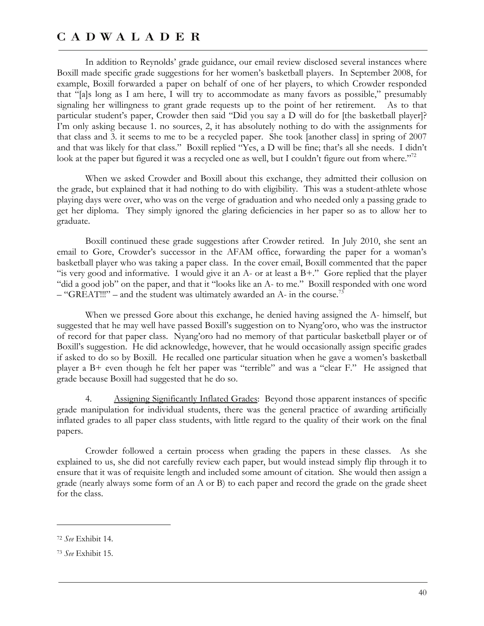In addition to Reynolds' grade guidance, our email review disclosed several instances where Boxill made specific grade suggestions for her women's basketball players. In September 2008, for example, Boxill forwarded a paper on behalf of one of her players, to which Crowder responded that "[a]s long as I am here, I will try to accommodate as many favors as possible," presumably signaling her willingness to grant grade requests up to the point of her retirement. As to that particular student's paper, Crowder then said "Did you say a D will do for [the basketball player]? I'm only asking because 1. no sources, 2, it has absolutely nothing to do with the assignments for that class and 3. it seems to me to be a recycled paper. She took [another class] in spring of 2007 and that was likely for that class." Boxill replied "Yes, a D will be fine; that's all she needs. I didn't look at the paper but figured it was a recycled one as well, but I couldn't figure out from where."<sup>72</sup>

When we asked Crowder and Boxill about this exchange, they admitted their collusion on the grade, but explained that it had nothing to do with eligibility. This was a student-athlete whose playing days were over, who was on the verge of graduation and who needed only a passing grade to get her diploma. They simply ignored the glaring deficiencies in her paper so as to allow her to graduate.

Boxill continued these grade suggestions after Crowder retired. In July 2010, she sent an email to Gore, Crowder's successor in the AFAM office, forwarding the paper for a woman's basketball player who was taking a paper class. In the cover email, Boxill commented that the paper "is very good and informative. I would give it an  $A$ - or at least a  $B+$ ." Gore replied that the player "did a good job" on the paper, and that it "looks like an A- to me." Boxill responded with one word  $-$  "GREAT!!!" – and the student was ultimately awarded an A- in the course.<sup>73</sup>

When we pressed Gore about this exchange, he denied having assigned the A- himself, but suggested that he may well have passed Boxill's suggestion on to Nyang'oro, who was the instructor of record for that paper class. Nyang'oro had no memory of that particular basketball player or of Boxill's suggestion. He did acknowledge, however, that he would occasionally assign specific grades if asked to do so by Boxill. He recalled one particular situation when he gave a women's basketball player a B+ even though he felt her paper was "terrible" and was a "clear F." He assigned that grade because Boxill had suggested that he do so.

4. Assigning Significantly Inflated Grades: Beyond those apparent instances of specific grade manipulation for individual students, there was the general practice of awarding artificially inflated grades to all paper class students, with little regard to the quality of their work on the final papers.

Crowder followed a certain process when grading the papers in these classes. As she explained to us, she did not carefully review each paper, but would instead simply flip through it to ensure that it was of requisite length and included some amount of citation. She would then assign a grade (nearly always some form of an A or B) to each paper and record the grade on the grade sheet for the class.

<sup>72</sup> *See* Exhibit 14.

<sup>73</sup> *See* Exhibit 15.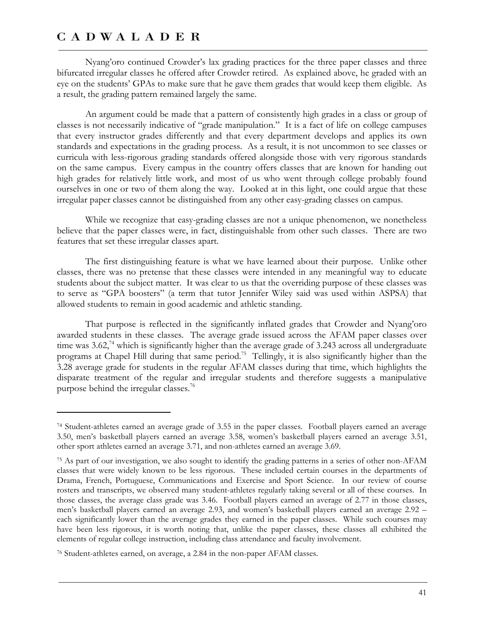$\overline{a}$ 

Nyang'oro continued Crowder's lax grading practices for the three paper classes and three bifurcated irregular classes he offered after Crowder retired. As explained above, he graded with an eye on the students' GPAs to make sure that he gave them grades that would keep them eligible. As a result, the grading pattern remained largely the same.

An argument could be made that a pattern of consistently high grades in a class or group of classes is not necessarily indicative of "grade manipulation." It is a fact of life on college campuses that every instructor grades differently and that every department develops and applies its own standards and expectations in the grading process. As a result, it is not uncommon to see classes or curricula with less-rigorous grading standards offered alongside those with very rigorous standards on the same campus. Every campus in the country offers classes that are known for handing out high grades for relatively little work, and most of us who went through college probably found ourselves in one or two of them along the way. Looked at in this light, one could argue that these irregular paper classes cannot be distinguished from any other easy-grading classes on campus.

While we recognize that easy-grading classes are not a unique phenomenon, we nonetheless believe that the paper classes were, in fact, distinguishable from other such classes. There are two features that set these irregular classes apart.

The first distinguishing feature is what we have learned about their purpose. Unlike other classes, there was no pretense that these classes were intended in any meaningful way to educate students about the subject matter. It was clear to us that the overriding purpose of these classes was to serve as "GPA boosters" (a term that tutor Jennifer Wiley said was used within ASPSA) that allowed students to remain in good academic and athletic standing.

That purpose is reflected in the significantly inflated grades that Crowder and Nyang'oro awarded students in these classes. The average grade issued across the AFAM paper classes over time was  $3.62<sup>74</sup>$  which is significantly higher than the average grade of 3.243 across all undergraduate programs at Chapel Hill during that same period.<sup>75</sup> Tellingly, it is also significantly higher than the 3.28 average grade for students in the regular AFAM classes during that time, which highlights the disparate treatment of the regular and irregular students and therefore suggests a manipulative purpose behind the irregular classes.<sup>76</sup>

<sup>74</sup> Student-athletes earned an average grade of 3.55 in the paper classes. Football players earned an average 3.50, men's basketball players earned an average 3.58, women's basketball players earned an average 3.51, other sport athletes earned an average 3.71, and non-athletes earned an average 3.69.

<sup>75</sup> As part of our investigation, we also sought to identify the grading patterns in a series of other non-AFAM classes that were widely known to be less rigorous. These included certain courses in the departments of Drama, French, Portuguese, Communications and Exercise and Sport Science. In our review of course rosters and transcripts, we observed many student-athletes regularly taking several or all of these courses. In those classes, the average class grade was 3.46. Football players earned an average of 2.77 in those classes, men's basketball players earned an average 2.93, and women's basketball players earned an average 2.92 – each significantly lower than the average grades they earned in the paper classes. While such courses may have been less rigorous, it is worth noting that, unlike the paper classes, these classes all exhibited the elements of regular college instruction, including class attendance and faculty involvement.

<sup>76</sup> Student-athletes earned, on average, a 2.84 in the non-paper AFAM classes.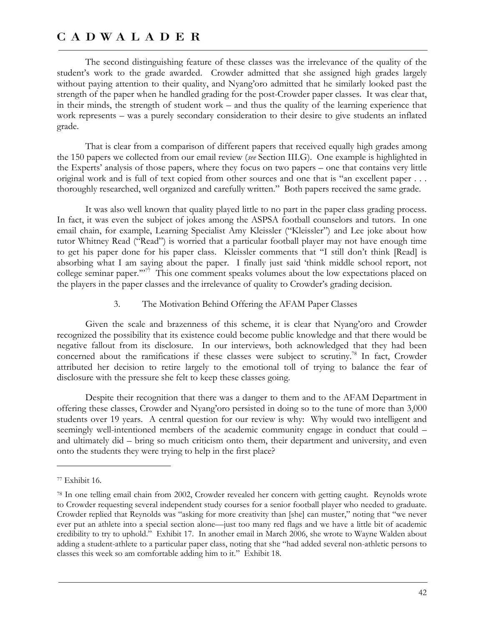The second distinguishing feature of these classes was the irrelevance of the quality of the student's work to the grade awarded. Crowder admitted that she assigned high grades largely without paying attention to their quality, and Nyang'oro admitted that he similarly looked past the strength of the paper when he handled grading for the post-Crowder paper classes. It was clear that, in their minds, the strength of student work – and thus the quality of the learning experience that work represents – was a purely secondary consideration to their desire to give students an inflated grade.

That is clear from a comparison of different papers that received equally high grades among the 150 papers we collected from our email review (*see* Section III.G). One example is highlighted in the Experts' analysis of those papers, where they focus on two papers – one that contains very little original work and is full of text copied from other sources and one that is "an excellent paper . . . thoroughly researched, well organized and carefully written." Both papers received the same grade.

It was also well known that quality played little to no part in the paper class grading process. In fact, it was even the subject of jokes among the ASPSA football counselors and tutors. In one email chain, for example, Learning Specialist Amy Kleissler ("Kleissler") and Lee joke about how tutor Whitney Read ("Read") is worried that a particular football player may not have enough time to get his paper done for his paper class. Kleissler comments that "I still don't think [Read] is absorbing what I am saying about the paper. I finally just said 'think middle school report, not college seminar paper."<sup>77</sup> This one comment speaks volumes about the low expectations placed on the players in the paper classes and the irrelevance of quality to Crowder's grading decision.

3. The Motivation Behind Offering the AFAM Paper Classes

Given the scale and brazenness of this scheme, it is clear that Nyang'oro and Crowder recognized the possibility that its existence could become public knowledge and that there would be negative fallout from its disclosure. In our interviews, both acknowledged that they had been concerned about the ramifications if these classes were subject to scrutiny.<sup>78</sup> In fact, Crowder attributed her decision to retire largely to the emotional toll of trying to balance the fear of disclosure with the pressure she felt to keep these classes going.

Despite their recognition that there was a danger to them and to the AFAM Department in offering these classes, Crowder and Nyang'oro persisted in doing so to the tune of more than 3,000 students over 19 years. A central question for our review is why: Why would two intelligent and seemingly well-intentioned members of the academic community engage in conduct that could – and ultimately did – bring so much criticism onto them, their department and university, and even onto the students they were trying to help in the first place?

<sup>77</sup> Exhibit 16.

<sup>78</sup> In one telling email chain from 2002, Crowder revealed her concern with getting caught. Reynolds wrote to Crowder requesting several independent study courses for a senior football player who needed to graduate. Crowder replied that Reynolds was "asking for more creativity than [she] can muster," noting that "we never ever put an athlete into a special section alone—just too many red flags and we have a little bit of academic credibility to try to uphold." Exhibit 17. In another email in March 2006, she wrote to Wayne Walden about adding a student-athlete to a particular paper class, noting that she "had added several non-athletic persons to classes this week so am comfortable adding him to it." Exhibit 18.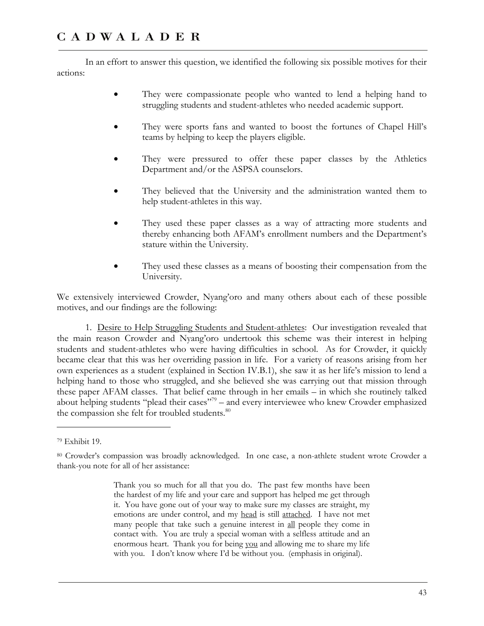In an effort to answer this question, we identified the following six possible motives for their actions:

- They were compassionate people who wanted to lend a helping hand to struggling students and student-athletes who needed academic support.
- They were sports fans and wanted to boost the fortunes of Chapel Hill's teams by helping to keep the players eligible.
- They were pressured to offer these paper classes by the Athletics Department and/or the ASPSA counselors.
- They believed that the University and the administration wanted them to help student-athletes in this way.
- They used these paper classes as a way of attracting more students and thereby enhancing both AFAM's enrollment numbers and the Department's stature within the University.
- They used these classes as a means of boosting their compensation from the University.

We extensively interviewed Crowder, Nyang'oro and many others about each of these possible motives, and our findings are the following:

1. Desire to Help Struggling Students and Student-athletes: Our investigation revealed that the main reason Crowder and Nyang'oro undertook this scheme was their interest in helping students and student-athletes who were having difficulties in school. As for Crowder, it quickly became clear that this was her overriding passion in life. For a variety of reasons arising from her own experiences as a student (explained in Section IV.B.1), she saw it as her life's mission to lend a helping hand to those who struggled, and she believed she was carrying out that mission through these paper AFAM classes. That belief came through in her emails – in which she routinely talked about helping students "plead their cases"<sup>79</sup> – and every interviewee who knew Crowder emphasized the compassion she felt for troubled students.<sup>80</sup>

<sup>79</sup> Exhibit 19.

<sup>80</sup> Crowder's compassion was broadly acknowledged. In one case, a non-athlete student wrote Crowder a thank-you note for all of her assistance:

Thank you so much for all that you do. The past few months have been the hardest of my life and your care and support has helped me get through it. You have gone out of your way to make sure my classes are straight, my emotions are under control, and my head is still attached. I have not met many people that take such a genuine interest in all people they come in contact with. You are truly a special woman with a selfless attitude and an enormous heart. Thank you for being you and allowing me to share my life with you. I don't know where I'd be without you. (emphasis in original).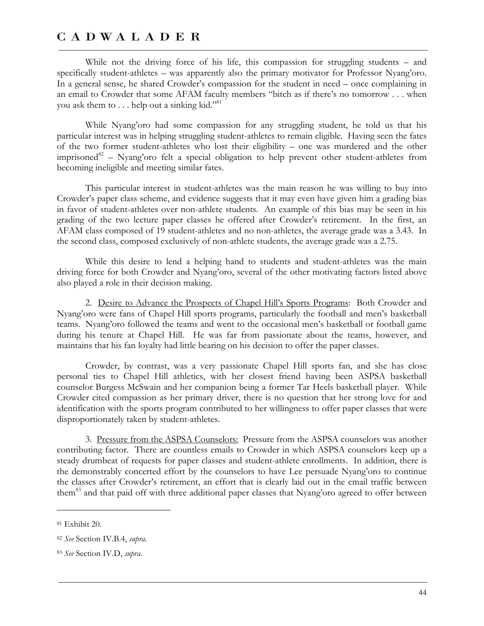While not the driving force of his life, this compassion for struggling students – and specifically student-athletes – was apparently also the primary motivator for Professor Nyang'oro. In a general sense, he shared Crowder's compassion for the student in need – once complaining in an email to Crowder that some AFAM faculty members "bitch as if there's no tomorrow . . . when you ask them to  $\dots$  help out a sinking kid."<sup>81</sup>

While Nyang'oro had some compassion for any struggling student, he told us that his particular interest was in helping struggling student-athletes to remain eligible. Having seen the fates of the two former student-athletes who lost their eligibility – one was murdered and the other imprisoned<sup>82</sup> – Nyang'oro felt a special obligation to help prevent other student-athletes from becoming ineligible and meeting similar fates.

This particular interest in student-athletes was the main reason he was willing to buy into Crowder's paper class scheme, and evidence suggests that it may even have given him a grading bias in favor of student-athletes over non-athlete students. An example of this bias may be seen in his grading of the two lecture paper classes he offered after Crowder's retirement. In the first, an AFAM class composed of 19 student-athletes and no non-athletes, the average grade was a 3.43. In the second class, composed exclusively of non-athlete students, the average grade was a 2.75.

While this desire to lend a helping hand to students and student-athletes was the main driving force for both Crowder and Nyang'oro, several of the other motivating factors listed above also played a role in their decision making.

2. Desire to Advance the Prospects of Chapel Hill's Sports Programs: Both Crowder and Nyang'oro were fans of Chapel Hill sports programs, particularly the football and men's basketball teams. Nyang'oro followed the teams and went to the occasional men's basketball or football game during his tenure at Chapel Hill. He was far from passionate about the teams, however, and maintains that his fan loyalty had little bearing on his decision to offer the paper classes.

Crowder, by contrast, was a very passionate Chapel Hill sports fan, and she has close personal ties to Chapel Hill athletics, with her closest friend having been ASPSA basketball counselor Burgess McSwain and her companion being a former Tar Heels basketball player. While Crowder cited compassion as her primary driver, there is no question that her strong love for and identification with the sports program contributed to her willingness to offer paper classes that were disproportionately taken by student-athletes.

3. Pressure from the ASPSA Counselors: Pressure from the ASPSA counselors was another contributing factor. There are countless emails to Crowder in which ASPSA counselors keep up a steady drumbeat of requests for paper classes and student-athlete enrollments. In addition, there is the demonstrably concerted effort by the counselors to have Lee persuade Nyang'oro to continue the classes after Crowder's retirement, an effort that is clearly laid out in the email traffic between them<sup>83</sup> and that paid off with three additional paper classes that Nyang'oro agreed to offer between

<sup>81</sup> Exhibit 20.

<sup>82</sup> *See* Section IV.B.4, *supra*.

<sup>83</sup> *See* Section IV.D, *supra*.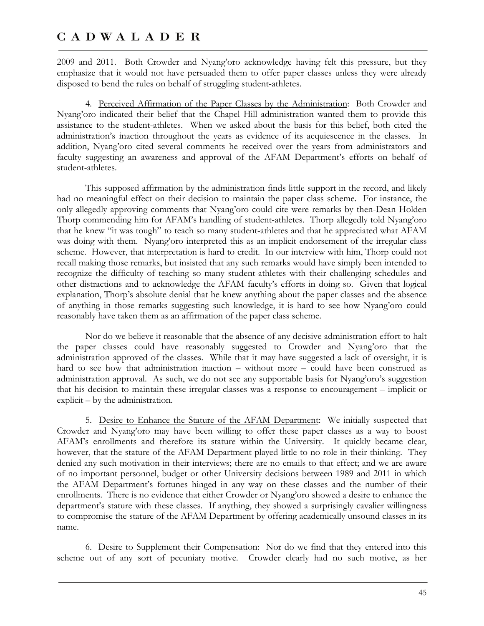2009 and 2011. Both Crowder and Nyang'oro acknowledge having felt this pressure, but they emphasize that it would not have persuaded them to offer paper classes unless they were already disposed to bend the rules on behalf of struggling student-athletes.

4. Perceived Affirmation of the Paper Classes by the Administration: Both Crowder and Nyang'oro indicated their belief that the Chapel Hill administration wanted them to provide this assistance to the student-athletes. When we asked about the basis for this belief, both cited the administration's inaction throughout the years as evidence of its acquiescence in the classes. In addition, Nyang'oro cited several comments he received over the years from administrators and faculty suggesting an awareness and approval of the AFAM Department's efforts on behalf of student-athletes.

This supposed affirmation by the administration finds little support in the record, and likely had no meaningful effect on their decision to maintain the paper class scheme. For instance, the only allegedly approving comments that Nyang'oro could cite were remarks by then-Dean Holden Thorp commending him for AFAM's handling of student-athletes. Thorp allegedly told Nyang'oro that he knew "it was tough" to teach so many student-athletes and that he appreciated what AFAM was doing with them. Nyang'oro interpreted this as an implicit endorsement of the irregular class scheme. However, that interpretation is hard to credit. In our interview with him, Thorp could not recall making those remarks, but insisted that any such remarks would have simply been intended to recognize the difficulty of teaching so many student-athletes with their challenging schedules and other distractions and to acknowledge the AFAM faculty's efforts in doing so. Given that logical explanation, Thorp's absolute denial that he knew anything about the paper classes and the absence of anything in those remarks suggesting such knowledge, it is hard to see how Nyang'oro could reasonably have taken them as an affirmation of the paper class scheme.

Nor do we believe it reasonable that the absence of any decisive administration effort to halt the paper classes could have reasonably suggested to Crowder and Nyang'oro that the administration approved of the classes. While that it may have suggested a lack of oversight, it is hard to see how that administration inaction – without more – could have been construed as administration approval. As such, we do not see any supportable basis for Nyang'oro's suggestion that his decision to maintain these irregular classes was a response to encouragement – implicit or explicit – by the administration.

5. Desire to Enhance the Stature of the AFAM Department: We initially suspected that Crowder and Nyang'oro may have been willing to offer these paper classes as a way to boost AFAM's enrollments and therefore its stature within the University. It quickly became clear, however, that the stature of the AFAM Department played little to no role in their thinking. They denied any such motivation in their interviews; there are no emails to that effect; and we are aware of no important personnel, budget or other University decisions between 1989 and 2011 in which the AFAM Department's fortunes hinged in any way on these classes and the number of their enrollments. There is no evidence that either Crowder or Nyang'oro showed a desire to enhance the department's stature with these classes. If anything, they showed a surprisingly cavalier willingness to compromise the stature of the AFAM Department by offering academically unsound classes in its name.

6. Desire to Supplement their Compensation: Nor do we find that they entered into this scheme out of any sort of pecuniary motive. Crowder clearly had no such motive, as her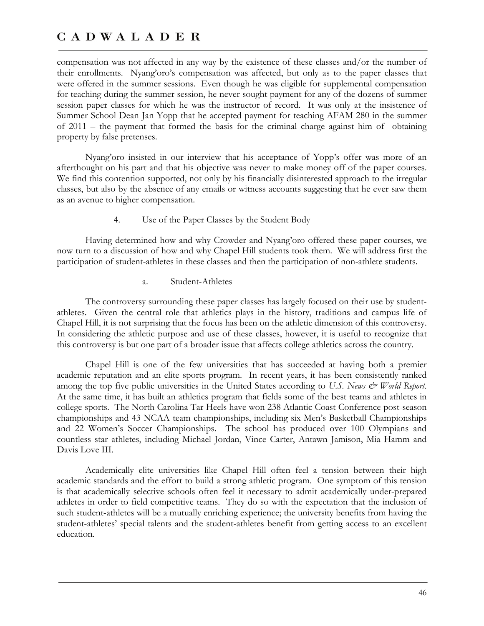compensation was not affected in any way by the existence of these classes and/or the number of their enrollments. Nyang'oro's compensation was affected, but only as to the paper classes that were offered in the summer sessions. Even though he was eligible for supplemental compensation for teaching during the summer session, he never sought payment for any of the dozens of summer session paper classes for which he was the instructor of record. It was only at the insistence of Summer School Dean Jan Yopp that he accepted payment for teaching AFAM 280 in the summer of 2011 – the payment that formed the basis for the criminal charge against him of obtaining property by false pretenses.

Nyang'oro insisted in our interview that his acceptance of Yopp's offer was more of an afterthought on his part and that his objective was never to make money off of the paper courses. We find this contention supported, not only by his financially disinterested approach to the irregular classes, but also by the absence of any emails or witness accounts suggesting that he ever saw them as an avenue to higher compensation.

#### 4. Use of the Paper Classes by the Student Body

Having determined how and why Crowder and Nyang'oro offered these paper courses, we now turn to a discussion of how and why Chapel Hill students took them. We will address first the participation of student-athletes in these classes and then the participation of non-athlete students.

#### a. Student-Athletes

The controversy surrounding these paper classes has largely focused on their use by studentathletes. Given the central role that athletics plays in the history, traditions and campus life of Chapel Hill, it is not surprising that the focus has been on the athletic dimension of this controversy. In considering the athletic purpose and use of these classes, however, it is useful to recognize that this controversy is but one part of a broader issue that affects college athletics across the country.

Chapel Hill is one of the few universities that has succeeded at having both a premier academic reputation and an elite sports program. In recent years, it has been consistently ranked among the top five public universities in the United States according to U.S. News  $\dot{\mathcal{C}}$  World Report. At the same time, it has built an athletics program that fields some of the best teams and athletes in college sports. The North Carolina Tar Heels have won 238 Atlantic Coast Conference post-season championships and 43 NCAA team championships, including six Men's Basketball Championships and 22 Women's Soccer Championships. The school has produced over 100 Olympians and countless star athletes, including Michael Jordan, Vince Carter, Antawn Jamison, Mia Hamm and Davis Love III.

Academically elite universities like Chapel Hill often feel a tension between their high academic standards and the effort to build a strong athletic program. One symptom of this tension is that academically selective schools often feel it necessary to admit academically under-prepared athletes in order to field competitive teams. They do so with the expectation that the inclusion of such student-athletes will be a mutually enriching experience; the university benefits from having the student-athletes' special talents and the student-athletes benefit from getting access to an excellent education.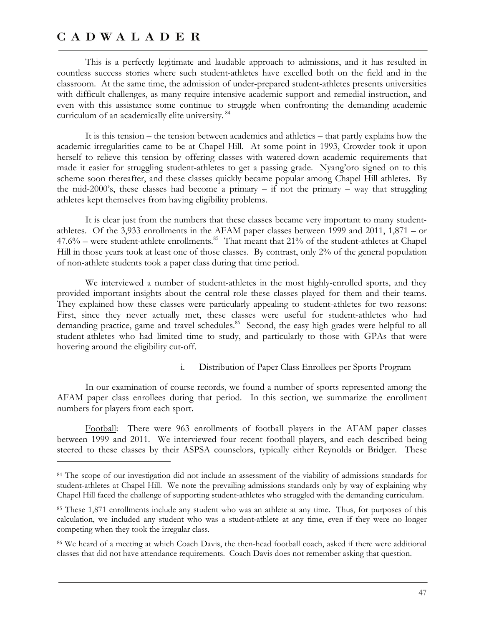$\overline{a}$ 

This is a perfectly legitimate and laudable approach to admissions, and it has resulted in countless success stories where such student-athletes have excelled both on the field and in the classroom. At the same time, the admission of under-prepared student-athletes presents universities with difficult challenges, as many require intensive academic support and remedial instruction, and even with this assistance some continue to struggle when confronting the demanding academic curriculum of an academically elite university.<sup>84</sup>

It is this tension – the tension between academics and athletics – that partly explains how the academic irregularities came to be at Chapel Hill. At some point in 1993, Crowder took it upon herself to relieve this tension by offering classes with watered-down academic requirements that made it easier for struggling student-athletes to get a passing grade. Nyang'oro signed on to this scheme soon thereafter, and these classes quickly became popular among Chapel Hill athletes. By the mid-2000's, these classes had become a primary – if not the primary – way that struggling athletes kept themselves from having eligibility problems.

It is clear just from the numbers that these classes became very important to many studentathletes. Of the 3,933 enrollments in the AFAM paper classes between 1999 and 2011, 1,871 – or 47.6% – were student-athlete enrollments.<sup>85</sup> That meant that 21% of the student-athletes at Chapel Hill in those years took at least one of those classes. By contrast, only 2% of the general population of non-athlete students took a paper class during that time period.

We interviewed a number of student-athletes in the most highly-enrolled sports, and they provided important insights about the central role these classes played for them and their teams. They explained how these classes were particularly appealing to student-athletes for two reasons: First, since they never actually met, these classes were useful for student-athletes who had demanding practice, game and travel schedules.<sup>86</sup> Second, the easy high grades were helpful to all student-athletes who had limited time to study, and particularly to those with GPAs that were hovering around the eligibility cut-off.

#### i. Distribution of Paper Class Enrollees per Sports Program

In our examination of course records, we found a number of sports represented among the AFAM paper class enrollees during that period. In this section, we summarize the enrollment numbers for players from each sport.

Football: There were 963 enrollments of football players in the AFAM paper classes between 1999 and 2011. We interviewed four recent football players, and each described being steered to these classes by their ASPSA counselors, typically either Reynolds or Bridger. These

<sup>84</sup> The scope of our investigation did not include an assessment of the viability of admissions standards for student-athletes at Chapel Hill. We note the prevailing admissions standards only by way of explaining why Chapel Hill faced the challenge of supporting student-athletes who struggled with the demanding curriculum.

<sup>85</sup> These 1,871 enrollments include any student who was an athlete at any time. Thus, for purposes of this calculation, we included any student who was a student-athlete at any time, even if they were no longer competing when they took the irregular class.

<sup>86</sup> We heard of a meeting at which Coach Davis, the then-head football coach, asked if there were additional classes that did not have attendance requirements. Coach Davis does not remember asking that question.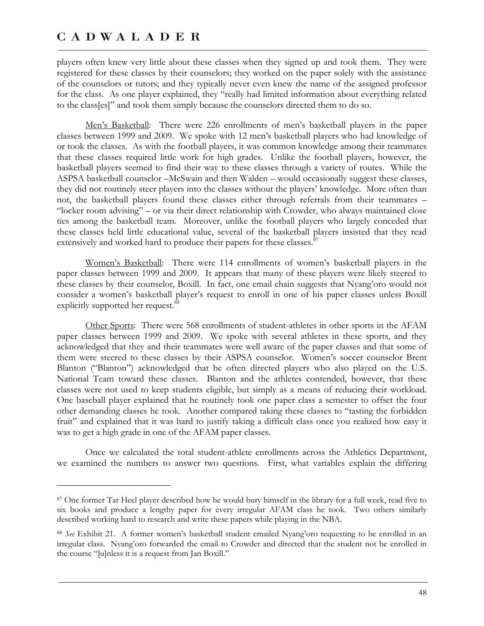$\overline{a}$ 

players often knew very little about these classes when they signed up and took them. They were registered for these classes by their counselors; they worked on the paper solely with the assistance of the counselors or tutors; and they typically never even knew the name of the assigned professor for the class. As one player explained, they "really had limited information about everything related to the class[es]" and took them simply because the counselors directed them to do so.

Men's Basketball: There were 226 enrollments of men's basketball players in the paper classes between 1999 and 2009. We spoke with 12 men's basketball players who had knowledge of or took the classes. As with the football players, it was common knowledge among their teammates that these classes required little work for high grades. Unlike the football players, however, the basketball players seemed to find their way to these classes through a variety of routes. While the ASPSA basketball counselor –McSwain and then Walden – would occasionally suggest these classes, they did not routinely steer players into the classes without the players' knowledge. More often than not, the basketball players found these classes either through referrals from their teammates – "locker room advising" – or via their direct relationship with Crowder, who always maintained close ties among the basketball team. Moreover, unlike the football players who largely conceded that these classes held little educational value, several of the basketball players insisted that they read extensively and worked hard to produce their papers for these classes.<sup>8</sup>

Women's Basketball: There were 114 enrollments of women's basketball players in the paper classes between 1999 and 2009. It appears that many of these players were likely steered to these classes by their counselor, Boxill. In fact, one email chain suggests that Nyang'oro would not consider a women's basketball player's request to enroll in one of his paper classes unless Boxill explicitly supported her request.<sup>88</sup>

Other Sports: There were 568 enrollments of student-athletes in other sports in the AFAM paper classes between 1999 and 2009. We spoke with several athletes in these sports, and they acknowledged that they and their teammates were well aware of the paper classes and that some of them were steered to these classes by their ASPSA counselor. Women's soccer counselor Brent Blanton ("Blanton") acknowledged that he often directed players who also played on the U.S. National Team toward these classes. Blanton and the athletes contended, however, that these classes were not used to keep students eligible, but simply as a means of reducing their workload. One baseball player explained that he routinely took one paper class a semester to offset the four other demanding classes he took. Another compared taking these classes to "tasting the forbidden fruit" and explained that it was hard to justify taking a difficult class once you realized how easy it was to get a high grade in one of the AFAM paper classes.

Once we calculated the total student-athlete enrollments across the Athletics Department, we examined the numbers to answer two questions. First, what variables explain the differing

<sup>87</sup> One former Tar Heel player described how he would bury himself in the library for a full week, read five to six books and produce a lengthy paper for every irregular AFAM class he took. Two others similarly described working hard to research and write these papers while playing in the NBA.

<sup>88</sup> *See* Exhibit 21. A former women's basketball student emailed Nyang'oro requesting to be enrolled in an irregular class. Nyang'oro forwarded the email to Crowder and directed that the student not be enrolled in the course "[u]nless it is a request from Jan Boxill."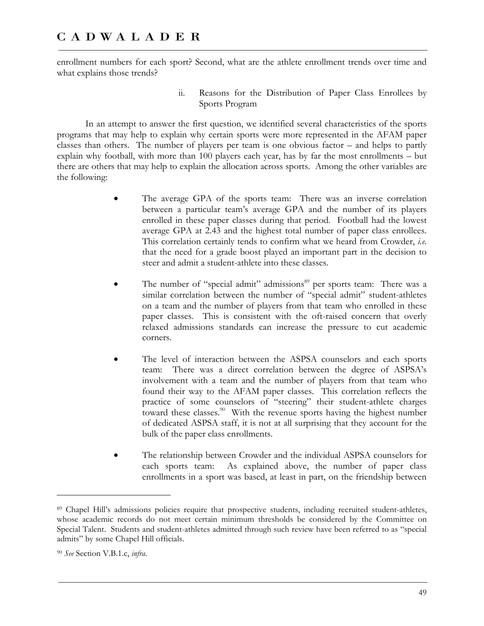enrollment numbers for each sport? Second, what are the athlete enrollment trends over time and what explains those trends?

> ii. Reasons for the Distribution of Paper Class Enrollees by Sports Program

In an attempt to answer the first question, we identified several characteristics of the sports programs that may help to explain why certain sports were more represented in the AFAM paper classes than others. The number of players per team is one obvious factor – and helps to partly explain why football, with more than 100 players each year, has by far the most enrollments – but there are others that may help to explain the allocation across sports. Among the other variables are the following:

- The average GPA of the sports team: There was an inverse correlation between a particular team's average GPA and the number of its players enrolled in these paper classes during that period. Football had the lowest average GPA at 2.43 and the highest total number of paper class enrollees. This correlation certainly tends to confirm what we heard from Crowder, *i.e.* that the need for a grade boost played an important part in the decision to steer and admit a student-athlete into these classes.
- The number of "special admit" admissions<sup>89</sup> per sports team: There was a similar correlation between the number of "special admit" student-athletes on a team and the number of players from that team who enrolled in these paper classes. This is consistent with the oft-raised concern that overly relaxed admissions standards can increase the pressure to cut academic corners.
- The level of interaction between the ASPSA counselors and each sports team: There was a direct correlation between the degree of ASPSA's involvement with a team and the number of players from that team who found their way to the AFAM paper classes. This correlation reflects the practice of some counselors of "steering" their student-athlete charges toward these classes.<sup>90</sup> With the revenue sports having the highest number of dedicated ASPSA staff, it is not at all surprising that they account for the bulk of the paper class enrollments.
- The relationship between Crowder and the individual ASPSA counselors for each sports team: As explained above, the number of paper class enrollments in a sport was based, at least in part, on the friendship between

-

<sup>89</sup> Chapel Hill's admissions policies require that prospective students, including recruited student-athletes, whose academic records do not meet certain minimum thresholds be considered by the Committee on Special Talent. Students and student-athletes admitted through such review have been referred to as "special admits" by some Chapel Hill officials.

<sup>90</sup> *See* Section V.B.1.c, *infra*.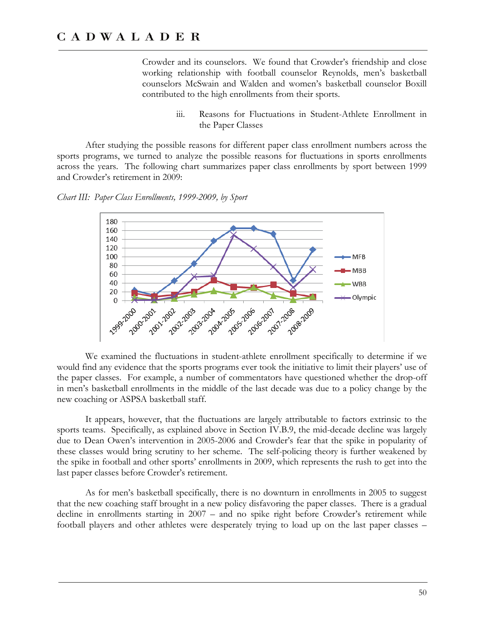Crowder and its counselors. We found that Crowder's friendship and close working relationship with football counselor Reynolds, men's basketball counselors McSwain and Walden and women's basketball counselor Boxill contributed to the high enrollments from their sports.

> iii. Reasons for Fluctuations in Student-Athlete Enrollment in the Paper Classes

After studying the possible reasons for different paper class enrollment numbers across the sports programs, we turned to analyze the possible reasons for fluctuations in sports enrollments across the years. The following chart summarizes paper class enrollments by sport between 1999 and Crowder's retirement in 2009:





We examined the fluctuations in student-athlete enrollment specifically to determine if we would find any evidence that the sports programs ever took the initiative to limit their players' use of the paper classes. For example, a number of commentators have questioned whether the drop-off in men's basketball enrollments in the middle of the last decade was due to a policy change by the new coaching or ASPSA basketball staff.

It appears, however, that the fluctuations are largely attributable to factors extrinsic to the sports teams. Specifically, as explained above in Section IV.B.9, the mid-decade decline was largely due to Dean Owen's intervention in 2005-2006 and Crowder's fear that the spike in popularity of these classes would bring scrutiny to her scheme. The self-policing theory is further weakened by the spike in football and other sports' enrollments in 2009, which represents the rush to get into the last paper classes before Crowder's retirement.

As for men's basketball specifically, there is no downturn in enrollments in 2005 to suggest that the new coaching staff brought in a new policy disfavoring the paper classes. There is a gradual decline in enrollments starting in 2007 – and no spike right before Crowder's retirement while football players and other athletes were desperately trying to load up on the last paper classes –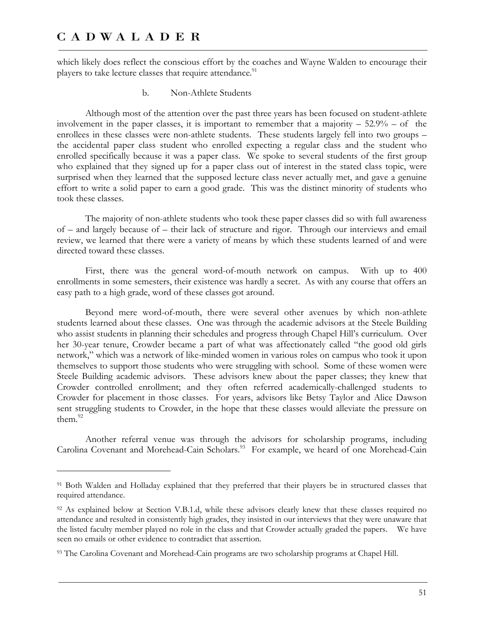$\overline{a}$ 

which likely does reflect the conscious effort by the coaches and Wayne Walden to encourage their players to take lecture classes that require attendance.<sup>91</sup>

b. Non-Athlete Students

Although most of the attention over the past three years has been focused on student-athlete involvement in the paper classes, it is important to remember that a majority  $-52.9%$  – of the enrollees in these classes were non-athlete students. These students largely fell into two groups – the accidental paper class student who enrolled expecting a regular class and the student who enrolled specifically because it was a paper class. We spoke to several students of the first group who explained that they signed up for a paper class out of interest in the stated class topic, were surprised when they learned that the supposed lecture class never actually met, and gave a genuine effort to write a solid paper to earn a good grade. This was the distinct minority of students who took these classes.

The majority of non-athlete students who took these paper classes did so with full awareness of – and largely because of – their lack of structure and rigor. Through our interviews and email review, we learned that there were a variety of means by which these students learned of and were directed toward these classes.

First, there was the general word-of-mouth network on campus. With up to 400 enrollments in some semesters, their existence was hardly a secret. As with any course that offers an easy path to a high grade, word of these classes got around.

Beyond mere word-of-mouth, there were several other avenues by which non-athlete students learned about these classes. One was through the academic advisors at the Steele Building who assist students in planning their schedules and progress through Chapel Hill's curriculum. Over her 30-year tenure, Crowder became a part of what was affectionately called "the good old girls network," which was a network of like-minded women in various roles on campus who took it upon themselves to support those students who were struggling with school. Some of these women were Steele Building academic advisors. These advisors knew about the paper classes; they knew that Crowder controlled enrollment; and they often referred academically-challenged students to Crowder for placement in those classes. For years, advisors like Betsy Taylor and Alice Dawson sent struggling students to Crowder, in the hope that these classes would alleviate the pressure on them.<sup>92</sup>

Another referral venue was through the advisors for scholarship programs, including Carolina Covenant and Morehead-Cain Scholars.<sup>93</sup> For example, we heard of one Morehead-Cain

<sup>91</sup> Both Walden and Holladay explained that they preferred that their players be in structured classes that required attendance.

<sup>92</sup> As explained below at Section V.B.1.d, while these advisors clearly knew that these classes required no attendance and resulted in consistently high grades, they insisted in our interviews that they were unaware that the listed faculty member played no role in the class and that Crowder actually graded the papers. We have seen no emails or other evidence to contradict that assertion.

<sup>93</sup> The Carolina Covenant and Morehead-Cain programs are two scholarship programs at Chapel Hill.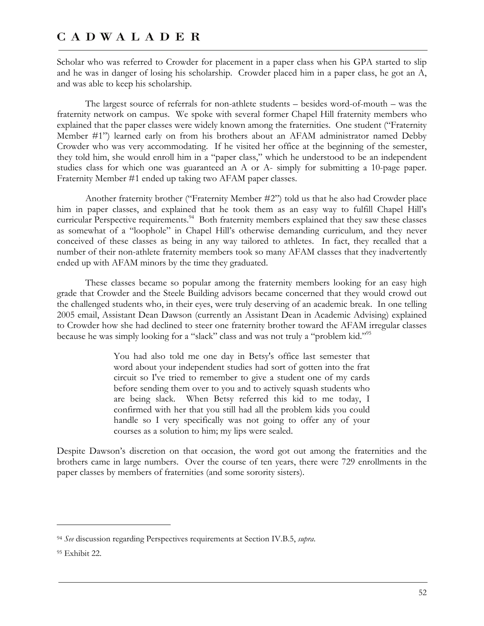Scholar who was referred to Crowder for placement in a paper class when his GPA started to slip and he was in danger of losing his scholarship. Crowder placed him in a paper class, he got an A, and was able to keep his scholarship.

The largest source of referrals for non-athlete students – besides word-of-mouth – was the fraternity network on campus. We spoke with several former Chapel Hill fraternity members who explained that the paper classes were widely known among the fraternities. One student ("Fraternity Member #1") learned early on from his brothers about an AFAM administrator named Debby Crowder who was very accommodating. If he visited her office at the beginning of the semester, they told him, she would enroll him in a "paper class," which he understood to be an independent studies class for which one was guaranteed an A or A- simply for submitting a 10-page paper. Fraternity Member #1 ended up taking two AFAM paper classes.

Another fraternity brother ("Fraternity Member #2") told us that he also had Crowder place him in paper classes, and explained that he took them as an easy way to fulfill Chapel Hill's curricular Perspective requirements.<sup>94</sup> Both fraternity members explained that they saw these classes as somewhat of a "loophole" in Chapel Hill's otherwise demanding curriculum, and they never conceived of these classes as being in any way tailored to athletes. In fact, they recalled that a number of their non-athlete fraternity members took so many AFAM classes that they inadvertently ended up with AFAM minors by the time they graduated.

These classes became so popular among the fraternity members looking for an easy high grade that Crowder and the Steele Building advisors became concerned that they would crowd out the challenged students who, in their eyes, were truly deserving of an academic break. In one telling 2005 email, Assistant Dean Dawson (currently an Assistant Dean in Academic Advising) explained to Crowder how she had declined to steer one fraternity brother toward the AFAM irregular classes because he was simply looking for a "slack" class and was not truly a "problem kid."<sup>95</sup>

> You had also told me one day in Betsy's office last semester that word about your independent studies had sort of gotten into the frat circuit so I've tried to remember to give a student one of my cards before sending them over to you and to actively squash students who are being slack. When Betsy referred this kid to me today, I confirmed with her that you still had all the problem kids you could handle so I very specifically was not going to offer any of your courses as a solution to him; my lips were sealed.

Despite Dawson's discretion on that occasion, the word got out among the fraternities and the brothers came in large numbers. Over the course of ten years, there were 729 enrollments in the paper classes by members of fraternities (and some sorority sisters).

<sup>94</sup> *See* discussion regarding Perspectives requirements at Section IV.B.5, *supra*.

<sup>95</sup> Exhibit 22.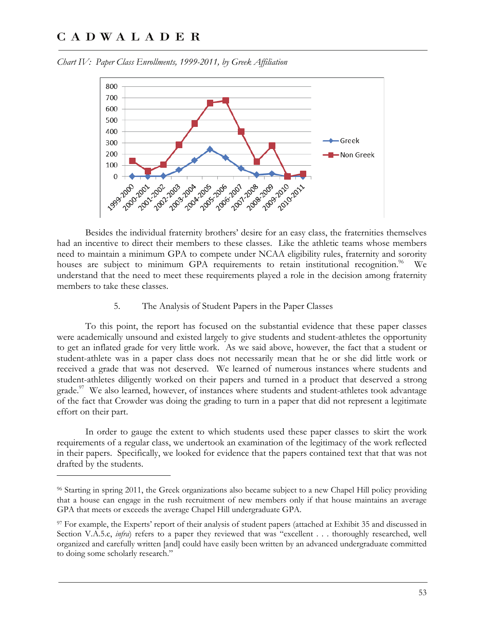<u>.</u>



*Chart IV: Paper Class Enrollments, 1999-2011, by Greek Affiliation* 

Besides the individual fraternity brothers' desire for an easy class, the fraternities themselves had an incentive to direct their members to these classes. Like the athletic teams whose members need to maintain a minimum GPA to compete under NCAA eligibility rules, fraternity and sorority houses are subject to minimum GPA requirements to retain institutional recognition.<sup>96</sup> We understand that the need to meet these requirements played a role in the decision among fraternity members to take these classes.

#### 5. The Analysis of Student Papers in the Paper Classes

To this point, the report has focused on the substantial evidence that these paper classes were academically unsound and existed largely to give students and student-athletes the opportunity to get an inflated grade for very little work. As we said above, however, the fact that a student or student-athlete was in a paper class does not necessarily mean that he or she did little work or received a grade that was not deserved. We learned of numerous instances where students and student-athletes diligently worked on their papers and turned in a product that deserved a strong grade. $97$  We also learned, however, of instances where students and student-athletes took advantage of the fact that Crowder was doing the grading to turn in a paper that did not represent a legitimate effort on their part.

In order to gauge the extent to which students used these paper classes to skirt the work requirements of a regular class, we undertook an examination of the legitimacy of the work reflected in their papers. Specifically, we looked for evidence that the papers contained text that that was not drafted by the students.

<sup>96</sup> Starting in spring 2011, the Greek organizations also became subject to a new Chapel Hill policy providing that a house can engage in the rush recruitment of new members only if that house maintains an average GPA that meets or exceeds the average Chapel Hill undergraduate GPA.

<sup>97</sup> For example, the Experts' report of their analysis of student papers (attached at Exhibit 35 and discussed in Section V.A.5.c, *infra*) refers to a paper they reviewed that was "excellent . . . thoroughly researched, well organized and carefully written [and] could have easily been written by an advanced undergraduate committed to doing some scholarly research."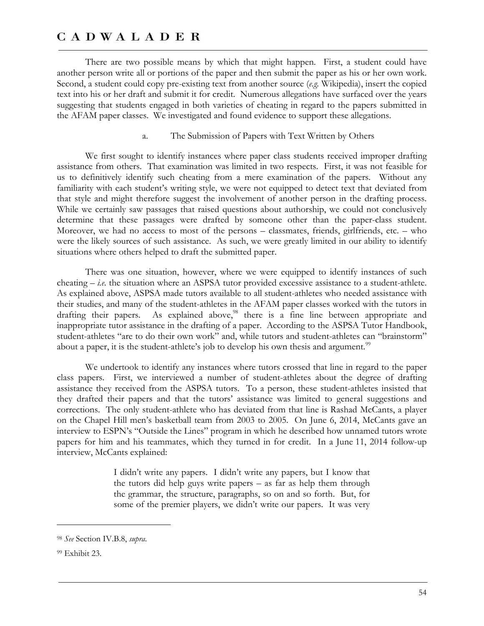There are two possible means by which that might happen. First, a student could have another person write all or portions of the paper and then submit the paper as his or her own work. Second, a student could copy pre-existing text from another source (*e.g.* Wikipedia), insert the copied text into his or her draft and submit it for credit. Numerous allegations have surfaced over the years suggesting that students engaged in both varieties of cheating in regard to the papers submitted in the AFAM paper classes. We investigated and found evidence to support these allegations.

#### a. The Submission of Papers with Text Written by Others

We first sought to identify instances where paper class students received improper drafting assistance from others. That examination was limited in two respects. First, it was not feasible for us to definitively identify such cheating from a mere examination of the papers. Without any familiarity with each student's writing style, we were not equipped to detect text that deviated from that style and might therefore suggest the involvement of another person in the drafting process. While we certainly saw passages that raised questions about authorship, we could not conclusively determine that these passages were drafted by someone other than the paper-class student. Moreover, we had no access to most of the persons – classmates, friends, girlfriends, etc. – who were the likely sources of such assistance. As such, we were greatly limited in our ability to identify situations where others helped to draft the submitted paper.

There was one situation, however, where we were equipped to identify instances of such cheating – *i.e.* the situation where an ASPSA tutor provided excessive assistance to a student-athlete. As explained above, ASPSA made tutors available to all student-athletes who needed assistance with their studies, and many of the student-athletes in the AFAM paper classes worked with the tutors in drafting their papers. As explained above, $^{98}$  there is a fine line between appropriate and inappropriate tutor assistance in the drafting of a paper. According to the ASPSA Tutor Handbook, student-athletes "are to do their own work" and, while tutors and student-athletes can "brainstorm" about a paper, it is the student-athlete's job to develop his own thesis and argument.<sup>99</sup>

We undertook to identify any instances where tutors crossed that line in regard to the paper class papers. First, we interviewed a number of student-athletes about the degree of drafting assistance they received from the ASPSA tutors. To a person, these student-athletes insisted that they drafted their papers and that the tutors' assistance was limited to general suggestions and corrections. The only student-athlete who has deviated from that line is Rashad McCants, a player on the Chapel Hill men's basketball team from 2003 to 2005. On June 6, 2014, McCants gave an interview to ESPN's "Outside the Lines" program in which he described how unnamed tutors wrote papers for him and his teammates, which they turned in for credit. In a June 11, 2014 follow-up interview, McCants explained:

> I didn't write any papers. I didn't write any papers, but I know that the tutors did help guys write papers – as far as help them through the grammar, the structure, paragraphs, so on and so forth. But, for some of the premier players, we didn't write our papers. It was very

<sup>98</sup> *See* Section IV.B.8, *supra*.

<sup>99</sup> Exhibit 23.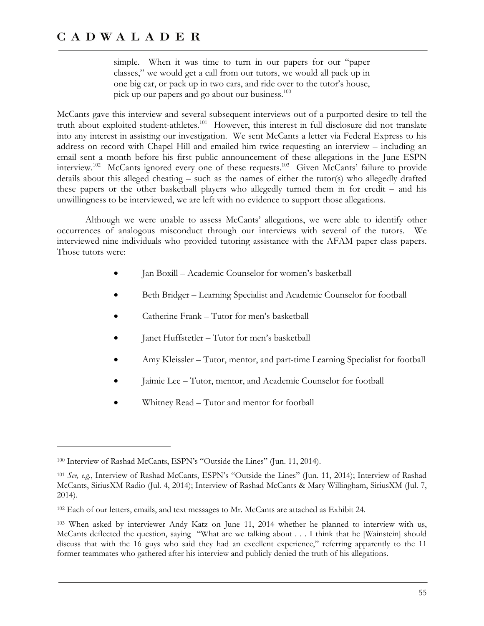simple. When it was time to turn in our papers for our "paper classes," we would get a call from our tutors, we would all pack up in one big car, or pack up in two cars, and ride over to the tutor's house, pick up our papers and go about our business. $100$ 

McCants gave this interview and several subsequent interviews out of a purported desire to tell the truth about exploited student-athletes.<sup>101</sup> However, this interest in full disclosure did not translate into any interest in assisting our investigation. We sent McCants a letter via Federal Express to his address on record with Chapel Hill and emailed him twice requesting an interview – including an email sent a month before his first public announcement of these allegations in the June ESPN interview.<sup>102</sup> McCants ignored every one of these requests.<sup>103</sup> Given McCants' failure to provide details about this alleged cheating – such as the names of either the tutor(s) who allegedly drafted these papers or the other basketball players who allegedly turned them in for credit – and his unwillingness to be interviewed, we are left with no evidence to support those allegations.

Although we were unable to assess McCants' allegations, we were able to identify other occurrences of analogous misconduct through our interviews with several of the tutors. We interviewed nine individuals who provided tutoring assistance with the AFAM paper class papers. Those tutors were:

- Jan Boxill Academic Counselor for women's basketball
- Beth Bridger Learning Specialist and Academic Counselor for football
- Catherine Frank Tutor for men's basketball
- Janet Huffstetler Tutor for men's basketball
- Amy Kleissler Tutor, mentor, and part-time Learning Specialist for football
- Jaimie Lee Tutor, mentor, and Academic Counselor for football
- Whitney Read Tutor and mentor for football

<sup>100</sup> Interview of Rashad McCants, ESPN's "Outside the Lines" (Jun. 11, 2014).

<sup>101</sup> *See, e.g.*, Interview of Rashad McCants, ESPN's "Outside the Lines" (Jun. 11, 2014); Interview of Rashad McCants, SiriusXM Radio (Jul. 4, 2014); Interview of Rashad McCants & Mary Willingham, SiriusXM (Jul. 7, 2014).

<sup>102</sup> Each of our letters, emails, and text messages to Mr. McCants are attached as Exhibit 24.

<sup>103</sup> When asked by interviewer Andy Katz on June 11, 2014 whether he planned to interview with us, McCants deflected the question, saying "What are we talking about . . . I think that he [Wainstein] should discuss that with the 16 guys who said they had an excellent experience," referring apparently to the 11 former teammates who gathered after his interview and publicly denied the truth of his allegations.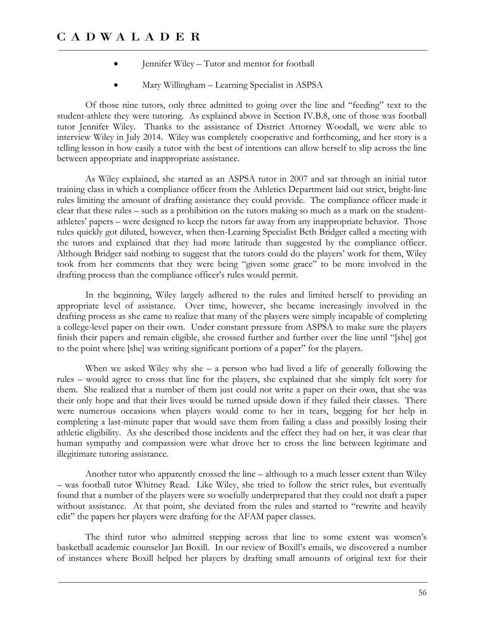- Jennifer Wiley Tutor and mentor for football
- Mary Willingham Learning Specialist in ASPSA

Of those nine tutors, only three admitted to going over the line and "feeding" text to the student-athlete they were tutoring. As explained above in Section IV.B.8, one of those was football tutor Jennifer Wiley. Thanks to the assistance of District Attorney Woodall, we were able to interview Wiley in July 2014. Wiley was completely cooperative and forthcoming, and her story is a telling lesson in how easily a tutor with the best of intentions can allow herself to slip across the line between appropriate and inappropriate assistance.

As Wiley explained, she started as an ASPSA tutor in 2007 and sat through an initial tutor training class in which a compliance officer from the Athletics Department laid out strict, bright-line rules limiting the amount of drafting assistance they could provide. The compliance officer made it clear that these rules – such as a prohibition on the tutors making so much as a mark on the studentathletes' papers – were designed to keep the tutors far away from any inappropriate behavior. Those rules quickly got diluted, however, when then-Learning Specialist Beth Bridger called a meeting with the tutors and explained that they had more latitude than suggested by the compliance officer. Although Bridger said nothing to suggest that the tutors could do the players' work for them, Wiley took from her comments that they were being "given some grace" to be more involved in the drafting process than the compliance officer's rules would permit.

In the beginning, Wiley largely adhered to the rules and limited herself to providing an appropriate level of assistance. Over time, however, she became increasingly involved in the drafting process as she came to realize that many of the players were simply incapable of completing a college-level paper on their own. Under constant pressure from ASPSA to make sure the players finish their papers and remain eligible, she crossed further and further over the line until "[she] got to the point where [she] was writing significant portions of a paper" for the players.

When we asked Wiley why she – a person who had lived a life of generally following the rules – would agree to cross that line for the players, she explained that she simply felt sorry for them. She realized that a number of them just could not write a paper on their own, that she was their only hope and that their lives would be turned upside down if they failed their classes. There were numerous occasions when players would come to her in tears, begging for her help in completing a last-minute paper that would save them from failing a class and possibly losing their athletic eligibility. As she described those incidents and the effect they had on her, it was clear that human sympathy and compassion were what drove her to cross the line between legitimate and illegitimate tutoring assistance.

Another tutor who apparently crossed the line – although to a much lesser extent than Wiley – was football tutor Whitney Read. Like Wiley, she tried to follow the strict rules, but eventually found that a number of the players were so woefully underprepared that they could not draft a paper without assistance. At that point, she deviated from the rules and started to "rewrite and heavily edit" the papers her players were drafting for the AFAM paper classes.

The third tutor who admitted stepping across that line to some extent was women's basketball academic counselor Jan Boxill. In our review of Boxill's emails, we discovered a number of instances where Boxill helped her players by drafting small amounts of original text for their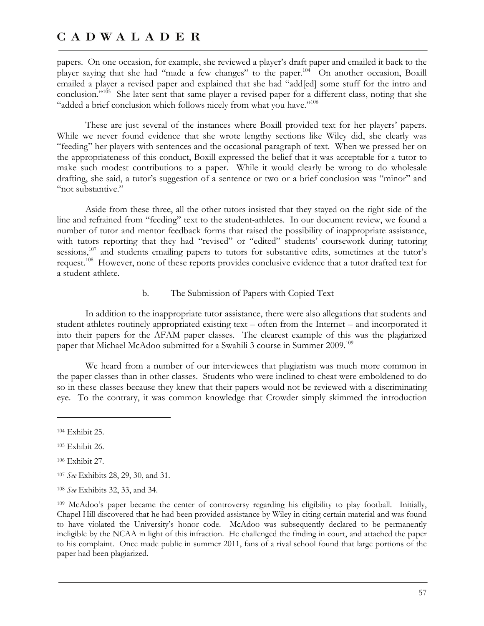papers. On one occasion, for example, she reviewed a player's draft paper and emailed it back to the player saying that she had "made a few changes" to the paper.<sup>104</sup> On another occasion, Boxill emailed a player a revised paper and explained that she had "add[ed] some stuff for the intro and conclusion."<sup>105</sup> She later sent that same player a revised paper for a different class, noting that she "added a brief conclusion which follows nicely from what you have."<sup>106</sup>

These are just several of the instances where Boxill provided text for her players' papers. While we never found evidence that she wrote lengthy sections like Wiley did, she clearly was "feeding" her players with sentences and the occasional paragraph of text. When we pressed her on the appropriateness of this conduct, Boxill expressed the belief that it was acceptable for a tutor to make such modest contributions to a paper. While it would clearly be wrong to do wholesale drafting, she said, a tutor's suggestion of a sentence or two or a brief conclusion was "minor" and "not substantive."

Aside from these three, all the other tutors insisted that they stayed on the right side of the line and refrained from "feeding" text to the student-athletes. In our document review, we found a number of tutor and mentor feedback forms that raised the possibility of inappropriate assistance, with tutors reporting that they had "revised" or "edited" students' coursework during tutoring sessions,<sup>107</sup> and students emailing papers to tutors for substantive edits, sometimes at the tutor's request.108 However, none of these reports provides conclusive evidence that a tutor drafted text for a student-athlete.

#### b. The Submission of Papers with Copied Text

In addition to the inappropriate tutor assistance, there were also allegations that students and student-athletes routinely appropriated existing text – often from the Internet – and incorporated it into their papers for the AFAM paper classes. The clearest example of this was the plagiarized paper that Michael McAdoo submitted for a Swahili 3 course in Summer 2009.<sup>109</sup>

We heard from a number of our interviewees that plagiarism was much more common in the paper classes than in other classes. Students who were inclined to cheat were emboldened to do so in these classes because they knew that their papers would not be reviewed with a discriminating eye. To the contrary, it was common knowledge that Crowder simply skimmed the introduction

<sup>104</sup> Exhibit 25.

<sup>105</sup> Exhibit 26.

<sup>106</sup> Exhibit 27.

<sup>107</sup> *See* Exhibits 28, 29, 30, and 31.

<sup>108</sup> *See* Exhibits 32, 33, and 34.

<sup>109</sup> McAdoo's paper became the center of controversy regarding his eligibility to play football. Initially, Chapel Hill discovered that he had been provided assistance by Wiley in citing certain material and was found to have violated the University's honor code. McAdoo was subsequently declared to be permanently ineligible by the NCAA in light of this infraction. He challenged the finding in court, and attached the paper to his complaint. Once made public in summer 2011, fans of a rival school found that large portions of the paper had been plagiarized.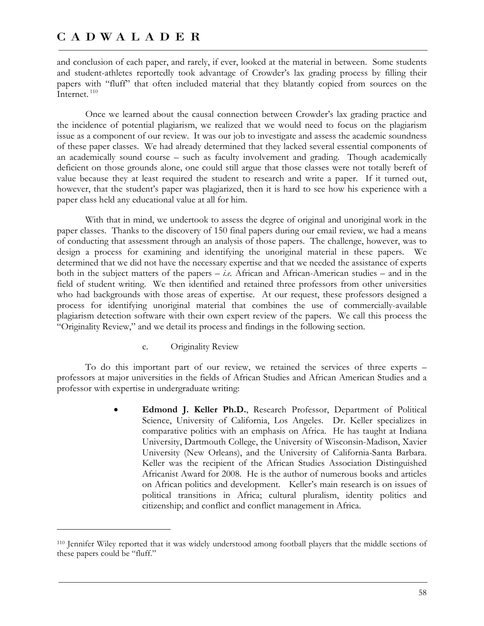and conclusion of each paper, and rarely, if ever, looked at the material in between. Some students and student-athletes reportedly took advantage of Crowder's lax grading process by filling their papers with "fluff" that often included material that they blatantly copied from sources on the Internet.<sup>110</sup>

Once we learned about the causal connection between Crowder's lax grading practice and the incidence of potential plagiarism, we realized that we would need to focus on the plagiarism issue as a component of our review. It was our job to investigate and assess the academic soundness of these paper classes. We had already determined that they lacked several essential components of an academically sound course – such as faculty involvement and grading. Though academically deficient on those grounds alone, one could still argue that those classes were not totally bereft of value because they at least required the student to research and write a paper. If it turned out, however, that the student's paper was plagiarized, then it is hard to see how his experience with a paper class held any educational value at all for him.

With that in mind, we undertook to assess the degree of original and unoriginal work in the paper classes. Thanks to the discovery of 150 final papers during our email review, we had a means of conducting that assessment through an analysis of those papers. The challenge, however, was to design a process for examining and identifying the unoriginal material in these papers. We determined that we did not have the necessary expertise and that we needed the assistance of experts both in the subject matters of the papers – *i.e.* African and African-American studies – and in the field of student writing. We then identified and retained three professors from other universities who had backgrounds with those areas of expertise. At our request, these professors designed a process for identifying unoriginal material that combines the use of commercially-available plagiarism detection software with their own expert review of the papers. We call this process the "Originality Review," and we detail its process and findings in the following section.

c. Originality Review

-

To do this important part of our review, we retained the services of three experts – professors at major universities in the fields of African Studies and African American Studies and a professor with expertise in undergraduate writing:

> **Edmond J. Keller Ph.D.**, Research Professor, Department of Political Science, University of California, Los Angeles. Dr. Keller specializes in comparative politics with an emphasis on Africa. He has taught at Indiana University, Dartmouth College, the University of Wisconsin-Madison, Xavier University (New Orleans), and the University of California-Santa Barbara. Keller was the recipient of the African Studies Association Distinguished Africanist Award for 2008. He is the author of numerous books and articles on African politics and development. Keller's main research is on issues of political transitions in Africa; cultural pluralism, identity politics and citizenship; and conflict and conflict management in Africa.

<sup>110</sup> Jennifer Wiley reported that it was widely understood among football players that the middle sections of these papers could be "fluff."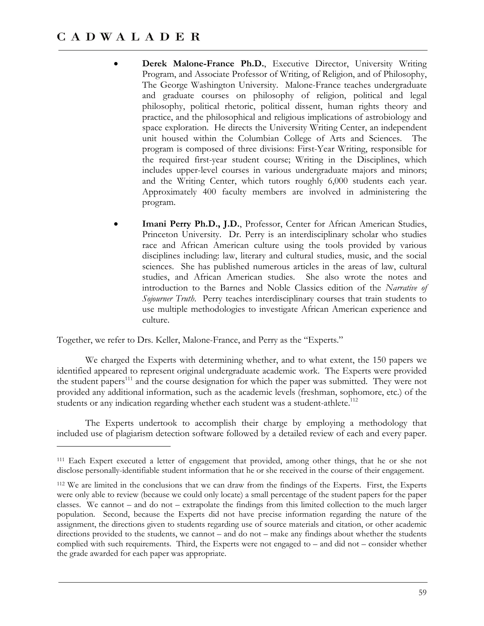$\overline{a}$ 

- **Derek Malone-France Ph.D.**, Executive Director, University Writing Program, and Associate Professor of Writing, of Religion, and of Philosophy, The George Washington University. Malone-France teaches undergraduate and graduate courses on philosophy of religion, political and legal philosophy, political rhetoric, political dissent, human rights theory and practice, and the philosophical and religious implications of astrobiology and space exploration. He directs the University Writing Center, an independent unit housed within the Columbian College of Arts and Sciences. The program is composed of three divisions: First-Year Writing, responsible for the required first-year student course; Writing in the Disciplines, which includes upper-level courses in various undergraduate majors and minors; and the Writing Center, which tutors roughly 6,000 students each year. Approximately 400 faculty members are involved in administering the program.
- **Imani Perry Ph.D., J.D.**, Professor, Center for African American Studies, Princeton University. Dr. Perry is an interdisciplinary scholar who studies race and African American culture using the tools provided by various disciplines including: law, literary and cultural studies, music, and the social sciences. She has published numerous articles in the areas of law, cultural studies, and African American studies. She also wrote the notes and introduction to the Barnes and Noble Classics edition of the *Narrative of Sojourner Truth*. Perry teaches interdisciplinary courses that train students to use multiple methodologies to investigate African American experience and culture.

Together, we refer to Drs. Keller, Malone-France, and Perry as the "Experts."

We charged the Experts with determining whether, and to what extent, the 150 papers we identified appeared to represent original undergraduate academic work. The Experts were provided the student papers<sup>111</sup> and the course designation for which the paper was submitted. They were not provided any additional information, such as the academic levels (freshman, sophomore, etc.) of the students or any indication regarding whether each student was a student-athlete.<sup>112</sup>

The Experts undertook to accomplish their charge by employing a methodology that included use of plagiarism detection software followed by a detailed review of each and every paper.

<sup>111</sup> Each Expert executed a letter of engagement that provided, among other things, that he or she not disclose personally-identifiable student information that he or she received in the course of their engagement.

<sup>112</sup> We are limited in the conclusions that we can draw from the findings of the Experts. First, the Experts were only able to review (because we could only locate) a small percentage of the student papers for the paper classes. We cannot – and do not – extrapolate the findings from this limited collection to the much larger population. Second, because the Experts did not have precise information regarding the nature of the assignment, the directions given to students regarding use of source materials and citation, or other academic directions provided to the students, we cannot – and do not – make any findings about whether the students complied with such requirements. Third, the Experts were not engaged to – and did not – consider whether the grade awarded for each paper was appropriate.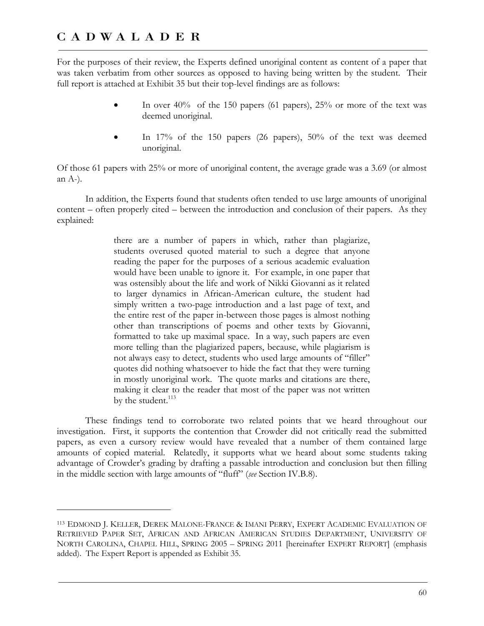$\overline{a}$ 

For the purposes of their review, the Experts defined unoriginal content as content of a paper that was taken verbatim from other sources as opposed to having being written by the student. Their full report is attached at Exhibit 35 but their top-level findings are as follows:

- In over 40% of the 150 papers (61 papers), 25% or more of the text was deemed unoriginal.
- In 17% of the 150 papers (26 papers), 50% of the text was deemed unoriginal.

Of those 61 papers with 25% or more of unoriginal content, the average grade was a 3.69 (or almost an A-).

In addition, the Experts found that students often tended to use large amounts of unoriginal content – often properly cited – between the introduction and conclusion of their papers. As they explained:

> there are a number of papers in which, rather than plagiarize, students overused quoted material to such a degree that anyone reading the paper for the purposes of a serious academic evaluation would have been unable to ignore it. For example, in one paper that was ostensibly about the life and work of Nikki Giovanni as it related to larger dynamics in African-American culture, the student had simply written a two-page introduction and a last page of text, and the entire rest of the paper in-between those pages is almost nothing other than transcriptions of poems and other texts by Giovanni, formatted to take up maximal space. In a way, such papers are even more telling than the plagiarized papers, because, while plagiarism is not always easy to detect, students who used large amounts of "filler" quotes did nothing whatsoever to hide the fact that they were turning in mostly unoriginal work. The quote marks and citations are there, making it clear to the reader that most of the paper was not written by the student.<sup>113</sup>

These findings tend to corroborate two related points that we heard throughout our investigation. First, it supports the contention that Crowder did not critically read the submitted papers, as even a cursory review would have revealed that a number of them contained large amounts of copied material. Relatedly, it supports what we heard about some students taking advantage of Crowder's grading by drafting a passable introduction and conclusion but then filling in the middle section with large amounts of "fluff" (*see* Section IV.B.8).

<sup>113</sup> EDMOND J. KELLER, DEREK MALONE-FRANCE & IMANI PERRY, EXPERT ACADEMIC EVALUATION OF RETRIEVED PAPER SET, AFRICAN AND AFRICAN AMERICAN STUDIES DEPARTMENT, UNIVERSITY OF NORTH CAROLINA, CHAPEL HILL, SPRING 2005 – SPRING 2011 [hereinafter EXPERT REPORT] (emphasis added). The Expert Report is appended as Exhibit 35.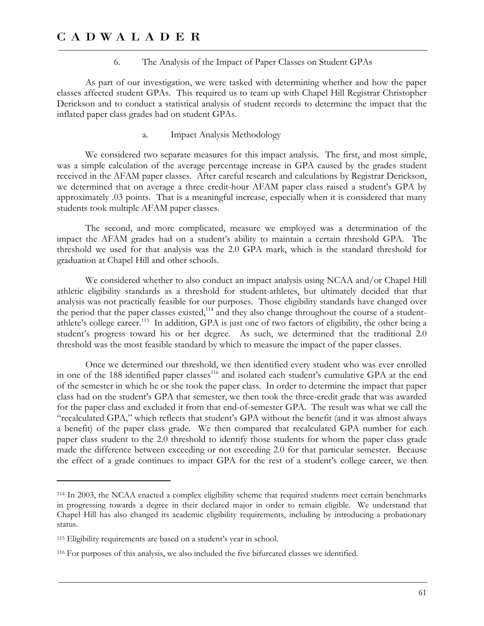#### 6. The Analysis of the Impact of Paper Classes on Student GPAs

As part of our investigation, we were tasked with determining whether and how the paper classes affected student GPAs. This required us to team up with Chapel Hill Registrar Christopher Derickson and to conduct a statistical analysis of student records to determine the impact that the inflated paper class grades had on student GPAs.

a. Impact Analysis Methodology

We considered two separate measures for this impact analysis. The first, and most simple, was a simple calculation of the average percentage increase in GPA caused by the grades student received in the AFAM paper classes. After careful research and calculations by Registrar Derickson, we determined that on average a three credit-hour AFAM paper class raised a student's GPA by approximately .03 points. That is a meaningful increase, especially when it is considered that many students took multiple AFAM paper classes.

The second, and more complicated, measure we employed was a determination of the impact the AFAM grades had on a student's ability to maintain a certain threshold GPA. The threshold we used for that analysis was the 2.0 GPA mark, which is the standard threshold for graduation at Chapel Hill and other schools.

We considered whether to also conduct an impact analysis using NCAA and/or Chapel Hill athletic eligibility standards as a threshold for student-athletes, but ultimately decided that that analysis was not practically feasible for our purposes. Those eligibility standards have changed over the period that the paper classes existed,<sup>114</sup> and they also change throughout the course of a studentathlete's college career.<sup>115</sup> In addition, GPA is just one of two factors of eligibility, the other being a student's progress toward his or her degree. As such, we determined that the traditional 2.0 threshold was the most feasible standard by which to measure the impact of the paper classes.

Once we determined our threshold, we then identified every student who was ever enrolled in one of the 188 identified paper classes<sup>116</sup> and isolated each student's cumulative GPA at the end of the semester in which he or she took the paper class. In order to determine the impact that paper class had on the student's GPA that semester, we then took the three-credit grade that was awarded for the paper class and excluded it from that end-of-semester GPA. The result was what we call the "recalculated GPA," which reflects that student's GPA without the benefit (and it was almost always a benefit) of the paper class grade. We then compared that recalculated GPA number for each paper class student to the 2.0 threshold to identify those students for whom the paper class grade made the difference between exceeding or not exceeding 2.0 for that particular semester. Because the effect of a grade continues to impact GPA for the rest of a student's college career, we then

<sup>114</sup> In 2003, the NCAA enacted a complex eligibility scheme that required students meet certain benchmarks in progressing towards a degree in their declared major in order to remain eligible. We understand that Chapel Hill has also changed its academic eligibility requirements, including by introducing a probationary status.

<sup>115</sup> Eligibility requirements are based on a student's year in school.

<sup>116</sup> For purposes of this analysis, we also included the five bifurcated classes we identified.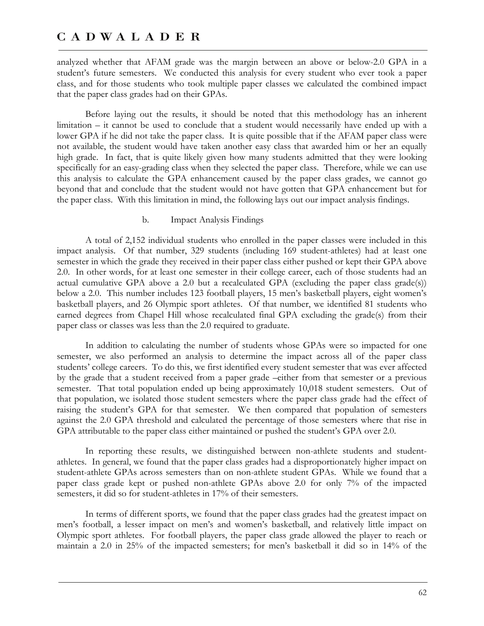analyzed whether that AFAM grade was the margin between an above or below-2.0 GPA in a student's future semesters. We conducted this analysis for every student who ever took a paper class, and for those students who took multiple paper classes we calculated the combined impact that the paper class grades had on their GPAs.

Before laying out the results, it should be noted that this methodology has an inherent limitation – it cannot be used to conclude that a student would necessarily have ended up with a lower GPA if he did not take the paper class. It is quite possible that if the AFAM paper class were not available, the student would have taken another easy class that awarded him or her an equally high grade. In fact, that is quite likely given how many students admitted that they were looking specifically for an easy-grading class when they selected the paper class. Therefore, while we can use this analysis to calculate the GPA enhancement caused by the paper class grades, we cannot go beyond that and conclude that the student would not have gotten that GPA enhancement but for the paper class. With this limitation in mind, the following lays out our impact analysis findings.

#### b. Impact Analysis Findings

A total of 2,152 individual students who enrolled in the paper classes were included in this impact analysis. Of that number, 329 students (including 169 student-athletes) had at least one semester in which the grade they received in their paper class either pushed or kept their GPA above 2.0. In other words, for at least one semester in their college career, each of those students had an actual cumulative GPA above a 2.0 but a recalculated GPA (excluding the paper class grade(s)) below a 2.0. This number includes 123 football players, 15 men's basketball players, eight women's basketball players, and 26 Olympic sport athletes. Of that number, we identified 81 students who earned degrees from Chapel Hill whose recalculated final GPA excluding the grade(s) from their paper class or classes was less than the 2.0 required to graduate.

In addition to calculating the number of students whose GPAs were so impacted for one semester, we also performed an analysis to determine the impact across all of the paper class students' college careers. To do this, we first identified every student semester that was ever affected by the grade that a student received from a paper grade –either from that semester or a previous semester. That total population ended up being approximately 10,018 student semesters. Out of that population, we isolated those student semesters where the paper class grade had the effect of raising the student's GPA for that semester. We then compared that population of semesters against the 2.0 GPA threshold and calculated the percentage of those semesters where that rise in GPA attributable to the paper class either maintained or pushed the student's GPA over 2.0.

In reporting these results, we distinguished between non-athlete students and studentathletes. In general, we found that the paper class grades had a disproportionately higher impact on student-athlete GPAs across semesters than on non-athlete student GPAs. While we found that a paper class grade kept or pushed non-athlete GPAs above 2.0 for only 7% of the impacted semesters, it did so for student-athletes in 17% of their semesters.

In terms of different sports, we found that the paper class grades had the greatest impact on men's football, a lesser impact on men's and women's basketball, and relatively little impact on Olympic sport athletes. For football players, the paper class grade allowed the player to reach or maintain a 2.0 in 25% of the impacted semesters; for men's basketball it did so in 14% of the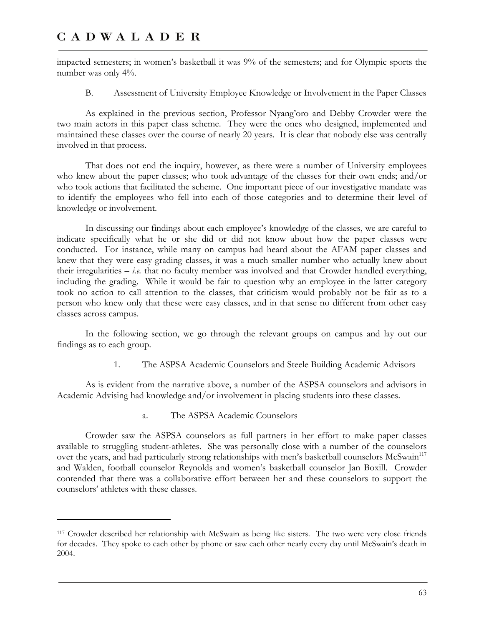<u>.</u>

impacted semesters; in women's basketball it was 9% of the semesters; and for Olympic sports the number was only 4%.

B. Assessment of University Employee Knowledge or Involvement in the Paper Classes

As explained in the previous section, Professor Nyang'oro and Debby Crowder were the two main actors in this paper class scheme. They were the ones who designed, implemented and maintained these classes over the course of nearly 20 years. It is clear that nobody else was centrally involved in that process.

That does not end the inquiry, however, as there were a number of University employees who knew about the paper classes; who took advantage of the classes for their own ends; and/or who took actions that facilitated the scheme. One important piece of our investigative mandate was to identify the employees who fell into each of those categories and to determine their level of knowledge or involvement.

In discussing our findings about each employee's knowledge of the classes, we are careful to indicate specifically what he or she did or did not know about how the paper classes were conducted. For instance, while many on campus had heard about the AFAM paper classes and knew that they were easy-grading classes, it was a much smaller number who actually knew about their irregularities  $- i.e.$  that no faculty member was involved and that Crowder handled everything, including the grading. While it would be fair to question why an employee in the latter category took no action to call attention to the classes, that criticism would probably not be fair as to a person who knew only that these were easy classes, and in that sense no different from other easy classes across campus.

In the following section, we go through the relevant groups on campus and lay out our findings as to each group.

1. The ASPSA Academic Counselors and Steele Building Academic Advisors

As is evident from the narrative above, a number of the ASPSA counselors and advisors in Academic Advising had knowledge and/or involvement in placing students into these classes.

a. The ASPSA Academic Counselors

Crowder saw the ASPSA counselors as full partners in her effort to make paper classes available to struggling student-athletes. She was personally close with a number of the counselors over the years, and had particularly strong relationships with men's basketball counselors McSwain<sup>117</sup> and Walden, football counselor Reynolds and women's basketball counselor Jan Boxill. Crowder contended that there was a collaborative effort between her and these counselors to support the counselors' athletes with these classes.

<sup>117</sup> Crowder described her relationship with McSwain as being like sisters. The two were very close friends for decades. They spoke to each other by phone or saw each other nearly every day until McSwain's death in 2004.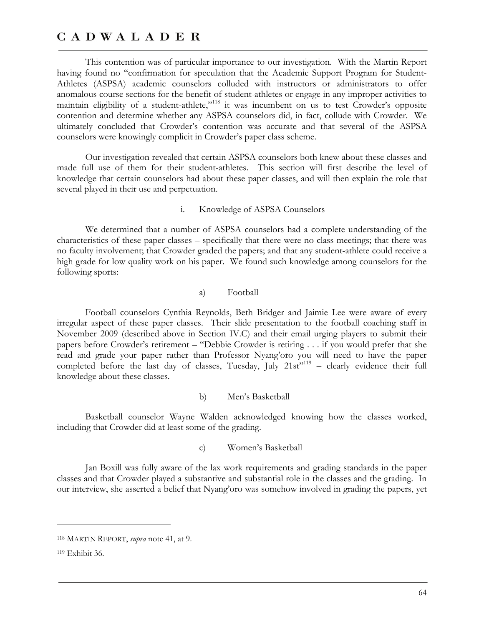This contention was of particular importance to our investigation. With the Martin Report having found no "confirmation for speculation that the Academic Support Program for Student-Athletes (ASPSA) academic counselors colluded with instructors or administrators to offer anomalous course sections for the benefit of student-athletes or engage in any improper activities to maintain eligibility of a student-athlete,"<sup>118</sup> it was incumbent on us to test Crowder's opposite contention and determine whether any ASPSA counselors did, in fact, collude with Crowder. We ultimately concluded that Crowder's contention was accurate and that several of the ASPSA counselors were knowingly complicit in Crowder's paper class scheme.

Our investigation revealed that certain ASPSA counselors both knew about these classes and made full use of them for their student-athletes. This section will first describe the level of knowledge that certain counselors had about these paper classes, and will then explain the role that several played in their use and perpetuation.

#### i. Knowledge of ASPSA Counselors

We determined that a number of ASPSA counselors had a complete understanding of the characteristics of these paper classes – specifically that there were no class meetings; that there was no faculty involvement; that Crowder graded the papers; and that any student-athlete could receive a high grade for low quality work on his paper. We found such knowledge among counselors for the following sports:

#### a) Football

Football counselors Cynthia Reynolds, Beth Bridger and Jaimie Lee were aware of every irregular aspect of these paper classes. Their slide presentation to the football coaching staff in November 2009 (described above in Section IV.C) and their email urging players to submit their papers before Crowder's retirement – "Debbie Crowder is retiring . . . if you would prefer that she read and grade your paper rather than Professor Nyang'oro you will need to have the paper completed before the last day of classes, Tuesday, July  $21st^{\frac{1}{2}}$  – clearly evidence their full knowledge about these classes.

b) Men's Basketball

Basketball counselor Wayne Walden acknowledged knowing how the classes worked, including that Crowder did at least some of the grading.

c) Women's Basketball

Jan Boxill was fully aware of the lax work requirements and grading standards in the paper classes and that Crowder played a substantive and substantial role in the classes and the grading. In our interview, she asserted a belief that Nyang'oro was somehow involved in grading the papers, yet

<sup>118</sup> MARTIN REPORT, *supra* note 41, at 9.

<sup>119</sup> Exhibit 36.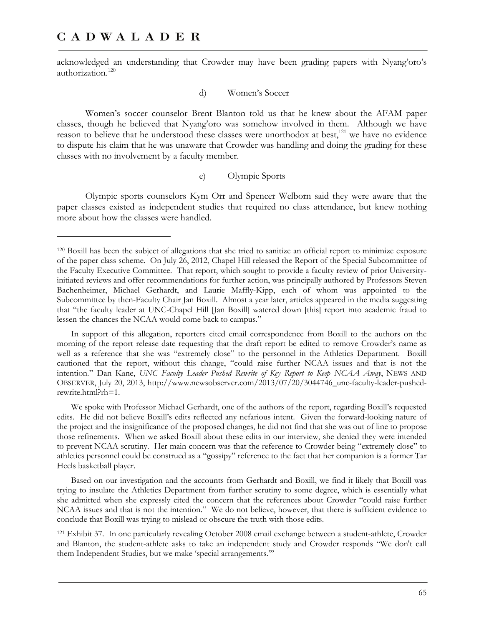-

acknowledged an understanding that Crowder may have been grading papers with Nyang'oro's authorization.<sup>120</sup>

#### d) Women's Soccer

Women's soccer counselor Brent Blanton told us that he knew about the AFAM paper classes, though he believed that Nyang'oro was somehow involved in them. Although we have reason to believe that he understood these classes were unorthodox at best,<sup>121</sup> we have no evidence to dispute his claim that he was unaware that Crowder was handling and doing the grading for these classes with no involvement by a faculty member.

#### e) Olympic Sports

Olympic sports counselors Kym Orr and Spencer Welborn said they were aware that the paper classes existed as independent studies that required no class attendance, but knew nothing more about how the classes were handled.

In support of this allegation, reporters cited email correspondence from Boxill to the authors on the morning of the report release date requesting that the draft report be edited to remove Crowder's name as well as a reference that she was "extremely close" to the personnel in the Athletics Department. Boxill cautioned that the report, without this change, "could raise further NCAA issues and that is not the intention." Dan Kane, *UNC Faculty Leader Pushed Rewrite of Key Report to Keep NCAA Away*, NEWS AND OBSERVER, July 20, 2013, http://www.newsobserver.com/2013/07/20/3044746\_unc-faculty-leader-pushedrewrite.html?rh=1.

We spoke with Professor Michael Gerhardt, one of the authors of the report, regarding Boxill's requested edits. He did not believe Boxill's edits reflected any nefarious intent. Given the forward-looking nature of the project and the insignificance of the proposed changes, he did not find that she was out of line to propose those refinements. When we asked Boxill about these edits in our interview, she denied they were intended to prevent NCAA scrutiny. Her main concern was that the reference to Crowder being "extremely close" to athletics personnel could be construed as a "gossipy" reference to the fact that her companion is a former Tar Heels basketball player.

Based on our investigation and the accounts from Gerhardt and Boxill, we find it likely that Boxill was trying to insulate the Athletics Department from further scrutiny to some degree, which is essentially what she admitted when she expressly cited the concern that the references about Crowder "could raise further NCAA issues and that is not the intention." We do not believe, however, that there is sufficient evidence to conclude that Boxill was trying to mislead or obscure the truth with those edits.

121 Exhibit 37. In one particularly revealing October 2008 email exchange between a student-athlete, Crowder and Blanton, the student-athlete asks to take an independent study and Crowder responds "We don't call them Independent Studies, but we make 'special arrangements.'"

<sup>120</sup> Boxill has been the subject of allegations that she tried to sanitize an official report to minimize exposure of the paper class scheme. On July 26, 2012, Chapel Hill released the Report of the Special Subcommittee of the Faculty Executive Committee. That report, which sought to provide a faculty review of prior Universityinitiated reviews and offer recommendations for further action, was principally authored by Professors Steven Bachenheimer, Michael Gerhardt, and Laurie Maffly-Kipp, each of whom was appointed to the Subcommittee by then-Faculty Chair Jan Boxill. Almost a year later, articles appeared in the media suggesting that "the faculty leader at UNC-Chapel Hill [Jan Boxill] watered down [this] report into academic fraud to lessen the chances the NCAA would come back to campus."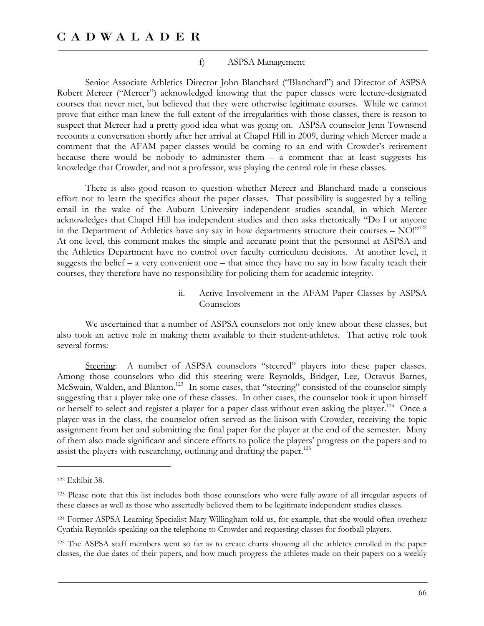#### f) ASPSA Management

Senior Associate Athletics Director John Blanchard ("Blanchard") and Director of ASPSA Robert Mercer ("Mercer") acknowledged knowing that the paper classes were lecture-designated courses that never met, but believed that they were otherwise legitimate courses. While we cannot prove that either man knew the full extent of the irregularities with those classes, there is reason to suspect that Mercer had a pretty good idea what was going on. ASPSA counselor Jenn Townsend recounts a conversation shortly after her arrival at Chapel Hill in 2009, during which Mercer made a comment that the AFAM paper classes would be coming to an end with Crowder's retirement because there would be nobody to administer them  $-$  a comment that at least suggests his knowledge that Crowder, and not a professor, was playing the central role in these classes.

There is also good reason to question whether Mercer and Blanchard made a conscious effort not to learn the specifics about the paper classes. That possibility is suggested by a telling email in the wake of the Auburn University independent studies scandal, in which Mercer acknowledges that Chapel Hill has independent studies and then asks rhetorically "Do I or anyone in the Department of Athletics have any say in how departments structure their courses – NO!"122 At one level, this comment makes the simple and accurate point that the personnel at ASPSA and the Athletics Department have no control over faculty curriculum decisions. At another level, it suggests the belief – a very convenient one – that since they have no say in how faculty teach their courses, they therefore have no responsibility for policing them for academic integrity.

> ii. Active Involvement in the AFAM Paper Classes by ASPSA Counselors

We ascertained that a number of ASPSA counselors not only knew about these classes, but also took an active role in making them available to their student-athletes. That active role took several forms:

Steering: A number of ASPSA counselors "steered" players into these paper classes. Among those counselors who did this steering were Reynolds, Bridger, Lee, Octavus Barnes, McSwain, Walden, and Blanton.<sup>123</sup> In some cases, that "steering" consisted of the counselor simply suggesting that a player take one of these classes. In other cases, the counselor took it upon himself or herself to select and register a player for a paper class without even asking the player.<sup>124</sup> Once a player was in the class, the counselor often served as the liaison with Crowder, receiving the topic assignment from her and submitting the final paper for the player at the end of the semester. Many of them also made significant and sincere efforts to police the players' progress on the papers and to assist the players with researching, outlining and drafting the paper.<sup>125</sup>

 $\overline{a}$ 

125 The ASPSA staff members went so far as to create charts showing all the athletes enrolled in the paper classes, the due dates of their papers, and how much progress the athletes made on their papers on a weekly

<sup>122</sup> Exhibit 38.

<sup>123</sup> Please note that this list includes both those counselors who were fully aware of all irregular aspects of these classes as well as those who assertedly believed them to be legitimate independent studies classes.

<sup>124</sup> Former ASPSA Learning Specialist Mary Willingham told us, for example, that she would often overhear Cynthia Reynolds speaking on the telephone to Crowder and requesting classes for football players.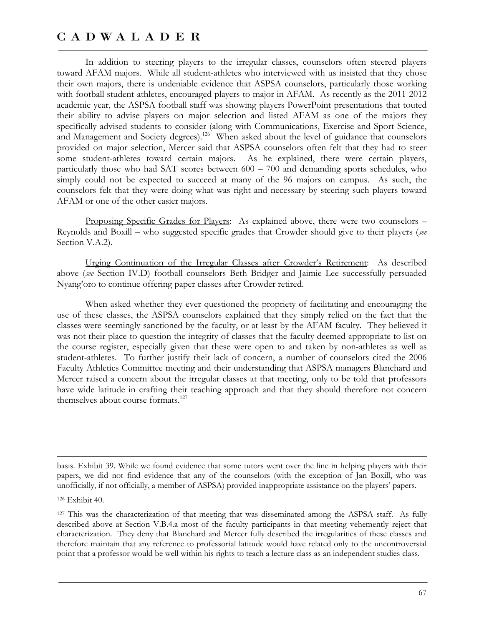In addition to steering players to the irregular classes, counselors often steered players toward AFAM majors. While all student-athletes who interviewed with us insisted that they chose their own majors, there is undeniable evidence that ASPSA counselors, particularly those working with football student-athletes, encouraged players to major in AFAM. As recently as the 2011-2012 academic year, the ASPSA football staff was showing players PowerPoint presentations that touted their ability to advise players on major selection and listed AFAM as one of the majors they specifically advised students to consider (along with Communications, Exercise and Sport Science, and Management and Society degrees).<sup>126</sup> When asked about the level of guidance that counselors provided on major selection, Mercer said that ASPSA counselors often felt that they had to steer some student-athletes toward certain majors. As he explained, there were certain players, particularly those who had SAT scores between 600 – 700 and demanding sports schedules, who simply could not be expected to succeed at many of the 96 majors on campus. As such, the counselors felt that they were doing what was right and necessary by steering such players toward AFAM or one of the other easier majors.

Proposing Specific Grades for Players: As explained above, there were two counselors -Reynolds and Boxill – who suggested specific grades that Crowder should give to their players (*see* Section V.A.2).

Urging Continuation of the Irregular Classes after Crowder's Retirement: As described above (*see* Section IV.D) football counselors Beth Bridger and Jaimie Lee successfully persuaded Nyang'oro to continue offering paper classes after Crowder retired.

When asked whether they ever questioned the propriety of facilitating and encouraging the use of these classes, the ASPSA counselors explained that they simply relied on the fact that the classes were seemingly sanctioned by the faculty, or at least by the AFAM faculty. They believed it was not their place to question the integrity of classes that the faculty deemed appropriate to list on the course register, especially given that these were open to and taken by non-athletes as well as student-athletes. To further justify their lack of concern, a number of counselors cited the 2006 Faculty Athletics Committee meeting and their understanding that ASPSA managers Blanchard and Mercer raised a concern about the irregular classes at that meeting, only to be told that professors have wide latitude in crafting their teaching approach and that they should therefore not concern themselves about course formats.<sup>127</sup>

basis. Exhibit 39. While we found evidence that some tutors went over the line in helping players with their papers, we did not find evidence that any of the counselors (with the exception of Jan Boxill, who was unofficially, if not officially, a member of ASPSA) provided inappropriate assistance on the players' papers.

 $\overline{a}$ 

127 This was the characterization of that meeting that was disseminated among the ASPSA staff. As fully described above at Section V.B.4.a most of the faculty participants in that meeting vehemently reject that characterization. They deny that Blanchard and Mercer fully described the irregularities of these classes and therefore maintain that any reference to professorial latitude would have related only to the uncontroversial point that a professor would be well within his rights to teach a lecture class as an independent studies class.

<sup>126</sup> Exhibit 40.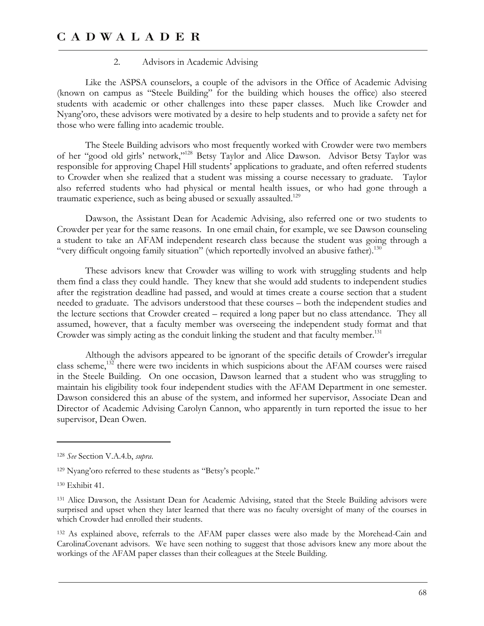#### 2. Advisors in Academic Advising

Like the ASPSA counselors, a couple of the advisors in the Office of Academic Advising (known on campus as "Steele Building" for the building which houses the office) also steered students with academic or other challenges into these paper classes. Much like Crowder and Nyang'oro, these advisors were motivated by a desire to help students and to provide a safety net for those who were falling into academic trouble.

The Steele Building advisors who most frequently worked with Crowder were two members of her "good old girls' network,"128 Betsy Taylor and Alice Dawson. Advisor Betsy Taylor was responsible for approving Chapel Hill students' applications to graduate, and often referred students to Crowder when she realized that a student was missing a course necessary to graduate. Taylor also referred students who had physical or mental health issues, or who had gone through a traumatic experience, such as being abused or sexually assaulted.<sup>129</sup>

Dawson, the Assistant Dean for Academic Advising, also referred one or two students to Crowder per year for the same reasons. In one email chain, for example, we see Dawson counseling a student to take an AFAM independent research class because the student was going through a "very difficult ongoing family situation" (which reportedly involved an abusive father).<sup>130</sup>

These advisors knew that Crowder was willing to work with struggling students and help them find a class they could handle. They knew that she would add students to independent studies after the registration deadline had passed, and would at times create a course section that a student needed to graduate. The advisors understood that these courses – both the independent studies and the lecture sections that Crowder created – required a long paper but no class attendance. They all assumed, however, that a faculty member was overseeing the independent study format and that Crowder was simply acting as the conduit linking the student and that faculty member.<sup>131</sup>

Although the advisors appeared to be ignorant of the specific details of Crowder's irregular class scheme,<sup>132</sup> there were two incidents in which suspicions about the AFAM courses were raised in the Steele Building. On one occasion, Dawson learned that a student who was struggling to maintain his eligibility took four independent studies with the AFAM Department in one semester. Dawson considered this an abuse of the system, and informed her supervisor, Associate Dean and Director of Academic Advising Carolyn Cannon, who apparently in turn reported the issue to her supervisor, Dean Owen.

-

<sup>132</sup> As explained above, referrals to the AFAM paper classes were also made by the Morehead-Cain and CarolinaCovenant advisors. We have seen nothing to suggest that those advisors knew any more about the workings of the AFAM paper classes than their colleagues at the Steele Building.

<sup>128</sup> *See* Section V.A.4.b, *supra*.

<sup>129</sup> Nyang'oro referred to these students as "Betsy's people."

<sup>130</sup> Exhibit 41.

<sup>131</sup> Alice Dawson, the Assistant Dean for Academic Advising, stated that the Steele Building advisors were surprised and upset when they later learned that there was no faculty oversight of many of the courses in which Crowder had enrolled their students.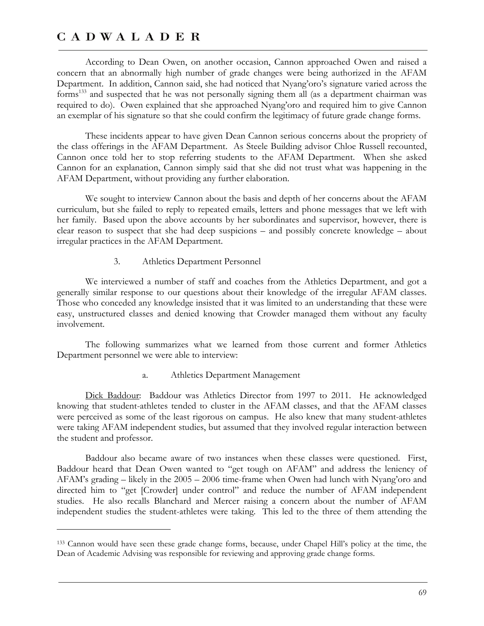$\overline{a}$ 

According to Dean Owen, on another occasion, Cannon approached Owen and raised a concern that an abnormally high number of grade changes were being authorized in the AFAM Department. In addition, Cannon said, she had noticed that Nyang'oro's signature varied across the forms<sup>133</sup> and suspected that he was not personally signing them all (as a department chairman was required to do). Owen explained that she approached Nyang'oro and required him to give Cannon an exemplar of his signature so that she could confirm the legitimacy of future grade change forms.

These incidents appear to have given Dean Cannon serious concerns about the propriety of the class offerings in the AFAM Department. As Steele Building advisor Chloe Russell recounted, Cannon once told her to stop referring students to the AFAM Department. When she asked Cannon for an explanation, Cannon simply said that she did not trust what was happening in the AFAM Department, without providing any further elaboration.

We sought to interview Cannon about the basis and depth of her concerns about the AFAM curriculum, but she failed to reply to repeated emails, letters and phone messages that we left with her family. Based upon the above accounts by her subordinates and supervisor, however, there is clear reason to suspect that she had deep suspicions – and possibly concrete knowledge – about irregular practices in the AFAM Department.

3. Athletics Department Personnel

We interviewed a number of staff and coaches from the Athletics Department, and got a generally similar response to our questions about their knowledge of the irregular AFAM classes. Those who conceded any knowledge insisted that it was limited to an understanding that these were easy, unstructured classes and denied knowing that Crowder managed them without any faculty involvement.

The following summarizes what we learned from those current and former Athletics Department personnel we were able to interview:

a. Athletics Department Management

Dick Baddour: Baddour was Athletics Director from 1997 to 2011. He acknowledged knowing that student-athletes tended to cluster in the AFAM classes, and that the AFAM classes were perceived as some of the least rigorous on campus. He also knew that many student-athletes were taking AFAM independent studies, but assumed that they involved regular interaction between the student and professor.

Baddour also became aware of two instances when these classes were questioned. First, Baddour heard that Dean Owen wanted to "get tough on AFAM" and address the leniency of AFAM's grading – likely in the 2005 – 2006 time-frame when Owen had lunch with Nyang'oro and directed him to "get [Crowder] under control" and reduce the number of AFAM independent studies. He also recalls Blanchard and Mercer raising a concern about the number of AFAM independent studies the student-athletes were taking. This led to the three of them attending the

<sup>133</sup> Cannon would have seen these grade change forms, because, under Chapel Hill's policy at the time, the Dean of Academic Advising was responsible for reviewing and approving grade change forms.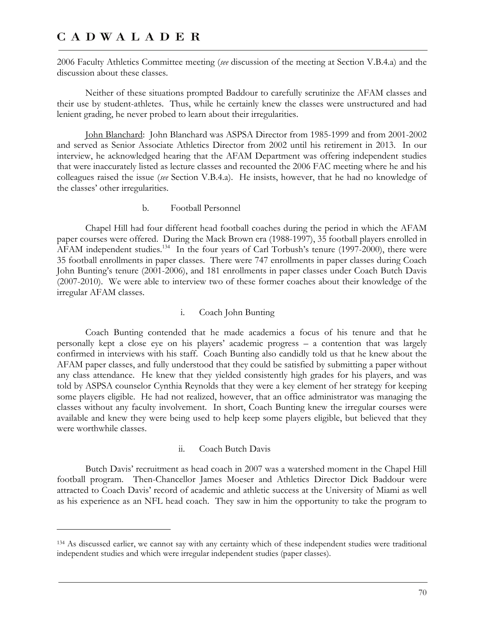$\overline{a}$ 

2006 Faculty Athletics Committee meeting (*see* discussion of the meeting at Section V.B.4.a) and the discussion about these classes.

Neither of these situations prompted Baddour to carefully scrutinize the AFAM classes and their use by student-athletes. Thus, while he certainly knew the classes were unstructured and had lenient grading, he never probed to learn about their irregularities.

John Blanchard: John Blanchard was ASPSA Director from 1985-1999 and from 2001-2002 and served as Senior Associate Athletics Director from 2002 until his retirement in 2013. In our interview, he acknowledged hearing that the AFAM Department was offering independent studies that were inaccurately listed as lecture classes and recounted the 2006 FAC meeting where he and his colleagues raised the issue (*see* Section V.B.4.a). He insists, however, that he had no knowledge of the classes' other irregularities.

b. Football Personnel

Chapel Hill had four different head football coaches during the period in which the AFAM paper courses were offered. During the Mack Brown era (1988-1997), 35 football players enrolled in AFAM independent studies.<sup>134</sup> In the four years of Carl Torbush's tenure (1997-2000), there were 35 football enrollments in paper classes. There were 747 enrollments in paper classes during Coach John Bunting's tenure (2001-2006), and 181 enrollments in paper classes under Coach Butch Davis (2007-2010). We were able to interview two of these former coaches about their knowledge of the irregular AFAM classes.

### i. Coach John Bunting

Coach Bunting contended that he made academics a focus of his tenure and that he personally kept a close eye on his players' academic progress – a contention that was largely confirmed in interviews with his staff. Coach Bunting also candidly told us that he knew about the AFAM paper classes, and fully understood that they could be satisfied by submitting a paper without any class attendance. He knew that they yielded consistently high grades for his players, and was told by ASPSA counselor Cynthia Reynolds that they were a key element of her strategy for keeping some players eligible. He had not realized, however, that an office administrator was managing the classes without any faculty involvement. In short, Coach Bunting knew the irregular courses were available and knew they were being used to help keep some players eligible, but believed that they were worthwhile classes.

#### ii. Coach Butch Davis

Butch Davis' recruitment as head coach in 2007 was a watershed moment in the Chapel Hill football program. Then-Chancellor James Moeser and Athletics Director Dick Baddour were attracted to Coach Davis' record of academic and athletic success at the University of Miami as well as his experience as an NFL head coach. They saw in him the opportunity to take the program to

<sup>134</sup> As discussed earlier, we cannot say with any certainty which of these independent studies were traditional independent studies and which were irregular independent studies (paper classes).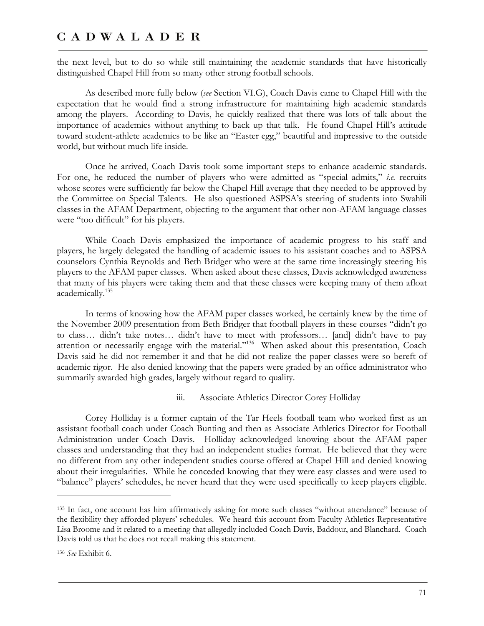the next level, but to do so while still maintaining the academic standards that have historically distinguished Chapel Hill from so many other strong football schools.

As described more fully below (*see* Section VI.G), Coach Davis came to Chapel Hill with the expectation that he would find a strong infrastructure for maintaining high academic standards among the players. According to Davis, he quickly realized that there was lots of talk about the importance of academics without anything to back up that talk. He found Chapel Hill's attitude toward student-athlete academics to be like an "Easter egg," beautiful and impressive to the outside world, but without much life inside.

Once he arrived, Coach Davis took some important steps to enhance academic standards. For one, he reduced the number of players who were admitted as "special admits," *i.e.* recruits whose scores were sufficiently far below the Chapel Hill average that they needed to be approved by the Committee on Special Talents. He also questioned ASPSA's steering of students into Swahili classes in the AFAM Department, objecting to the argument that other non-AFAM language classes were "too difficult" for his players.

While Coach Davis emphasized the importance of academic progress to his staff and players, he largely delegated the handling of academic issues to his assistant coaches and to ASPSA counselors Cynthia Reynolds and Beth Bridger who were at the same time increasingly steering his players to the AFAM paper classes. When asked about these classes, Davis acknowledged awareness that many of his players were taking them and that these classes were keeping many of them afloat academically.<sup>135</sup>

In terms of knowing how the AFAM paper classes worked, he certainly knew by the time of the November 2009 presentation from Beth Bridger that football players in these courses "didn't go to class… didn't take notes… didn't have to meet with professors… [and] didn't have to pay attention or necessarily engage with the material."136 When asked about this presentation, Coach Davis said he did not remember it and that he did not realize the paper classes were so bereft of academic rigor. He also denied knowing that the papers were graded by an office administrator who summarily awarded high grades, largely without regard to quality.

#### iii. Associate Athletics Director Corey Holliday

Corey Holliday is a former captain of the Tar Heels football team who worked first as an assistant football coach under Coach Bunting and then as Associate Athletics Director for Football Administration under Coach Davis. Holliday acknowledged knowing about the AFAM paper classes and understanding that they had an independent studies format. He believed that they were no different from any other independent studies course offered at Chapel Hill and denied knowing about their irregularities. While he conceded knowing that they were easy classes and were used to "balance" players' schedules, he never heard that they were used specifically to keep players eligible.

 $\overline{a}$ 

<sup>135</sup> In fact, one account has him affirmatively asking for more such classes "without attendance" because of the flexibility they afforded players' schedules. We heard this account from Faculty Athletics Representative Lisa Broome and it related to a meeting that allegedly included Coach Davis, Baddour, and Blanchard. Coach Davis told us that he does not recall making this statement.

<sup>136</sup> *See* Exhibit 6.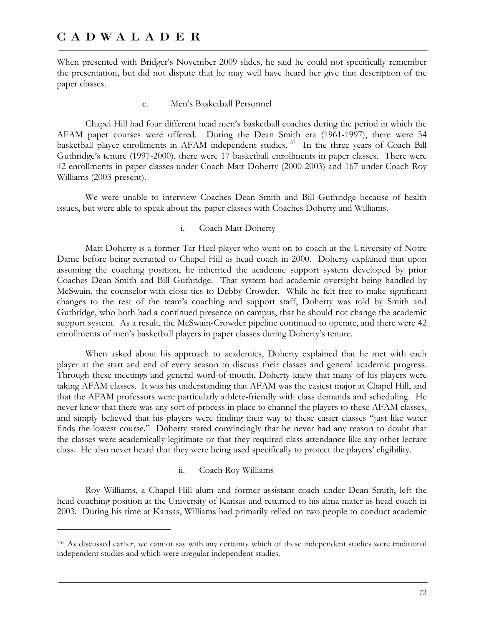-

When presented with Bridger's November 2009 slides, he said he could not specifically remember the presentation, but did not dispute that he may well have heard her give that description of the paper classes.

#### c. Men's Basketball Personnel

Chapel Hill had four different head men's basketball coaches during the period in which the AFAM paper courses were offered. During the Dean Smith era (1961-1997), there were 54 basketball player enrollments in AFAM independent studies.<sup>137</sup> In the three years of Coach Bill Guthridge's tenure (1997-2000), there were 17 basketball enrollments in paper classes. There were 42 enrollments in paper classes under Coach Matt Doherty (2000-2003) and 167 under Coach Roy Williams (2003-present).

We were unable to interview Coaches Dean Smith and Bill Guthridge because of health issues, but were able to speak about the paper classes with Coaches Doherty and Williams.

### i. Coach Matt Doherty

Matt Doherty is a former Tar Heel player who went on to coach at the University of Notre Dame before being recruited to Chapel Hill as head coach in 2000. Doherty explained that upon assuming the coaching position, he inherited the academic support system developed by prior Coaches Dean Smith and Bill Guthridge. That system had academic oversight being handled by McSwain, the counselor with close ties to Debby Crowder. While he felt free to make significant changes to the rest of the team's coaching and support staff, Doherty was told by Smith and Guthridge, who both had a continued presence on campus, that he should not change the academic support system. As a result, the McSwain-Crowder pipeline continued to operate, and there were 42 enrollments of men's basketball players in paper classes during Doherty's tenure.

When asked about his approach to academics, Doherty explained that he met with each player at the start and end of every season to discuss their classes and general academic progress. Through these meetings and general word-of-mouth, Doherty knew that many of his players were taking AFAM classes. It was his understanding that AFAM was the easiest major at Chapel Hill, and that the AFAM professors were particularly athlete-friendly with class demands and scheduling. He never knew that there was any sort of process in place to channel the players to these AFAM classes, and simply believed that his players were finding their way to these easier classes "just like water finds the lowest course." Doherty stated convincingly that he never had any reason to doubt that the classes were academically legitimate or that they required class attendance like any other lecture class. He also never heard that they were being used specifically to protect the players' eligibility.

### ii. Coach Roy Williams

Roy Williams, a Chapel Hill alum and former assistant coach under Dean Smith, left the head coaching position at the University of Kansas and returned to his alma mater as head coach in 2003. During his time at Kansas, Williams had primarily relied on two people to conduct academic

<sup>137</sup> As discussed earlier, we cannot say with any certainty which of these independent studies were traditional independent studies and which were irregular independent studies.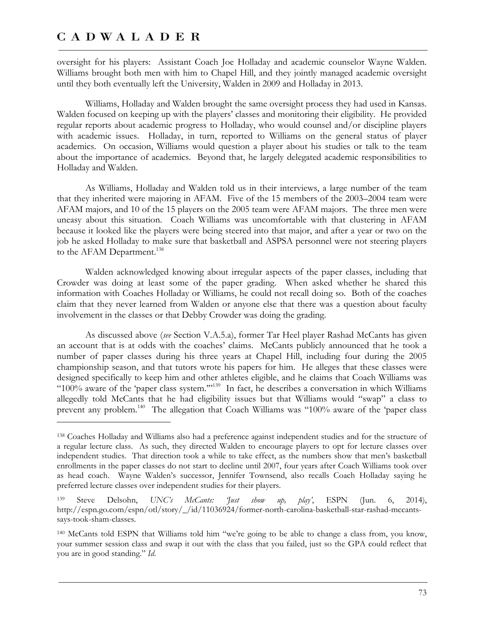$\overline{a}$ 

oversight for his players: Assistant Coach Joe Holladay and academic counselor Wayne Walden. Williams brought both men with him to Chapel Hill, and they jointly managed academic oversight until they both eventually left the University, Walden in 2009 and Holladay in 2013.

Williams, Holladay and Walden brought the same oversight process they had used in Kansas. Walden focused on keeping up with the players' classes and monitoring their eligibility. He provided regular reports about academic progress to Holladay, who would counsel and/or discipline players with academic issues. Holladay, in turn, reported to Williams on the general status of player academics. On occasion, Williams would question a player about his studies or talk to the team about the importance of academics. Beyond that, he largely delegated academic responsibilities to Holladay and Walden.

As Williams, Holladay and Walden told us in their interviews, a large number of the team that they inherited were majoring in AFAM. Five of the 15 members of the 2003–2004 team were AFAM majors, and 10 of the 15 players on the 2005 team were AFAM majors. The three men were uneasy about this situation. Coach Williams was uncomfortable with that clustering in AFAM because it looked like the players were being steered into that major, and after a year or two on the job he asked Holladay to make sure that basketball and ASPSA personnel were not steering players to the AFAM Department.<sup>138</sup>

Walden acknowledged knowing about irregular aspects of the paper classes, including that Crowder was doing at least some of the paper grading. When asked whether he shared this information with Coaches Holladay or Williams, he could not recall doing so. Both of the coaches claim that they never learned from Walden or anyone else that there was a question about faculty involvement in the classes or that Debby Crowder was doing the grading.

As discussed above (*see* Section V.A.5.a), former Tar Heel player Rashad McCants has given an account that is at odds with the coaches' claims. McCants publicly announced that he took a number of paper classes during his three years at Chapel Hill, including four during the 2005 championship season, and that tutors wrote his papers for him. He alleges that these classes were designed specifically to keep him and other athletes eligible, and he claims that Coach Williams was "100% aware of the 'paper class system.'"139 In fact, he describes a conversation in which Williams allegedly told McCants that he had eligibility issues but that Williams would "swap" a class to prevent any problem.140 The allegation that Coach Williams was "100% aware of the 'paper class

<sup>138</sup> Coaches Holladay and Williams also had a preference against independent studies and for the structure of a regular lecture class. As such, they directed Walden to encourage players to opt for lecture classes over independent studies. That direction took a while to take effect, as the numbers show that men's basketball enrollments in the paper classes do not start to decline until 2007, four years after Coach Williams took over as head coach. Wayne Walden's successor, Jennifer Townsend, also recalls Coach Holladay saying he preferred lecture classes over independent studies for their players.

<sup>139</sup> Steve Delsohn, *UNC's McCants: 'Just show up, play'*, ESPN (Jun. 6, 2014), http://espn.go.com/espn/otl/story/\_/id/11036924/former-north-carolina-basketball-star-rashad-mccantssays-took-sham-classes.

<sup>140</sup> McCants told ESPN that Williams told him "we're going to be able to change a class from, you know, your summer session class and swap it out with the class that you failed, just so the GPA could reflect that you are in good standing." *Id*.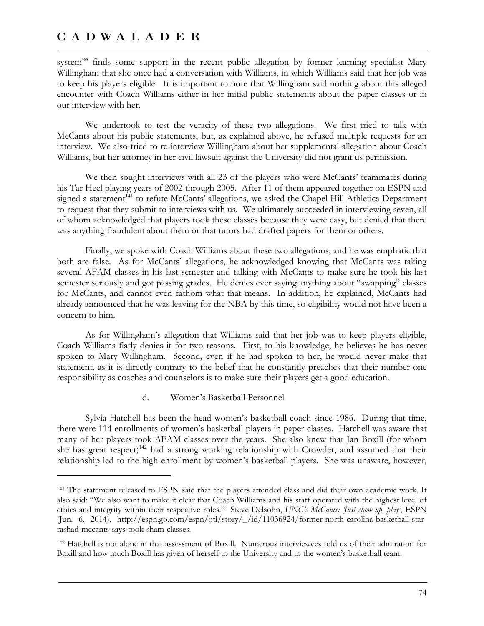$\overline{a}$ 

system'" finds some support in the recent public allegation by former learning specialist Mary Willingham that she once had a conversation with Williams, in which Williams said that her job was to keep his players eligible. It is important to note that Willingham said nothing about this alleged encounter with Coach Williams either in her initial public statements about the paper classes or in our interview with her.

We undertook to test the veracity of these two allegations. We first tried to talk with McCants about his public statements, but, as explained above, he refused multiple requests for an interview. We also tried to re-interview Willingham about her supplemental allegation about Coach Williams, but her attorney in her civil lawsuit against the University did not grant us permission.

We then sought interviews with all 23 of the players who were McCants' teammates during his Tar Heel playing years of 2002 through 2005. After 11 of them appeared together on ESPN and signed a statement<sup>141</sup> to refute McCants' allegations, we asked the Chapel Hill Athletics Department to request that they submit to interviews with us. We ultimately succeeded in interviewing seven, all of whom acknowledged that players took these classes because they were easy, but denied that there was anything fraudulent about them or that tutors had drafted papers for them or others.

Finally, we spoke with Coach Williams about these two allegations, and he was emphatic that both are false. As for McCants' allegations, he acknowledged knowing that McCants was taking several AFAM classes in his last semester and talking with McCants to make sure he took his last semester seriously and got passing grades. He denies ever saying anything about "swapping" classes for McCants, and cannot even fathom what that means. In addition, he explained, McCants had already announced that he was leaving for the NBA by this time, so eligibility would not have been a concern to him.

As for Willingham's allegation that Williams said that her job was to keep players eligible, Coach Williams flatly denies it for two reasons. First, to his knowledge, he believes he has never spoken to Mary Willingham. Second, even if he had spoken to her, he would never make that statement, as it is directly contrary to the belief that he constantly preaches that their number one responsibility as coaches and counselors is to make sure their players get a good education.

### d. Women's Basketball Personnel

Sylvia Hatchell has been the head women's basketball coach since 1986. During that time, there were 114 enrollments of women's basketball players in paper classes. Hatchell was aware that many of her players took AFAM classes over the years. She also knew that Jan Boxill (for whom she has great respect)<sup>142</sup> had a strong working relationship with Crowder, and assumed that their relationship led to the high enrollment by women's basketball players. She was unaware, however,

<sup>141</sup> The statement released to ESPN said that the players attended class and did their own academic work. It also said: "We also want to make it clear that Coach Williams and his staff operated with the highest level of ethics and integrity within their respective roles." Steve Delsohn, *UNC's McCants: 'Just show up, play'*, ESPN (Jun. 6, 2014), http://espn.go.com/espn/otl/story/\_/id/11036924/former-north-carolina-basketball-starrashad-mccants-says-took-sham-classes.

<sup>142</sup> Hatchell is not alone in that assessment of Boxill. Numerous interviewees told us of their admiration for Boxill and how much Boxill has given of herself to the University and to the women's basketball team.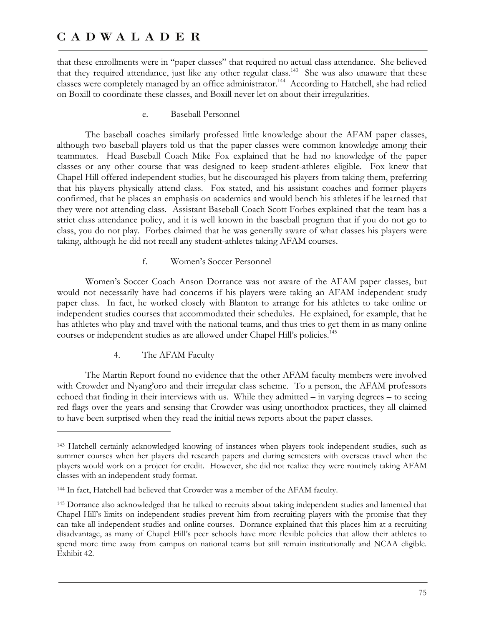that these enrollments were in "paper classes" that required no actual class attendance. She believed that they required attendance, just like any other regular class.<sup>143</sup> She was also unaware that these classes were completely managed by an office administrator.<sup>144</sup> According to Hatchell, she had relied on Boxill to coordinate these classes, and Boxill never let on about their irregularities.

e. Baseball Personnel

The baseball coaches similarly professed little knowledge about the AFAM paper classes, although two baseball players told us that the paper classes were common knowledge among their teammates. Head Baseball Coach Mike Fox explained that he had no knowledge of the paper classes or any other course that was designed to keep student-athletes eligible. Fox knew that Chapel Hill offered independent studies, but he discouraged his players from taking them, preferring that his players physically attend class. Fox stated, and his assistant coaches and former players confirmed, that he places an emphasis on academics and would bench his athletes if he learned that they were not attending class. Assistant Baseball Coach Scott Forbes explained that the team has a strict class attendance policy, and it is well known in the baseball program that if you do not go to class, you do not play. Forbes claimed that he was generally aware of what classes his players were taking, although he did not recall any student-athletes taking AFAM courses.

f. Women's Soccer Personnel

Women's Soccer Coach Anson Dorrance was not aware of the AFAM paper classes, but would not necessarily have had concerns if his players were taking an AFAM independent study paper class. In fact, he worked closely with Blanton to arrange for his athletes to take online or independent studies courses that accommodated their schedules. He explained, for example, that he has athletes who play and travel with the national teams, and thus tries to get them in as many online courses or independent studies as are allowed under Chapel Hill's policies.<sup>145</sup>

4. The AFAM Faculty

 $\overline{a}$ 

The Martin Report found no evidence that the other AFAM faculty members were involved with Crowder and Nyang'oro and their irregular class scheme. To a person, the AFAM professors echoed that finding in their interviews with us. While they admitted – in varying degrees – to seeing red flags over the years and sensing that Crowder was using unorthodox practices, they all claimed to have been surprised when they read the initial news reports about the paper classes.

<sup>143</sup> Hatchell certainly acknowledged knowing of instances when players took independent studies, such as summer courses when her players did research papers and during semesters with overseas travel when the players would work on a project for credit. However, she did not realize they were routinely taking AFAM classes with an independent study format.

<sup>144</sup> In fact, Hatchell had believed that Crowder was a member of the AFAM faculty.

<sup>145</sup> Dorrance also acknowledged that he talked to recruits about taking independent studies and lamented that Chapel Hill's limits on independent studies prevent him from recruiting players with the promise that they can take all independent studies and online courses. Dorrance explained that this places him at a recruiting disadvantage, as many of Chapel Hill's peer schools have more flexible policies that allow their athletes to spend more time away from campus on national teams but still remain institutionally and NCAA eligible. Exhibit 42.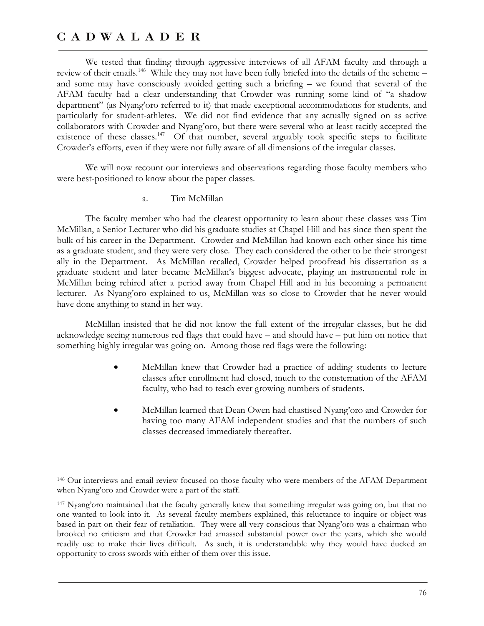$\overline{a}$ 

We tested that finding through aggressive interviews of all AFAM faculty and through a review of their emails.<sup>146</sup> While they may not have been fully briefed into the details of the scheme – and some may have consciously avoided getting such a briefing – we found that several of the AFAM faculty had a clear understanding that Crowder was running some kind of "a shadow department" (as Nyang'oro referred to it) that made exceptional accommodations for students, and particularly for student-athletes. We did not find evidence that any actually signed on as active collaborators with Crowder and Nyang'oro, but there were several who at least tacitly accepted the existence of these classes. $147$  Of that number, several arguably took specific steps to facilitate Crowder's efforts, even if they were not fully aware of all dimensions of the irregular classes.

We will now recount our interviews and observations regarding those faculty members who were best-positioned to know about the paper classes.

### a. Tim McMillan

The faculty member who had the clearest opportunity to learn about these classes was Tim McMillan, a Senior Lecturer who did his graduate studies at Chapel Hill and has since then spent the bulk of his career in the Department. Crowder and McMillan had known each other since his time as a graduate student, and they were very close. They each considered the other to be their strongest ally in the Department. As McMillan recalled, Crowder helped proofread his dissertation as a graduate student and later became McMillan's biggest advocate, playing an instrumental role in McMillan being rehired after a period away from Chapel Hill and in his becoming a permanent lecturer. As Nyang'oro explained to us, McMillan was so close to Crowder that he never would have done anything to stand in her way.

McMillan insisted that he did not know the full extent of the irregular classes, but he did acknowledge seeing numerous red flags that could have – and should have – put him on notice that something highly irregular was going on. Among those red flags were the following:

- McMillan knew that Crowder had a practice of adding students to lecture classes after enrollment had closed, much to the consternation of the AFAM faculty, who had to teach ever growing numbers of students.
- McMillan learned that Dean Owen had chastised Nyang'oro and Crowder for having too many AFAM independent studies and that the numbers of such classes decreased immediately thereafter.

<sup>146</sup> Our interviews and email review focused on those faculty who were members of the AFAM Department when Nyang'oro and Crowder were a part of the staff.

<sup>147</sup> Nyang'oro maintained that the faculty generally knew that something irregular was going on, but that no one wanted to look into it. As several faculty members explained, this reluctance to inquire or object was based in part on their fear of retaliation. They were all very conscious that Nyang'oro was a chairman who brooked no criticism and that Crowder had amassed substantial power over the years, which she would readily use to make their lives difficult. As such, it is understandable why they would have ducked an opportunity to cross swords with either of them over this issue.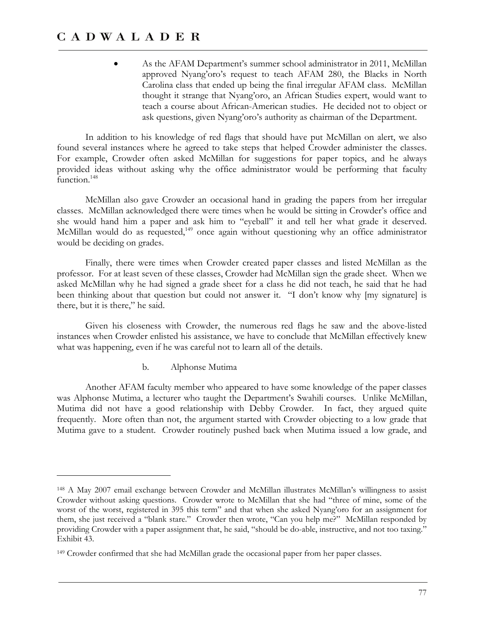As the AFAM Department's summer school administrator in 2011, McMillan approved Nyang'oro's request to teach AFAM 280, the Blacks in North Carolina class that ended up being the final irregular AFAM class. McMillan thought it strange that Nyang'oro, an African Studies expert, would want to teach a course about African-American studies. He decided not to object or ask questions, given Nyang'oro's authority as chairman of the Department.

In addition to his knowledge of red flags that should have put McMillan on alert, we also found several instances where he agreed to take steps that helped Crowder administer the classes. For example, Crowder often asked McMillan for suggestions for paper topics, and he always provided ideas without asking why the office administrator would be performing that faculty function.<sup>148</sup>

McMillan also gave Crowder an occasional hand in grading the papers from her irregular classes. McMillan acknowledged there were times when he would be sitting in Crowder's office and she would hand him a paper and ask him to "eyeball" it and tell her what grade it deserved. McMillan would do as requested,<sup>149</sup> once again without questioning why an office administrator would be deciding on grades.

Finally, there were times when Crowder created paper classes and listed McMillan as the professor. For at least seven of these classes, Crowder had McMillan sign the grade sheet. When we asked McMillan why he had signed a grade sheet for a class he did not teach, he said that he had been thinking about that question but could not answer it. "I don't know why [my signature] is there, but it is there," he said.

Given his closeness with Crowder, the numerous red flags he saw and the above-listed instances when Crowder enlisted his assistance, we have to conclude that McMillan effectively knew what was happening, even if he was careful not to learn all of the details.

b. Alphonse Mutima

 $\overline{a}$ 

Another AFAM faculty member who appeared to have some knowledge of the paper classes was Alphonse Mutima, a lecturer who taught the Department's Swahili courses. Unlike McMillan, Mutima did not have a good relationship with Debby Crowder. In fact, they argued quite frequently. More often than not, the argument started with Crowder objecting to a low grade that Mutima gave to a student. Crowder routinely pushed back when Mutima issued a low grade, and

<sup>148</sup> A May 2007 email exchange between Crowder and McMillan illustrates McMillan's willingness to assist Crowder without asking questions. Crowder wrote to McMillan that she had "three of mine, some of the worst of the worst, registered in 395 this term" and that when she asked Nyang'oro for an assignment for them, she just received a "blank stare." Crowder then wrote, "Can you help me?" McMillan responded by providing Crowder with a paper assignment that, he said, "should be do-able, instructive, and not too taxing." Exhibit 43.

<sup>149</sup> Crowder confirmed that she had McMillan grade the occasional paper from her paper classes.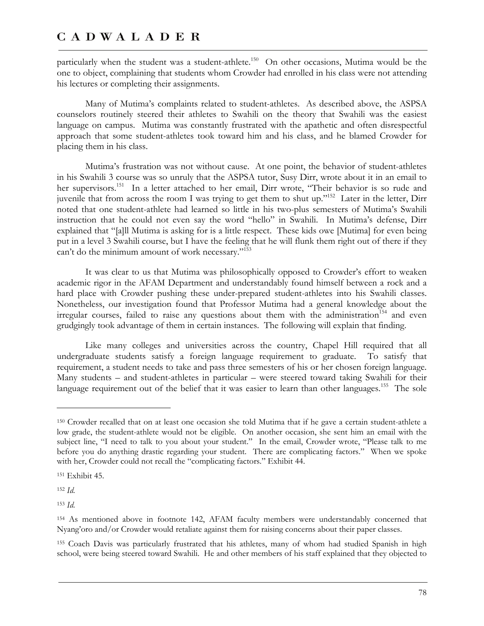particularly when the student was a student-athlete.<sup>150</sup> On other occasions, Mutima would be the one to object, complaining that students whom Crowder had enrolled in his class were not attending his lectures or completing their assignments.

Many of Mutima's complaints related to student-athletes. As described above, the ASPSA counselors routinely steered their athletes to Swahili on the theory that Swahili was the easiest language on campus. Mutima was constantly frustrated with the apathetic and often disrespectful approach that some student-athletes took toward him and his class, and he blamed Crowder for placing them in his class.

Mutima's frustration was not without cause. At one point, the behavior of student-athletes in his Swahili 3 course was so unruly that the ASPSA tutor, Susy Dirr, wrote about it in an email to her supervisors.<sup>151</sup> In a letter attached to her email, Dirr wrote, "Their behavior is so rude and juvenile that from across the room I was trying to get them to shut up."152 Later in the letter, Dirr noted that one student-athlete had learned so little in his two-plus semesters of Mutima's Swahili instruction that he could not even say the word "hello" in Swahili. In Mutima's defense, Dirr explained that "[a]ll Mutima is asking for is a little respect. These kids owe [Mutima] for even being put in a level 3 Swahili course, but I have the feeling that he will flunk them right out of there if they can't do the minimum amount of work necessary."153

It was clear to us that Mutima was philosophically opposed to Crowder's effort to weaken academic rigor in the AFAM Department and understandably found himself between a rock and a hard place with Crowder pushing these under-prepared student-athletes into his Swahili classes. Nonetheless, our investigation found that Professor Mutima had a general knowledge about the irregular courses, failed to raise any questions about them with the administration<sup>154</sup> and even grudgingly took advantage of them in certain instances. The following will explain that finding.

Like many colleges and universities across the country, Chapel Hill required that all undergraduate students satisfy a foreign language requirement to graduate. To satisfy that requirement, a student needs to take and pass three semesters of his or her chosen foreign language. Many students – and student-athletes in particular – were steered toward taking Swahili for their language requirement out of the belief that it was easier to learn than other languages.<sup>155</sup> The sole

<sup>152</sup> *Id*.

-

<sup>153</sup> *Id*.

<sup>150</sup> Crowder recalled that on at least one occasion she told Mutima that if he gave a certain student-athlete a low grade, the student-athlete would not be eligible. On another occasion, she sent him an email with the subject line, "I need to talk to you about your student." In the email, Crowder wrote, "Please talk to me before you do anything drastic regarding your student. There are complicating factors." When we spoke with her, Crowder could not recall the "complicating factors." Exhibit 44.

<sup>151</sup> Exhibit 45.

<sup>154</sup> As mentioned above in footnote 142, AFAM faculty members were understandably concerned that Nyang'oro and/or Crowder would retaliate against them for raising concerns about their paper classes.

<sup>155</sup> Coach Davis was particularly frustrated that his athletes, many of whom had studied Spanish in high school, were being steered toward Swahili. He and other members of his staff explained that they objected to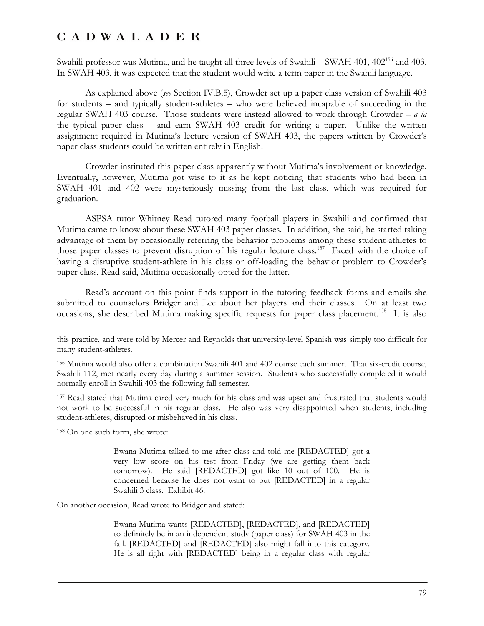Swahili professor was Mutima, and he taught all three levels of Swahili – SWAH 401,  $402^{156}$  and  $403$ . In SWAH 403, it was expected that the student would write a term paper in the Swahili language.

As explained above (*see* Section IV.B.5), Crowder set up a paper class version of Swahili 403 for students – and typically student-athletes – who were believed incapable of succeeding in the regular SWAH 403 course. Those students were instead allowed to work through Crowder – *a la* the typical paper class – and earn SWAH 403 credit for writing a paper. Unlike the written assignment required in Mutima's lecture version of SWAH 403, the papers written by Crowder's paper class students could be written entirely in English.

Crowder instituted this paper class apparently without Mutima's involvement or knowledge. Eventually, however, Mutima got wise to it as he kept noticing that students who had been in SWAH 401 and 402 were mysteriously missing from the last class, which was required for graduation.

ASPSA tutor Whitney Read tutored many football players in Swahili and confirmed that Mutima came to know about these SWAH 403 paper classes. In addition, she said, he started taking advantage of them by occasionally referring the behavior problems among these student-athletes to those paper classes to prevent disruption of his regular lecture class.<sup>157</sup> Faced with the choice of having a disruptive student-athlete in his class or off-loading the behavior problem to Crowder's paper class, Read said, Mutima occasionally opted for the latter.

Read's account on this point finds support in the tutoring feedback forms and emails she submitted to counselors Bridger and Lee about her players and their classes. On at least two occasions, she described Mutima making specific requests for paper class placement.<sup>158</sup> It is also

this practice, and were told by Mercer and Reynolds that university-level Spanish was simply too difficult for many student-athletes.

156 Mutima would also offer a combination Swahili 401 and 402 course each summer. That six-credit course, Swahili 112, met nearly every day during a summer session. Students who successfully completed it would normally enroll in Swahili 403 the following fall semester.

157 Read stated that Mutima cared very much for his class and was upset and frustrated that students would not work to be successful in his regular class. He also was very disappointed when students, including student-athletes, disrupted or misbehaved in his class.

158 On one such form, she wrote:

<u>.</u>

Bwana Mutima talked to me after class and told me [REDACTED] got a very low score on his test from Friday (we are getting them back tomorrow). He said [REDACTED] got like 10 out of 100. He is concerned because he does not want to put [REDACTED] in a regular Swahili 3 class. Exhibit 46.

On another occasion, Read wrote to Bridger and stated:

Bwana Mutima wants [REDACTED], [REDACTED], and [REDACTED] to definitely be in an independent study (paper class) for SWAH 403 in the fall. [REDACTED] and [REDACTED] also might fall into this category. He is all right with [REDACTED] being in a regular class with regular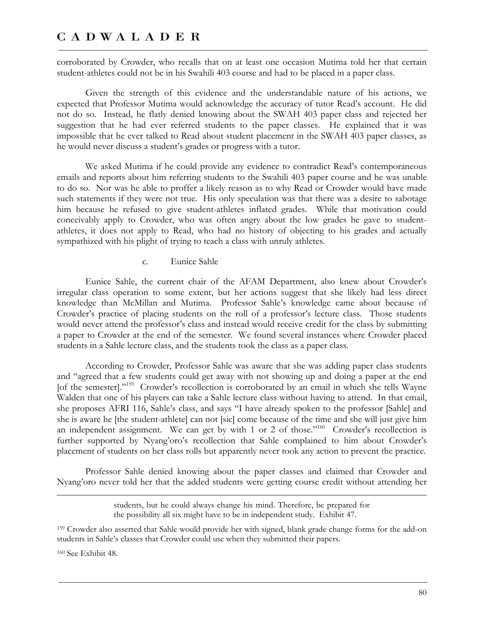corroborated by Crowder, who recalls that on at least one occasion Mutima told her that certain student-athletes could not be in his Swahili 403 course and had to be placed in a paper class.

Given the strength of this evidence and the understandable nature of his actions, we expected that Professor Mutima would acknowledge the accuracy of tutor Read's account. He did not do so. Instead, he flatly denied knowing about the SWAH 403 paper class and rejected her suggestion that he had ever referred students to the paper classes. He explained that it was impossible that he ever talked to Read about student placement in the SWAH 403 paper classes, as he would never discuss a student's grades or progress with a tutor.

We asked Mutima if he could provide any evidence to contradict Read's contemporaneous emails and reports about him referring students to the Swahili 403 paper course and he was unable to do so. Nor was he able to proffer a likely reason as to why Read or Crowder would have made such statements if they were not true. His only speculation was that there was a desire to sabotage him because he refused to give student-athletes inflated grades. While that motivation could conceivably apply to Crowder, who was often angry about the low grades he gave to studentathletes, it does not apply to Read, who had no history of objecting to his grades and actually sympathized with his plight of trying to teach a class with unruly athletes.

c. Eunice Sahle

Eunice Sahle, the current chair of the AFAM Department, also knew about Crowder's irregular class operation to some extent, but her actions suggest that she likely had less direct knowledge than McMillan and Mutima. Professor Sahle's knowledge came about because of Crowder's practice of placing students on the roll of a professor's lecture class. Those students would never attend the professor's class and instead would receive credit for the class by submitting a paper to Crowder at the end of the semester. We found several instances where Crowder placed students in a Sahle lecture class, and the students took the class as a paper class.

According to Crowder, Professor Sahle was aware that she was adding paper class students and "agreed that a few students could get away with not showing up and doing a paper at the end [of the semester]."<sup>159</sup> Crowder's recollection is corroborated by an email in which she tells Wayne Walden that one of his players can take a Sahle lecture class without having to attend. In that email, she proposes AFRI 116, Sahle's class, and says "I have already spoken to the professor [Sahle] and she is aware he [the student-athlete] can not [sic] come because of the time and she will just give him an independent assignment. We can get by with 1 or 2 of those."<sup>160</sup> Crowder's recollection is further supported by Nyang'oro's recollection that Sahle complained to him about Crowder's placement of students on her class rolls but apparently never took any action to prevent the practice.

Professor Sahle denied knowing about the paper classes and claimed that Crowder and Nyang'oro never told her that the added students were getting course credit without attending her

> students, but he could always change his mind. Therefore, be prepared for the possibility all six might have to be in independent study. Exhibit 47.

159 Crowder also asserted that Sahle would provide her with signed, blank grade change forms for the add-on students in Sahle's classes that Crowder could use when they submitted their papers.

160 See Exhibit 48.

 $\overline{a}$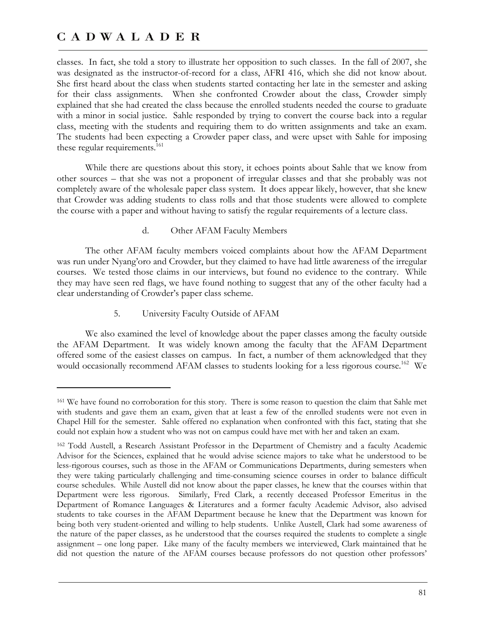-

classes. In fact, she told a story to illustrate her opposition to such classes. In the fall of 2007, she was designated as the instructor-of-record for a class, AFRI 416, which she did not know about. She first heard about the class when students started contacting her late in the semester and asking for their class assignments. When she confronted Crowder about the class, Crowder simply explained that she had created the class because the enrolled students needed the course to graduate with a minor in social justice. Sahle responded by trying to convert the course back into a regular class, meeting with the students and requiring them to do written assignments and take an exam. The students had been expecting a Crowder paper class, and were upset with Sahle for imposing these regular requirements. $161$ 

While there are questions about this story, it echoes points about Sahle that we know from other sources – that she was not a proponent of irregular classes and that she probably was not completely aware of the wholesale paper class system. It does appear likely, however, that she knew that Crowder was adding students to class rolls and that those students were allowed to complete the course with a paper and without having to satisfy the regular requirements of a lecture class.

d. Other AFAM Faculty Members

The other AFAM faculty members voiced complaints about how the AFAM Department was run under Nyang'oro and Crowder, but they claimed to have had little awareness of the irregular courses. We tested those claims in our interviews, but found no evidence to the contrary. While they may have seen red flags, we have found nothing to suggest that any of the other faculty had a clear understanding of Crowder's paper class scheme.

5. University Faculty Outside of AFAM

We also examined the level of knowledge about the paper classes among the faculty outside the AFAM Department. It was widely known among the faculty that the AFAM Department offered some of the easiest classes on campus. In fact, a number of them acknowledged that they would occasionally recommend AFAM classes to students looking for a less rigorous course.<sup>162</sup> We

<sup>161</sup> We have found no corroboration for this story. There is some reason to question the claim that Sahle met with students and gave them an exam, given that at least a few of the enrolled students were not even in Chapel Hill for the semester. Sahle offered no explanation when confronted with this fact, stating that she could not explain how a student who was not on campus could have met with her and taken an exam.

<sup>162</sup> Todd Austell, a Research Assistant Professor in the Department of Chemistry and a faculty Academic Advisor for the Sciences, explained that he would advise science majors to take what he understood to be less-rigorous courses, such as those in the AFAM or Communications Departments, during semesters when they were taking particularly challenging and time-consuming science courses in order to balance difficult course schedules. While Austell did not know about the paper classes, he knew that the courses within that Department were less rigorous. Similarly, Fred Clark, a recently deceased Professor Emeritus in the Department of Romance Languages & Literatures and a former faculty Academic Advisor, also advised students to take courses in the AFAM Department because he knew that the Department was known for being both very student-oriented and willing to help students. Unlike Austell, Clark had some awareness of the nature of the paper classes, as he understood that the courses required the students to complete a single assignment – one long paper. Like many of the faculty members we interviewed, Clark maintained that he did not question the nature of the AFAM courses because professors do not question other professors'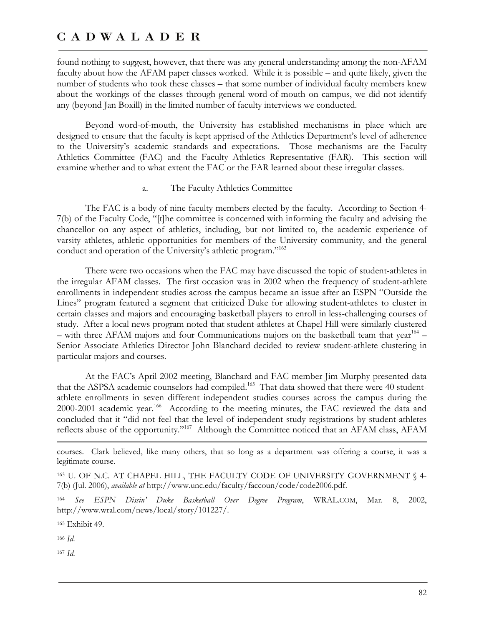found nothing to suggest, however, that there was any general understanding among the non-AFAM faculty about how the AFAM paper classes worked. While it is possible – and quite likely, given the number of students who took these classes – that some number of individual faculty members knew about the workings of the classes through general word-of-mouth on campus, we did not identify any (beyond Jan Boxill) in the limited number of faculty interviews we conducted.

Beyond word-of-mouth, the University has established mechanisms in place which are designed to ensure that the faculty is kept apprised of the Athletics Department's level of adherence to the University's academic standards and expectations. Those mechanisms are the Faculty Athletics Committee (FAC) and the Faculty Athletics Representative (FAR). This section will examine whether and to what extent the FAC or the FAR learned about these irregular classes.

#### a. The Faculty Athletics Committee

The FAC is a body of nine faculty members elected by the faculty. According to Section 4- 7(b) of the Faculty Code, "[t]he committee is concerned with informing the faculty and advising the chancellor on any aspect of athletics, including, but not limited to, the academic experience of varsity athletes, athletic opportunities for members of the University community, and the general conduct and operation of the University's athletic program."<sup>163</sup>

There were two occasions when the FAC may have discussed the topic of student-athletes in the irregular AFAM classes. The first occasion was in 2002 when the frequency of student-athlete enrollments in independent studies across the campus became an issue after an ESPN "Outside the Lines" program featured a segment that criticized Duke for allowing student-athletes to cluster in certain classes and majors and encouraging basketball players to enroll in less-challenging courses of study. After a local news program noted that student-athletes at Chapel Hill were similarly clustered – with three AFAM majors and four Communications majors on the basketball team that year<sup>164</sup> – Senior Associate Athletics Director John Blanchard decided to review student-athlete clustering in particular majors and courses.

At the FAC's April 2002 meeting, Blanchard and FAC member Jim Murphy presented data that the ASPSA academic counselors had compiled.<sup>165</sup> That data showed that there were 40 studentathlete enrollments in seven different independent studies courses across the campus during the 2000-2001 academic year.<sup>166</sup> According to the meeting minutes, the FAC reviewed the data and concluded that it "did not feel that the level of independent study registrations by student-athletes reflects abuse of the opportunity."167 Although the Committee noticed that an AFAM class, AFAM

165 Exhibit 49.

<sup>166</sup> *Id*.

 $\overline{a}$ 

<sup>167</sup> *Id*.

courses. Clark believed, like many others, that so long as a department was offering a course, it was a legitimate course.

<sup>163</sup> U. OF N.C. AT CHAPEL HILL, THE FACULTY CODE OF UNIVERSITY GOVERNMENT § 4- 7(b) (Jul. 2006), *available at* http://www.unc.edu/faculty/faccoun/code/code2006.pdf.

<sup>164</sup> *See ESPN Dissin' Duke Basketball Over Degree Program*, WRAL.COM, Mar. 8, 2002, http://www.wral.com/news/local/story/101227/.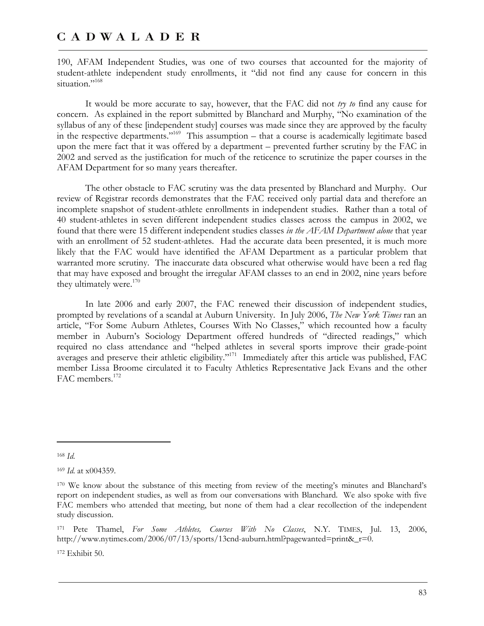190, AFAM Independent Studies, was one of two courses that accounted for the majority of student-athlete independent study enrollments, it "did not find any cause for concern in this situation."<sup>168</sup>

It would be more accurate to say, however, that the FAC did not *try to* find any cause for concern. As explained in the report submitted by Blanchard and Murphy, "No examination of the syllabus of any of these [independent study] courses was made since they are approved by the faculty in the respective departments."169 This assumption – that a course is academically legitimate based upon the mere fact that it was offered by a department – prevented further scrutiny by the FAC in 2002 and served as the justification for much of the reticence to scrutinize the paper courses in the AFAM Department for so many years thereafter.

The other obstacle to FAC scrutiny was the data presented by Blanchard and Murphy. Our review of Registrar records demonstrates that the FAC received only partial data and therefore an incomplete snapshot of student-athlete enrollments in independent studies. Rather than a total of 40 student-athletes in seven different independent studies classes across the campus in 2002, we found that there were 15 different independent studies classes *in the AFAM Department alone* that year with an enrollment of 52 student-athletes. Had the accurate data been presented, it is much more likely that the FAC would have identified the AFAM Department as a particular problem that warranted more scrutiny. The inaccurate data obscured what otherwise would have been a red flag that may have exposed and brought the irregular AFAM classes to an end in 2002, nine years before they ultimately were. $170$ 

In late 2006 and early 2007, the FAC renewed their discussion of independent studies, prompted by revelations of a scandal at Auburn University. In July 2006, *The New York Times* ran an article, "For Some Auburn Athletes, Courses With No Classes," which recounted how a faculty member in Auburn's Sociology Department offered hundreds of "directed readings," which required no class attendance and "helped athletes in several sports improve their grade-point averages and preserve their athletic eligibility."<sup>171</sup> Immediately after this article was published, FAC member Lissa Broome circulated it to Faculty Athletics Representative Jack Evans and the other FAC members.<sup>172</sup>

 $\overline{a}$ 

172 Exhibit 50.

<sup>168</sup> *Id*.

<sup>169</sup> *Id*. at x004359.

<sup>170</sup> We know about the substance of this meeting from review of the meeting's minutes and Blanchard's report on independent studies, as well as from our conversations with Blanchard. We also spoke with five FAC members who attended that meeting, but none of them had a clear recollection of the independent study discussion.

<sup>171</sup> Pete Thamel, *For Some Athletes, Courses With No Classes*, N.Y. TIMES, Jul. 13, 2006, http://www.nytimes.com/2006/07/13/sports/13cnd-auburn.html?pagewanted=print&\_r=0.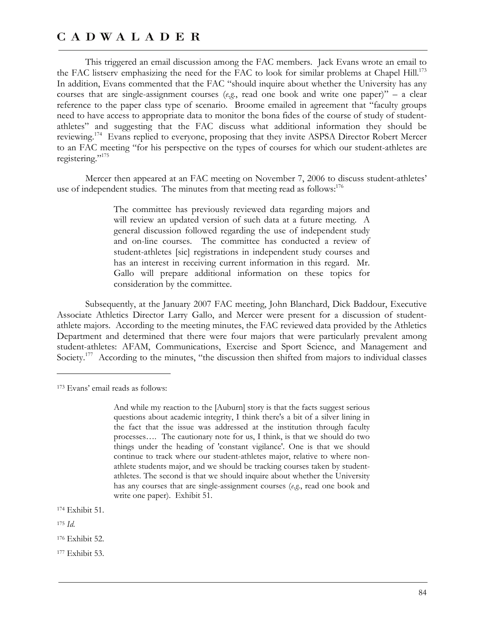This triggered an email discussion among the FAC members. Jack Evans wrote an email to the FAC listserv emphasizing the need for the FAC to look for similar problems at Chapel Hill.<sup>173</sup> In addition, Evans commented that the FAC "should inquire about whether the University has any courses that are single-assignment courses (*e.g.*, read one book and write one paper)" – a clear reference to the paper class type of scenario. Broome emailed in agreement that "faculty groups need to have access to appropriate data to monitor the bona fides of the course of study of studentathletes" and suggesting that the FAC discuss what additional information they should be reviewing.174 Evans replied to everyone, proposing that they invite ASPSA Director Robert Mercer to an FAC meeting "for his perspective on the types of courses for which our student-athletes are registering."<sup>175</sup>

Mercer then appeared at an FAC meeting on November 7, 2006 to discuss student-athletes' use of independent studies. The minutes from that meeting read as follows:<sup>176</sup>

> The committee has previously reviewed data regarding majors and will review an updated version of such data at a future meeting. A general discussion followed regarding the use of independent study and on-line courses. The committee has conducted a review of student-athletes [sic] registrations in independent study courses and has an interest in receiving current information in this regard. Mr. Gallo will prepare additional information on these topics for consideration by the committee.

Subsequently, at the January 2007 FAC meeting, John Blanchard, Dick Baddour, Executive Associate Athletics Director Larry Gallo, and Mercer were present for a discussion of studentathlete majors. According to the meeting minutes, the FAC reviewed data provided by the Athletics Department and determined that there were four majors that were particularly prevalent among student-athletes: AFAM, Communications, Exercise and Sport Science, and Management and Society.<sup>177</sup> According to the minutes, "the discussion then shifted from majors to individual classes

<sup>175</sup> *Id*.

 $\overline{a}$ 

177 Exhibit 53.

<sup>173</sup> Evans' email reads as follows:

And while my reaction to the [Auburn] story is that the facts suggest serious questions about academic integrity, I think there's a bit of a silver lining in the fact that the issue was addressed at the institution through faculty processes…. The cautionary note for us, I think, is that we should do two things under the heading of 'constant vigilance'. One is that we should continue to track where our student-athletes major, relative to where nonathlete students major, and we should be tracking courses taken by studentathletes. The second is that we should inquire about whether the University has any courses that are single-assignment courses (*e.g.*, read one book and write one paper). Exhibit 51.

<sup>174</sup> Exhibit 51.

<sup>176</sup> Exhibit 52.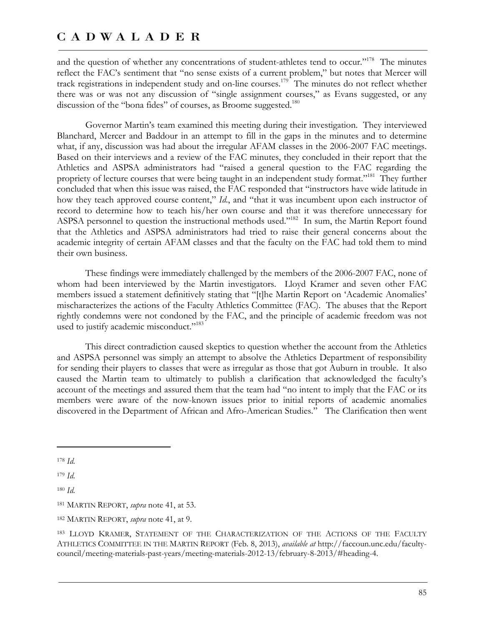and the question of whether any concentrations of student-athletes tend to occur."<sup>178</sup> The minutes reflect the FAC's sentiment that "no sense exists of a current problem," but notes that Mercer will track registrations in independent study and on-line courses.<sup>179</sup> The minutes do not reflect whether there was or was not any discussion of "single assignment courses," as Evans suggested, or any discussion of the "bona fides" of courses, as Broome suggested.<sup>180</sup>

Governor Martin's team examined this meeting during their investigation. They interviewed Blanchard, Mercer and Baddour in an attempt to fill in the gaps in the minutes and to determine what, if any, discussion was had about the irregular AFAM classes in the 2006-2007 FAC meetings. Based on their interviews and a review of the FAC minutes, they concluded in their report that the Athletics and ASPSA administrators had "raised a general question to the FAC regarding the propriety of lecture courses that were being taught in an independent study format."<sup>181</sup> They further concluded that when this issue was raised, the FAC responded that "instructors have wide latitude in how they teach approved course content," *Id*., and "that it was incumbent upon each instructor of record to determine how to teach his/her own course and that it was therefore unnecessary for ASPSA personnel to question the instructional methods used."<sup>182</sup> In sum, the Martin Report found that the Athletics and ASPSA administrators had tried to raise their general concerns about the academic integrity of certain AFAM classes and that the faculty on the FAC had told them to mind their own business.

These findings were immediately challenged by the members of the 2006-2007 FAC, none of whom had been interviewed by the Martin investigators. Lloyd Kramer and seven other FAC members issued a statement definitively stating that "[t]he Martin Report on 'Academic Anomalies' mischaracterizes the actions of the Faculty Athletics Committee (FAC). The abuses that the Report rightly condemns were not condoned by the FAC, and the principle of academic freedom was not used to justify academic misconduct."<sup>183</sup>

This direct contradiction caused skeptics to question whether the account from the Athletics and ASPSA personnel was simply an attempt to absolve the Athletics Department of responsibility for sending their players to classes that were as irregular as those that got Auburn in trouble. It also caused the Martin team to ultimately to publish a clarification that acknowledged the faculty's account of the meetings and assured them that the team had "no intent to imply that the FAC or its members were aware of the now-known issues prior to initial reports of academic anomalies discovered in the Department of African and Afro-American Studies." The Clarification then went

 $\overline{a}$ 

<sup>179</sup> *Id*.

<sup>178</sup> *Id*.

<sup>180</sup> *Id*.

<sup>181</sup> MARTIN REPORT, *supra* note 41, at 53.

<sup>182</sup> MARTIN REPORT, *supra* note 41, at 9.

<sup>183</sup> LLOYD KRAMER, STATEMENT OF THE CHARACTERIZATION OF THE ACTIONS OF THE FACULTY ATHLETICS COMMITTEE IN THE MARTIN REPORT (Feb. 8, 2013), *available at* http://faccoun.unc.edu/facultycouncil/meeting-materials-past-years/meeting-materials-2012-13/february-8-2013/#heading-4.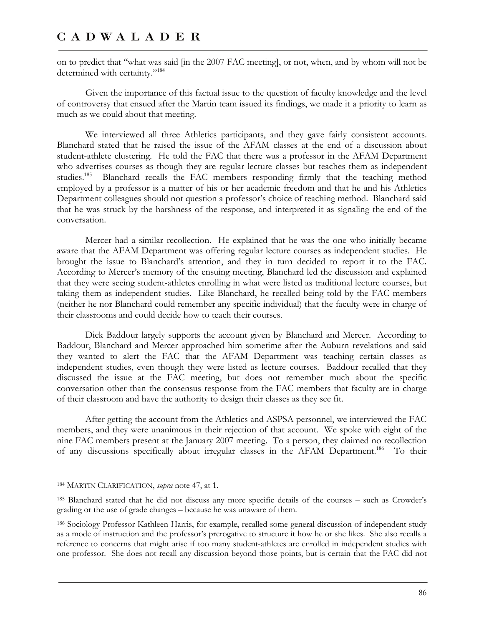on to predict that "what was said [in the 2007 FAC meeting], or not, when, and by whom will not be determined with certainty."<sup>184</sup>

Given the importance of this factual issue to the question of faculty knowledge and the level of controversy that ensued after the Martin team issued its findings, we made it a priority to learn as much as we could about that meeting.

We interviewed all three Athletics participants, and they gave fairly consistent accounts. Blanchard stated that he raised the issue of the AFAM classes at the end of a discussion about student-athlete clustering. He told the FAC that there was a professor in the AFAM Department who advertises courses as though they are regular lecture classes but teaches them as independent studies.<sup>185</sup> Blanchard recalls the FAC members responding firmly that the teaching method employed by a professor is a matter of his or her academic freedom and that he and his Athletics Department colleagues should not question a professor's choice of teaching method. Blanchard said that he was struck by the harshness of the response, and interpreted it as signaling the end of the conversation.

Mercer had a similar recollection. He explained that he was the one who initially became aware that the AFAM Department was offering regular lecture courses as independent studies. He brought the issue to Blanchard's attention, and they in turn decided to report it to the FAC. According to Mercer's memory of the ensuing meeting, Blanchard led the discussion and explained that they were seeing student-athletes enrolling in what were listed as traditional lecture courses, but taking them as independent studies. Like Blanchard, he recalled being told by the FAC members (neither he nor Blanchard could remember any specific individual) that the faculty were in charge of their classrooms and could decide how to teach their courses.

Dick Baddour largely supports the account given by Blanchard and Mercer. According to Baddour, Blanchard and Mercer approached him sometime after the Auburn revelations and said they wanted to alert the FAC that the AFAM Department was teaching certain classes as independent studies, even though they were listed as lecture courses. Baddour recalled that they discussed the issue at the FAC meeting, but does not remember much about the specific conversation other than the consensus response from the FAC members that faculty are in charge of their classroom and have the authority to design their classes as they see fit.

After getting the account from the Athletics and ASPSA personnel, we interviewed the FAC members, and they were unanimous in their rejection of that account. We spoke with eight of the nine FAC members present at the January 2007 meeting. To a person, they claimed no recollection of any discussions specifically about irregular classes in the AFAM Department.<sup>186</sup> To their

<u>.</u>

<sup>184</sup> MARTIN CLARIFICATION, *supra* note 47, at 1.

<sup>185</sup> Blanchard stated that he did not discuss any more specific details of the courses – such as Crowder's grading or the use of grade changes – because he was unaware of them.

<sup>186</sup> Sociology Professor Kathleen Harris, for example, recalled some general discussion of independent study as a mode of instruction and the professor's prerogative to structure it how he or she likes. She also recalls a reference to concerns that might arise if too many student-athletes are enrolled in independent studies with one professor. She does not recall any discussion beyond those points, but is certain that the FAC did not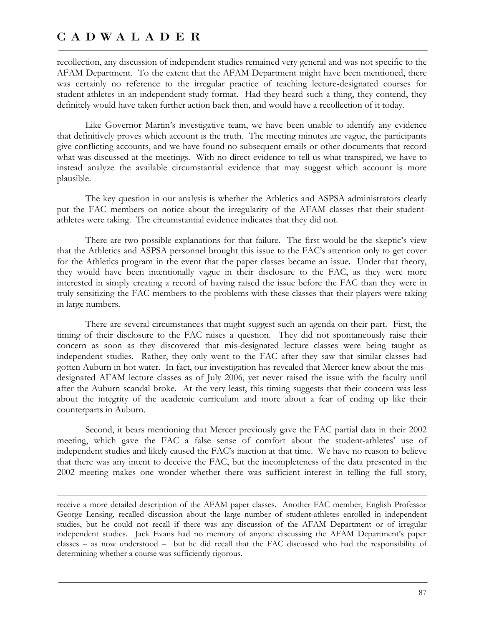$\overline{a}$ 

recollection, any discussion of independent studies remained very general and was not specific to the AFAM Department. To the extent that the AFAM Department might have been mentioned, there was certainly no reference to the irregular practice of teaching lecture-designated courses for student-athletes in an independent study format. Had they heard such a thing, they contend, they definitely would have taken further action back then, and would have a recollection of it today.

Like Governor Martin's investigative team, we have been unable to identify any evidence that definitively proves which account is the truth. The meeting minutes are vague, the participants give conflicting accounts, and we have found no subsequent emails or other documents that record what was discussed at the meetings. With no direct evidence to tell us what transpired, we have to instead analyze the available circumstantial evidence that may suggest which account is more plausible.

The key question in our analysis is whether the Athletics and ASPSA administrators clearly put the FAC members on notice about the irregularity of the AFAM classes that their studentathletes were taking. The circumstantial evidence indicates that they did not.

There are two possible explanations for that failure. The first would be the skeptic's view that the Athletics and ASPSA personnel brought this issue to the FAC's attention only to get cover for the Athletics program in the event that the paper classes became an issue. Under that theory, they would have been intentionally vague in their disclosure to the FAC, as they were more interested in simply creating a record of having raised the issue before the FAC than they were in truly sensitizing the FAC members to the problems with these classes that their players were taking in large numbers.

There are several circumstances that might suggest such an agenda on their part. First, the timing of their disclosure to the FAC raises a question. They did not spontaneously raise their concern as soon as they discovered that mis-designated lecture classes were being taught as independent studies. Rather, they only went to the FAC after they saw that similar classes had gotten Auburn in hot water. In fact, our investigation has revealed that Mercer knew about the misdesignated AFAM lecture classes as of July 2006, yet never raised the issue with the faculty until after the Auburn scandal broke. At the very least, this timing suggests that their concern was less about the integrity of the academic curriculum and more about a fear of ending up like their counterparts in Auburn.

Second, it bears mentioning that Mercer previously gave the FAC partial data in their 2002 meeting, which gave the FAC a false sense of comfort about the student-athletes' use of independent studies and likely caused the FAC's inaction at that time. We have no reason to believe that there was any intent to deceive the FAC, but the incompleteness of the data presented in the 2002 meeting makes one wonder whether there was sufficient interest in telling the full story,

receive a more detailed description of the AFAM paper classes. Another FAC member, English Professor George Lensing, recalled discussion about the large number of student-athletes enrolled in independent studies, but he could not recall if there was any discussion of the AFAM Department or of irregular independent studies. Jack Evans had no memory of anyone discussing the AFAM Department's paper classes – as now understood – but he did recall that the FAC discussed who had the responsibility of determining whether a course was sufficiently rigorous.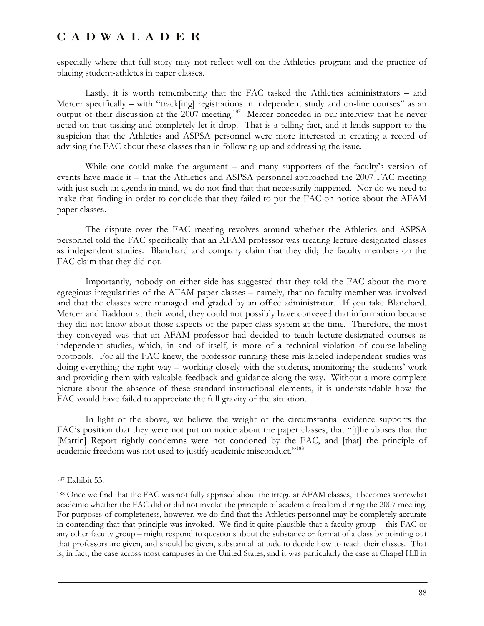especially where that full story may not reflect well on the Athletics program and the practice of placing student-athletes in paper classes.

Lastly, it is worth remembering that the FAC tasked the Athletics administrators – and Mercer specifically – with "track[ing] registrations in independent study and on-line courses" as an output of their discussion at the 2007 meeting.<sup>187</sup> Mercer conceded in our interview that he never acted on that tasking and completely let it drop. That is a telling fact, and it lends support to the suspicion that the Athletics and ASPSA personnel were more interested in creating a record of advising the FAC about these classes than in following up and addressing the issue.

While one could make the argument – and many supporters of the faculty's version of events have made it – that the Athletics and ASPSA personnel approached the 2007 FAC meeting with just such an agenda in mind, we do not find that that necessarily happened. Nor do we need to make that finding in order to conclude that they failed to put the FAC on notice about the AFAM paper classes.

The dispute over the FAC meeting revolves around whether the Athletics and ASPSA personnel told the FAC specifically that an AFAM professor was treating lecture-designated classes as independent studies. Blanchard and company claim that they did; the faculty members on the FAC claim that they did not.

Importantly, nobody on either side has suggested that they told the FAC about the more egregious irregularities of the AFAM paper classes – namely, that no faculty member was involved and that the classes were managed and graded by an office administrator. If you take Blanchard, Mercer and Baddour at their word, they could not possibly have conveyed that information because they did not know about those aspects of the paper class system at the time. Therefore, the most they conveyed was that an AFAM professor had decided to teach lecture-designated courses as independent studies, which, in and of itself, is more of a technical violation of course-labeling protocols. For all the FAC knew, the professor running these mis-labeled independent studies was doing everything the right way – working closely with the students, monitoring the students' work and providing them with valuable feedback and guidance along the way. Without a more complete picture about the absence of these standard instructional elements, it is understandable how the FAC would have failed to appreciate the full gravity of the situation.

In light of the above, we believe the weight of the circumstantial evidence supports the FAC's position that they were not put on notice about the paper classes, that "[t]he abuses that the [Martin] Report rightly condemns were not condoned by the FAC, and [that] the principle of academic freedom was not used to justify academic misconduct."<sup>188</sup>

 $\overline{a}$ 

<sup>187</sup> Exhibit 53.

<sup>188</sup> Once we find that the FAC was not fully apprised about the irregular AFAM classes, it becomes somewhat academic whether the FAC did or did not invoke the principle of academic freedom during the 2007 meeting. For purposes of completeness, however, we do find that the Athletics personnel may be completely accurate in contending that that principle was invoked. We find it quite plausible that a faculty group – this FAC or any other faculty group – might respond to questions about the substance or format of a class by pointing out that professors are given, and should be given, substantial latitude to decide how to teach their classes. That is, in fact, the case across most campuses in the United States, and it was particularly the case at Chapel Hill in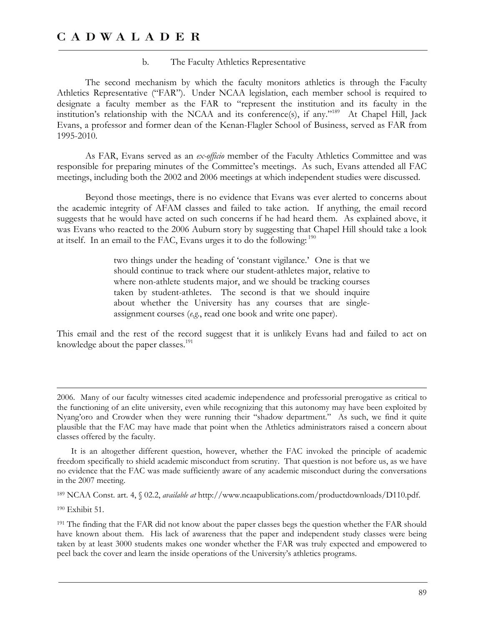### b. The Faculty Athletics Representative

The second mechanism by which the faculty monitors athletics is through the Faculty Athletics Representative ("FAR"). Under NCAA legislation, each member school is required to designate a faculty member as the FAR to "represent the institution and its faculty in the institution's relationship with the NCAA and its conference(s), if any."189 At Chapel Hill, Jack Evans, a professor and former dean of the Kenan-Flagler School of Business, served as FAR from 1995-2010.

As FAR, Evans served as an *ex-officio* member of the Faculty Athletics Committee and was responsible for preparing minutes of the Committee's meetings. As such, Evans attended all FAC meetings, including both the 2002 and 2006 meetings at which independent studies were discussed.

Beyond those meetings, there is no evidence that Evans was ever alerted to concerns about the academic integrity of AFAM classes and failed to take action. If anything, the email record suggests that he would have acted on such concerns if he had heard them. As explained above, it was Evans who reacted to the 2006 Auburn story by suggesting that Chapel Hill should take a look at itself. In an email to the FAC, Evans urges it to do the following: 190

> two things under the heading of 'constant vigilance.' One is that we should continue to track where our student-athletes major, relative to where non-athlete students major, and we should be tracking courses taken by student-athletes. The second is that we should inquire about whether the University has any courses that are singleassignment courses (*e.g.*, read one book and write one paper).

This email and the rest of the record suggest that it is unlikely Evans had and failed to act on knowledge about the paper classes. $191$ 

189 NCAA Const. art. 4, § 02.2, *available at* http://www.ncaapublications.com/productdownloads/D110.pdf.

190 Exhibit 51.

<u>.</u>

<sup>2006.</sup> Many of our faculty witnesses cited academic independence and professorial prerogative as critical to the functioning of an elite university, even while recognizing that this autonomy may have been exploited by Nyang'oro and Crowder when they were running their "shadow department." As such, we find it quite plausible that the FAC may have made that point when the Athletics administrators raised a concern about classes offered by the faculty.

It is an altogether different question, however, whether the FAC invoked the principle of academic freedom specifically to shield academic misconduct from scrutiny. That question is not before us, as we have no evidence that the FAC was made sufficiently aware of any academic misconduct during the conversations in the 2007 meeting.

<sup>&</sup>lt;sup>191</sup> The finding that the FAR did not know about the paper classes begs the question whether the FAR should have known about them. His lack of awareness that the paper and independent study classes were being taken by at least 3000 students makes one wonder whether the FAR was truly expected and empowered to peel back the cover and learn the inside operations of the University's athletics programs.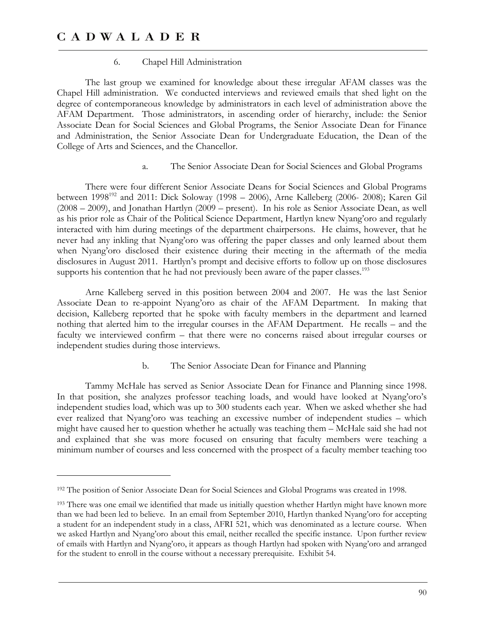$\overline{a}$ 

### 6. Chapel Hill Administration

The last group we examined for knowledge about these irregular AFAM classes was the Chapel Hill administration. We conducted interviews and reviewed emails that shed light on the degree of contemporaneous knowledge by administrators in each level of administration above the AFAM Department. Those administrators, in ascending order of hierarchy, include: the Senior Associate Dean for Social Sciences and Global Programs, the Senior Associate Dean for Finance and Administration, the Senior Associate Dean for Undergraduate Education, the Dean of the College of Arts and Sciences, and the Chancellor.

a. The Senior Associate Dean for Social Sciences and Global Programs

There were four different Senior Associate Deans for Social Sciences and Global Programs between  $1998^{192}$  and  $2011$ : Dick Soloway (1998 – 2006), Arne Kalleberg (2006- 2008); Karen Gil (2008 – 2009), and Jonathan Hartlyn (2009 – present). In his role as Senior Associate Dean, as well as his prior role as Chair of the Political Science Department, Hartlyn knew Nyang'oro and regularly interacted with him during meetings of the department chairpersons. He claims, however, that he never had any inkling that Nyang'oro was offering the paper classes and only learned about them when Nyang'oro disclosed their existence during their meeting in the aftermath of the media disclosures in August 2011. Hartlyn's prompt and decisive efforts to follow up on those disclosures supports his contention that he had not previously been aware of the paper classes.<sup>193</sup>

Arne Kalleberg served in this position between 2004 and 2007. He was the last Senior Associate Dean to re-appoint Nyang'oro as chair of the AFAM Department. In making that decision, Kalleberg reported that he spoke with faculty members in the department and learned nothing that alerted him to the irregular courses in the AFAM Department. He recalls – and the faculty we interviewed confirm – that there were no concerns raised about irregular courses or independent studies during those interviews.

b. The Senior Associate Dean for Finance and Planning

Tammy McHale has served as Senior Associate Dean for Finance and Planning since 1998. In that position, she analyzes professor teaching loads, and would have looked at Nyang'oro's independent studies load, which was up to 300 students each year. When we asked whether she had ever realized that Nyang'oro was teaching an excessive number of independent studies – which might have caused her to question whether he actually was teaching them – McHale said she had not and explained that she was more focused on ensuring that faculty members were teaching a minimum number of courses and less concerned with the prospect of a faculty member teaching too

<sup>192</sup> The position of Senior Associate Dean for Social Sciences and Global Programs was created in 1998.

<sup>&</sup>lt;sup>193</sup> There was one email we identified that made us initially question whether Hartlyn might have known more than we had been led to believe. In an email from September 2010, Hartlyn thanked Nyang'oro for accepting a student for an independent study in a class, AFRI 521, which was denominated as a lecture course. When we asked Hartlyn and Nyang'oro about this email, neither recalled the specific instance. Upon further review of emails with Hartlyn and Nyang'oro, it appears as though Hartlyn had spoken with Nyang'oro and arranged for the student to enroll in the course without a necessary prerequisite. Exhibit 54.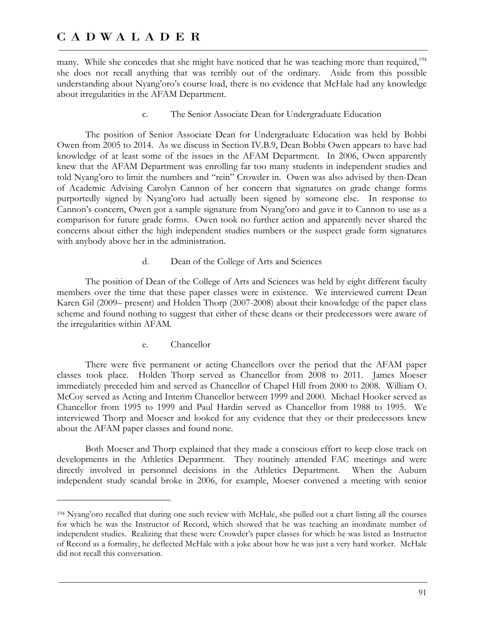many. While she concedes that she might have noticed that he was teaching more than required,<sup>194</sup> she does not recall anything that was terribly out of the ordinary. Aside from this possible understanding about Nyang'oro's course load, there is no evidence that McHale had any knowledge about irregularities in the AFAM Department.

c. The Senior Associate Dean for Undergraduate Education

The position of Senior Associate Dean for Undergraduate Education was held by Bobbi Owen from 2005 to 2014. As we discuss in Section IV.B.9, Dean Bobbi Owen appears to have had knowledge of at least some of the issues in the AFAM Department. In 2006, Owen apparently knew that the AFAM Department was enrolling far too many students in independent studies and told Nyang'oro to limit the numbers and "rein" Crowder in. Owen was also advised by then-Dean of Academic Advising Carolyn Cannon of her concern that signatures on grade change forms purportedly signed by Nyang'oro had actually been signed by someone else. In response to Cannon's concern, Owen got a sample signature from Nyang'oro and gave it to Cannon to use as a comparison for future grade forms. Owen took no further action and apparently never shared the concerns about either the high independent studies numbers or the suspect grade form signatures with anybody above her in the administration.

d. Dean of the College of Arts and Sciences

The position of Dean of the College of Arts and Sciences was held by eight different faculty members over the time that these paper classes were in existence. We interviewed current Dean Karen Gil (2009– present) and Holden Thorp (2007-2008) about their knowledge of the paper class scheme and found nothing to suggest that either of these deans or their predecessors were aware of the irregularities within AFAM.

e. Chancellor

 $\overline{a}$ 

There were five permanent or acting Chancellors over the period that the AFAM paper classes took place. Holden Thorp served as Chancellor from 2008 to 2011. James Moeser immediately preceded him and served as Chancellor of Chapel Hill from 2000 to 2008. William O. McCoy served as Acting and Interim Chancellor between 1999 and 2000. Michael Hooker served as Chancellor from 1995 to 1999 and Paul Hardin served as Chancellor from 1988 to 1995. We interviewed Thorp and Moeser and looked for any evidence that they or their predecessors knew about the AFAM paper classes and found none.

Both Moeser and Thorp explained that they made a conscious effort to keep close track on developments in the Athletics Department. They routinely attended FAC meetings and were directly involved in personnel decisions in the Athletics Department. When the Auburn independent study scandal broke in 2006, for example, Moeser convened a meeting with senior

<sup>194</sup> Nyang'oro recalled that during one such review with McHale, she pulled out a chart listing all the courses for which he was the Instructor of Record, which showed that he was teaching an inordinate number of independent studies. Realizing that these were Crowder's paper classes for which he was listed as Instructor of Record as a formality, he deflected McHale with a joke about how he was just a very hard worker. McHale did not recall this conversation.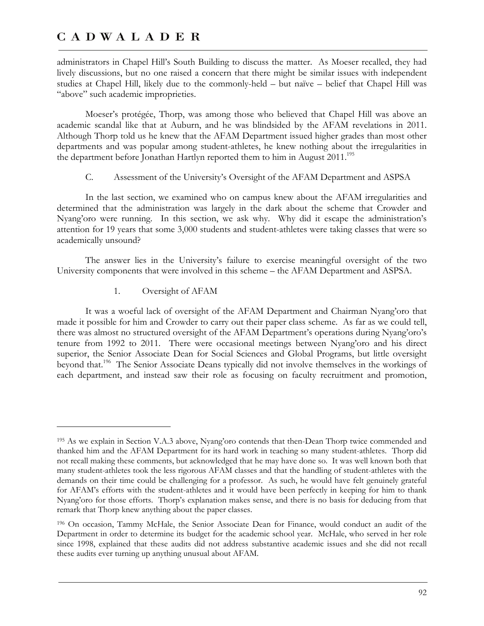administrators in Chapel Hill's South Building to discuss the matter. As Moeser recalled, they had lively discussions, but no one raised a concern that there might be similar issues with independent studies at Chapel Hill, likely due to the commonly-held – but naïve – belief that Chapel Hill was "above" such academic improprieties.

Moeser's protégée, Thorp, was among those who believed that Chapel Hill was above an academic scandal like that at Auburn, and he was blindsided by the AFAM revelations in 2011. Although Thorp told us he knew that the AFAM Department issued higher grades than most other departments and was popular among student-athletes, he knew nothing about the irregularities in the department before Jonathan Hartlyn reported them to him in August 2011.<sup>195</sup>

### C. Assessment of the University's Oversight of the AFAM Department and ASPSA

In the last section, we examined who on campus knew about the AFAM irregularities and determined that the administration was largely in the dark about the scheme that Crowder and Nyang'oro were running. In this section, we ask why. Why did it escape the administration's attention for 19 years that some 3,000 students and student-athletes were taking classes that were so academically unsound?

The answer lies in the University's failure to exercise meaningful oversight of the two University components that were involved in this scheme – the AFAM Department and ASPSA.

1. Oversight of AFAM

 $\overline{a}$ 

It was a woeful lack of oversight of the AFAM Department and Chairman Nyang'oro that made it possible for him and Crowder to carry out their paper class scheme. As far as we could tell, there was almost no structured oversight of the AFAM Department's operations during Nyang'oro's tenure from 1992 to 2011. There were occasional meetings between Nyang'oro and his direct superior, the Senior Associate Dean for Social Sciences and Global Programs, but little oversight beyond that.<sup>196</sup> The Senior Associate Deans typically did not involve themselves in the workings of each department, and instead saw their role as focusing on faculty recruitment and promotion,

<sup>195</sup> As we explain in Section V.A.3 above, Nyang'oro contends that then-Dean Thorp twice commended and thanked him and the AFAM Department for its hard work in teaching so many student-athletes. Thorp did not recall making these comments, but acknowledged that he may have done so. It was well known both that many student-athletes took the less rigorous AFAM classes and that the handling of student-athletes with the demands on their time could be challenging for a professor. As such, he would have felt genuinely grateful for AFAM's efforts with the student-athletes and it would have been perfectly in keeping for him to thank Nyang'oro for those efforts. Thorp's explanation makes sense, and there is no basis for deducing from that remark that Thorp knew anything about the paper classes.

<sup>196</sup> On occasion, Tammy McHale, the Senior Associate Dean for Finance, would conduct an audit of the Department in order to determine its budget for the academic school year. McHale, who served in her role since 1998, explained that these audits did not address substantive academic issues and she did not recall these audits ever turning up anything unusual about AFAM.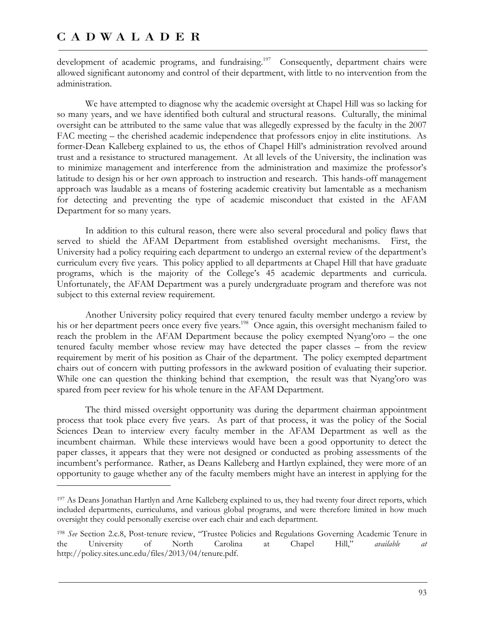$\overline{a}$ 

development of academic programs, and fundraising.<sup>197</sup> Consequently, department chairs were allowed significant autonomy and control of their department, with little to no intervention from the administration.

We have attempted to diagnose why the academic oversight at Chapel Hill was so lacking for so many years, and we have identified both cultural and structural reasons. Culturally, the minimal oversight can be attributed to the same value that was allegedly expressed by the faculty in the 2007 FAC meeting – the cherished academic independence that professors enjoy in elite institutions. As former-Dean Kalleberg explained to us, the ethos of Chapel Hill's administration revolved around trust and a resistance to structured management. At all levels of the University, the inclination was to minimize management and interference from the administration and maximize the professor's latitude to design his or her own approach to instruction and research. This hands-off management approach was laudable as a means of fostering academic creativity but lamentable as a mechanism for detecting and preventing the type of academic misconduct that existed in the AFAM Department for so many years.

In addition to this cultural reason, there were also several procedural and policy flaws that served to shield the AFAM Department from established oversight mechanisms. First, the University had a policy requiring each department to undergo an external review of the department's curriculum every five years. This policy applied to all departments at Chapel Hill that have graduate programs, which is the majority of the College's 45 academic departments and curricula. Unfortunately, the AFAM Department was a purely undergraduate program and therefore was not subject to this external review requirement.

Another University policy required that every tenured faculty member undergo a review by his or her department peers once every five years.<sup>198</sup> Once again, this oversight mechanism failed to reach the problem in the AFAM Department because the policy exempted Nyang'oro – the one tenured faculty member whose review may have detected the paper classes – from the review requirement by merit of his position as Chair of the department. The policy exempted department chairs out of concern with putting professors in the awkward position of evaluating their superior. While one can question the thinking behind that exemption, the result was that Nyang'oro was spared from peer review for his whole tenure in the AFAM Department.

The third missed oversight opportunity was during the department chairman appointment process that took place every five years. As part of that process, it was the policy of the Social Sciences Dean to interview every faculty member in the AFAM Department as well as the incumbent chairman. While these interviews would have been a good opportunity to detect the paper classes, it appears that they were not designed or conducted as probing assessments of the incumbent's performance. Rather, as Deans Kalleberg and Hartlyn explained, they were more of an opportunity to gauge whether any of the faculty members might have an interest in applying for the

<sup>197</sup> As Deans Jonathan Hartlyn and Arne Kalleberg explained to us, they had twenty four direct reports, which included departments, curriculums, and various global programs, and were therefore limited in how much oversight they could personally exercise over each chair and each department.

<sup>198</sup> *See* Section 2.c.8, Post-tenure review, "Trustee Policies and Regulations Governing Academic Tenure in the University of North Carolina at Chapel Hill," *available at* http://policy.sites.unc.edu/files/2013/04/tenure.pdf.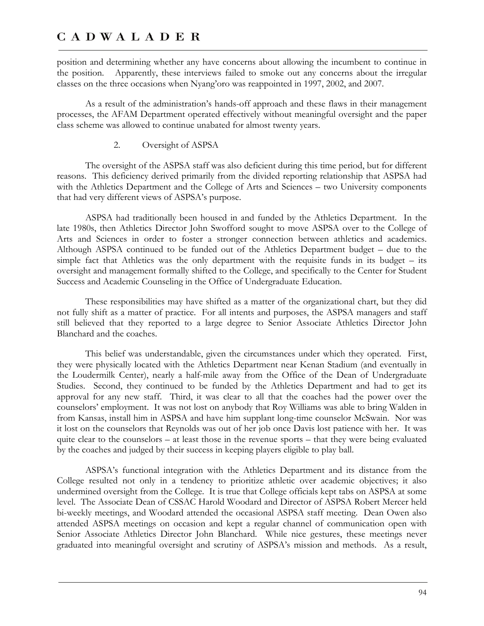position and determining whether any have concerns about allowing the incumbent to continue in the position. Apparently, these interviews failed to smoke out any concerns about the irregular classes on the three occasions when Nyang'oro was reappointed in 1997, 2002, and 2007.

As a result of the administration's hands-off approach and these flaws in their management processes, the AFAM Department operated effectively without meaningful oversight and the paper class scheme was allowed to continue unabated for almost twenty years.

### 2. Oversight of ASPSA

The oversight of the ASPSA staff was also deficient during this time period, but for different reasons. This deficiency derived primarily from the divided reporting relationship that ASPSA had with the Athletics Department and the College of Arts and Sciences – two University components that had very different views of ASPSA's purpose.

ASPSA had traditionally been housed in and funded by the Athletics Department. In the late 1980s, then Athletics Director John Swofford sought to move ASPSA over to the College of Arts and Sciences in order to foster a stronger connection between athletics and academics. Although ASPSA continued to be funded out of the Athletics Department budget – due to the simple fact that Athletics was the only department with the requisite funds in its budget – its oversight and management formally shifted to the College, and specifically to the Center for Student Success and Academic Counseling in the Office of Undergraduate Education.

These responsibilities may have shifted as a matter of the organizational chart, but they did not fully shift as a matter of practice. For all intents and purposes, the ASPSA managers and staff still believed that they reported to a large degree to Senior Associate Athletics Director John Blanchard and the coaches.

This belief was understandable, given the circumstances under which they operated. First, they were physically located with the Athletics Department near Kenan Stadium (and eventually in the Loudermilk Center), nearly a half-mile away from the Office of the Dean of Undergraduate Studies. Second, they continued to be funded by the Athletics Department and had to get its approval for any new staff. Third, it was clear to all that the coaches had the power over the counselors' employment. It was not lost on anybody that Roy Williams was able to bring Walden in from Kansas, install him in ASPSA and have him supplant long-time counselor McSwain. Nor was it lost on the counselors that Reynolds was out of her job once Davis lost patience with her. It was quite clear to the counselors – at least those in the revenue sports – that they were being evaluated by the coaches and judged by their success in keeping players eligible to play ball.

ASPSA's functional integration with the Athletics Department and its distance from the College resulted not only in a tendency to prioritize athletic over academic objectives; it also undermined oversight from the College. It is true that College officials kept tabs on ASPSA at some level. The Associate Dean of CSSAC Harold Woodard and Director of ASPSA Robert Mercer held bi-weekly meetings, and Woodard attended the occasional ASPSA staff meeting. Dean Owen also attended ASPSA meetings on occasion and kept a regular channel of communication open with Senior Associate Athletics Director John Blanchard. While nice gestures, these meetings never graduated into meaningful oversight and scrutiny of ASPSA's mission and methods. As a result,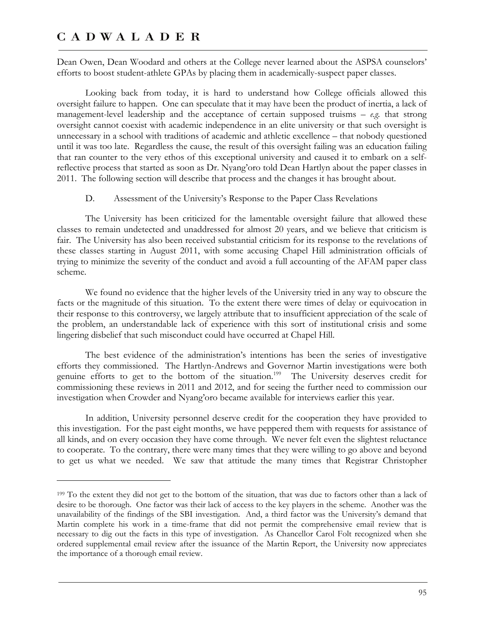$\overline{a}$ 

Dean Owen, Dean Woodard and others at the College never learned about the ASPSA counselors' efforts to boost student-athlete GPAs by placing them in academically-suspect paper classes.

Looking back from today, it is hard to understand how College officials allowed this oversight failure to happen. One can speculate that it may have been the product of inertia, a lack of management-level leadership and the acceptance of certain supposed truisms – *e.g.* that strong oversight cannot coexist with academic independence in an elite university or that such oversight is unnecessary in a school with traditions of academic and athletic excellence – that nobody questioned until it was too late. Regardless the cause, the result of this oversight failing was an education failing that ran counter to the very ethos of this exceptional university and caused it to embark on a selfreflective process that started as soon as Dr. Nyang'oro told Dean Hartlyn about the paper classes in 2011. The following section will describe that process and the changes it has brought about.

D. Assessment of the University's Response to the Paper Class Revelations

The University has been criticized for the lamentable oversight failure that allowed these classes to remain undetected and unaddressed for almost 20 years, and we believe that criticism is fair. The University has also been received substantial criticism for its response to the revelations of these classes starting in August 2011, with some accusing Chapel Hill administration officials of trying to minimize the severity of the conduct and avoid a full accounting of the AFAM paper class scheme.

We found no evidence that the higher levels of the University tried in any way to obscure the facts or the magnitude of this situation. To the extent there were times of delay or equivocation in their response to this controversy, we largely attribute that to insufficient appreciation of the scale of the problem, an understandable lack of experience with this sort of institutional crisis and some lingering disbelief that such misconduct could have occurred at Chapel Hill.

The best evidence of the administration's intentions has been the series of investigative efforts they commissioned. The Hartlyn-Andrews and Governor Martin investigations were both genuine efforts to get to the bottom of the situation.<sup>199</sup> The University deserves credit for commissioning these reviews in 2011 and 2012, and for seeing the further need to commission our investigation when Crowder and Nyang'oro became available for interviews earlier this year.

In addition, University personnel deserve credit for the cooperation they have provided to this investigation. For the past eight months, we have peppered them with requests for assistance of all kinds, and on every occasion they have come through. We never felt even the slightest reluctance to cooperate. To the contrary, there were many times that they were willing to go above and beyond to get us what we needed. We saw that attitude the many times that Registrar Christopher

<sup>199</sup> To the extent they did not get to the bottom of the situation, that was due to factors other than a lack of desire to be thorough. One factor was their lack of access to the key players in the scheme. Another was the unavailability of the findings of the SBI investigation. And, a third factor was the University's demand that Martin complete his work in a time-frame that did not permit the comprehensive email review that is necessary to dig out the facts in this type of investigation. As Chancellor Carol Folt recognized when she ordered supplemental email review after the issuance of the Martin Report, the University now appreciates the importance of a thorough email review.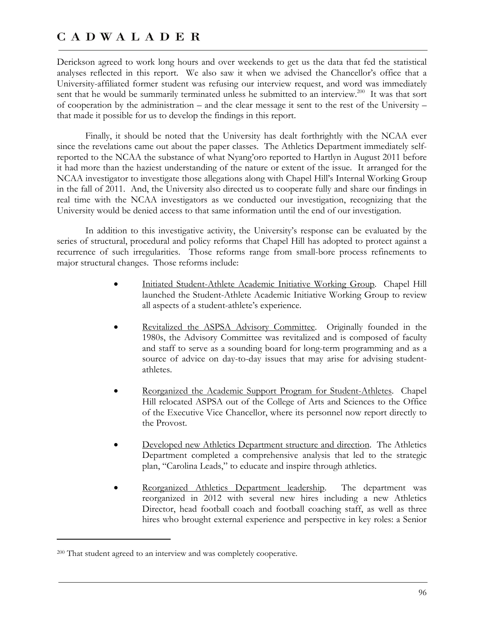Derickson agreed to work long hours and over weekends to get us the data that fed the statistical analyses reflected in this report. We also saw it when we advised the Chancellor's office that a University-affiliated former student was refusing our interview request, and word was immediately sent that he would be summarily terminated unless he submitted to an interview.<sup>200</sup> It was that sort of cooperation by the administration – and the clear message it sent to the rest of the University – that made it possible for us to develop the findings in this report.

Finally, it should be noted that the University has dealt forthrightly with the NCAA ever since the revelations came out about the paper classes. The Athletics Department immediately selfreported to the NCAA the substance of what Nyang'oro reported to Hartlyn in August 2011 before it had more than the haziest understanding of the nature or extent of the issue. It arranged for the NCAA investigator to investigate those allegations along with Chapel Hill's Internal Working Group in the fall of 2011. And, the University also directed us to cooperate fully and share our findings in real time with the NCAA investigators as we conducted our investigation, recognizing that the University would be denied access to that same information until the end of our investigation.

In addition to this investigative activity, the University's response can be evaluated by the series of structural, procedural and policy reforms that Chapel Hill has adopted to protect against a recurrence of such irregularities. Those reforms range from small-bore process refinements to major structural changes. Those reforms include:

- Initiated Student-Athlete Academic Initiative Working Group. Chapel Hill launched the Student-Athlete Academic Initiative Working Group to review all aspects of a student-athlete's experience.
- Revitalized the ASPSA Advisory Committee. Originally founded in the 1980s, the Advisory Committee was revitalized and is composed of faculty and staff to serve as a sounding board for long-term programming and as a source of advice on day-to-day issues that may arise for advising studentathletes.
- Reorganized the Academic Support Program for Student-Athletes. Chapel Hill relocated ASPSA out of the College of Arts and Sciences to the Office of the Executive Vice Chancellor, where its personnel now report directly to the Provost.
- Developed new Athletics Department structure and direction.The Athletics Department completed a comprehensive analysis that led to the strategic plan, "Carolina Leads," to educate and inspire through athletics.
- Reorganized Athletics Department leadership. The department was reorganized in 2012 with several new hires including a new Athletics Director, head football coach and football coaching staff, as well as three hires who brought external experience and perspective in key roles: a Senior

 $\overline{a}$ 

<sup>200</sup> That student agreed to an interview and was completely cooperative.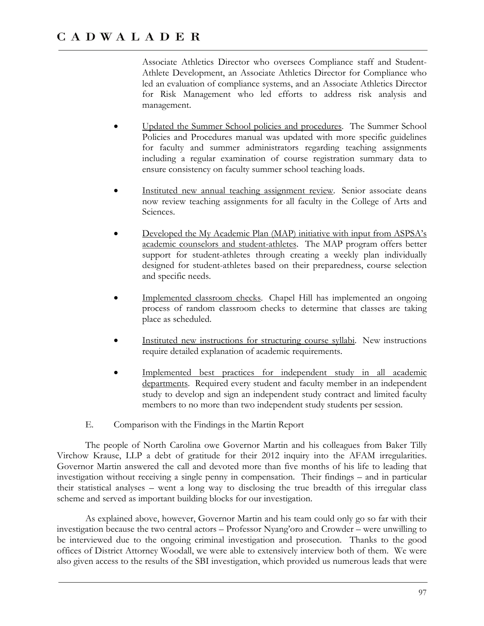Associate Athletics Director who oversees Compliance staff and Student-Athlete Development, an Associate Athletics Director for Compliance who led an evaluation of compliance systems, and an Associate Athletics Director for Risk Management who led efforts to address risk analysis and management.

- Updated the Summer School policies and procedures.The Summer School Policies and Procedures manual was updated with more specific guidelines for faculty and summer administrators regarding teaching assignments including a regular examination of course registration summary data to ensure consistency on faculty summer school teaching loads.
- Instituted new annual teaching assignment review.Senior associate deans now review teaching assignments for all faculty in the College of Arts and Sciences.
- Developed the My Academic Plan (MAP) initiative with input from ASPSA's academic counselors and student-athletes. The MAP program offers better support for student-athletes through creating a weekly plan individually designed for student-athletes based on their preparedness, course selection and specific needs.
- Implemented classroom checks.Chapel Hill has implemented an ongoing process of random classroom checks to determine that classes are taking place as scheduled.
- Instituted new instructions for structuring course syllabi.New instructions require detailed explanation of academic requirements.
- Implemented best practices for independent study in all academic departments.Required every student and faculty member in an independent study to develop and sign an independent study contract and limited faculty members to no more than two independent study students per session.
- E. Comparison with the Findings in the Martin Report

The people of North Carolina owe Governor Martin and his colleagues from Baker Tilly Virchow Krause, LLP a debt of gratitude for their 2012 inquiry into the AFAM irregularities. Governor Martin answered the call and devoted more than five months of his life to leading that investigation without receiving a single penny in compensation. Their findings – and in particular their statistical analyses – went a long way to disclosing the true breadth of this irregular class scheme and served as important building blocks for our investigation.

As explained above, however, Governor Martin and his team could only go so far with their investigation because the two central actors – Professor Nyang'oro and Crowder – were unwilling to be interviewed due to the ongoing criminal investigation and prosecution. Thanks to the good offices of District Attorney Woodall, we were able to extensively interview both of them. We were also given access to the results of the SBI investigation, which provided us numerous leads that were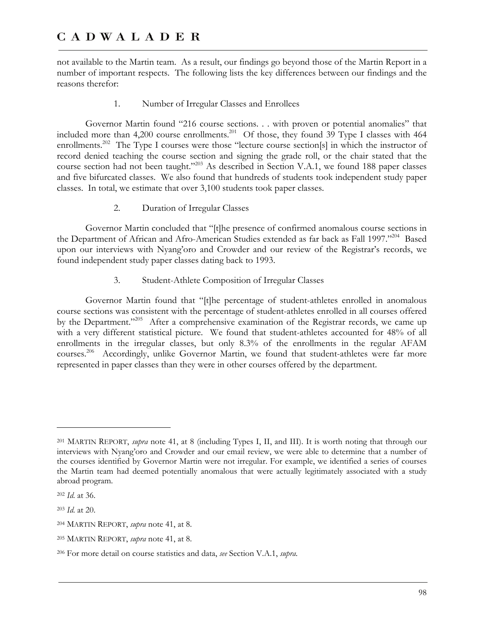not available to the Martin team. As a result, our findings go beyond those of the Martin Report in a number of important respects. The following lists the key differences between our findings and the reasons therefor:

### 1. Number of Irregular Classes and Enrollees

Governor Martin found "216 course sections. . . with proven or potential anomalies" that included more than 4,200 course enrollments.<sup>201</sup> Of those, they found  $39$  Type I classes with 464 enrollments.<sup>202</sup> The Type I courses were those "lecture course section[s] in which the instructor of record denied teaching the course section and signing the grade roll, or the chair stated that the course section had not been taught."203 As described in Section V.A.1, we found 188 paper classes and five bifurcated classes. We also found that hundreds of students took independent study paper classes. In total, we estimate that over 3,100 students took paper classes.

### 2. Duration of Irregular Classes

Governor Martin concluded that "[t]he presence of confirmed anomalous course sections in the Department of African and Afro-American Studies extended as far back as Fall 1997."<sup>204</sup> Based upon our interviews with Nyang'oro and Crowder and our review of the Registrar's records, we found independent study paper classes dating back to 1993.

### 3. Student-Athlete Composition of Irregular Classes

Governor Martin found that "[t]he percentage of student-athletes enrolled in anomalous course sections was consistent with the percentage of student-athletes enrolled in all courses offered by the Department."<sup>205</sup> After a comprehensive examination of the Registrar records, we came up with a very different statistical picture. We found that student-athletes accounted for 48% of all enrollments in the irregular classes, but only 8.3% of the enrollments in the regular AFAM courses.<sup>206</sup> Accordingly, unlike Governor Martin, we found that student-athletes were far more represented in paper classes than they were in other courses offered by the department.

 $\overline{a}$ 

<sup>203</sup> *Id*. at 20.

<sup>201</sup> MARTIN REPORT, *supra* note 41, at 8 (including Types I, II, and III). It is worth noting that through our interviews with Nyang'oro and Crowder and our email review, we were able to determine that a number of the courses identified by Governor Martin were not irregular. For example, we identified a series of courses the Martin team had deemed potentially anomalous that were actually legitimately associated with a study abroad program.

<sup>202</sup> *Id*. at 36.

<sup>204</sup> MARTIN REPORT, *supra* note 41, at 8.

<sup>205</sup> MARTIN REPORT, *supra* note 41, at 8.

<sup>206</sup> For more detail on course statistics and data, *see* Section V.A.1, *supra*.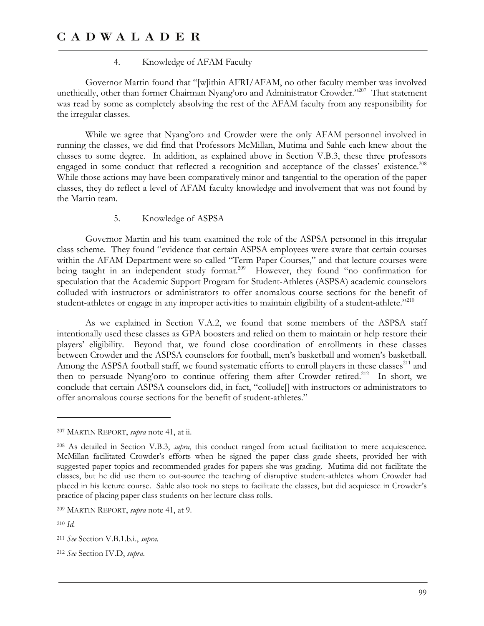### 4. Knowledge of AFAM Faculty

Governor Martin found that "[w]ithin AFRI/AFAM, no other faculty member was involved unethically, other than former Chairman Nyang'oro and Administrator Crowder."<sup>207</sup> That statement was read by some as completely absolving the rest of the AFAM faculty from any responsibility for the irregular classes.

While we agree that Nyang'oro and Crowder were the only AFAM personnel involved in running the classes, we did find that Professors McMillan, Mutima and Sahle each knew about the classes to some degree. In addition, as explained above in Section V.B.3, these three professors engaged in some conduct that reflected a recognition and acceptance of the classes' existence.<sup>208</sup> While those actions may have been comparatively minor and tangential to the operation of the paper classes, they do reflect a level of AFAM faculty knowledge and involvement that was not found by the Martin team.

### 5. Knowledge of ASPSA

Governor Martin and his team examined the role of the ASPSA personnel in this irregular class scheme. They found "evidence that certain ASPSA employees were aware that certain courses within the AFAM Department were so-called "Term Paper Courses," and that lecture courses were being taught in an independent study format.<sup>209</sup> However, they found "no confirmation for speculation that the Academic Support Program for Student-Athletes (ASPSA) academic counselors colluded with instructors or administrators to offer anomalous course sections for the benefit of student-athletes or engage in any improper activities to maintain eligibility of a student-athlete."<sup>210</sup>

As we explained in Section V.A.2, we found that some members of the ASPSA staff intentionally used these classes as GPA boosters and relied on them to maintain or help restore their players' eligibility. Beyond that, we found close coordination of enrollments in these classes between Crowder and the ASPSA counselors for football, men's basketball and women's basketball. Among the ASPSA football staff, we found systematic efforts to enroll players in these classes<sup>211</sup> and then to persuade Nyang'oro to continue offering them after Crowder retired.<sup>212</sup> In short, we conclude that certain ASPSA counselors did, in fact, "collude[] with instructors or administrators to offer anomalous course sections for the benefit of student-athletes."

<u>.</u>

<sup>207</sup> MARTIN REPORT, *supra* note 41, at ii.

<sup>208</sup> As detailed in Section V.B.3, *supra*, this conduct ranged from actual facilitation to mere acquiescence. McMillan facilitated Crowder's efforts when he signed the paper class grade sheets, provided her with suggested paper topics and recommended grades for papers she was grading. Mutima did not facilitate the classes, but he did use them to out-source the teaching of disruptive student-athletes whom Crowder had placed in his lecture course. Sahle also took no steps to facilitate the classes, but did acquiesce in Crowder's practice of placing paper class students on her lecture class rolls.

<sup>209</sup> MARTIN REPORT, *supra* note 41, at 9.

<sup>210</sup> *Id.*

<sup>211</sup> *See* Section V.B.1.b.i., *supra*.

<sup>212</sup> *See* Section IV.D, *supra*.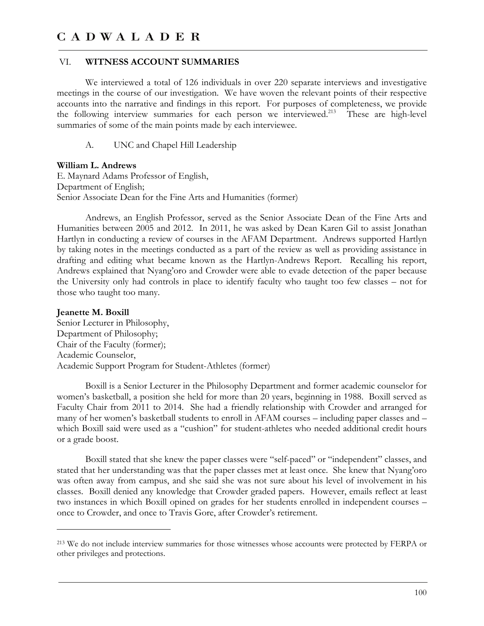### VI. **WITNESS ACCOUNT SUMMARIES**

We interviewed a total of 126 individuals in over 220 separate interviews and investigative meetings in the course of our investigation. We have woven the relevant points of their respective accounts into the narrative and findings in this report. For purposes of completeness, we provide the following interview summaries for each person we interviewed.<sup>213</sup> These are high-level summaries of some of the main points made by each interviewee.

A. UNC and Chapel Hill Leadership

### **William L. Andrews**

-

E. Maynard Adams Professor of English, Department of English; Senior Associate Dean for the Fine Arts and Humanities (former)

Andrews, an English Professor, served as the Senior Associate Dean of the Fine Arts and Humanities between 2005 and 2012. In 2011, he was asked by Dean Karen Gil to assist Jonathan Hartlyn in conducting a review of courses in the AFAM Department. Andrews supported Hartlyn by taking notes in the meetings conducted as a part of the review as well as providing assistance in drafting and editing what became known as the Hartlyn-Andrews Report. Recalling his report, Andrews explained that Nyang'oro and Crowder were able to evade detection of the paper because the University only had controls in place to identify faculty who taught too few classes – not for those who taught too many.

**Jeanette M. Boxill**  Senior Lecturer in Philosophy, Department of Philosophy; Chair of the Faculty (former); Academic Counselor, Academic Support Program for Student-Athletes (former)

Boxill is a Senior Lecturer in the Philosophy Department and former academic counselor for women's basketball, a position she held for more than 20 years, beginning in 1988. Boxill served as Faculty Chair from 2011 to 2014. She had a friendly relationship with Crowder and arranged for many of her women's basketball students to enroll in AFAM courses – including paper classes and – which Boxill said were used as a "cushion" for student-athletes who needed additional credit hours or a grade boost.

Boxill stated that she knew the paper classes were "self-paced" or "independent" classes, and stated that her understanding was that the paper classes met at least once. She knew that Nyang'oro was often away from campus, and she said she was not sure about his level of involvement in his classes. Boxill denied any knowledge that Crowder graded papers. However, emails reflect at least two instances in which Boxill opined on grades for her students enrolled in independent courses – once to Crowder, and once to Travis Gore, after Crowder's retirement.

<sup>213</sup> We do not include interview summaries for those witnesses whose accounts were protected by FERPA or other privileges and protections.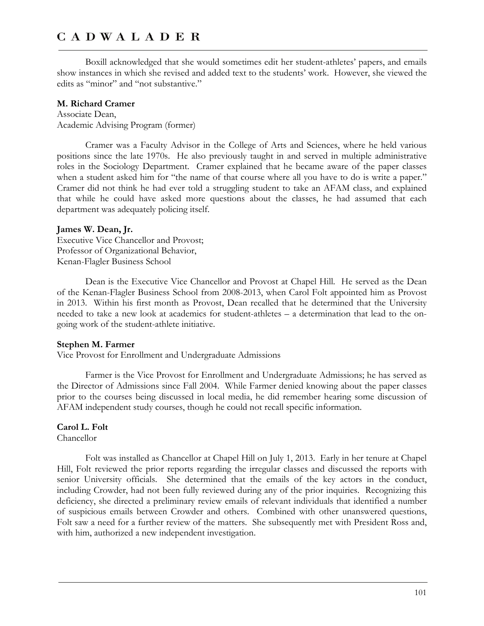Boxill acknowledged that she would sometimes edit her student-athletes' papers, and emails show instances in which she revised and added text to the students' work. However, she viewed the edits as "minor" and "not substantive."

### **M. Richard Cramer**

Associate Dean, Academic Advising Program (former)

Cramer was a Faculty Advisor in the College of Arts and Sciences, where he held various positions since the late 1970s. He also previously taught in and served in multiple administrative roles in the Sociology Department. Cramer explained that he became aware of the paper classes when a student asked him for "the name of that course where all you have to do is write a paper." Cramer did not think he had ever told a struggling student to take an AFAM class, and explained that while he could have asked more questions about the classes, he had assumed that each department was adequately policing itself.

### **James W. Dean, Jr.**

Executive Vice Chancellor and Provost; Professor of Organizational Behavior, Kenan-Flagler Business School

Dean is the Executive Vice Chancellor and Provost at Chapel Hill. He served as the Dean of the Kenan-Flagler Business School from 2008-2013, when Carol Folt appointed him as Provost in 2013. Within his first month as Provost, Dean recalled that he determined that the University needed to take a new look at academics for student-athletes – a determination that lead to the ongoing work of the student-athlete initiative.

### **Stephen M. Farmer**

Vice Provost for Enrollment and Undergraduate Admissions

Farmer is the Vice Provost for Enrollment and Undergraduate Admissions; he has served as the Director of Admissions since Fall 2004. While Farmer denied knowing about the paper classes prior to the courses being discussed in local media, he did remember hearing some discussion of AFAM independent study courses, though he could not recall specific information.

### **Carol L. Folt**

Chancellor

Folt was installed as Chancellor at Chapel Hill on July 1, 2013. Early in her tenure at Chapel Hill, Folt reviewed the prior reports regarding the irregular classes and discussed the reports with senior University officials. She determined that the emails of the key actors in the conduct, including Crowder, had not been fully reviewed during any of the prior inquiries. Recognizing this deficiency, she directed a preliminary review emails of relevant individuals that identified a number of suspicious emails between Crowder and others. Combined with other unanswered questions, Folt saw a need for a further review of the matters. She subsequently met with President Ross and, with him, authorized a new independent investigation.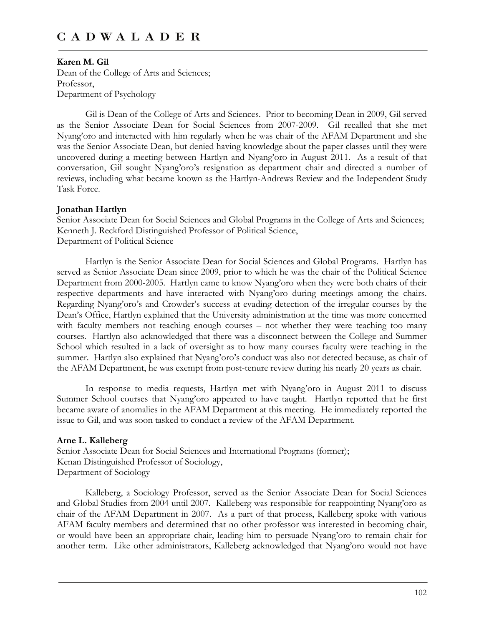### **Karen M. Gil**

Dean of the College of Arts and Sciences; Professor, Department of Psychology

Gil is Dean of the College of Arts and Sciences. Prior to becoming Dean in 2009, Gil served as the Senior Associate Dean for Social Sciences from 2007-2009. Gil recalled that she met Nyang'oro and interacted with him regularly when he was chair of the AFAM Department and she was the Senior Associate Dean, but denied having knowledge about the paper classes until they were uncovered during a meeting between Hartlyn and Nyang'oro in August 2011. As a result of that conversation, Gil sought Nyang'oro's resignation as department chair and directed a number of reviews, including what became known as the Hartlyn-Andrews Review and the Independent Study Task Force.

### **Jonathan Hartlyn**

Senior Associate Dean for Social Sciences and Global Programs in the College of Arts and Sciences; Kenneth J. Reckford Distinguished Professor of Political Science, Department of Political Science

Hartlyn is the Senior Associate Dean for Social Sciences and Global Programs. Hartlyn has served as Senior Associate Dean since 2009, prior to which he was the chair of the Political Science Department from 2000-2005. Hartlyn came to know Nyang'oro when they were both chairs of their respective departments and have interacted with Nyang'oro during meetings among the chairs. Regarding Nyang'oro's and Crowder's success at evading detection of the irregular courses by the Dean's Office, Hartlyn explained that the University administration at the time was more concerned with faculty members not teaching enough courses – not whether they were teaching too many courses. Hartlyn also acknowledged that there was a disconnect between the College and Summer School which resulted in a lack of oversight as to how many courses faculty were teaching in the summer. Hartlyn also explained that Nyang'oro's conduct was also not detected because, as chair of the AFAM Department, he was exempt from post-tenure review during his nearly 20 years as chair.

In response to media requests, Hartlyn met with Nyang'oro in August 2011 to discuss Summer School courses that Nyang'oro appeared to have taught. Hartlyn reported that he first became aware of anomalies in the AFAM Department at this meeting. He immediately reported the issue to Gil, and was soon tasked to conduct a review of the AFAM Department.

### **Arne L. Kalleberg**

Senior Associate Dean for Social Sciences and International Programs (former); Kenan Distinguished Professor of Sociology, Department of Sociology

Kalleberg, a Sociology Professor, served as the Senior Associate Dean for Social Sciences and Global Studies from 2004 until 2007. Kalleberg was responsible for reappointing Nyang'oro as chair of the AFAM Department in 2007. As a part of that process, Kalleberg spoke with various AFAM faculty members and determined that no other professor was interested in becoming chair, or would have been an appropriate chair, leading him to persuade Nyang'oro to remain chair for another term. Like other administrators, Kalleberg acknowledged that Nyang'oro would not have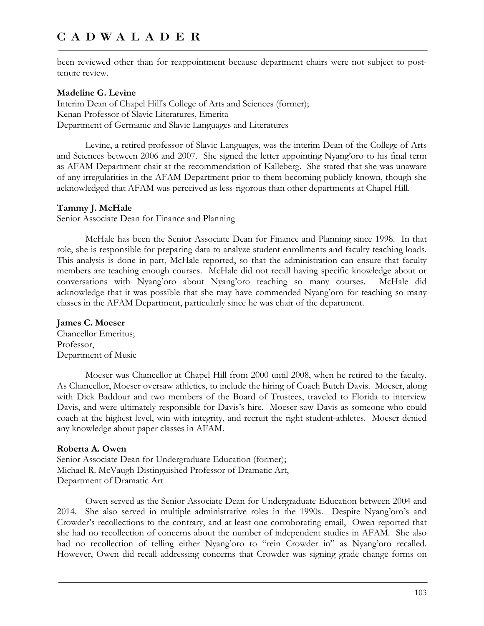been reviewed other than for reappointment because department chairs were not subject to posttenure review.

### **Madeline G. Levine**

Interim Dean of Chapel Hill's College of Arts and Sciences (former); Kenan Professor of Slavic Literatures, Emerita Department of Germanic and Slavic Languages and Literatures

Levine, a retired professor of Slavic Languages, was the interim Dean of the College of Arts and Sciences between 2006 and 2007. She signed the letter appointing Nyang'oro to his final term as AFAM Department chair at the recommendation of Kalleberg. She stated that she was unaware of any irregularities in the AFAM Department prior to them becoming publicly known, though she acknowledged that AFAM was perceived as less-rigorous than other departments at Chapel Hill.

#### **Tammy J. McHale**

Senior Associate Dean for Finance and Planning

McHale has been the Senior Associate Dean for Finance and Planning since 1998. In that role, she is responsible for preparing data to analyze student enrollments and faculty teaching loads. This analysis is done in part, McHale reported, so that the administration can ensure that faculty members are teaching enough courses. McHale did not recall having specific knowledge about or conversations with Nyang'oro about Nyang'oro teaching so many courses. McHale did acknowledge that it was possible that she may have commended Nyang'oro for teaching so many classes in the AFAM Department, particularly since he was chair of the department.

### **James C. Moeser**

Chancellor Emeritus; Professor, Department of Music

Moeser was Chancellor at Chapel Hill from 2000 until 2008, when he retired to the faculty. As Chancellor, Moeser oversaw athletics, to include the hiring of Coach Butch Davis. Moeser, along with Dick Baddour and two members of the Board of Trustees, traveled to Florida to interview Davis, and were ultimately responsible for Davis's hire. Moeser saw Davis as someone who could coach at the highest level, win with integrity, and recruit the right student-athletes. Moeser denied any knowledge about paper classes in AFAM.

### **Roberta A. Owen**

Senior Associate Dean for Undergraduate Education (former); Michael R. McVaugh Distinguished Professor of Dramatic Art, Department of Dramatic Art

Owen served as the Senior Associate Dean for Undergraduate Education between 2004 and 2014. She also served in multiple administrative roles in the 1990s. Despite Nyang'oro's and Crowder's recollections to the contrary, and at least one corroborating email, Owen reported that she had no recollection of concerns about the number of independent studies in AFAM. She also had no recollection of telling either Nyang'oro to "rein Crowder in" as Nyang'oro recalled. However, Owen did recall addressing concerns that Crowder was signing grade change forms on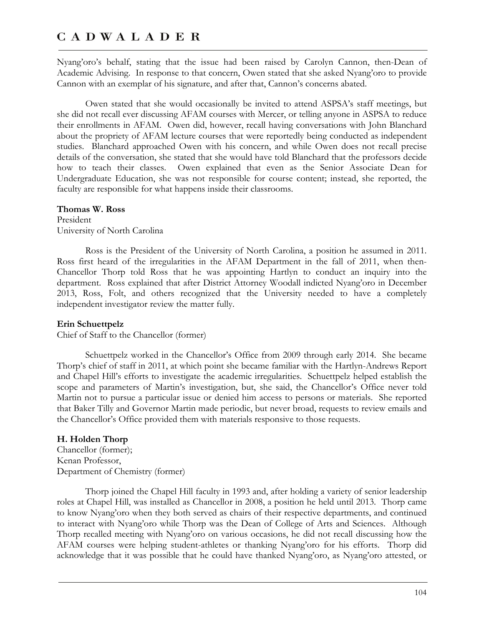Nyang'oro's behalf, stating that the issue had been raised by Carolyn Cannon, then-Dean of Academic Advising. In response to that concern, Owen stated that she asked Nyang'oro to provide Cannon with an exemplar of his signature, and after that, Cannon's concerns abated.

Owen stated that she would occasionally be invited to attend ASPSA's staff meetings, but she did not recall ever discussing AFAM courses with Mercer, or telling anyone in ASPSA to reduce their enrollments in AFAM. Owen did, however, recall having conversations with John Blanchard about the propriety of AFAM lecture courses that were reportedly being conducted as independent studies. Blanchard approached Owen with his concern, and while Owen does not recall precise details of the conversation, she stated that she would have told Blanchard that the professors decide how to teach their classes. Owen explained that even as the Senior Associate Dean for Undergraduate Education, she was not responsible for course content; instead, she reported, the faculty are responsible for what happens inside their classrooms.

### **Thomas W. Ross**

President University of North Carolina

Ross is the President of the University of North Carolina, a position he assumed in 2011. Ross first heard of the irregularities in the AFAM Department in the fall of 2011, when then-Chancellor Thorp told Ross that he was appointing Hartlyn to conduct an inquiry into the department. Ross explained that after District Attorney Woodall indicted Nyang'oro in December 2013, Ross, Folt, and others recognized that the University needed to have a completely independent investigator review the matter fully.

### **Erin Schuettpelz**

Chief of Staff to the Chancellor (former)

Schuettpelz worked in the Chancellor's Office from 2009 through early 2014. She became Thorp's chief of staff in 2011, at which point she became familiar with the Hartlyn-Andrews Report and Chapel Hill's efforts to investigate the academic irregularities. Schuettpelz helped establish the scope and parameters of Martin's investigation, but, she said, the Chancellor's Office never told Martin not to pursue a particular issue or denied him access to persons or materials. She reported that Baker Tilly and Governor Martin made periodic, but never broad, requests to review emails and the Chancellor's Office provided them with materials responsive to those requests.

### **H. Holden Thorp**

Chancellor (former); Kenan Professor, Department of Chemistry (former)

Thorp joined the Chapel Hill faculty in 1993 and, after holding a variety of senior leadership roles at Chapel Hill, was installed as Chancellor in 2008, a position he held until 2013. Thorp came to know Nyang'oro when they both served as chairs of their respective departments, and continued to interact with Nyang'oro while Thorp was the Dean of College of Arts and Sciences. Although Thorp recalled meeting with Nyang'oro on various occasions, he did not recall discussing how the AFAM courses were helping student-athletes or thanking Nyang'oro for his efforts. Thorp did acknowledge that it was possible that he could have thanked Nyang'oro, as Nyang'oro attested, or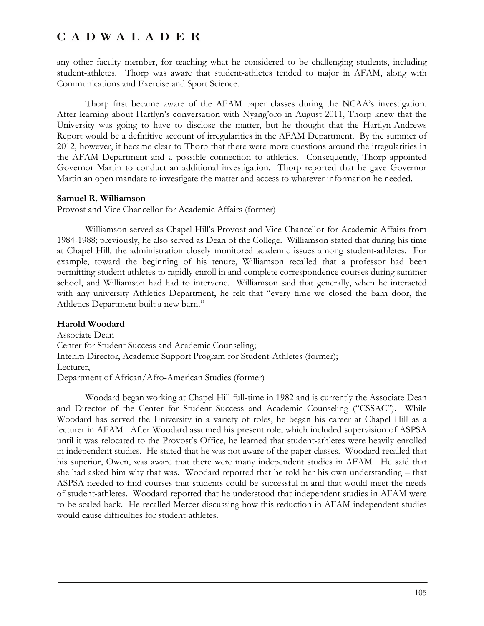any other faculty member, for teaching what he considered to be challenging students, including student-athletes. Thorp was aware that student-athletes tended to major in AFAM, along with Communications and Exercise and Sport Science.

Thorp first became aware of the AFAM paper classes during the NCAA's investigation. After learning about Hartlyn's conversation with Nyang'oro in August 2011, Thorp knew that the University was going to have to disclose the matter, but he thought that the Hartlyn-Andrews Report would be a definitive account of irregularities in the AFAM Department. By the summer of 2012, however, it became clear to Thorp that there were more questions around the irregularities in the AFAM Department and a possible connection to athletics. Consequently, Thorp appointed Governor Martin to conduct an additional investigation. Thorp reported that he gave Governor Martin an open mandate to investigate the matter and access to whatever information he needed.

#### **Samuel R. Williamson**

Provost and Vice Chancellor for Academic Affairs (former)

Williamson served as Chapel Hill's Provost and Vice Chancellor for Academic Affairs from 1984-1988; previously, he also served as Dean of the College. Williamson stated that during his time at Chapel Hill, the administration closely monitored academic issues among student-athletes. For example, toward the beginning of his tenure, Williamson recalled that a professor had been permitting student-athletes to rapidly enroll in and complete correspondence courses during summer school, and Williamson had had to intervene. Williamson said that generally, when he interacted with any university Athletics Department, he felt that "every time we closed the barn door, the Athletics Department built a new barn."

#### **Harold Woodard**

Associate Dean Center for Student Success and Academic Counseling; Interim Director, Academic Support Program for Student-Athletes (former); Lecturer, Department of African/Afro-American Studies (former)

Woodard began working at Chapel Hill full-time in 1982 and is currently the Associate Dean and Director of the Center for Student Success and Academic Counseling ("CSSAC"). While Woodard has served the University in a variety of roles, he began his career at Chapel Hill as a lecturer in AFAM. After Woodard assumed his present role, which included supervision of ASPSA until it was relocated to the Provost's Office, he learned that student-athletes were heavily enrolled in independent studies. He stated that he was not aware of the paper classes. Woodard recalled that his superior, Owen, was aware that there were many independent studies in AFAM. He said that she had asked him why that was. Woodard reported that he told her his own understanding – that ASPSA needed to find courses that students could be successful in and that would meet the needs of student-athletes. Woodard reported that he understood that independent studies in AFAM were to be scaled back. He recalled Mercer discussing how this reduction in AFAM independent studies would cause difficulties for student-athletes.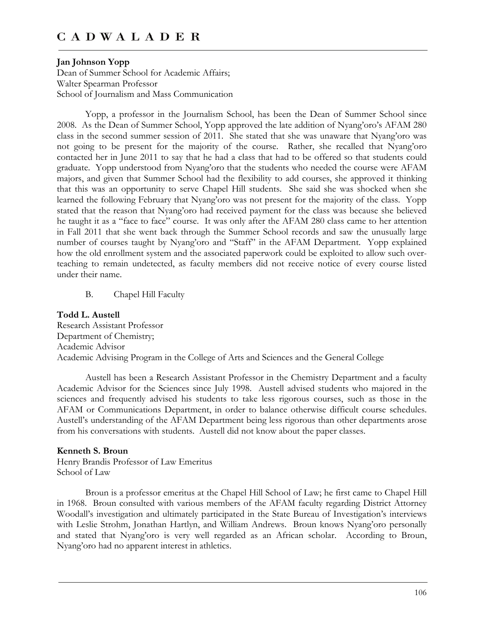### **Jan Johnson Yopp**

Dean of Summer School for Academic Affairs; Walter Spearman Professor School of Journalism and Mass Communication

Yopp, a professor in the Journalism School, has been the Dean of Summer School since 2008. As the Dean of Summer School, Yopp approved the late addition of Nyang'oro's AFAM 280 class in the second summer session of 2011. She stated that she was unaware that Nyang'oro was not going to be present for the majority of the course. Rather, she recalled that Nyang'oro contacted her in June 2011 to say that he had a class that had to be offered so that students could graduate. Yopp understood from Nyang'oro that the students who needed the course were AFAM majors, and given that Summer School had the flexibility to add courses, she approved it thinking that this was an opportunity to serve Chapel Hill students. She said she was shocked when she learned the following February that Nyang'oro was not present for the majority of the class. Yopp stated that the reason that Nyang'oro had received payment for the class was because she believed he taught it as a "face to face" course. It was only after the AFAM 280 class came to her attention in Fall 2011 that she went back through the Summer School records and saw the unusually large number of courses taught by Nyang'oro and "Staff" in the AFAM Department. Yopp explained how the old enrollment system and the associated paperwork could be exploited to allow such overteaching to remain undetected, as faculty members did not receive notice of every course listed under their name.

B. Chapel Hill Faculty

# **Todd L. Austell**

Research Assistant Professor Department of Chemistry; Academic Advisor Academic Advising Program in the College of Arts and Sciences and the General College

Austell has been a Research Assistant Professor in the Chemistry Department and a faculty Academic Advisor for the Sciences since July 1998. Austell advised students who majored in the sciences and frequently advised his students to take less rigorous courses, such as those in the AFAM or Communications Department, in order to balance otherwise difficult course schedules. Austell's understanding of the AFAM Department being less rigorous than other departments arose from his conversations with students. Austell did not know about the paper classes.

#### **Kenneth S. Broun**

Henry Brandis Professor of Law Emeritus School of Law

Broun is a professor emeritus at the Chapel Hill School of Law; he first came to Chapel Hill in 1968. Broun consulted with various members of the AFAM faculty regarding District Attorney Woodall's investigation and ultimately participated in the State Bureau of Investigation's interviews with Leslie Strohm, Jonathan Hartlyn, and William Andrews. Broun knows Nyang'oro personally and stated that Nyang'oro is very well regarded as an African scholar. According to Broun, Nyang'oro had no apparent interest in athletics.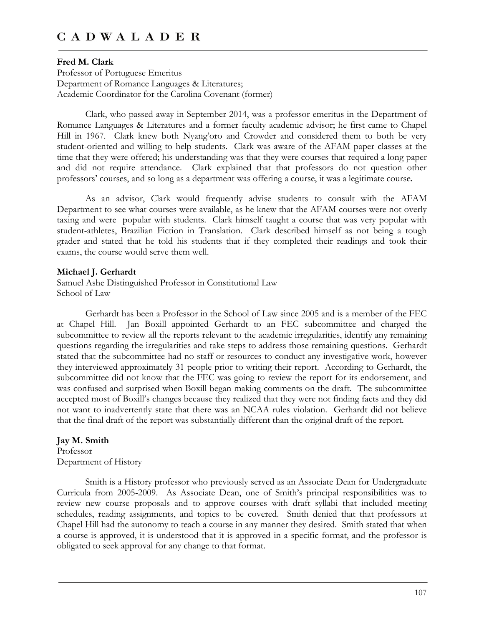#### **Fred M. Clark**

Professor of Portuguese Emeritus Department of Romance Languages & Literatures; Academic Coordinator for the Carolina Covenant (former)

Clark, who passed away in September 2014, was a professor emeritus in the Department of Romance Languages & Literatures and a former faculty academic advisor; he first came to Chapel Hill in 1967. Clark knew both Nyang'oro and Crowder and considered them to both be very student-oriented and willing to help students. Clark was aware of the AFAM paper classes at the time that they were offered; his understanding was that they were courses that required a long paper and did not require attendance. Clark explained that that professors do not question other professors' courses, and so long as a department was offering a course, it was a legitimate course.

As an advisor, Clark would frequently advise students to consult with the AFAM Department to see what courses were available, as he knew that the AFAM courses were not overly taxing and were popular with students. Clark himself taught a course that was very popular with student-athletes, Brazilian Fiction in Translation. Clark described himself as not being a tough grader and stated that he told his students that if they completed their readings and took their exams, the course would serve them well.

#### **Michael J. Gerhardt**

Samuel Ashe Distinguished Professor in Constitutional Law School of Law

Gerhardt has been a Professor in the School of Law since 2005 and is a member of the FEC at Chapel Hill. Jan Boxill appointed Gerhardt to an FEC subcommittee and charged the subcommittee to review all the reports relevant to the academic irregularities, identify any remaining questions regarding the irregularities and take steps to address those remaining questions. Gerhardt stated that the subcommittee had no staff or resources to conduct any investigative work, however they interviewed approximately 31 people prior to writing their report. According to Gerhardt, the subcommittee did not know that the FEC was going to review the report for its endorsement, and was confused and surprised when Boxill began making comments on the draft. The subcommittee accepted most of Boxill's changes because they realized that they were not finding facts and they did not want to inadvertently state that there was an NCAA rules violation. Gerhardt did not believe that the final draft of the report was substantially different than the original draft of the report.

### **Jay M. Smith**

Professor Department of History

Smith is a History professor who previously served as an Associate Dean for Undergraduate Curricula from 2005-2009. As Associate Dean, one of Smith's principal responsibilities was to review new course proposals and to approve courses with draft syllabi that included meeting schedules, reading assignments, and topics to be covered. Smith denied that that professors at Chapel Hill had the autonomy to teach a course in any manner they desired. Smith stated that when a course is approved, it is understood that it is approved in a specific format, and the professor is obligated to seek approval for any change to that format.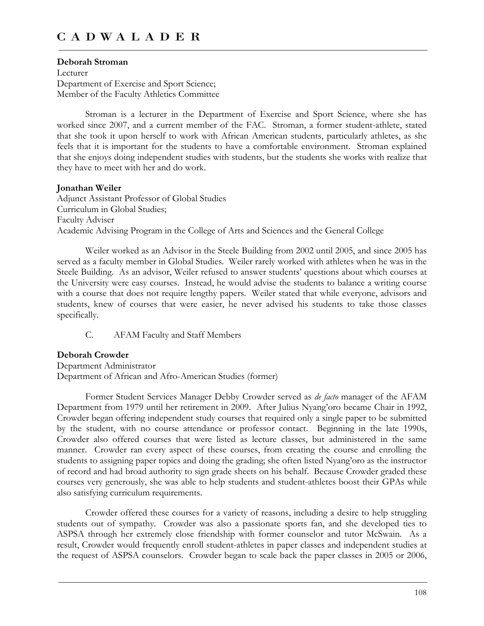### **Deborah Stroman**

Lecturer Department of Exercise and Sport Science; Member of the Faculty Athletics Committee

Stroman is a lecturer in the Department of Exercise and Sport Science, where she has worked since 2007, and a current member of the FAC. Stroman, a former student-athlete, stated that she took it upon herself to work with African American students, particularly athletes, as she feels that it is important for the students to have a comfortable environment. Stroman explained that she enjoys doing independent studies with students, but the students she works with realize that they have to meet with her and do work.

### **Jonathan Weiler**

Adjunct Assistant Professor of Global Studies Curriculum in Global Studies; Faculty Adviser Academic Advising Program in the College of Arts and Sciences and the General College

Weiler worked as an Advisor in the Steele Building from 2002 until 2005, and since 2005 has served as a faculty member in Global Studies. Weiler rarely worked with athletes when he was in the Steele Building. As an advisor, Weiler refused to answer students' questions about which courses at the University were easy courses. Instead, he would advise the students to balance a writing course with a course that does not require lengthy papers. Weiler stated that while everyone, advisors and students, knew of courses that were easier, he never advised his students to take those classes specifically.

C. AFAM Faculty and Staff Members

## **Deborah Crowder**

Department Administrator Department of African and Afro-American Studies (former)

Former Student Services Manager Debby Crowder served as *de facto* manager of the AFAM Department from 1979 until her retirement in 2009. After Julius Nyang'oro became Chair in 1992, Crowder began offering independent study courses that required only a single paper to be submitted by the student, with no course attendance or professor contact. Beginning in the late 1990s, Crowder also offered courses that were listed as lecture classes, but administered in the same manner. Crowder ran every aspect of these courses, from creating the course and enrolling the students to assigning paper topics and doing the grading; she often listed Nyang'oro as the instructor of record and had broad authority to sign grade sheets on his behalf. Because Crowder graded these courses very generously, she was able to help students and student-athletes boost their GPAs while also satisfying curriculum requirements.

Crowder offered these courses for a variety of reasons, including a desire to help struggling students out of sympathy. Crowder was also a passionate sports fan, and she developed ties to ASPSA through her extremely close friendship with former counselor and tutor McSwain. As a result, Crowder would frequently enroll student-athletes in paper classes and independent studies at the request of ASPSA counselors. Crowder began to scale back the paper classes in 2005 or 2006,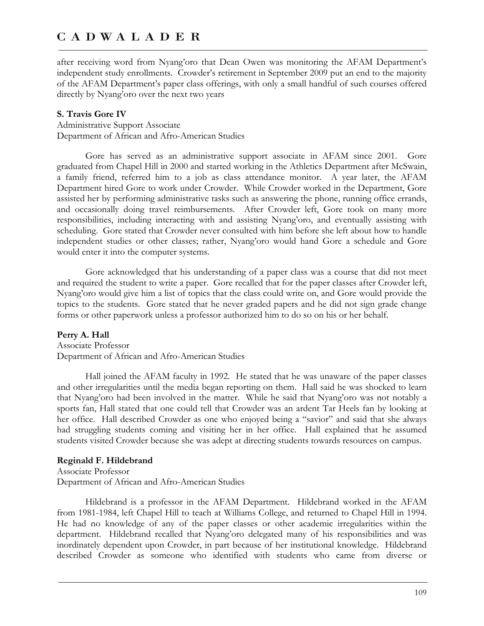after receiving word from Nyang'oro that Dean Owen was monitoring the AFAM Department's independent study enrollments. Crowder's retirement in September 2009 put an end to the majority of the AFAM Department's paper class offerings, with only a small handful of such courses offered directly by Nyang'oro over the next two years

### **S. Travis Gore IV**

Administrative Support Associate Department of African and Afro-American Studies

Gore has served as an administrative support associate in AFAM since 2001. Gore graduated from Chapel Hill in 2000 and started working in the Athletics Department after McSwain, a family friend, referred him to a job as class attendance monitor. A year later, the AFAM Department hired Gore to work under Crowder. While Crowder worked in the Department, Gore assisted her by performing administrative tasks such as answering the phone, running office errands, and occasionally doing travel reimbursements. After Crowder left, Gore took on many more responsibilities, including interacting with and assisting Nyang'oro, and eventually assisting with scheduling. Gore stated that Crowder never consulted with him before she left about how to handle independent studies or other classes; rather, Nyang'oro would hand Gore a schedule and Gore would enter it into the computer systems.

Gore acknowledged that his understanding of a paper class was a course that did not meet and required the student to write a paper. Gore recalled that for the paper classes after Crowder left, Nyang'oro would give him a list of topics that the class could write on, and Gore would provide the topics to the students. Gore stated that he never graded papers and he did not sign grade change forms or other paperwork unless a professor authorized him to do so on his or her behalf.

## **Perry A. Hall**

Associate Professor Department of African and Afro-American Studies

Hall joined the AFAM faculty in 1992. He stated that he was unaware of the paper classes and other irregularities until the media began reporting on them. Hall said he was shocked to learn that Nyang'oro had been involved in the matter. While he said that Nyang'oro was not notably a sports fan, Hall stated that one could tell that Crowder was an ardent Tar Heels fan by looking at her office. Hall described Crowder as one who enjoyed being a "savior" and said that she always had struggling students coming and visiting her in her office. Hall explained that he assumed students visited Crowder because she was adept at directing students towards resources on campus.

## **Reginald F. Hildebrand**

Associate Professor Department of African and Afro-American Studies

Hildebrand is a professor in the AFAM Department. Hildebrand worked in the AFAM from 1981-1984, left Chapel Hill to teach at Williams College, and returned to Chapel Hill in 1994. He had no knowledge of any of the paper classes or other academic irregularities within the department. Hildebrand recalled that Nyang'oro delegated many of his responsibilities and was inordinately dependent upon Crowder, in part because of her institutional knowledge. Hildebrand described Crowder as someone who identified with students who came from diverse or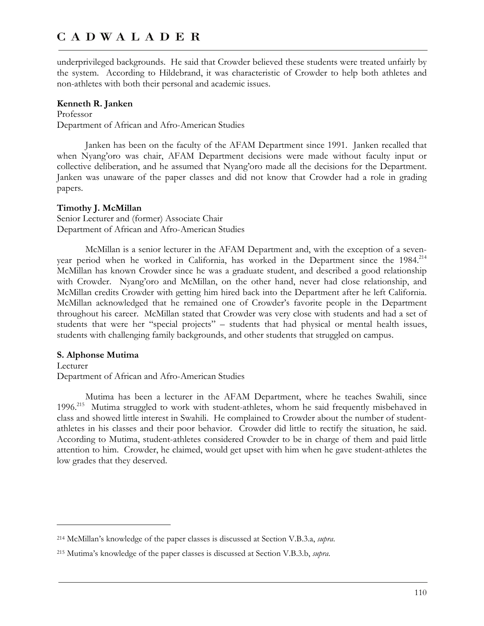underprivileged backgrounds. He said that Crowder believed these students were treated unfairly by the system. According to Hildebrand, it was characteristic of Crowder to help both athletes and non-athletes with both their personal and academic issues.

### **Kenneth R. Janken**

Professor Department of African and Afro-American Studies

Janken has been on the faculty of the AFAM Department since 1991. Janken recalled that when Nyang'oro was chair, AFAM Department decisions were made without faculty input or collective deliberation, and he assumed that Nyang'oro made all the decisions for the Department. Janken was unaware of the paper classes and did not know that Crowder had a role in grading papers.

## **Timothy J. McMillan**

Senior Lecturer and (former) Associate Chair Department of African and Afro-American Studies

McMillan is a senior lecturer in the AFAM Department and, with the exception of a sevenyear period when he worked in California, has worked in the Department since the 1984.<sup>214</sup> McMillan has known Crowder since he was a graduate student, and described a good relationship with Crowder. Nyang'oro and McMillan, on the other hand, never had close relationship, and McMillan credits Crowder with getting him hired back into the Department after he left California. McMillan acknowledged that he remained one of Crowder's favorite people in the Department throughout his career. McMillan stated that Crowder was very close with students and had a set of students that were her "special projects" – students that had physical or mental health issues, students with challenging family backgrounds, and other students that struggled on campus.

## **S. Alphonse Mutima**

 $\overline{a}$ 

Lecturer Department of African and Afro-American Studies

Mutima has been a lecturer in the AFAM Department, where he teaches Swahili, since 1996.215 Mutima struggled to work with student-athletes, whom he said frequently misbehaved in class and showed little interest in Swahili. He complained to Crowder about the number of studentathletes in his classes and their poor behavior. Crowder did little to rectify the situation, he said. According to Mutima, student-athletes considered Crowder to be in charge of them and paid little attention to him. Crowder, he claimed, would get upset with him when he gave student-athletes the low grades that they deserved.

<sup>214</sup> McMillan's knowledge of the paper classes is discussed at Section V.B.3.a, *supra*.

<sup>215</sup> Mutima's knowledge of the paper classes is discussed at Section V.B.3.b, *supra*.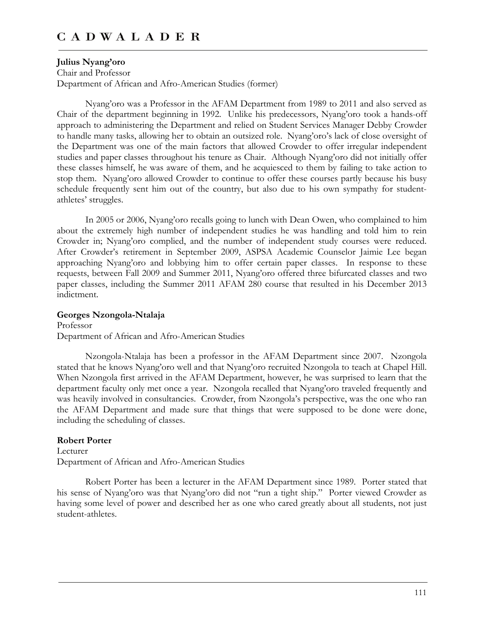### **Julius Nyang'oro**

Chair and Professor Department of African and Afro-American Studies (former)

Nyang'oro was a Professor in the AFAM Department from 1989 to 2011 and also served as Chair of the department beginning in 1992. Unlike his predecessors, Nyang'oro took a hands-off approach to administering the Department and relied on Student Services Manager Debby Crowder to handle many tasks, allowing her to obtain an outsized role. Nyang'oro's lack of close oversight of the Department was one of the main factors that allowed Crowder to offer irregular independent studies and paper classes throughout his tenure as Chair. Although Nyang'oro did not initially offer these classes himself, he was aware of them, and he acquiesced to them by failing to take action to stop them. Nyang'oro allowed Crowder to continue to offer these courses partly because his busy schedule frequently sent him out of the country, but also due to his own sympathy for studentathletes' struggles.

In 2005 or 2006, Nyang'oro recalls going to lunch with Dean Owen, who complained to him about the extremely high number of independent studies he was handling and told him to rein Crowder in; Nyang'oro complied, and the number of independent study courses were reduced. After Crowder's retirement in September 2009, ASPSA Academic Counselor Jaimie Lee began approaching Nyang'oro and lobbying him to offer certain paper classes. In response to these requests, between Fall 2009 and Summer 2011, Nyang'oro offered three bifurcated classes and two paper classes, including the Summer 2011 AFAM 280 course that resulted in his December 2013 indictment.

### **Georges Nzongola-Ntalaja**

Professor Department of African and Afro-American Studies

Nzongola-Ntalaja has been a professor in the AFAM Department since 2007. Nzongola stated that he knows Nyang'oro well and that Nyang'oro recruited Nzongola to teach at Chapel Hill. When Nzongola first arrived in the AFAM Department, however, he was surprised to learn that the department faculty only met once a year. Nzongola recalled that Nyang'oro traveled frequently and was heavily involved in consultancies. Crowder, from Nzongola's perspective, was the one who ran the AFAM Department and made sure that things that were supposed to be done were done, including the scheduling of classes.

## **Robert Porter**

Lecturer Department of African and Afro-American Studies

Robert Porter has been a lecturer in the AFAM Department since 1989. Porter stated that his sense of Nyang'oro was that Nyang'oro did not "run a tight ship." Porter viewed Crowder as having some level of power and described her as one who cared greatly about all students, not just student-athletes.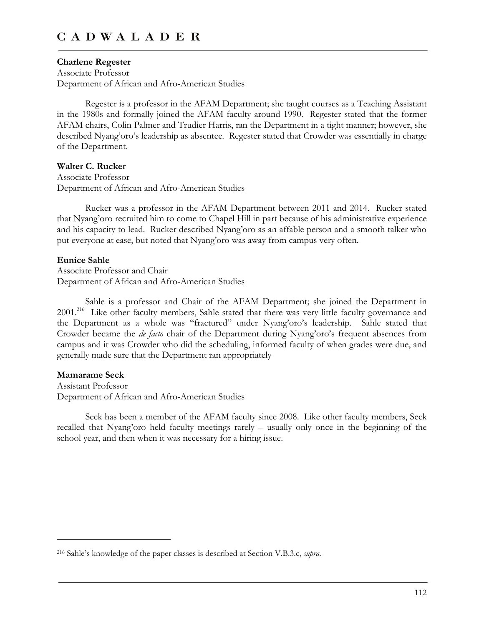#### **Charlene Regester**

Associate Professor Department of African and Afro-American Studies

Regester is a professor in the AFAM Department; she taught courses as a Teaching Assistant in the 1980s and formally joined the AFAM faculty around 1990. Regester stated that the former AFAM chairs, Colin Palmer and Trudier Harris, ran the Department in a tight manner; however, she described Nyang'oro's leadership as absentee. Regester stated that Crowder was essentially in charge of the Department.

# **Walter C. Rucker**

Associate Professor Department of African and Afro-American Studies

Rucker was a professor in the AFAM Department between 2011 and 2014. Rucker stated that Nyang'oro recruited him to come to Chapel Hill in part because of his administrative experience and his capacity to lead. Rucker described Nyang'oro as an affable person and a smooth talker who put everyone at ease, but noted that Nyang'oro was away from campus very often.

#### **Eunice Sahle**

Associate Professor and Chair Department of African and Afro-American Studies

Sahle is a professor and Chair of the AFAM Department; she joined the Department in 2001.<sup>216</sup> Like other faculty members, Sahle stated that there was very little faculty governance and the Department as a whole was "fractured" under Nyang'oro's leadership. Sahle stated that Crowder became the *de facto* chair of the Department during Nyang'oro's frequent absences from campus and it was Crowder who did the scheduling, informed faculty of when grades were due, and generally made sure that the Department ran appropriately

#### **Mamarame Seck**

 $\overline{a}$ 

Assistant Professor Department of African and Afro-American Studies

Seck has been a member of the AFAM faculty since 2008. Like other faculty members, Seck recalled that Nyang'oro held faculty meetings rarely – usually only once in the beginning of the school year, and then when it was necessary for a hiring issue.

<sup>216</sup> Sahle's knowledge of the paper classes is described at Section V.B.3.c, *supra*.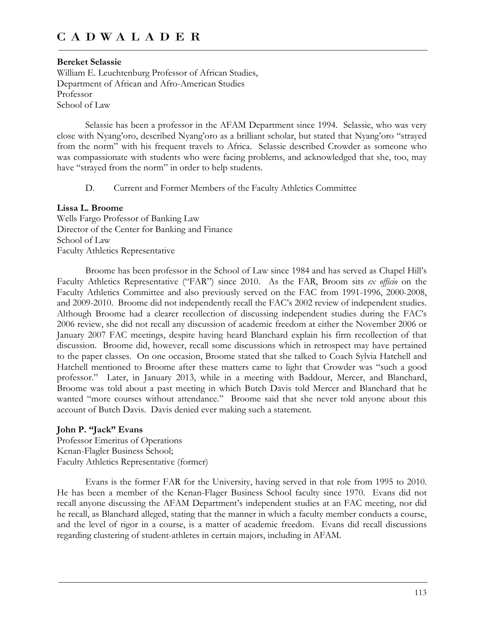### **Bereket Selassie**

William E. Leuchtenburg Professor of African Studies, Department of African and Afro-American Studies Professor School of Law

Selassie has been a professor in the AFAM Department since 1994. Selassie, who was very close with Nyang'oro, described Nyang'oro as a brilliant scholar, but stated that Nyang'oro "strayed from the norm" with his frequent travels to Africa. Selassie described Crowder as someone who was compassionate with students who were facing problems, and acknowledged that she, too, may have "strayed from the norm" in order to help students.

D. Current and Former Members of the Faculty Athletics Committee

### **Lissa L. Broome**

Wells Fargo Professor of Banking Law Director of the Center for Banking and Finance School of Law Faculty Athletics Representative

Broome has been professor in the School of Law since 1984 and has served as Chapel Hill's Faculty Athletics Representative ("FAR") since 2010. As the FAR, Broom sits *ex officio* on the Faculty Athletics Committee and also previously served on the FAC from 1991-1996, 2000-2008, and 2009-2010. Broome did not independently recall the FAC's 2002 review of independent studies. Although Broome had a clearer recollection of discussing independent studies during the FAC's 2006 review, she did not recall any discussion of academic freedom at either the November 2006 or January 2007 FAC meetings, despite having heard Blanchard explain his firm recollection of that discussion. Broome did, however, recall some discussions which in retrospect may have pertained to the paper classes. On one occasion, Broome stated that she talked to Coach Sylvia Hatchell and Hatchell mentioned to Broome after these matters came to light that Crowder was "such a good professor." Later, in January 2013, while in a meeting with Baddour, Mercer, and Blanchard, Broome was told about a past meeting in which Butch Davis told Mercer and Blanchard that he wanted "more courses without attendance." Broome said that she never told anyone about this account of Butch Davis. Davis denied ever making such a statement.

## **John P. "Jack" Evans**

Professor Emeritus of Operations Kenan-Flagler Business School; Faculty Athletics Representative (former)

Evans is the former FAR for the University, having served in that role from 1995 to 2010. He has been a member of the Kenan-Flager Business School faculty since 1970. Evans did not recall anyone discussing the AFAM Department's independent studies at an FAC meeting, nor did he recall, as Blanchard alleged, stating that the manner in which a faculty member conducts a course, and the level of rigor in a course, is a matter of academic freedom. Evans did recall discussions regarding clustering of student-athletes in certain majors, including in AFAM.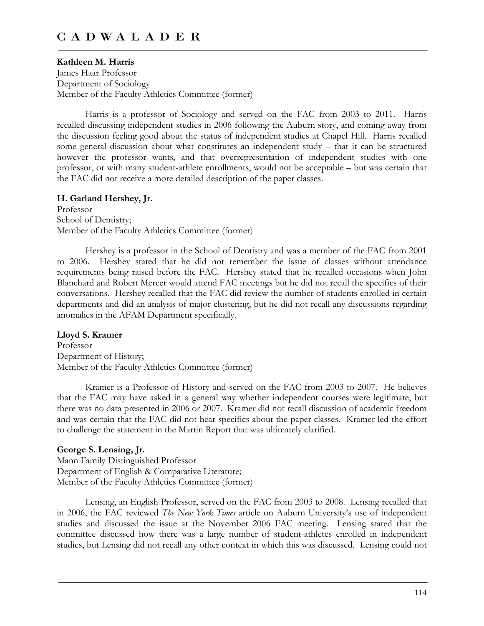## **Kathleen M. Harris**

James Haar Professor Department of Sociology Member of the Faculty Athletics Committee (former)

Harris is a professor of Sociology and served on the FAC from 2003 to 2011. Harris recalled discussing independent studies in 2006 following the Auburn story, and coming away from the discussion feeling good about the status of independent studies at Chapel Hill. Harris recalled some general discussion about what constitutes an independent study – that it can be structured however the professor wants, and that overrepresentation of independent studies with one professor, or with many student-athlete enrollments, would not be acceptable – but was certain that the FAC did not receive a more detailed description of the paper classes.

### **H. Garland Hershey, Jr.**

Professor School of Dentistry; Member of the Faculty Athletics Committee (former)

Hershey is a professor in the School of Dentistry and was a member of the FAC from 2001 to 2006. Hershey stated that he did not remember the issue of classes without attendance requirements being raised before the FAC. Hershey stated that he recalled occasions when John Blanchard and Robert Mercer would attend FAC meetings but he did not recall the specifics of their conversations. Hershey recalled that the FAC did review the number of students enrolled in certain departments and did an analysis of major clustering, but he did not recall any discussions regarding anomalies in the AFAM Department specifically.

#### **Lloyd S. Kramer**

Professor Department of History; Member of the Faculty Athletics Committee (former)

Kramer is a Professor of History and served on the FAC from 2003 to 2007. He believes that the FAC may have asked in a general way whether independent courses were legitimate, but there was no data presented in 2006 or 2007. Kramer did not recall discussion of academic freedom and was certain that the FAC did not hear specifics about the paper classes. Kramer led the effort to challenge the statement in the Martin Report that was ultimately clarified.

#### **George S. Lensing, Jr.**

Mann Family Distinguished Professor Department of English & Comparative Literature; Member of the Faculty Athletics Committee (former)

Lensing, an English Professor, served on the FAC from 2003 to 2008. Lensing recalled that in 2006, the FAC reviewed *The New York Times* article on Auburn University's use of independent studies and discussed the issue at the November 2006 FAC meeting. Lensing stated that the committee discussed how there was a large number of student-athletes enrolled in independent studies, but Lensing did not recall any other context in which this was discussed. Lensing could not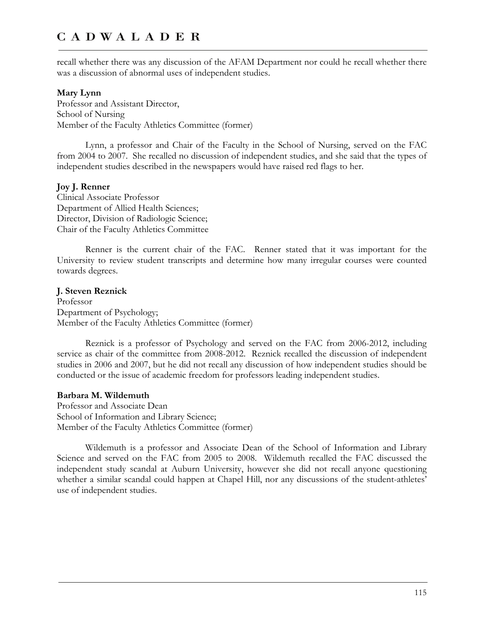recall whether there was any discussion of the AFAM Department nor could he recall whether there was a discussion of abnormal uses of independent studies.

#### **Mary Lynn**

Professor and Assistant Director, School of Nursing Member of the Faculty Athletics Committee (former)

Lynn, a professor and Chair of the Faculty in the School of Nursing, served on the FAC from 2004 to 2007. She recalled no discussion of independent studies, and she said that the types of independent studies described in the newspapers would have raised red flags to her.

### **Joy J. Renner**

Clinical Associate Professor Department of Allied Health Sciences; Director, Division of Radiologic Science; Chair of the Faculty Athletics Committee

Renner is the current chair of the FAC. Renner stated that it was important for the University to review student transcripts and determine how many irregular courses were counted towards degrees.

### **J. Steven Reznick**

Professor Department of Psychology; Member of the Faculty Athletics Committee (former)

Reznick is a professor of Psychology and served on the FAC from 2006-2012, including service as chair of the committee from 2008-2012. Reznick recalled the discussion of independent studies in 2006 and 2007, but he did not recall any discussion of how independent studies should be conducted or the issue of academic freedom for professors leading independent studies.

#### **Barbara M. Wildemuth**

Professor and Associate Dean School of Information and Library Science; Member of the Faculty Athletics Committee (former)

Wildemuth is a professor and Associate Dean of the School of Information and Library Science and served on the FAC from 2005 to 2008. Wildemuth recalled the FAC discussed the independent study scandal at Auburn University, however she did not recall anyone questioning whether a similar scandal could happen at Chapel Hill, nor any discussions of the student-athletes' use of independent studies.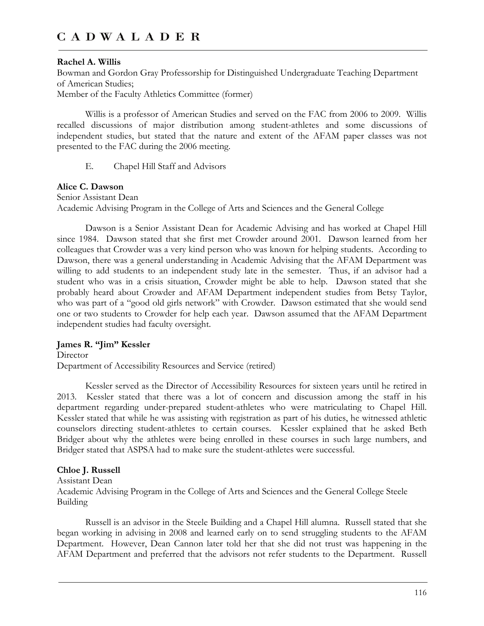### **Rachel A. Willis**

Bowman and Gordon Gray Professorship for Distinguished Undergraduate Teaching Department of American Studies; Member of the Faculty Athletics Committee (former)

Willis is a professor of American Studies and served on the FAC from 2006 to 2009. Willis recalled discussions of major distribution among student-athletes and some discussions of independent studies, but stated that the nature and extent of the AFAM paper classes was not presented to the FAC during the 2006 meeting.

E. Chapel Hill Staff and Advisors

### **Alice C. Dawson**

Senior Assistant Dean Academic Advising Program in the College of Arts and Sciences and the General College

Dawson is a Senior Assistant Dean for Academic Advising and has worked at Chapel Hill since 1984. Dawson stated that she first met Crowder around 2001. Dawson learned from her colleagues that Crowder was a very kind person who was known for helping students. According to Dawson, there was a general understanding in Academic Advising that the AFAM Department was willing to add students to an independent study late in the semester. Thus, if an advisor had a student who was in a crisis situation, Crowder might be able to help. Dawson stated that she probably heard about Crowder and AFAM Department independent studies from Betsy Taylor, who was part of a "good old girls network" with Crowder. Dawson estimated that she would send one or two students to Crowder for help each year. Dawson assumed that the AFAM Department independent studies had faculty oversight.

## **James R. "Jim" Kessler**

Director Department of Accessibility Resources and Service (retired)

Kessler served as the Director of Accessibility Resources for sixteen years until he retired in 2013. Kessler stated that there was a lot of concern and discussion among the staff in his department regarding under-prepared student-athletes who were matriculating to Chapel Hill. Kessler stated that while he was assisting with registration as part of his duties, he witnessed athletic counselors directing student-athletes to certain courses. Kessler explained that he asked Beth Bridger about why the athletes were being enrolled in these courses in such large numbers, and Bridger stated that ASPSA had to make sure the student-athletes were successful.

## **Chloe J. Russell**

#### Assistant Dean

Academic Advising Program in the College of Arts and Sciences and the General College Steele Building

Russell is an advisor in the Steele Building and a Chapel Hill alumna. Russell stated that she began working in advising in 2008 and learned early on to send struggling students to the AFAM Department. However, Dean Cannon later told her that she did not trust was happening in the AFAM Department and preferred that the advisors not refer students to the Department. Russell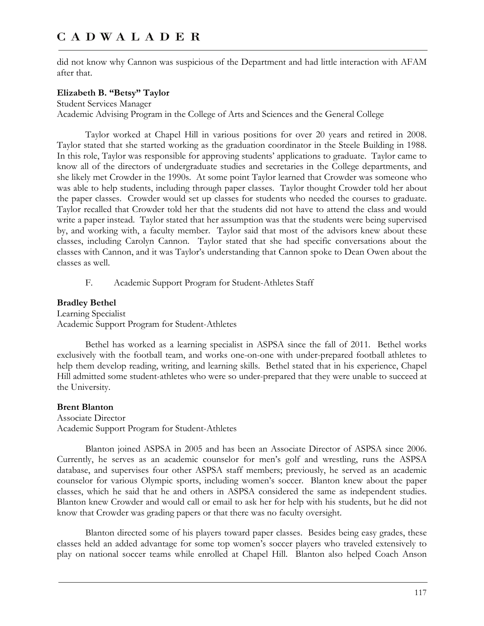did not know why Cannon was suspicious of the Department and had little interaction with AFAM after that.

### **Elizabeth B. "Betsy" Taylor**

Student Services Manager Academic Advising Program in the College of Arts and Sciences and the General College

Taylor worked at Chapel Hill in various positions for over 20 years and retired in 2008. Taylor stated that she started working as the graduation coordinator in the Steele Building in 1988. In this role, Taylor was responsible for approving students' applications to graduate. Taylor came to know all of the directors of undergraduate studies and secretaries in the College departments, and she likely met Crowder in the 1990s. At some point Taylor learned that Crowder was someone who was able to help students, including through paper classes. Taylor thought Crowder told her about the paper classes. Crowder would set up classes for students who needed the courses to graduate. Taylor recalled that Crowder told her that the students did not have to attend the class and would write a paper instead. Taylor stated that her assumption was that the students were being supervised by, and working with, a faculty member. Taylor said that most of the advisors knew about these classes, including Carolyn Cannon. Taylor stated that she had specific conversations about the classes with Cannon, and it was Taylor's understanding that Cannon spoke to Dean Owen about the classes as well.

F. Academic Support Program for Student-Athletes Staff

## **Bradley Bethel**

Learning Specialist Academic Support Program for Student-Athletes

Bethel has worked as a learning specialist in ASPSA since the fall of 2011. Bethel works exclusively with the football team, and works one-on-one with under-prepared football athletes to help them develop reading, writing, and learning skills. Bethel stated that in his experience, Chapel Hill admitted some student-athletes who were so under-prepared that they were unable to succeed at the University.

#### **Brent Blanton**

Associate Director Academic Support Program for Student-Athletes

Blanton joined ASPSA in 2005 and has been an Associate Director of ASPSA since 2006. Currently, he serves as an academic counselor for men's golf and wrestling, runs the ASPSA database, and supervises four other ASPSA staff members; previously, he served as an academic counselor for various Olympic sports, including women's soccer. Blanton knew about the paper classes, which he said that he and others in ASPSA considered the same as independent studies. Blanton knew Crowder and would call or email to ask her for help with his students, but he did not know that Crowder was grading papers or that there was no faculty oversight.

Blanton directed some of his players toward paper classes. Besides being easy grades, these classes held an added advantage for some top women's soccer players who traveled extensively to play on national soccer teams while enrolled at Chapel Hill. Blanton also helped Coach Anson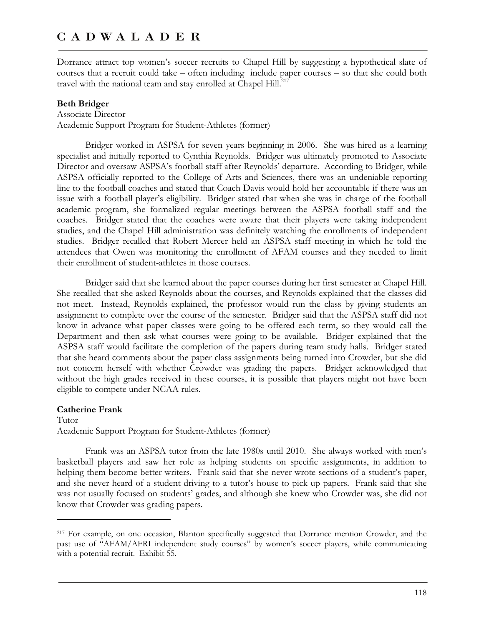Dorrance attract top women's soccer recruits to Chapel Hill by suggesting a hypothetical slate of courses that a recruit could take – often including include paper courses – so that she could both travel with the national team and stay enrolled at Chapel Hill.<sup>217</sup>

#### **Beth Bridger**

Associate Director Academic Support Program for Student-Athletes (former)

Bridger worked in ASPSA for seven years beginning in 2006. She was hired as a learning specialist and initially reported to Cynthia Reynolds. Bridger was ultimately promoted to Associate Director and oversaw ASPSA's football staff after Reynolds' departure. According to Bridger, while ASPSA officially reported to the College of Arts and Sciences, there was an undeniable reporting line to the football coaches and stated that Coach Davis would hold her accountable if there was an issue with a football player's eligibility. Bridger stated that when she was in charge of the football academic program, she formalized regular meetings between the ASPSA football staff and the coaches. Bridger stated that the coaches were aware that their players were taking independent studies, and the Chapel Hill administration was definitely watching the enrollments of independent studies. Bridger recalled that Robert Mercer held an ASPSA staff meeting in which he told the attendees that Owen was monitoring the enrollment of AFAM courses and they needed to limit their enrollment of student-athletes in those courses.

Bridger said that she learned about the paper courses during her first semester at Chapel Hill. She recalled that she asked Reynolds about the courses, and Reynolds explained that the classes did not meet. Instead, Reynolds explained, the professor would run the class by giving students an assignment to complete over the course of the semester. Bridger said that the ASPSA staff did not know in advance what paper classes were going to be offered each term, so they would call the Department and then ask what courses were going to be available. Bridger explained that the ASPSA staff would facilitate the completion of the papers during team study halls. Bridger stated that she heard comments about the paper class assignments being turned into Crowder, but she did not concern herself with whether Crowder was grading the papers. Bridger acknowledged that without the high grades received in these courses, it is possible that players might not have been eligible to compete under NCAA rules.

#### **Catherine Frank**

 $\overline{a}$ 

Tutor Academic Support Program for Student-Athletes (former)

Frank was an ASPSA tutor from the late 1980s until 2010. She always worked with men's basketball players and saw her role as helping students on specific assignments, in addition to helping them become better writers. Frank said that she never wrote sections of a student's paper, and she never heard of a student driving to a tutor's house to pick up papers. Frank said that she was not usually focused on students' grades, and although she knew who Crowder was, she did not know that Crowder was grading papers.

<sup>217</sup> For example, on one occasion, Blanton specifically suggested that Dorrance mention Crowder, and the past use of "AFAM/AFRI independent study courses" by women's soccer players, while communicating with a potential recruit. Exhibit 55.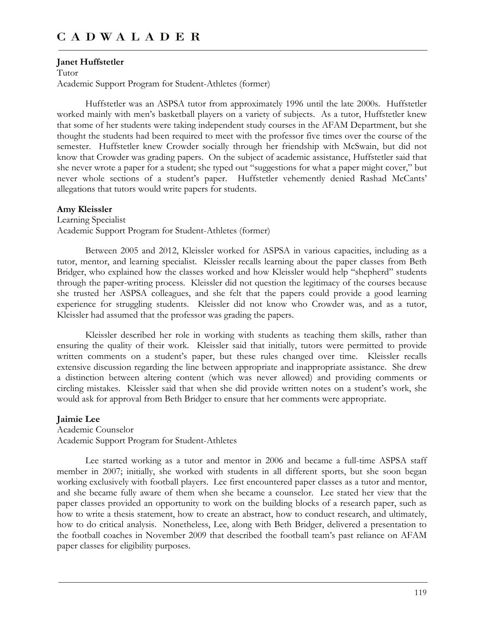#### **Janet Huffstetler**

Tutor Academic Support Program for Student-Athletes (former)

Huffstetler was an ASPSA tutor from approximately 1996 until the late 2000s. Huffstetler worked mainly with men's basketball players on a variety of subjects. As a tutor, Huffstetler knew that some of her students were taking independent study courses in the AFAM Department, but she thought the students had been required to meet with the professor five times over the course of the semester. Huffstetler knew Crowder socially through her friendship with McSwain, but did not know that Crowder was grading papers. On the subject of academic assistance, Huffstetler said that she never wrote a paper for a student; she typed out "suggestions for what a paper might cover," but never whole sections of a student's paper. Huffstetler vehemently denied Rashad McCants' allegations that tutors would write papers for students.

#### **Amy Kleissler**

Learning Specialist Academic Support Program for Student-Athletes (former)

Between 2005 and 2012, Kleissler worked for ASPSA in various capacities, including as a tutor, mentor, and learning specialist. Kleissler recalls learning about the paper classes from Beth Bridger, who explained how the classes worked and how Kleissler would help "shepherd" students through the paper-writing process. Kleissler did not question the legitimacy of the courses because she trusted her ASPSA colleagues, and she felt that the papers could provide a good learning experience for struggling students. Kleissler did not know who Crowder was, and as a tutor, Kleissler had assumed that the professor was grading the papers.

Kleissler described her role in working with students as teaching them skills, rather than ensuring the quality of their work. Kleissler said that initially, tutors were permitted to provide written comments on a student's paper, but these rules changed over time. Kleissler recalls extensive discussion regarding the line between appropriate and inappropriate assistance. She drew a distinction between altering content (which was never allowed) and providing comments or circling mistakes. Kleissler said that when she did provide written notes on a student's work, she would ask for approval from Beth Bridger to ensure that her comments were appropriate.

#### **Jaimie Lee**

Academic Counselor Academic Support Program for Student-Athletes

Lee started working as a tutor and mentor in 2006 and became a full-time ASPSA staff member in 2007; initially, she worked with students in all different sports, but she soon began working exclusively with football players. Lee first encountered paper classes as a tutor and mentor, and she became fully aware of them when she became a counselor. Lee stated her view that the paper classes provided an opportunity to work on the building blocks of a research paper, such as how to write a thesis statement, how to create an abstract, how to conduct research, and ultimately, how to do critical analysis. Nonetheless, Lee, along with Beth Bridger, delivered a presentation to the football coaches in November 2009 that described the football team's past reliance on AFAM paper classes for eligibility purposes.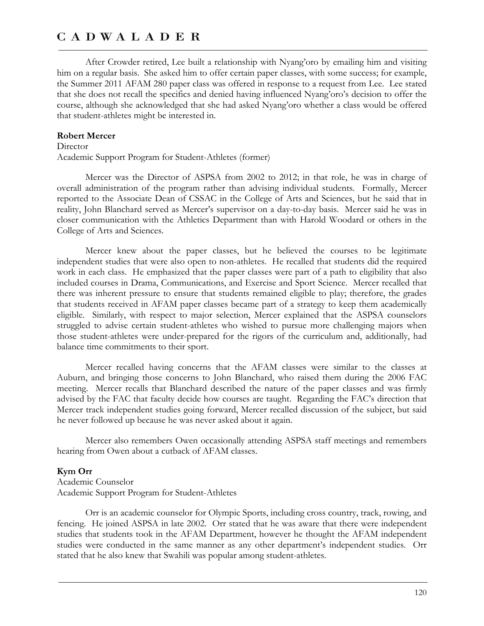After Crowder retired, Lee built a relationship with Nyang'oro by emailing him and visiting him on a regular basis. She asked him to offer certain paper classes, with some success; for example, the Summer 2011 AFAM 280 paper class was offered in response to a request from Lee. Lee stated that she does not recall the specifics and denied having influenced Nyang'oro's decision to offer the course, although she acknowledged that she had asked Nyang'oro whether a class would be offered that student-athletes might be interested in.

#### **Robert Mercer**

#### Director

Academic Support Program for Student-Athletes (former)

Mercer was the Director of ASPSA from 2002 to 2012; in that role, he was in charge of overall administration of the program rather than advising individual students. Formally, Mercer reported to the Associate Dean of CSSAC in the College of Arts and Sciences, but he said that in reality, John Blanchard served as Mercer's supervisor on a day-to-day basis. Mercer said he was in closer communication with the Athletics Department than with Harold Woodard or others in the College of Arts and Sciences.

Mercer knew about the paper classes, but he believed the courses to be legitimate independent studies that were also open to non-athletes. He recalled that students did the required work in each class. He emphasized that the paper classes were part of a path to eligibility that also included courses in Drama, Communications, and Exercise and Sport Science. Mercer recalled that there was inherent pressure to ensure that students remained eligible to play; therefore, the grades that students received in AFAM paper classes became part of a strategy to keep them academically eligible. Similarly, with respect to major selection, Mercer explained that the ASPSA counselors struggled to advise certain student-athletes who wished to pursue more challenging majors when those student-athletes were under-prepared for the rigors of the curriculum and, additionally, had balance time commitments to their sport.

Mercer recalled having concerns that the AFAM classes were similar to the classes at Auburn, and bringing those concerns to John Blanchard, who raised them during the 2006 FAC meeting. Mercer recalls that Blanchard described the nature of the paper classes and was firmly advised by the FAC that faculty decide how courses are taught. Regarding the FAC's direction that Mercer track independent studies going forward, Mercer recalled discussion of the subject, but said he never followed up because he was never asked about it again.

Mercer also remembers Owen occasionally attending ASPSA staff meetings and remembers hearing from Owen about a cutback of AFAM classes.

#### **Kym Orr**

Academic Counselor Academic Support Program for Student-Athletes

Orr is an academic counselor for Olympic Sports, including cross country, track, rowing, and fencing. He joined ASPSA in late 2002. Orr stated that he was aware that there were independent studies that students took in the AFAM Department, however he thought the AFAM independent studies were conducted in the same manner as any other department's independent studies. Orr stated that he also knew that Swahili was popular among student-athletes.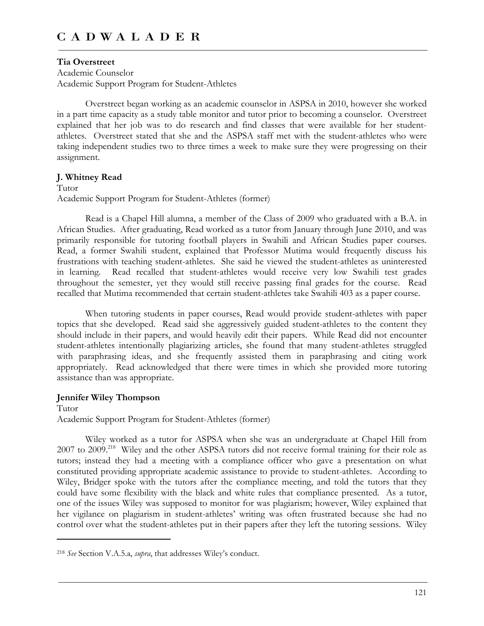# **Tia Overstreet**

Academic Counselor Academic Support Program for Student-Athletes

Overstreet began working as an academic counselor in ASPSA in 2010, however she worked in a part time capacity as a study table monitor and tutor prior to becoming a counselor. Overstreet explained that her job was to do research and find classes that were available for her studentathletes. Overstreet stated that she and the ASPSA staff met with the student-athletes who were taking independent studies two to three times a week to make sure they were progressing on their assignment.

### **J. Whitney Read**

Tutor Academic Support Program for Student-Athletes (former)

Read is a Chapel Hill alumna, a member of the Class of 2009 who graduated with a B.A. in African Studies. After graduating, Read worked as a tutor from January through June 2010, and was primarily responsible for tutoring football players in Swahili and African Studies paper courses. Read, a former Swahili student, explained that Professor Mutima would frequently discuss his frustrations with teaching student-athletes. She said he viewed the student-athletes as uninterested in learning. Read recalled that student-athletes would receive very low Swahili test grades throughout the semester, yet they would still receive passing final grades for the course. Read recalled that Mutima recommended that certain student-athletes take Swahili 403 as a paper course.

When tutoring students in paper courses, Read would provide student-athletes with paper topics that she developed. Read said she aggressively guided student-athletes to the content they should include in their papers, and would heavily edit their papers. While Read did not encounter student-athletes intentionally plagiarizing articles, she found that many student-athletes struggled with paraphrasing ideas, and she frequently assisted them in paraphrasing and citing work appropriately. Read acknowledged that there were times in which she provided more tutoring assistance than was appropriate.

## **Jennifer Wiley Thompson**

 $\overline{a}$ 

Tutor Academic Support Program for Student-Athletes (former)

Wiley worked as a tutor for ASPSA when she was an undergraduate at Chapel Hill from 2007 to 2009.<sup>218</sup> Wiley and the other ASPSA tutors did not receive formal training for their role as tutors; instead they had a meeting with a compliance officer who gave a presentation on what constituted providing appropriate academic assistance to provide to student-athletes. According to Wiley, Bridger spoke with the tutors after the compliance meeting, and told the tutors that they could have some flexibility with the black and white rules that compliance presented. As a tutor, one of the issues Wiley was supposed to monitor for was plagiarism; however, Wiley explained that her vigilance on plagiarism in student-athletes' writing was often frustrated because she had no control over what the student-athletes put in their papers after they left the tutoring sessions. Wiley

<sup>218</sup> *See* Section V.A.5.a, *supra*, that addresses Wiley's conduct.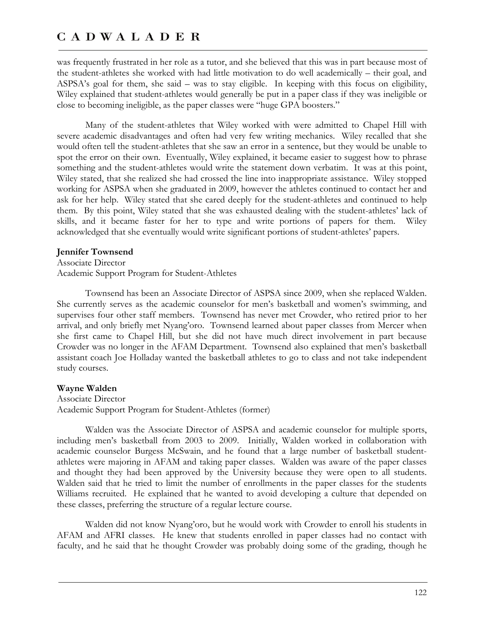was frequently frustrated in her role as a tutor, and she believed that this was in part because most of the student-athletes she worked with had little motivation to do well academically – their goal, and ASPSA's goal for them, she said – was to stay eligible. In keeping with this focus on eligibility, Wiley explained that student-athletes would generally be put in a paper class if they was ineligible or close to becoming ineligible, as the paper classes were "huge GPA boosters."

Many of the student-athletes that Wiley worked with were admitted to Chapel Hill with severe academic disadvantages and often had very few writing mechanics. Wiley recalled that she would often tell the student-athletes that she saw an error in a sentence, but they would be unable to spot the error on their own. Eventually, Wiley explained, it became easier to suggest how to phrase something and the student-athletes would write the statement down verbatim. It was at this point, Wiley stated, that she realized she had crossed the line into inappropriate assistance. Wiley stopped working for ASPSA when she graduated in 2009, however the athletes continued to contact her and ask for her help. Wiley stated that she cared deeply for the student-athletes and continued to help them. By this point, Wiley stated that she was exhausted dealing with the student-athletes' lack of skills, and it became faster for her to type and write portions of papers for them. Wiley acknowledged that she eventually would write significant portions of student-athletes' papers.

#### **Jennifer Townsend**

Associate Director Academic Support Program for Student-Athletes

Townsend has been an Associate Director of ASPSA since 2009, when she replaced Walden. She currently serves as the academic counselor for men's basketball and women's swimming, and supervises four other staff members. Townsend has never met Crowder, who retired prior to her arrival, and only briefly met Nyang'oro. Townsend learned about paper classes from Mercer when she first came to Chapel Hill, but she did not have much direct involvement in part because Crowder was no longer in the AFAM Department. Townsend also explained that men's basketball assistant coach Joe Holladay wanted the basketball athletes to go to class and not take independent study courses.

#### **Wayne Walden**

Associate Director Academic Support Program for Student-Athletes (former)

Walden was the Associate Director of ASPSA and academic counselor for multiple sports, including men's basketball from 2003 to 2009. Initially, Walden worked in collaboration with academic counselor Burgess McSwain, and he found that a large number of basketball studentathletes were majoring in AFAM and taking paper classes. Walden was aware of the paper classes and thought they had been approved by the University because they were open to all students. Walden said that he tried to limit the number of enrollments in the paper classes for the students Williams recruited. He explained that he wanted to avoid developing a culture that depended on these classes, preferring the structure of a regular lecture course.

Walden did not know Nyang'oro, but he would work with Crowder to enroll his students in AFAM and AFRI classes. He knew that students enrolled in paper classes had no contact with faculty, and he said that he thought Crowder was probably doing some of the grading, though he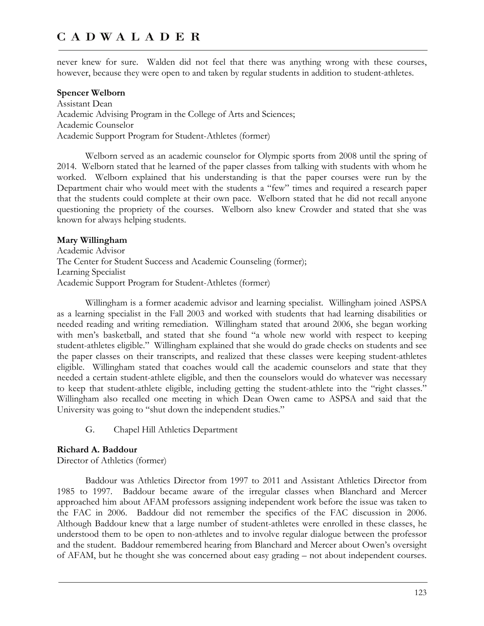never knew for sure. Walden did not feel that there was anything wrong with these courses, however, because they were open to and taken by regular students in addition to student-athletes.

### **Spencer Welborn**

Assistant Dean Academic Advising Program in the College of Arts and Sciences; Academic Counselor Academic Support Program for Student-Athletes (former)

Welborn served as an academic counselor for Olympic sports from 2008 until the spring of 2014. Welborn stated that he learned of the paper classes from talking with students with whom he worked. Welborn explained that his understanding is that the paper courses were run by the Department chair who would meet with the students a "few" times and required a research paper that the students could complete at their own pace. Welborn stated that he did not recall anyone questioning the propriety of the courses. Welborn also knew Crowder and stated that she was known for always helping students.

#### **Mary Willingham**

Academic Advisor The Center for Student Success and Academic Counseling (former); Learning Specialist Academic Support Program for Student-Athletes (former)

Willingham is a former academic advisor and learning specialist. Willingham joined ASPSA as a learning specialist in the Fall 2003 and worked with students that had learning disabilities or needed reading and writing remediation. Willingham stated that around 2006, she began working with men's basketball, and stated that she found "a whole new world with respect to keeping student-athletes eligible." Willingham explained that she would do grade checks on students and see the paper classes on their transcripts, and realized that these classes were keeping student-athletes eligible. Willingham stated that coaches would call the academic counselors and state that they needed a certain student-athlete eligible, and then the counselors would do whatever was necessary to keep that student-athlete eligible, including getting the student-athlete into the "right classes." Willingham also recalled one meeting in which Dean Owen came to ASPSA and said that the University was going to "shut down the independent studies."

G. Chapel Hill Athletics Department

#### **Richard A. Baddour**

Director of Athletics (former)

Baddour was Athletics Director from 1997 to 2011 and Assistant Athletics Director from 1985 to 1997. Baddour became aware of the irregular classes when Blanchard and Mercer approached him about AFAM professors assigning independent work before the issue was taken to the FAC in 2006. Baddour did not remember the specifics of the FAC discussion in 2006. Although Baddour knew that a large number of student-athletes were enrolled in these classes, he understood them to be open to non-athletes and to involve regular dialogue between the professor and the student. Baddour remembered hearing from Blanchard and Mercer about Owen's oversight of AFAM, but he thought she was concerned about easy grading – not about independent courses.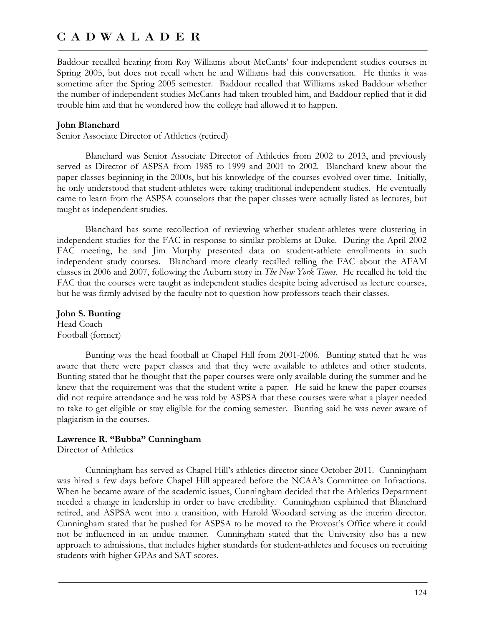Baddour recalled hearing from Roy Williams about McCants' four independent studies courses in Spring 2005, but does not recall when he and Williams had this conversation. He thinks it was sometime after the Spring 2005 semester. Baddour recalled that Williams asked Baddour whether the number of independent studies McCants had taken troubled him, and Baddour replied that it did trouble him and that he wondered how the college had allowed it to happen.

#### **John Blanchard**

Senior Associate Director of Athletics (retired)

Blanchard was Senior Associate Director of Athletics from 2002 to 2013, and previously served as Director of ASPSA from 1985 to 1999 and 2001 to 2002. Blanchard knew about the paper classes beginning in the 2000s, but his knowledge of the courses evolved over time. Initially, he only understood that student-athletes were taking traditional independent studies. He eventually came to learn from the ASPSA counselors that the paper classes were actually listed as lectures, but taught as independent studies.

Blanchard has some recollection of reviewing whether student-athletes were clustering in independent studies for the FAC in response to similar problems at Duke. During the April 2002 FAC meeting, he and Jim Murphy presented data on student-athlete enrollments in such independent study courses. Blanchard more clearly recalled telling the FAC about the AFAM classes in 2006 and 2007, following the Auburn story in *The New York Times*. He recalled he told the FAC that the courses were taught as independent studies despite being advertised as lecture courses, but he was firmly advised by the faculty not to question how professors teach their classes.

**John S. Bunting**  Head Coach Football (former)

Bunting was the head football at Chapel Hill from 2001-2006. Bunting stated that he was aware that there were paper classes and that they were available to athletes and other students. Bunting stated that he thought that the paper courses were only available during the summer and he knew that the requirement was that the student write a paper. He said he knew the paper courses did not require attendance and he was told by ASPSA that these courses were what a player needed to take to get eligible or stay eligible for the coming semester. Bunting said he was never aware of plagiarism in the courses.

### **Lawrence R. "Bubba" Cunningham**

Director of Athletics

Cunningham has served as Chapel Hill's athletics director since October 2011. Cunningham was hired a few days before Chapel Hill appeared before the NCAA's Committee on Infractions. When he became aware of the academic issues, Cunningham decided that the Athletics Department needed a change in leadership in order to have credibility. Cunningham explained that Blanchard retired, and ASPSA went into a transition, with Harold Woodard serving as the interim director. Cunningham stated that he pushed for ASPSA to be moved to the Provost's Office where it could not be influenced in an undue manner. Cunningham stated that the University also has a new approach to admissions, that includes higher standards for student-athletes and focuses on recruiting students with higher GPAs and SAT scores.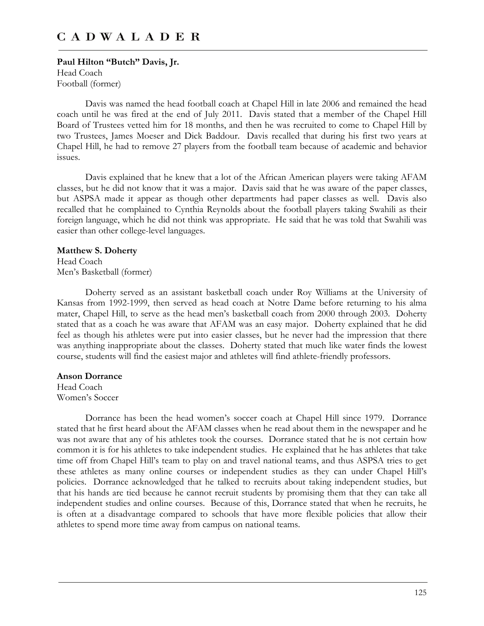**Paul Hilton "Butch" Davis, Jr.**  Head Coach Football (former)

Davis was named the head football coach at Chapel Hill in late 2006 and remained the head coach until he was fired at the end of July 2011. Davis stated that a member of the Chapel Hill Board of Trustees vetted him for 18 months, and then he was recruited to come to Chapel Hill by two Trustees, James Moeser and Dick Baddour. Davis recalled that during his first two years at Chapel Hill, he had to remove 27 players from the football team because of academic and behavior issues.

Davis explained that he knew that a lot of the African American players were taking AFAM classes, but he did not know that it was a major. Davis said that he was aware of the paper classes, but ASPSA made it appear as though other departments had paper classes as well. Davis also recalled that he complained to Cynthia Reynolds about the football players taking Swahili as their foreign language, which he did not think was appropriate. He said that he was told that Swahili was easier than other college-level languages.

#### **Matthew S. Doherty**

Head Coach Men's Basketball (former)

Doherty served as an assistant basketball coach under Roy Williams at the University of Kansas from 1992-1999, then served as head coach at Notre Dame before returning to his alma mater, Chapel Hill, to serve as the head men's basketball coach from 2000 through 2003. Doherty stated that as a coach he was aware that AFAM was an easy major. Doherty explained that he did feel as though his athletes were put into easier classes, but he never had the impression that there was anything inappropriate about the classes. Doherty stated that much like water finds the lowest course, students will find the easiest major and athletes will find athlete-friendly professors.

#### **Anson Dorrance**

Head Coach Women's Soccer

Dorrance has been the head women's soccer coach at Chapel Hill since 1979. Dorrance stated that he first heard about the AFAM classes when he read about them in the newspaper and he was not aware that any of his athletes took the courses. Dorrance stated that he is not certain how common it is for his athletes to take independent studies. He explained that he has athletes that take time off from Chapel Hill's team to play on and travel national teams, and thus ASPSA tries to get these athletes as many online courses or independent studies as they can under Chapel Hill's policies. Dorrance acknowledged that he talked to recruits about taking independent studies, but that his hands are tied because he cannot recruit students by promising them that they can take all independent studies and online courses. Because of this, Dorrance stated that when he recruits, he is often at a disadvantage compared to schools that have more flexible policies that allow their athletes to spend more time away from campus on national teams.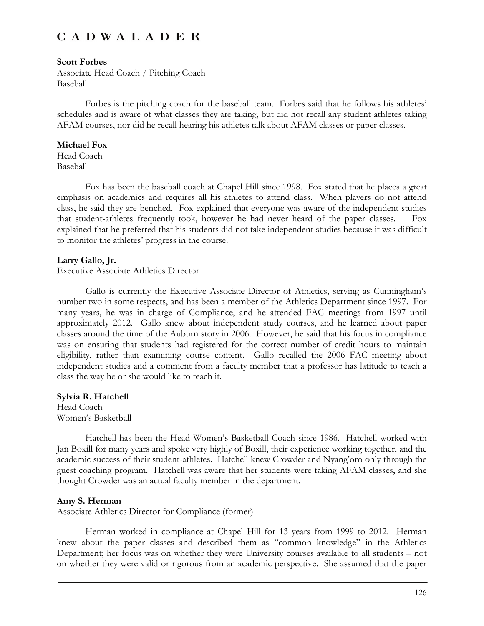#### **Scott Forbes**

Associate Head Coach / Pitching Coach Baseball

Forbes is the pitching coach for the baseball team. Forbes said that he follows his athletes' schedules and is aware of what classes they are taking, but did not recall any student-athletes taking AFAM courses, nor did he recall hearing his athletes talk about AFAM classes or paper classes.

#### **Michael Fox**

Head Coach Baseball

Fox has been the baseball coach at Chapel Hill since 1998. Fox stated that he places a great emphasis on academics and requires all his athletes to attend class. When players do not attend class, he said they are benched. Fox explained that everyone was aware of the independent studies that student-athletes frequently took, however he had never heard of the paper classes. Fox explained that he preferred that his students did not take independent studies because it was difficult to monitor the athletes' progress in the course.

#### **Larry Gallo, Jr.**

Executive Associate Athletics Director

Gallo is currently the Executive Associate Director of Athletics, serving as Cunningham's number two in some respects, and has been a member of the Athletics Department since 1997. For many years, he was in charge of Compliance, and he attended FAC meetings from 1997 until approximately 2012. Gallo knew about independent study courses, and he learned about paper classes around the time of the Auburn story in 2006. However, he said that his focus in compliance was on ensuring that students had registered for the correct number of credit hours to maintain eligibility, rather than examining course content. Gallo recalled the 2006 FAC meeting about independent studies and a comment from a faculty member that a professor has latitude to teach a class the way he or she would like to teach it.

### **Sylvia R. Hatchell**

Head Coach Women's Basketball

Hatchell has been the Head Women's Basketball Coach since 1986. Hatchell worked with Jan Boxill for many years and spoke very highly of Boxill, their experience working together, and the academic success of their student-athletes. Hatchell knew Crowder and Nyang'oro only through the guest coaching program. Hatchell was aware that her students were taking AFAM classes, and she thought Crowder was an actual faculty member in the department.

#### **Amy S. Herman**

Associate Athletics Director for Compliance (former)

Herman worked in compliance at Chapel Hill for 13 years from 1999 to 2012. Herman knew about the paper classes and described them as "common knowledge" in the Athletics Department; her focus was on whether they were University courses available to all students – not on whether they were valid or rigorous from an academic perspective. She assumed that the paper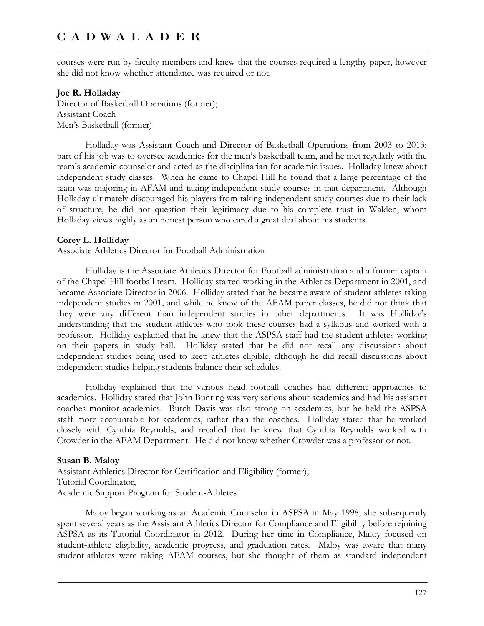courses were run by faculty members and knew that the courses required a lengthy paper, however she did not know whether attendance was required or not.

#### **Joe R. Holladay**

Director of Basketball Operations (former); Assistant Coach Men's Basketball (former)

Holladay was Assistant Coach and Director of Basketball Operations from 2003 to 2013; part of his job was to oversee academics for the men's basketball team, and he met regularly with the team's academic counselor and acted as the disciplinarian for academic issues. Holladay knew about independent study classes. When he came to Chapel Hill he found that a large percentage of the team was majoring in AFAM and taking independent study courses in that department. Although Holladay ultimately discouraged his players from taking independent study courses due to their lack of structure, he did not question their legitimacy due to his complete trust in Walden, whom Holladay views highly as an honest person who cared a great deal about his students.

#### **Corey L. Holliday**

Associate Athletics Director for Football Administration

Holliday is the Associate Athletics Director for Football administration and a former captain of the Chapel Hill football team. Holliday started working in the Athletics Department in 2001, and became Associate Director in 2006. Holliday stated that he became aware of student-athletes taking independent studies in 2001, and while he knew of the AFAM paper classes, he did not think that they were any different than independent studies in other departments. It was Holliday's understanding that the student-athletes who took these courses had a syllabus and worked with a professor. Holliday explained that he knew that the ASPSA staff had the student-athletes working on their papers in study hall. Holliday stated that he did not recall any discussions about independent studies being used to keep athletes eligible, although he did recall discussions about independent studies helping students balance their schedules.

Holliday explained that the various head football coaches had different approaches to academics. Holliday stated that John Bunting was very serious about academics and had his assistant coaches monitor academics. Butch Davis was also strong on academics, but he held the ASPSA staff more accountable for academics, rather than the coaches. Holliday stated that he worked closely with Cynthia Reynolds, and recalled that he knew that Cynthia Reynolds worked with Crowder in the AFAM Department. He did not know whether Crowder was a professor or not.

#### **Susan B. Maloy**

Assistant Athletics Director for Certification and Eligibility (former); Tutorial Coordinator, Academic Support Program for Student-Athletes

Maloy began working as an Academic Counselor in ASPSA in May 1998; she subsequently spent several years as the Assistant Athletics Director for Compliance and Eligibility before rejoining ASPSA as its Tutorial Coordinator in 2012. During her time in Compliance, Maloy focused on student-athlete eligibility, academic progress, and graduation rates. Maloy was aware that many student-athletes were taking AFAM courses, but she thought of them as standard independent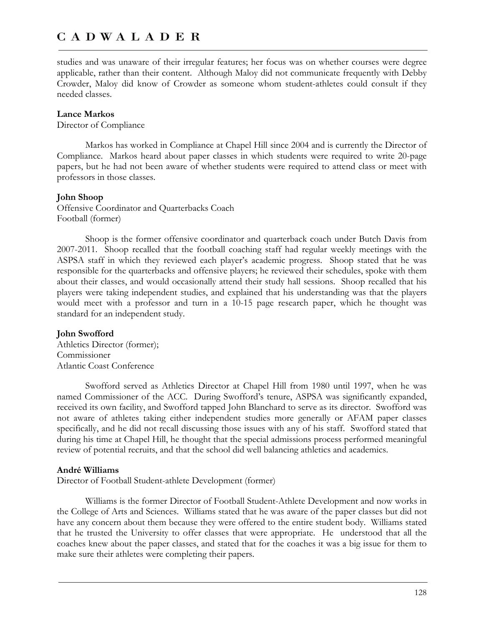studies and was unaware of their irregular features; her focus was on whether courses were degree applicable, rather than their content. Although Maloy did not communicate frequently with Debby Crowder, Maloy did know of Crowder as someone whom student-athletes could consult if they needed classes.

### **Lance Markos**

Director of Compliance

Markos has worked in Compliance at Chapel Hill since 2004 and is currently the Director of Compliance. Markos heard about paper classes in which students were required to write 20-page papers, but he had not been aware of whether students were required to attend class or meet with professors in those classes.

#### **John Shoop**

Offensive Coordinator and Quarterbacks Coach Football (former)

Shoop is the former offensive coordinator and quarterback coach under Butch Davis from 2007-2011. Shoop recalled that the football coaching staff had regular weekly meetings with the ASPSA staff in which they reviewed each player's academic progress. Shoop stated that he was responsible for the quarterbacks and offensive players; he reviewed their schedules, spoke with them about their classes, and would occasionally attend their study hall sessions. Shoop recalled that his players were taking independent studies, and explained that his understanding was that the players would meet with a professor and turn in a 10-15 page research paper, which he thought was standard for an independent study.

#### **John Swofford**

Athletics Director (former); Commissioner Atlantic Coast Conference

Swofford served as Athletics Director at Chapel Hill from 1980 until 1997, when he was named Commissioner of the ACC. During Swofford's tenure, ASPSA was significantly expanded, received its own facility, and Swofford tapped John Blanchard to serve as its director. Swofford was not aware of athletes taking either independent studies more generally or AFAM paper classes specifically, and he did not recall discussing those issues with any of his staff. Swofford stated that during his time at Chapel Hill, he thought that the special admissions process performed meaningful review of potential recruits, and that the school did well balancing athletics and academics.

#### **André Williams**

Director of Football Student-athlete Development (former)

Williams is the former Director of Football Student-Athlete Development and now works in the College of Arts and Sciences. Williams stated that he was aware of the paper classes but did not have any concern about them because they were offered to the entire student body. Williams stated that he trusted the University to offer classes that were appropriate. He understood that all the coaches knew about the paper classes, and stated that for the coaches it was a big issue for them to make sure their athletes were completing their papers.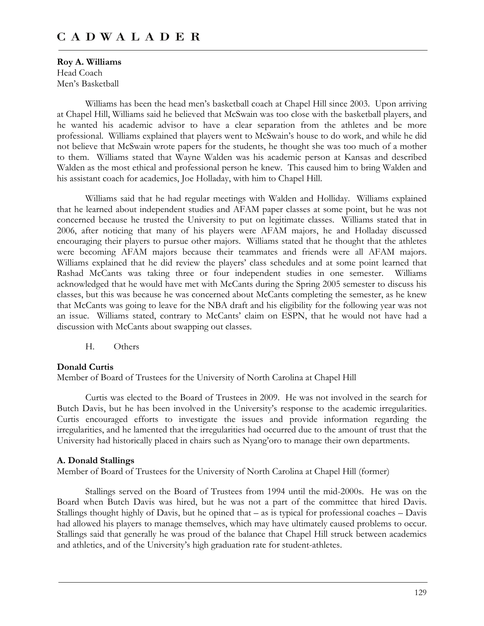**Roy A. Williams**  Head Coach Men's Basketball

Williams has been the head men's basketball coach at Chapel Hill since 2003. Upon arriving at Chapel Hill, Williams said he believed that McSwain was too close with the basketball players, and he wanted his academic advisor to have a clear separation from the athletes and be more professional. Williams explained that players went to McSwain's house to do work, and while he did not believe that McSwain wrote papers for the students, he thought she was too much of a mother to them. Williams stated that Wayne Walden was his academic person at Kansas and described Walden as the most ethical and professional person he knew. This caused him to bring Walden and his assistant coach for academics, Joe Holladay, with him to Chapel Hill.

Williams said that he had regular meetings with Walden and Holliday. Williams explained that he learned about independent studies and AFAM paper classes at some point, but he was not concerned because he trusted the University to put on legitimate classes. Williams stated that in 2006, after noticing that many of his players were AFAM majors, he and Holladay discussed encouraging their players to pursue other majors. Williams stated that he thought that the athletes were becoming AFAM majors because their teammates and friends were all AFAM majors. Williams explained that he did review the players' class schedules and at some point learned that Rashad McCants was taking three or four independent studies in one semester. Williams acknowledged that he would have met with McCants during the Spring 2005 semester to discuss his classes, but this was because he was concerned about McCants completing the semester, as he knew that McCants was going to leave for the NBA draft and his eligibility for the following year was not an issue. Williams stated, contrary to McCants' claim on ESPN, that he would not have had a discussion with McCants about swapping out classes.

H. Others

#### **Donald Curtis**

Member of Board of Trustees for the University of North Carolina at Chapel Hill

Curtis was elected to the Board of Trustees in 2009. He was not involved in the search for Butch Davis, but he has been involved in the University's response to the academic irregularities. Curtis encouraged efforts to investigate the issues and provide information regarding the irregularities, and he lamented that the irregularities had occurred due to the amount of trust that the University had historically placed in chairs such as Nyang'oro to manage their own departments.

#### **A. Donald Stallings**

Member of Board of Trustees for the University of North Carolina at Chapel Hill (former)

Stallings served on the Board of Trustees from 1994 until the mid-2000s. He was on the Board when Butch Davis was hired, but he was not a part of the committee that hired Davis. Stallings thought highly of Davis, but he opined that – as is typical for professional coaches – Davis had allowed his players to manage themselves, which may have ultimately caused problems to occur. Stallings said that generally he was proud of the balance that Chapel Hill struck between academics and athletics, and of the University's high graduation rate for student-athletes.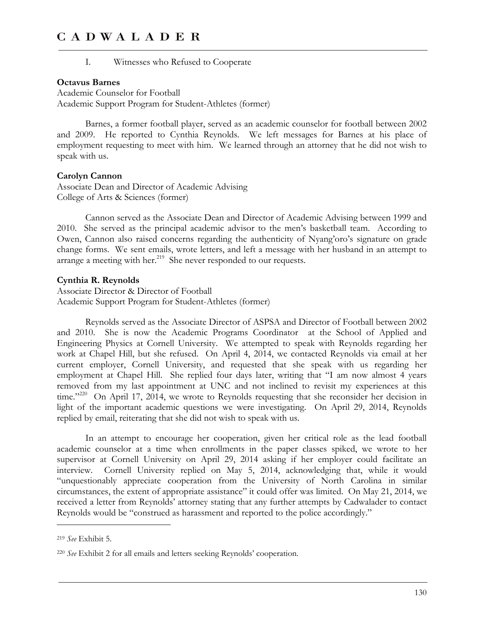I. Witnesses who Refused to Cooperate

### **Octavus Barnes**

Academic Counselor for Football Academic Support Program for Student-Athletes (former)

Barnes, a former football player, served as an academic counselor for football between 2002 and 2009. He reported to Cynthia Reynolds. We left messages for Barnes at his place of employment requesting to meet with him. We learned through an attorney that he did not wish to speak with us.

#### **Carolyn Cannon**

Associate Dean and Director of Academic Advising College of Arts & Sciences (former)

Cannon served as the Associate Dean and Director of Academic Advising between 1999 and 2010. She served as the principal academic advisor to the men's basketball team. According to Owen, Cannon also raised concerns regarding the authenticity of Nyang'oro's signature on grade change forms. We sent emails, wrote letters, and left a message with her husband in an attempt to arrange a meeting with her. $219$  She never responded to our requests.

### **Cynthia R. Reynolds**

Associate Director & Director of Football Academic Support Program for Student-Athletes (former)

Reynolds served as the Associate Director of ASPSA and Director of Football between 2002 and 2010. She is now the Academic Programs Coordinator at the School of Applied and Engineering Physics at Cornell University. We attempted to speak with Reynolds regarding her work at Chapel Hill, but she refused. On April 4, 2014, we contacted Reynolds via email at her current employer, Cornell University, and requested that she speak with us regarding her employment at Chapel Hill. She replied four days later, writing that "I am now almost 4 years removed from my last appointment at UNC and not inclined to revisit my experiences at this time."<sup>220</sup> On April 17, 2014, we wrote to Reynolds requesting that she reconsider her decision in light of the important academic questions we were investigating. On April 29, 2014, Reynolds replied by email, reiterating that she did not wish to speak with us.

In an attempt to encourage her cooperation, given her critical role as the lead football academic counselor at a time when enrollments in the paper classes spiked, we wrote to her supervisor at Cornell University on April 29, 2014 asking if her employer could facilitate an interview. Cornell University replied on May 5, 2014, acknowledging that, while it would "unquestionably appreciate cooperation from the University of North Carolina in similar circumstances, the extent of appropriate assistance" it could offer was limited. On May 21, 2014, we received a letter from Reynolds' attorney stating that any further attempts by Cadwalader to contact Reynolds would be "construed as harassment and reported to the police accordingly."

-

<sup>219</sup> *See* Exhibit 5.

<sup>220</sup> *See* Exhibit 2 for all emails and letters seeking Reynolds' cooperation.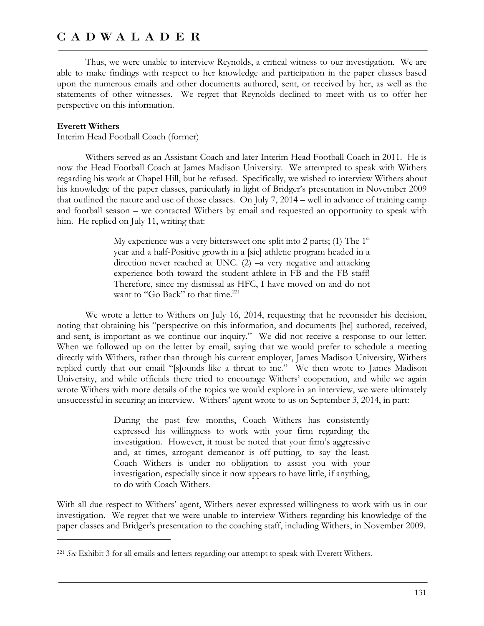Thus, we were unable to interview Reynolds, a critical witness to our investigation. We are able to make findings with respect to her knowledge and participation in the paper classes based upon the numerous emails and other documents authored, sent, or received by her, as well as the statements of other witnesses. We regret that Reynolds declined to meet with us to offer her perspective on this information.

#### **Everett Withers**

 $\overline{a}$ 

Interim Head Football Coach (former)

Withers served as an Assistant Coach and later Interim Head Football Coach in 2011. He is now the Head Football Coach at James Madison University. We attempted to speak with Withers regarding his work at Chapel Hill, but he refused. Specifically, we wished to interview Withers about his knowledge of the paper classes, particularly in light of Bridger's presentation in November 2009 that outlined the nature and use of those classes. On July 7, 2014 – well in advance of training camp and football season – we contacted Withers by email and requested an opportunity to speak with him. He replied on July 11, writing that:

> My experience was a very bittersweet one split into 2 parts; (1) The  $1<sup>st</sup>$ year and a half-Positive growth in a [sic] athletic program headed in a direction never reached at UNC. (2) –a very negative and attacking experience both toward the student athlete in FB and the FB staff! Therefore, since my dismissal as HFC, I have moved on and do not want to "Go Back" to that time.<sup>221</sup>

We wrote a letter to Withers on July 16, 2014, requesting that he reconsider his decision, noting that obtaining his "perspective on this information, and documents [he] authored, received, and sent, is important as we continue our inquiry." We did not receive a response to our letter. When we followed up on the letter by email, saying that we would prefer to schedule a meeting directly with Withers, rather than through his current employer, James Madison University, Withers replied curtly that our email "[s]ounds like a threat to me." We then wrote to James Madison University, and while officials there tried to encourage Withers' cooperation, and while we again wrote Withers with more details of the topics we would explore in an interview, we were ultimately unsuccessful in securing an interview. Withers' agent wrote to us on September 3, 2014, in part:

> During the past few months, Coach Withers has consistently expressed his willingness to work with your firm regarding the investigation. However, it must be noted that your firm's aggressive and, at times, arrogant demeanor is off-putting, to say the least. Coach Withers is under no obligation to assist you with your investigation, especially since it now appears to have little, if anything, to do with Coach Withers.

With all due respect to Withers' agent, Withers never expressed willingness to work with us in our investigation. We regret that we were unable to interview Withers regarding his knowledge of the paper classes and Bridger's presentation to the coaching staff, including Withers, in November 2009.

<sup>221</sup> *See* Exhibit 3 for all emails and letters regarding our attempt to speak with Everett Withers.